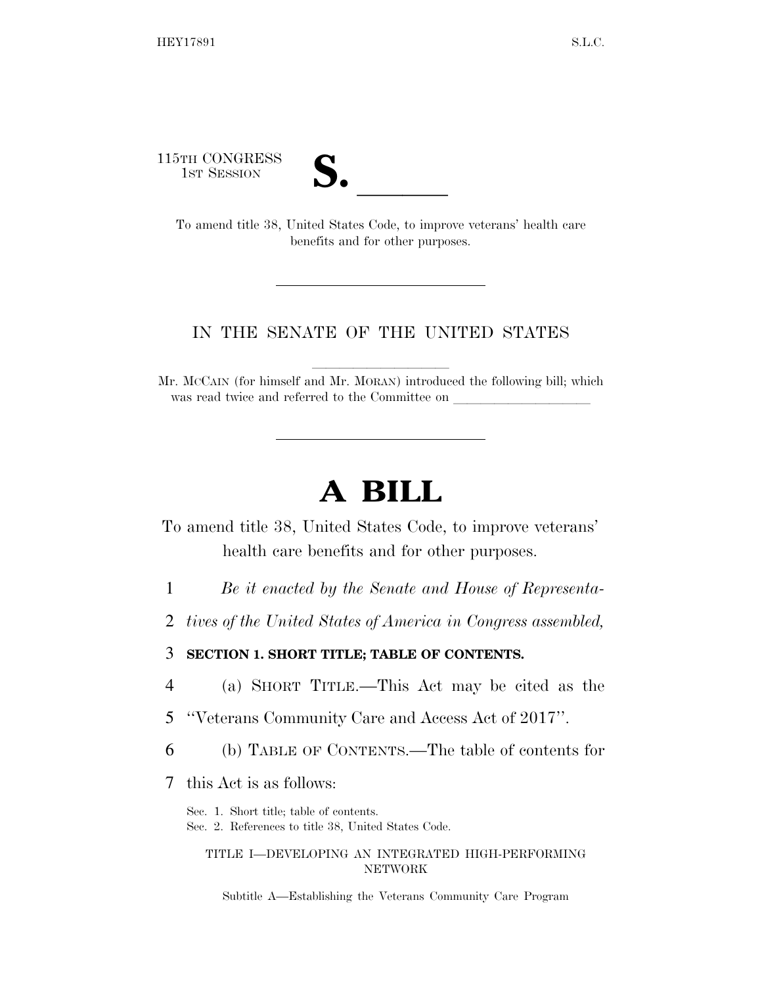115TH CONGRESS

| N. |  |
|----|--|
|    |  |

TH CONGRESS<br>
1ST SESSION<br>
To amend title 38, United States Code, to improve veterans' health care benefits and for other purposes.

# IN THE SENATE OF THE UNITED STATES

Mr. McCAIN (for himself and Mr. MORAN) introduced the following bill; which was read twice and referred to the Committee on

# **A BILL**

To amend title 38, United States Code, to improve veterans' health care benefits and for other purposes.

- 1 *Be it enacted by the Senate and House of Representa-*
- 2 *tives of the United States of America in Congress assembled,*

# 3 **SECTION 1. SHORT TITLE; TABLE OF CONTENTS.**

- 4 (a) SHORT TITLE.—This Act may be cited as the
- 5 ''Veterans Community Care and Access Act of 2017''.
- 6 (b) TABLE OF CONTENTS.—The table of contents for
- 7 this Act is as follows:

Sec. 1. Short title; table of contents. Sec. 2. References to title 38, United States Code.

## TITLE I—DEVELOPING AN INTEGRATED HIGH-PERFORMING NETWORK

Subtitle A—Establishing the Veterans Community Care Program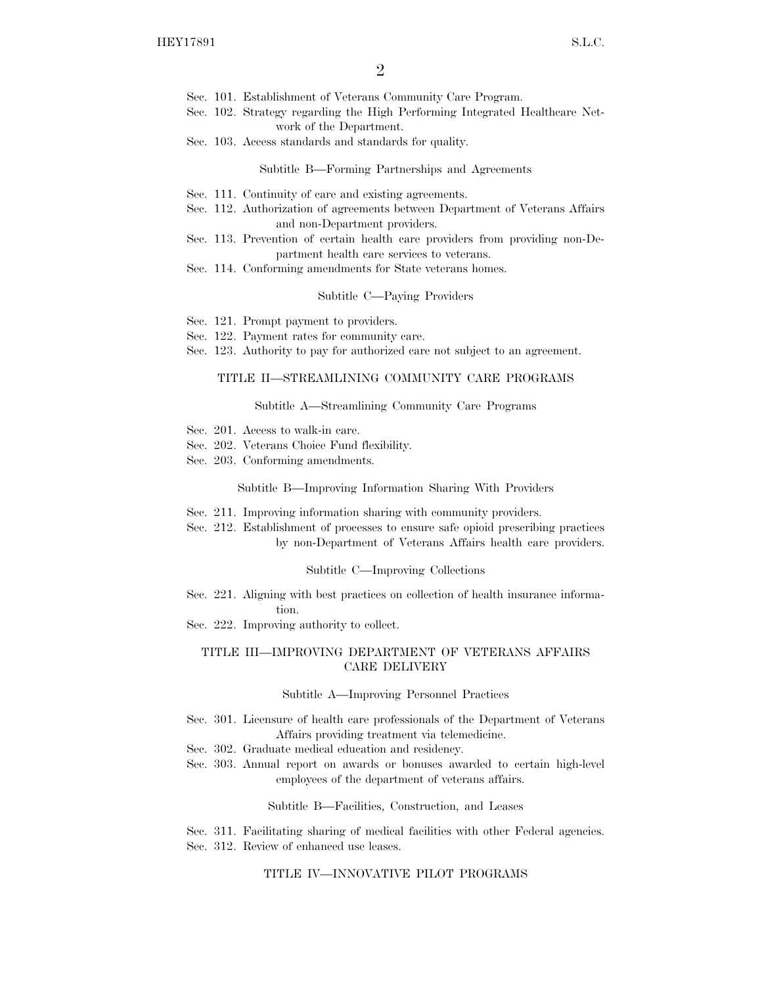- Sec. 101. Establishment of Veterans Community Care Program.
- Sec. 102. Strategy regarding the High Performing Integrated Healthcare Network of the Department.
- Sec. 103. Access standards and standards for quality.

Subtitle B—Forming Partnerships and Agreements

- Sec. 111. Continuity of care and existing agreements.
- Sec. 112. Authorization of agreements between Department of Veterans Affairs and non-Department providers.
- Sec. 113. Prevention of certain health care providers from providing non-Department health care services to veterans.
- Sec. 114. Conforming amendments for State veterans homes.

## Subtitle C—Paying Providers

- Sec. 121. Prompt payment to providers.
- Sec. 122. Payment rates for community care.
- Sec. 123. Authority to pay for authorized care not subject to an agreement.

## TITLE II—STREAMLINING COMMUNITY CARE PROGRAMS

#### Subtitle A—Streamlining Community Care Programs

- Sec. 201. Access to walk-in care.
- Sec. 202. Veterans Choice Fund flexibility.
- Sec. 203. Conforming amendments.

#### Subtitle B—Improving Information Sharing With Providers

- Sec. 211. Improving information sharing with community providers.
- Sec. 212. Establishment of processes to ensure safe opioid prescribing practices by non-Department of Veterans Affairs health care providers.

#### Subtitle C—Improving Collections

- Sec. 221. Aligning with best practices on collection of health insurance information.
- Sec. 222. Improving authority to collect.

## TITLE III—IMPROVING DEPARTMENT OF VETERANS AFFAIRS CARE DELIVERY

## Subtitle A—Improving Personnel Practices

- Sec. 301. Licensure of health care professionals of the Department of Veterans Affairs providing treatment via telemedicine.
- Sec. 302. Graduate medical education and residency.
- Sec. 303. Annual report on awards or bonuses awarded to certain high-level employees of the department of veterans affairs.

Subtitle B—Facilities, Construction, and Leases

Sec. 311. Facilitating sharing of medical facilities with other Federal agencies. Sec. 312. Review of enhanced use leases.

## TITLE IV—INNOVATIVE PILOT PROGRAMS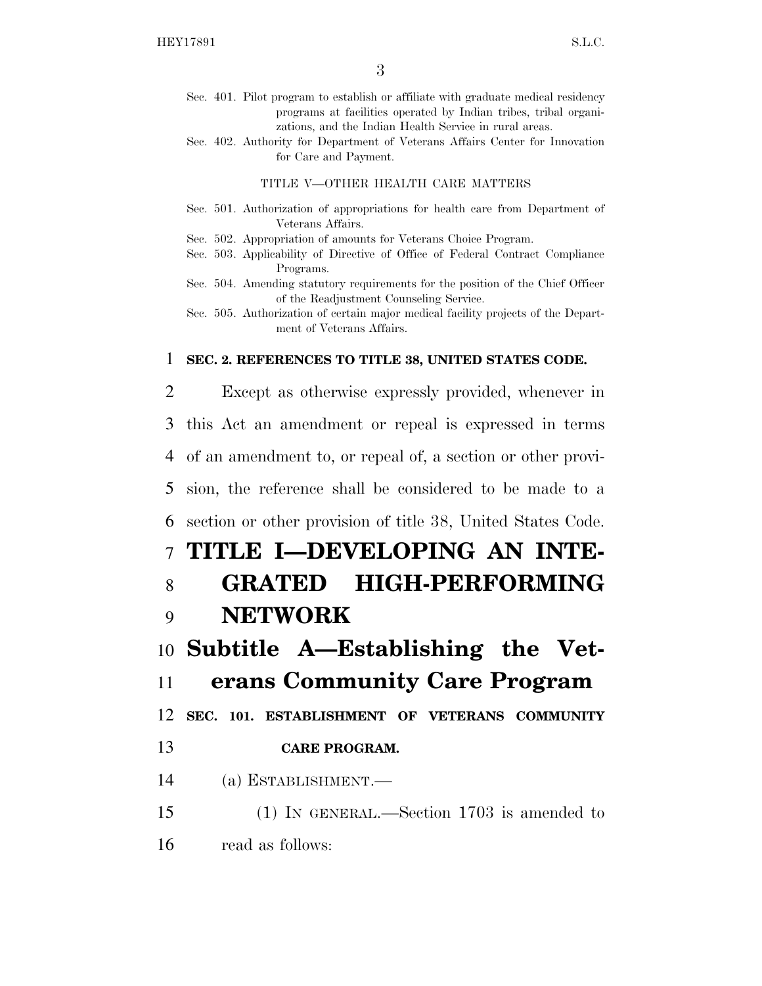- Sec. 401. Pilot program to establish or affiliate with graduate medical residency programs at facilities operated by Indian tribes, tribal organizations, and the Indian Health Service in rural areas.
- Sec. 402. Authority for Department of Veterans Affairs Center for Innovation for Care and Payment.

## TITLE V—OTHER HEALTH CARE MATTERS

- Sec. 501. Authorization of appropriations for health care from Department of Veterans Affairs.
- Sec. 502. Appropriation of amounts for Veterans Choice Program.
- Sec. 503. Applicability of Directive of Office of Federal Contract Compliance Programs.
- Sec. 504. Amending statutory requirements for the position of the Chief Officer of the Readjustment Counseling Service.
- Sec. 505. Authorization of certain major medical facility projects of the Department of Veterans Affairs.

# 1 **SEC. 2. REFERENCES TO TITLE 38, UNITED STATES CODE.**

 Except as otherwise expressly provided, whenever in this Act an amendment or repeal is expressed in terms of an amendment to, or repeal of, a section or other provi- sion, the reference shall be considered to be made to a section or other provision of title 38, United States Code. **TITLE I—DEVELOPING AN INTE- GRATED HIGH-PERFORMING**  9 **NETWORK Subtitle A—Establishing the Vet- erans Community Care Program SEC. 101. ESTABLISHMENT OF VETERANS COMMUNITY CARE PROGRAM.**  (a) ESTABLISHMENT.—

- 15 (1) IN GENERAL.—Section 1703 is amended to
- 16 read as follows: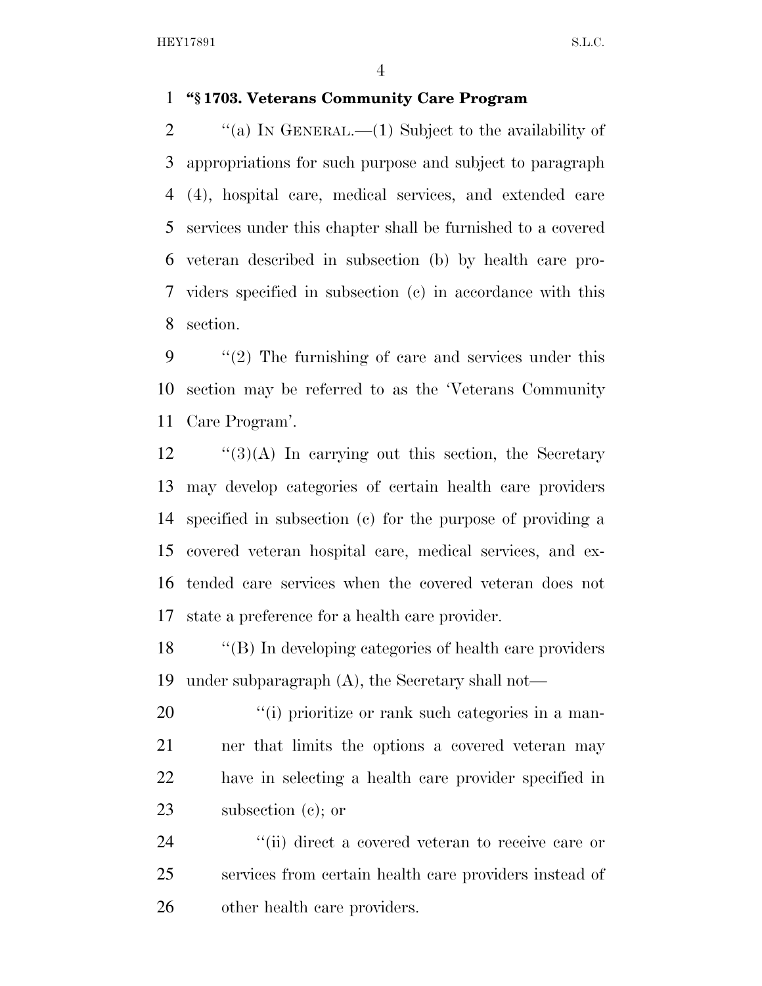# **''§ 1703. Veterans Community Care Program**

 $\text{``(a)}$  IN GENERAL.—(1) Subject to the availability of appropriations for such purpose and subject to paragraph (4), hospital care, medical services, and extended care services under this chapter shall be furnished to a covered veteran described in subsection (b) by health care pro- viders specified in subsection (c) in accordance with this section.

 ''(2) The furnishing of care and services under this section may be referred to as the 'Veterans Community Care Program'.

 ''(3)(A) In carrying out this section, the Secretary may develop categories of certain health care providers specified in subsection (c) for the purpose of providing a covered veteran hospital care, medical services, and ex- tended care services when the covered veteran does not state a preference for a health care provider.

 ''(B) In developing categories of health care providers under subparagraph (A), the Secretary shall not—

 $\frac{1}{20}$  (i) prioritize or rank such categories in a man- ner that limits the options a covered veteran may have in selecting a health care provider specified in subsection (c); or

24  $\frac{1}{2}$  (ii) direct a covered veteran to receive care or services from certain health care providers instead of other health care providers.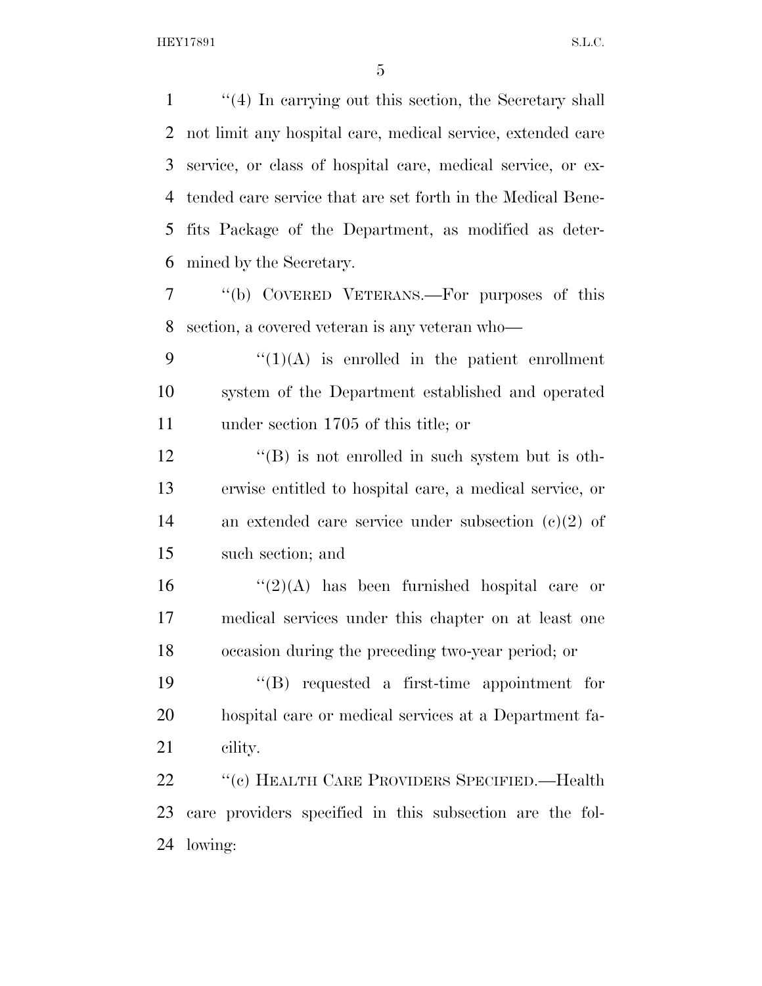''(4) In carrying out this section, the Secretary shall not limit any hospital care, medical service, extended care service, or class of hospital care, medical service, or ex- tended care service that are set forth in the Medical Bene- fits Package of the Department, as modified as deter-mined by the Secretary.

 ''(b) COVERED VETERANS.—For purposes of this section, a covered veteran is any veteran who—

9  $\frac{1}{(1)(A)}$  is enrolled in the patient enrollment system of the Department established and operated under section 1705 of this title; or

12 ''(B) is not enrolled in such system but is oth- erwise entitled to hospital care, a medical service, or an extended care service under subsection (c)(2) of such section; and

16  $\frac{16}{2}(2)$  has been furnished hospital care or medical services under this chapter on at least one occasion during the preceding two-year period; or

 ''(B) requested a first-time appointment for hospital care or medical services at a Department fa-cility.

 ''(c) HEALTH CARE PROVIDERS SPECIFIED.—Health care providers specified in this subsection are the fol-lowing: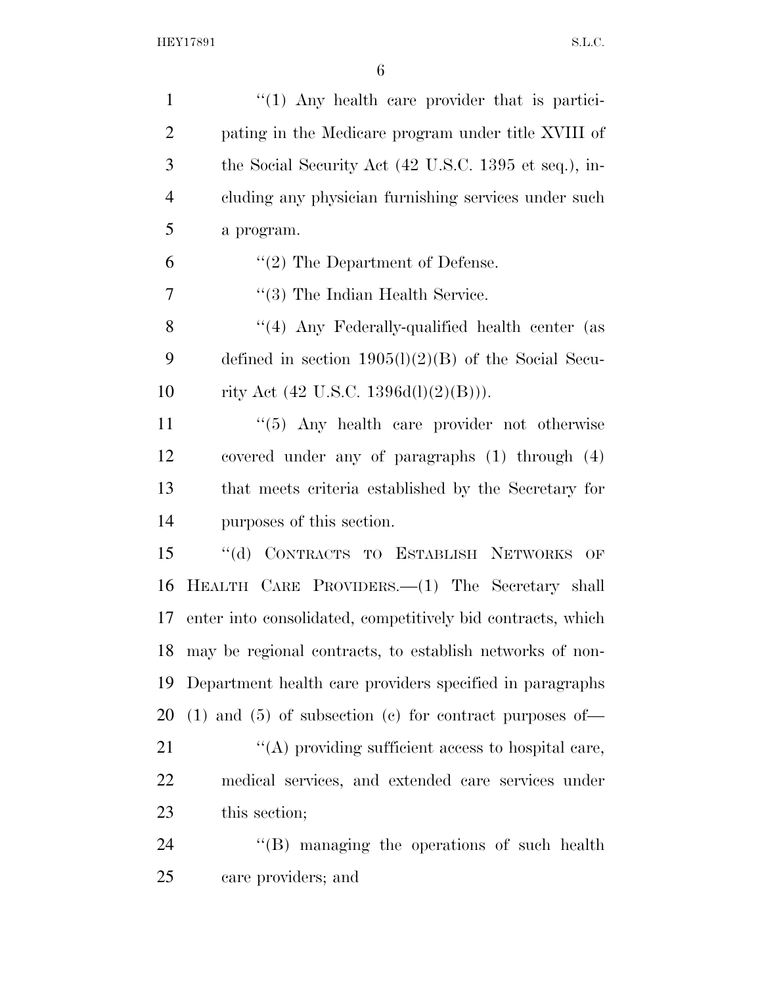| $\mathbf{1}$   | $\lq(1)$ Any health care provider that is partici-             |
|----------------|----------------------------------------------------------------|
| $\overline{2}$ | pating in the Medicare program under title XVIII of            |
| 3              | the Social Security Act (42 U.S.C. 1395 et seq.), in-          |
| $\overline{4}$ | cluding any physician furnishing services under such           |
| 5              | a program.                                                     |
| 6              | $\lq(2)$ The Department of Defense.                            |
| 7              | $\lq(3)$ The Indian Health Service.                            |
| 8              | "(4) Any Federally-qualified health center (as                 |
| 9              | defined in section $1905(l)(2)(B)$ of the Social Secu-         |
| 10             | rity Act $(42 \text{ U.S.C. } 1396d(l)(2)(B))).$               |
| 11             | $\cdot\cdot$ (5) Any health care provider not otherwise        |
| 12             | covered under any of paragraphs $(1)$ through $(4)$            |
| 13             | that meets criteria established by the Secretary for           |
| 14             | purposes of this section.                                      |
| 15             | "(d) CONTRACTS TO ESTABLISH NETWORKS OF                        |
| 16             | HEALTH CARE PROVIDERS.—(1) The Secretary shall                 |
| 17             | enter into consolidated, competitively bid contracts, which    |
| 18             | may be regional contracts, to establish networks of non-       |
| 19             | Department health care providers specified in paragraphs       |
| 20             | $(1)$ and $(5)$ of subsection $(e)$ for contract purposes of — |
| 21             | $\lq\lq$ providing sufficient access to hospital care,         |
| 22             | medical services, and extended care services under             |
| 23             | this section;                                                  |
| 24             | $\lq\lq$ . The managing the operations of such health          |
| 25             | care providers; and                                            |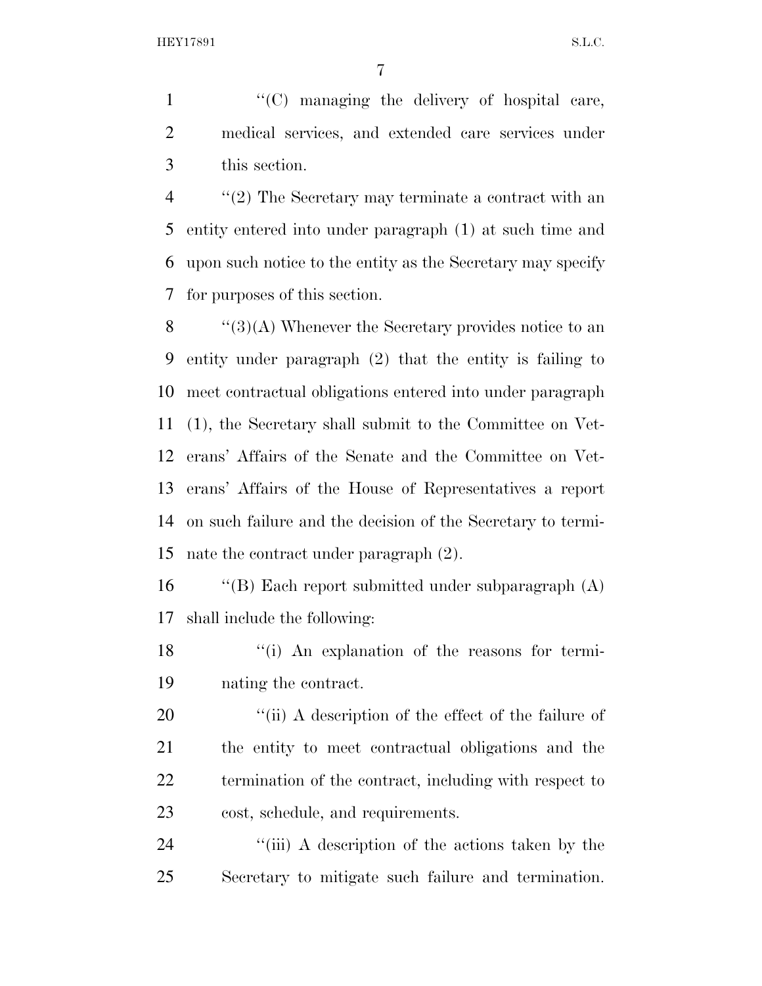1  $\langle (C)$  managing the delivery of hospital care, medical services, and extended care services under this section.

 ''(2) The Secretary may terminate a contract with an entity entered into under paragraph (1) at such time and upon such notice to the entity as the Secretary may specify for purposes of this section.

 $\langle$  (3)(A) Whenever the Secretary provides notice to an entity under paragraph (2) that the entity is failing to meet contractual obligations entered into under paragraph (1), the Secretary shall submit to the Committee on Vet- erans' Affairs of the Senate and the Committee on Vet- erans' Affairs of the House of Representatives a report on such failure and the decision of the Secretary to termi-nate the contract under paragraph (2).

 ''(B) Each report submitted under subparagraph (A) shall include the following:

18 ''(i) An explanation of the reasons for termi-nating the contract.

 $\frac{1}{2}$  (ii) A description of the effect of the failure of the entity to meet contractual obligations and the termination of the contract, including with respect to cost, schedule, and requirements.

24 ''(iii) A description of the actions taken by the Secretary to mitigate such failure and termination.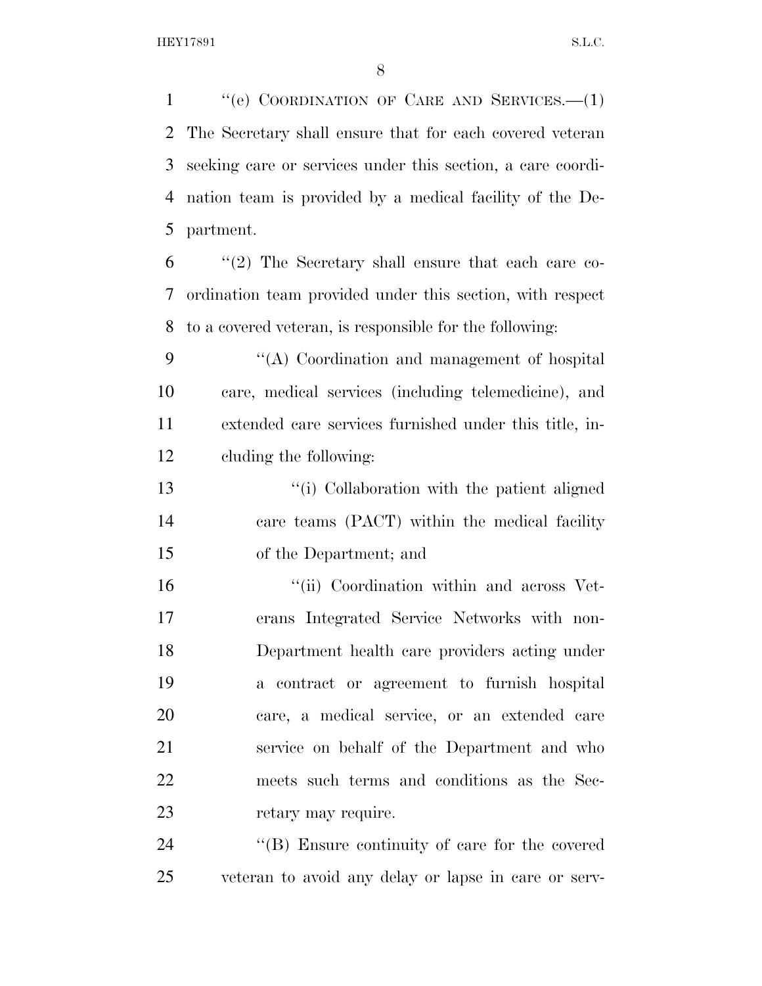''(e) COORDINATION OF CARE AND SERVICES.—(1) The Secretary shall ensure that for each covered veteran seeking care or services under this section, a care coordi- nation team is provided by a medical facility of the De- partment. ''(2) The Secretary shall ensure that each care co-

 ordination team provided under this section, with respect to a covered veteran, is responsible for the following:

 ''(A) Coordination and management of hospital care, medical services (including telemedicine), and extended care services furnished under this title, in-cluding the following:

 ''(i) Collaboration with the patient aligned care teams (PACT) within the medical facility of the Department; and

 $\cdot$  "(ii) Coordination within and across Vet- erans Integrated Service Networks with non- Department health care providers acting under a contract or agreement to furnish hospital care, a medical service, or an extended care service on behalf of the Department and who meets such terms and conditions as the Sec-23 retary may require.

24 "(B) Ensure continuity of care for the covered veteran to avoid any delay or lapse in care or serv-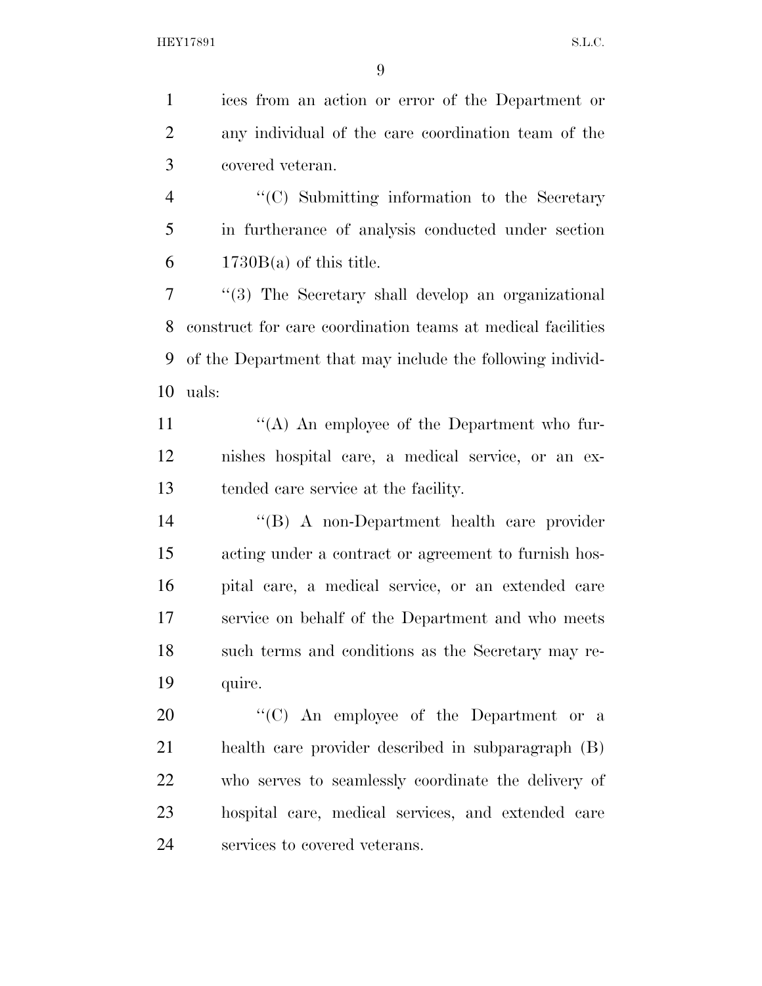ices from an action or error of the Department or any individual of the care coordination team of the covered veteran.

 ''(C) Submitting information to the Secretary in furtherance of analysis conducted under section 6  $1730B(a)$  of this title.

 ''(3) The Secretary shall develop an organizational construct for care coordination teams at medical facilities of the Department that may include the following individ-uals:

11  $\langle A \rangle$  An employee of the Department who fur- nishes hospital care, a medical service, or an ex-tended care service at the facility.

 ''(B) A non-Department health care provider acting under a contract or agreement to furnish hos- pital care, a medical service, or an extended care service on behalf of the Department and who meets such terms and conditions as the Secretary may re-quire.

 $\langle ^{\prime}(C) \rangle$  An employee of the Department or a health care provider described in subparagraph (B) who serves to seamlessly coordinate the delivery of hospital care, medical services, and extended care services to covered veterans.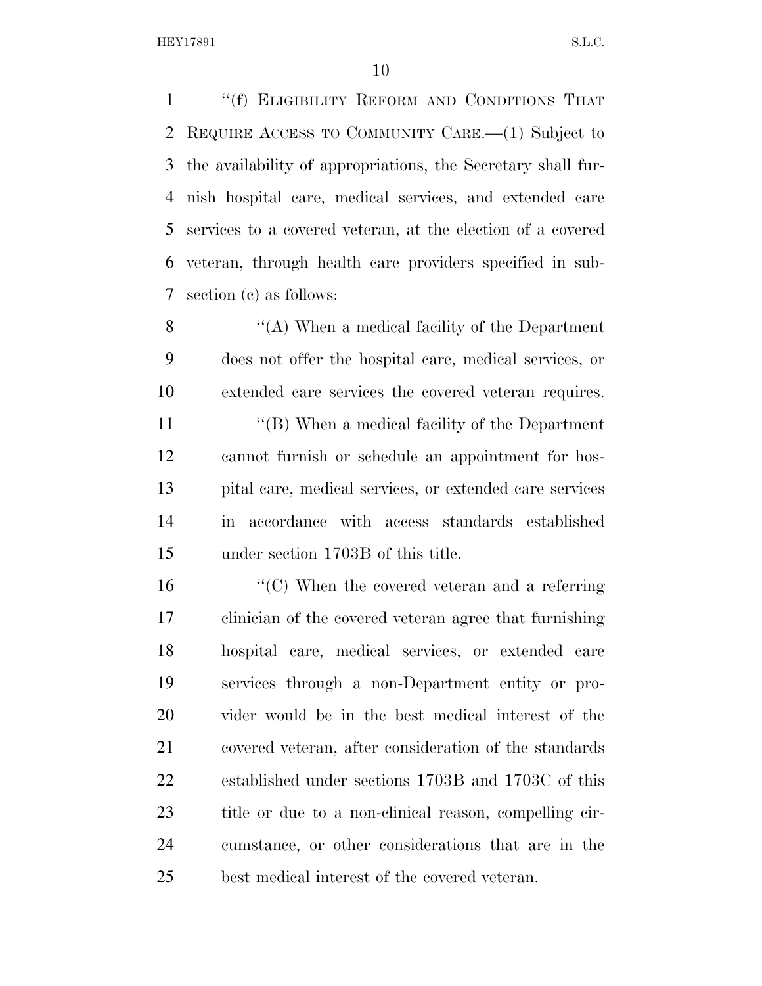''(f) ELIGIBILITY REFORM AND CONDITIONS THAT REQUIRE ACCESS TO COMMUNITY CARE.—(1) Subject to the availability of appropriations, the Secretary shall fur- nish hospital care, medical services, and extended care services to a covered veteran, at the election of a covered veteran, through health care providers specified in sub-section (c) as follows:

 ''(A) When a medical facility of the Department does not offer the hospital care, medical services, or extended care services the covered veteran requires.

 ''(B) When a medical facility of the Department cannot furnish or schedule an appointment for hos- pital care, medical services, or extended care services in accordance with access standards established under section 1703B of this title.

16 ''(C) When the covered veteran and a referring clinician of the covered veteran agree that furnishing hospital care, medical services, or extended care services through a non-Department entity or pro- vider would be in the best medical interest of the covered veteran, after consideration of the standards established under sections 1703B and 1703C of this title or due to a non-clinical reason, compelling cir- cumstance, or other considerations that are in the best medical interest of the covered veteran.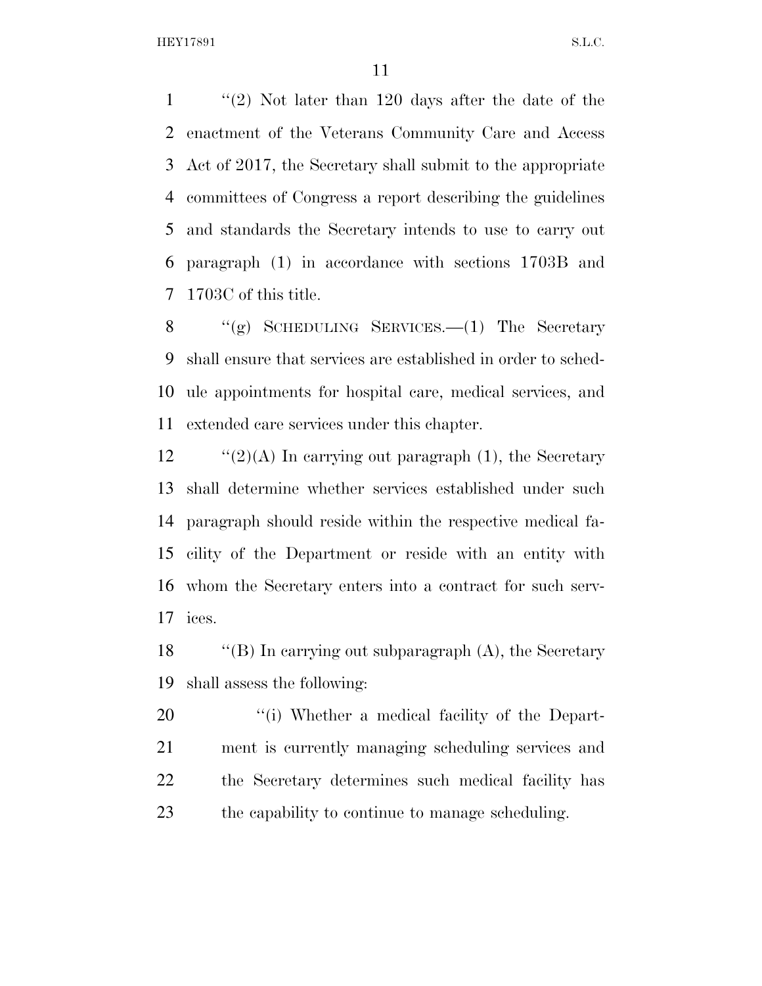''(2) Not later than 120 days after the date of the enactment of the Veterans Community Care and Access Act of 2017, the Secretary shall submit to the appropriate committees of Congress a report describing the guidelines and standards the Secretary intends to use to carry out paragraph (1) in accordance with sections 1703B and 1703C of this title.

8 "(g) SCHEDULING SERVICES.—(1) The Secretary shall ensure that services are established in order to sched- ule appointments for hospital care, medical services, and extended care services under this chapter.

 $\frac{1}{2}$  (2)(A) In carrying out paragraph (1), the Secretary shall determine whether services established under such paragraph should reside within the respective medical fa- cility of the Department or reside with an entity with whom the Secretary enters into a contract for such serv-ices.

 ''(B) In carrying out subparagraph (A), the Secretary shall assess the following:

 $\qquad$  ''(i) Whether a medical facility of the Depart- ment is currently managing scheduling services and the Secretary determines such medical facility has the capability to continue to manage scheduling.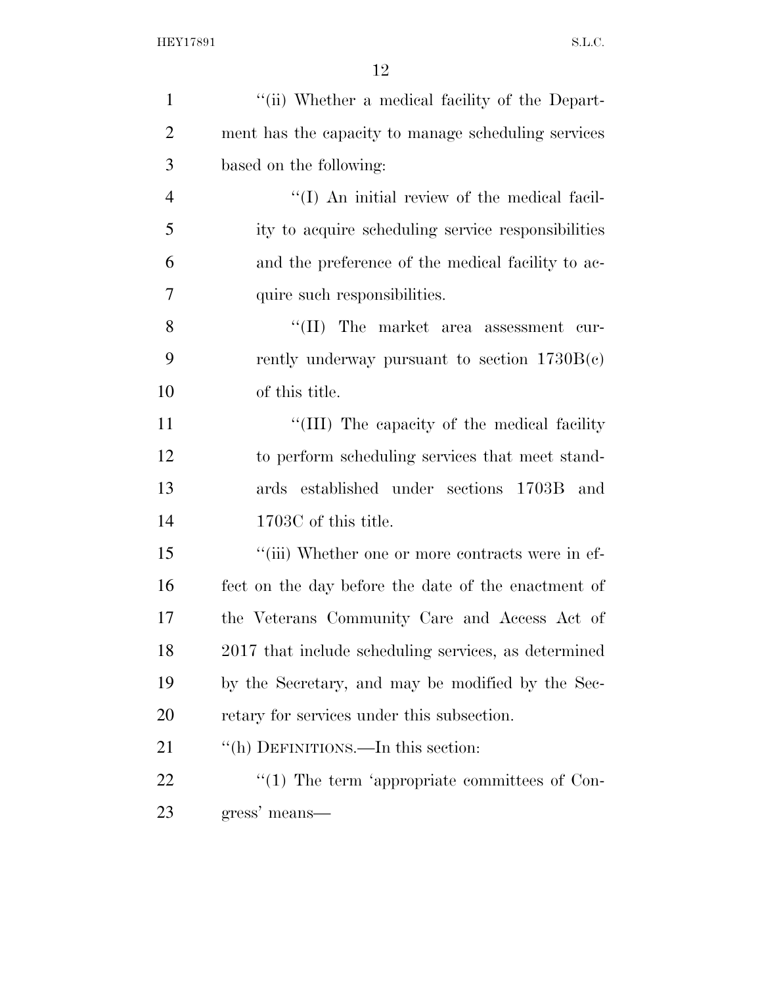| $\mathbf{1}$   | "(ii) Whether a medical facility of the Depart-      |
|----------------|------------------------------------------------------|
| $\overline{2}$ | ment has the capacity to manage scheduling services  |
| 3              | based on the following:                              |
| $\overline{4}$ | "(I) An initial review of the medical facil-         |
| 5              | ity to acquire scheduling service responsibilities   |
| 6              | and the preference of the medical facility to ac-    |
| 7              | quire such responsibilities.                         |
| 8              | $\lq\lq$ (II) The market area assessment cur-        |
| 9              | rently underway pursuant to section $1730B(c)$       |
| 10             | of this title.                                       |
| 11             | "(III) The capacity of the medical facility          |
| 12             | to perform scheduling services that meet stand-      |
| 13             | ards established under sections 1703B and            |
| 14             | 1703C of this title.                                 |
| 15             | "(iii) Whether one or more contracts were in ef-     |
| 16             | fect on the day before the date of the enactment of  |
| 17             | the Veterans Community Care and Access Act of        |
| 18             | 2017 that include scheduling services, as determined |
| 19             | by the Secretary, and may be modified by the Sec-    |
| 20             | retary for services under this subsection.           |
| 21             | "(h) DEFINITIONS.—In this section:                   |
| 22             | $\lq(1)$ The term 'appropriate committees of Con-    |
| 23             | gress' means—                                        |
|                |                                                      |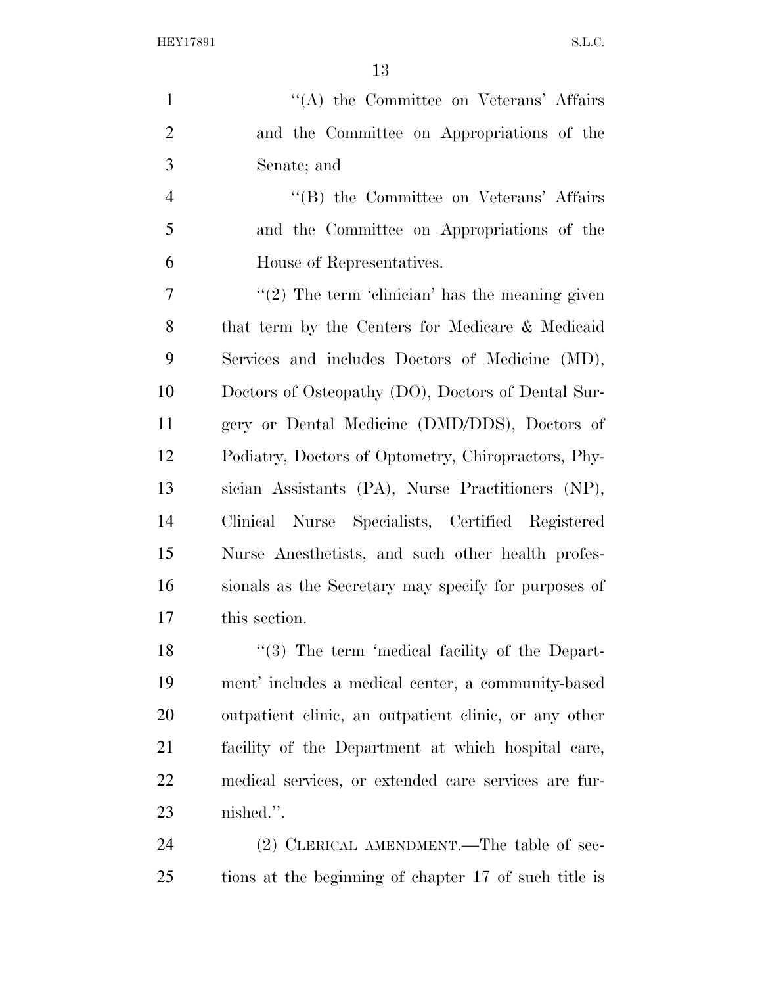| $\mathbf{1}$   | "(A) the Committee on Veterans' Affairs               |
|----------------|-------------------------------------------------------|
| $\overline{2}$ | and the Committee on Appropriations of the            |
| 3              | Senate; and                                           |
| $\overline{4}$ | "(B) the Committee on Veterans' Affairs               |
| 5              | and the Committee on Appropriations of the            |
| 6              | House of Representatives.                             |
| 7              | $f'(2)$ The term 'clinician' has the meaning given    |
| 8              | that term by the Centers for Medicare & Medicaid      |
| 9              | Services and includes Doctors of Medicine (MD),       |
| 10             | Doctors of Osteopathy (DO), Doctors of Dental Sur-    |
| 11             | gery or Dental Medicine (DMD/DDS), Doctors of         |
| 12             | Podiatry, Doctors of Optometry, Chiropractors, Phy-   |
| 13             | sician Assistants (PA), Nurse Practitioners (NP),     |
| 14             | Clinical Nurse Specialists, Certified Registered      |
| 15             | Nurse Anesthetists, and such other health profes-     |
| 16             | sionals as the Secretary may specify for purposes of  |
| 17             | this section.                                         |
| 18             | "(3) The term 'medical facility of the Depart-        |
| 19             | ment' includes a medical center, a community-based    |
| 20             | outpatient clinic, an outpatient clinic, or any other |
| 21             | facility of the Department at which hospital care,    |
| 22             | medical services, or extended care services are fur-  |
| 23             | nished.".                                             |
| 24             | (2) CLERICAL AMENDMENT.—The table of sec-             |
| 25             | tions at the beginning of chapter 17 of such title is |
|                |                                                       |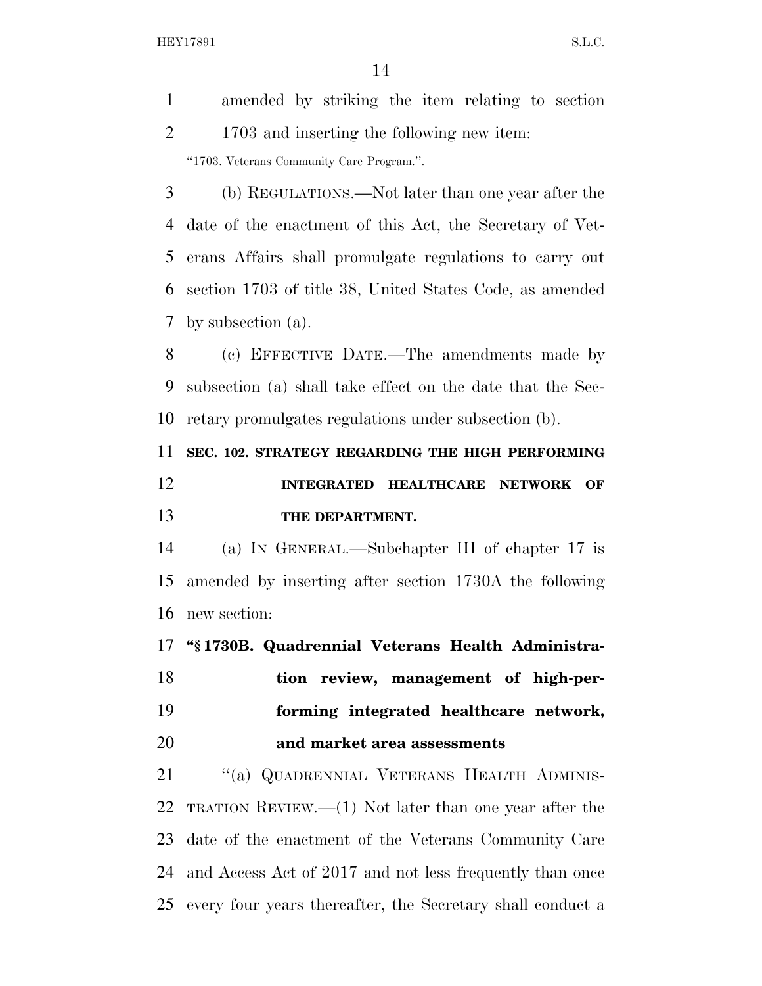|                | 14                                                         |
|----------------|------------------------------------------------------------|
| $\mathbf{1}$   | amended by striking the item relating to section           |
| $\overline{2}$ | 1703 and inserting the following new item:                 |
|                | "1703. Veterans Community Care Program.".                  |
| 3              | (b) REGULATIONS.—Not later than one year after the         |
| 4              | date of the enactment of this Act, the Secretary of Vet-   |
| 5              | erans Affairs shall promulgate regulations to carry out    |
| 6              | section 1703 of title 38, United States Code, as amended   |
| 7              | by subsection $(a)$ .                                      |
| 8              | (c) EFFECTIVE DATE.—The amendments made by                 |
| 9              | subsection (a) shall take effect on the date that the Sec- |
| 10             | retary promulgates regulations under subsection (b).       |
| 11             | SEC. 102. STRATEGY REGARDING THE HIGH PERFORMING           |
| 12             | INTEGRATED HEALTHCARE NETWORK<br>OF                        |
| 13             | THE DEPARTMENT.                                            |
| 14             | (a) IN GENERAL.—Subchapter III of chapter 17 is            |
| 15             | amended by inserting after section 1730A the following     |
| 16             | new section:                                               |
| 17             | "§1730B. Quadrennial Veterans Health Administra-           |
| 18             | tion review, management of high-per-                       |
|                |                                                            |

**and market area assessments** 

21 "(a) QUADRENNIAL VETERANS HEALTH ADMINIS- TRATION REVIEW.—(1) Not later than one year after the date of the enactment of the Veterans Community Care and Access Act of 2017 and not less frequently than once every four years thereafter, the Secretary shall conduct a

**forming integrated healthcare network,**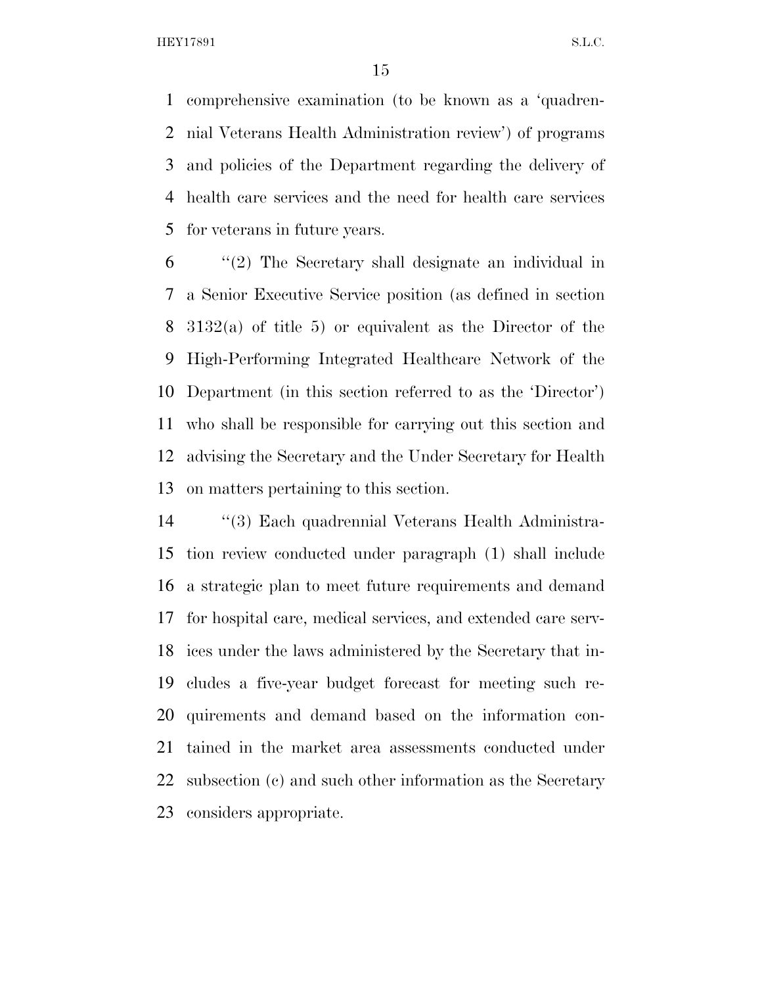comprehensive examination (to be known as a 'quadren- nial Veterans Health Administration review') of programs and policies of the Department regarding the delivery of health care services and the need for health care services for veterans in future years.

 ''(2) The Secretary shall designate an individual in a Senior Executive Service position (as defined in section 3132(a) of title 5) or equivalent as the Director of the High-Performing Integrated Healthcare Network of the Department (in this section referred to as the 'Director') who shall be responsible for carrying out this section and advising the Secretary and the Under Secretary for Health on matters pertaining to this section.

 ''(3) Each quadrennial Veterans Health Administra- tion review conducted under paragraph (1) shall include a strategic plan to meet future requirements and demand for hospital care, medical services, and extended care serv- ices under the laws administered by the Secretary that in- cludes a five-year budget forecast for meeting such re- quirements and demand based on the information con- tained in the market area assessments conducted under subsection (c) and such other information as the Secretary considers appropriate.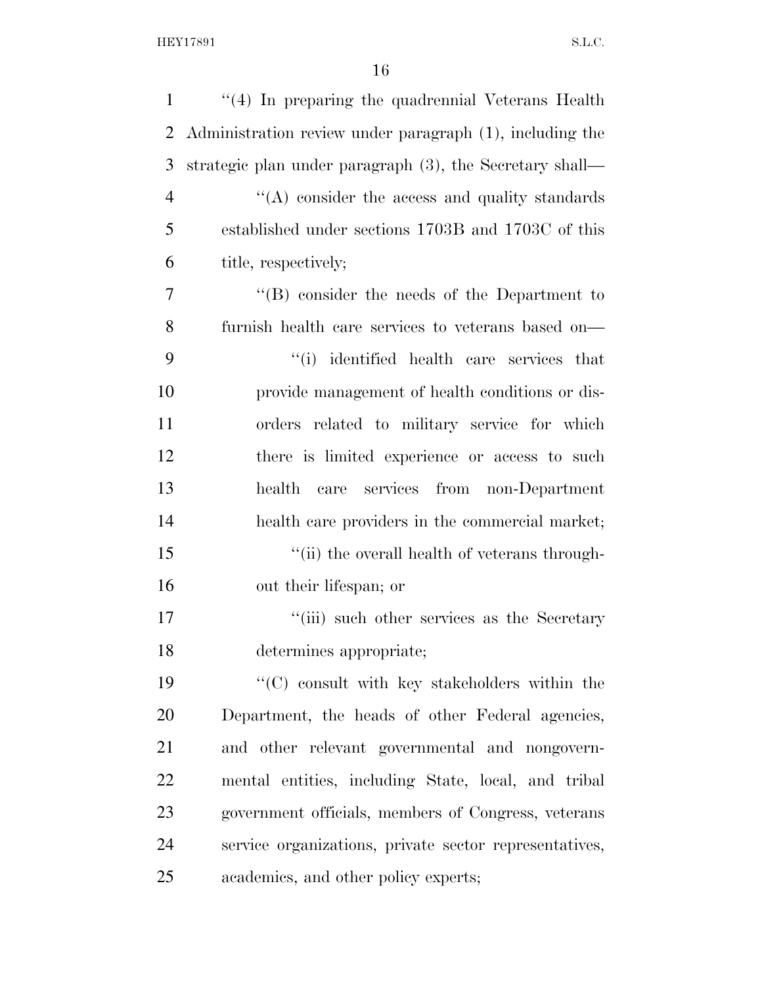| $\mathbf{1}$   | "(4) In preparing the quadrennial Veterans Health        |
|----------------|----------------------------------------------------------|
| $\overline{2}$ | Administration review under paragraph (1), including the |
| 3              | strategic plan under paragraph (3), the Secretary shall— |
| $\overline{4}$ | $\cdot$ (A) consider the access and quality standards    |
| 5              | established under sections 1703B and 1703C of this       |
| 6              | title, respectively;                                     |
| 7              | $\lq\lq (B)$ consider the needs of the Department to     |
| 8              | furnish health care services to veterans based on-       |
| 9              | "(i) identified health care services that                |
| 10             | provide management of health conditions or dis-          |
| 11             | orders related to military service for which             |
| 12             | there is limited experience or access to such            |
| 13             | health care services from non-Department                 |
| 14             | health care providers in the commercial market;          |
| 15             | "(ii) the overall health of veterans through-            |
| 16             | out their lifespan; or                                   |
| 17             | "(iii) such other services as the Secretary              |
| 18             | determines appropriate;                                  |
| 19             | $\cdot$ (C) consult with key stakeholders within the     |
| 20             | Department, the heads of other Federal agencies,         |
| 21             | and other relevant governmental and nongovern-           |
| 22             | mental entities, including State, local, and tribal      |
| 23             | government officials, members of Congress, veterans      |
| 24             | service organizations, private sector representatives,   |
| 25             | academics, and other policy experts;                     |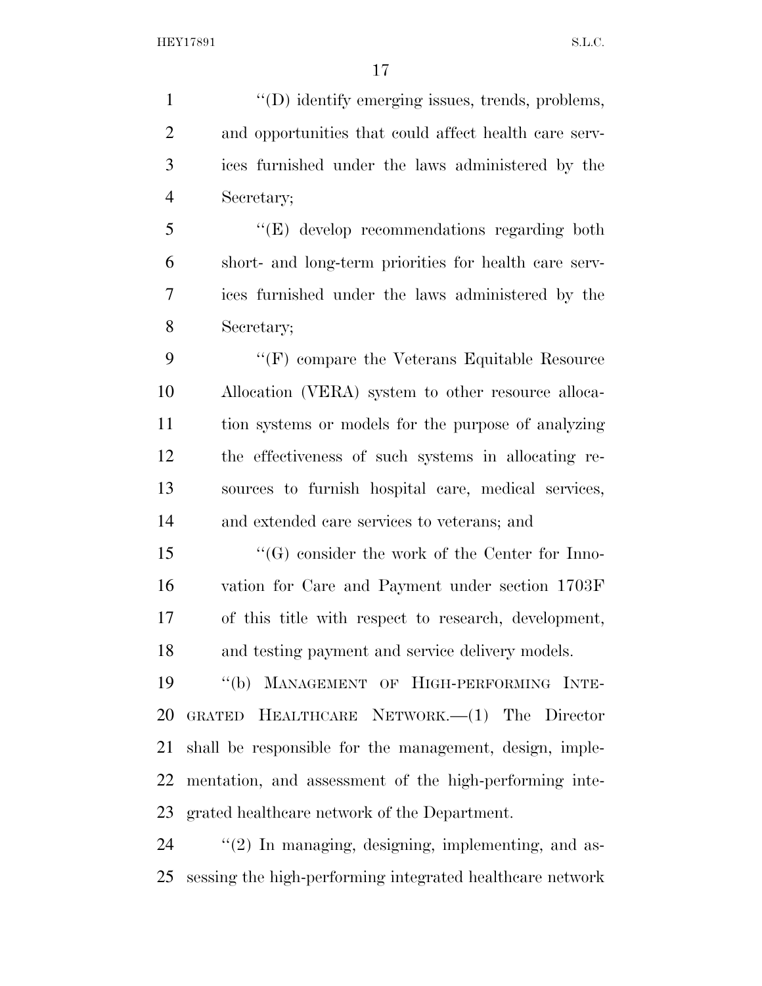$\langle (D) \rangle$  identify emerging issues, trends, problems, and opportunities that could affect health care serv- ices furnished under the laws administered by the Secretary; ''(E) develop recommendations regarding both short- and long-term priorities for health care serv- ices furnished under the laws administered by the Secretary; 9 "'(F) compare the Veterans Equitable Resource Allocation (VERA) system to other resource alloca- tion systems or models for the purpose of analyzing the effectiveness of such systems in allocating re- sources to furnish hospital care, medical services, and extended care services to veterans; and ''(G) consider the work of the Center for Inno- vation for Care and Payment under section 1703F of this title with respect to research, development, and testing payment and service delivery models.

 ''(b) MANAGEMENT OF HIGH-PERFORMING INTE- GRATED HEALTHCARE NETWORK.—(1) The Director shall be responsible for the management, design, imple- mentation, and assessment of the high-performing inte-grated healthcare network of the Department.

24  $\frac{1}{2}$  (2) In managing, designing, implementing, and as-sessing the high-performing integrated healthcare network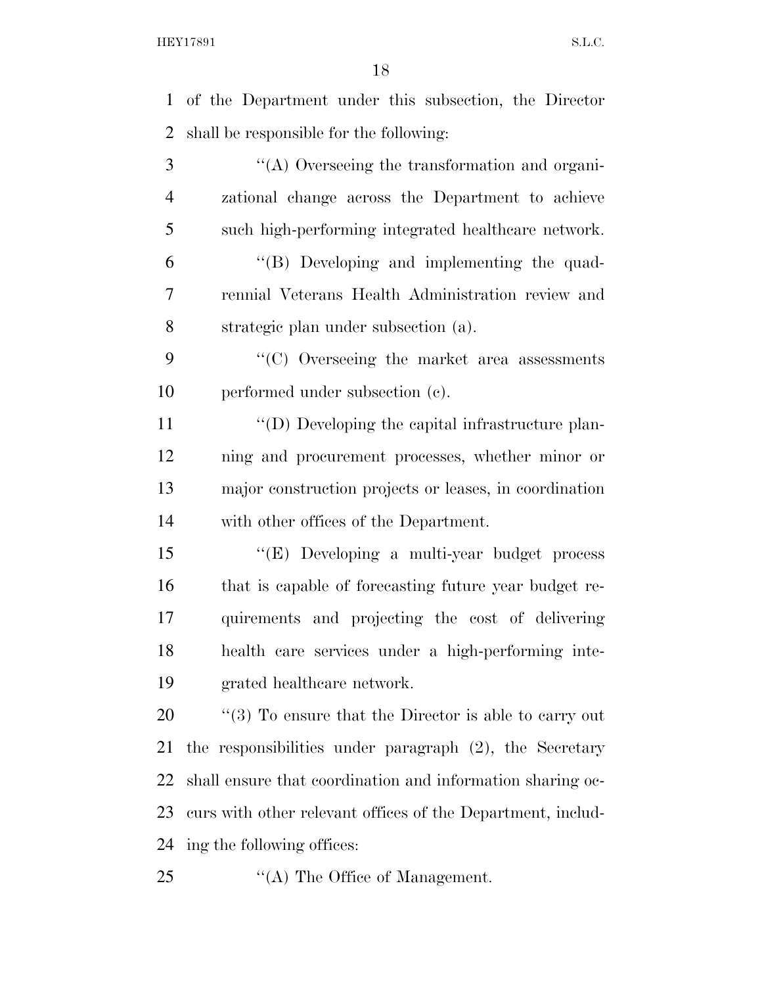of the Department under this subsection, the Director shall be responsible for the following: ''(A) Overseeing the transformation and organi- zational change across the Department to achieve such high-performing integrated healthcare network. ''(B) Developing and implementing the quad- rennial Veterans Health Administration review and strategic plan under subsection (a). ''(C) Overseeing the market area assessments performed under subsection (c).  $\langle \text{`}(D) \text{ Developing the capital infrastructure plan-} \rangle$  ning and procurement processes, whether minor or major construction projects or leases, in coordination with other offices of the Department. ''(E) Developing a multi-year budget process that is capable of forecasting future year budget re- quirements and projecting the cost of delivering health care services under a high-performing inte- grated healthcare network.  $\frac{1}{20}$  (3) To ensure that the Director is able to carry out the responsibilities under paragraph (2), the Secretary shall ensure that coordination and information sharing oc- curs with other relevant offices of the Department, includ- ing the following offices: 25 "(A) The Office of Management.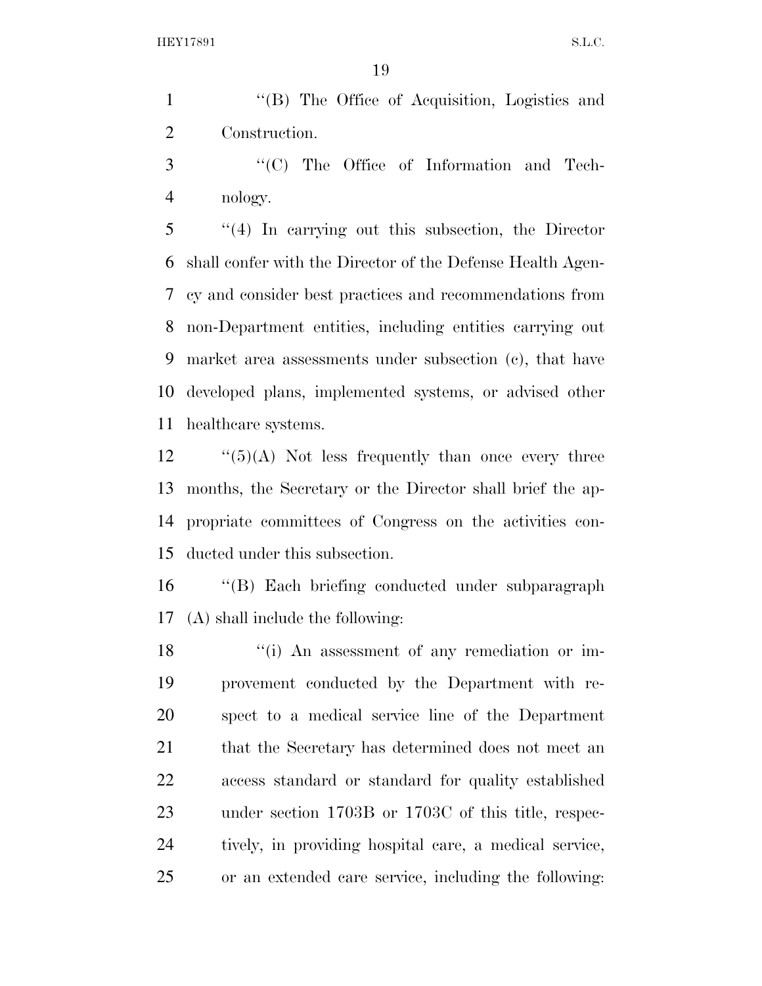''(B) The Office of Acquisition, Logistics and Construction.

3  $\cdot$  (C) The Office of Information and Tech-nology.

 ''(4) In carrying out this subsection, the Director shall confer with the Director of the Defense Health Agen- cy and consider best practices and recommendations from non-Department entities, including entities carrying out market area assessments under subsection (c), that have developed plans, implemented systems, or advised other healthcare systems.

 ''(5)(A) Not less frequently than once every three months, the Secretary or the Director shall brief the ap- propriate committees of Congress on the activities con-ducted under this subsection.

 ''(B) Each briefing conducted under subparagraph (A) shall include the following:

18 ''(i) An assessment of any remediation or im- provement conducted by the Department with re- spect to a medical service line of the Department 21 that the Secretary has determined does not meet an access standard or standard for quality established under section 1703B or 1703C of this title, respec- tively, in providing hospital care, a medical service, or an extended care service, including the following: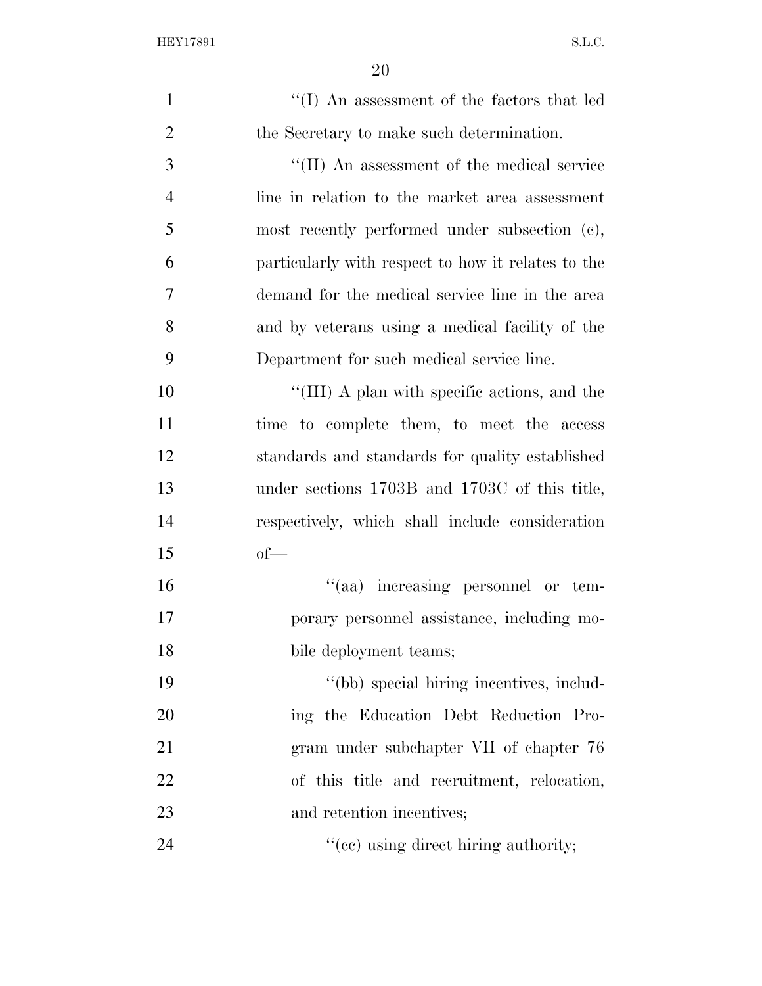| $\mathbf{1}$   | "(I) An assessment of the factors that led         |
|----------------|----------------------------------------------------|
| $\overline{2}$ | the Secretary to make such determination.          |
| 3              | "(II) An assessment of the medical service         |
| $\overline{4}$ | line in relation to the market area assessment     |
| 5              | most recently performed under subsection (c),      |
| 6              | particularly with respect to how it relates to the |
| 7              | demand for the medical service line in the area    |
| 8              | and by veterans using a medical facility of the    |
| 9              | Department for such medical service line.          |
| 10             | "(III) A plan with specific actions, and the       |
| 11             | time to complete them, to meet the access          |
| 12             | standards and standards for quality established    |
| 13             | under sections 1703B and 1703C of this title,      |
| 14             | respectively, which shall include consideration    |
| 15             | $of$ —                                             |
| 16             | "(aa) increasing personnel or tem-                 |
| 17             | porary personnel assistance, including mo-         |
| 18             | bile deployment teams;                             |
| 19             | "(bb) special hiring incentives, includ-           |
| 20             | ing the Education Debt Reduction Pro-              |
| 21             | gram under subchapter VII of chapter 76            |
| 22             | of this title and recruitment, relocation,         |
| 23             | and retention incentives;                          |
| 24             | "(cc) using direct hiring authority;               |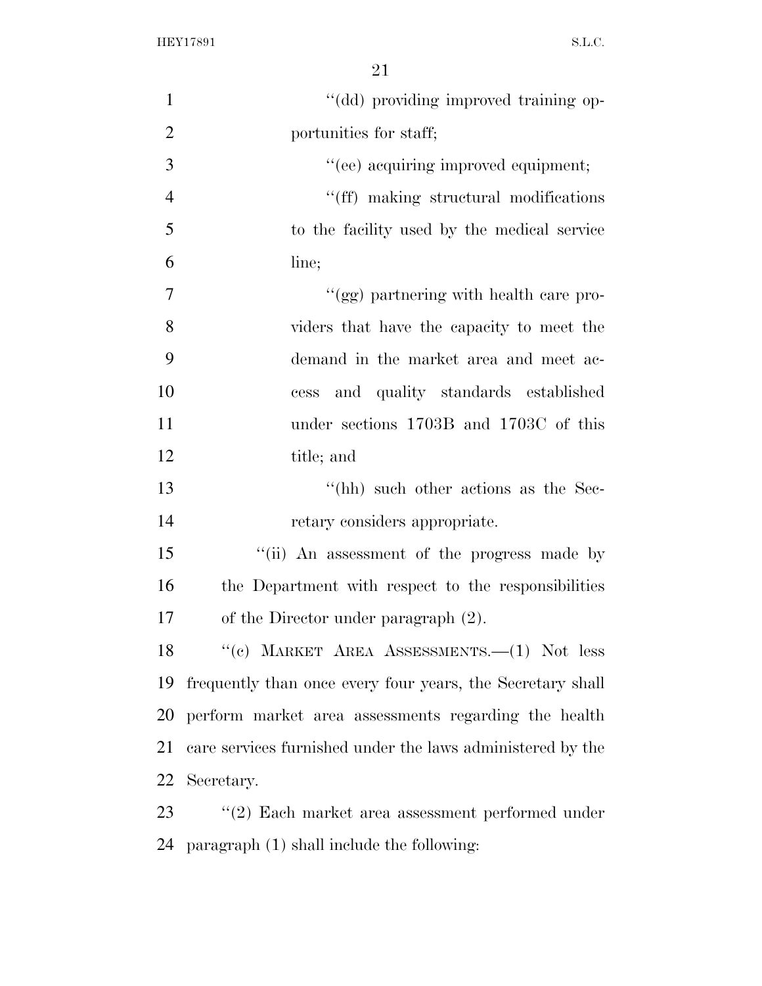| $\mathbf{1}$   | "(dd) providing improved training op-                      |
|----------------|------------------------------------------------------------|
| $\overline{2}$ | portunities for staff;                                     |
| $\mathfrak{Z}$ | "(ee) acquiring improved equipment;                        |
| $\overline{4}$ | "(ff) making structural modifications                      |
| 5              | to the facility used by the medical service                |
| 6              | line;                                                      |
| $\overline{7}$ | "(gg) partnering with health care pro-                     |
| 8              | viders that have the capacity to meet the                  |
| 9              | demand in the market area and meet ac-                     |
| 10             | and quality standards established<br>cess                  |
| 11             | under sections 1703B and 1703C of this                     |
| 12             | title; and                                                 |
| 13             | "(hh) such other actions as the Sec-                       |
| 14             | retary considers appropriate.                              |
| 15             | "(ii) An assessment of the progress made by                |
| 16             | the Department with respect to the responsibilities        |
| 17             | of the Director under paragraph $(2)$ .                    |
| 18             | "(c) MARKET AREA ASSESSMENTS. $-(1)$ Not less              |
| 19             | frequently than once every four years, the Secretary shall |
| 20             | perform market area assessments regarding the health       |
| 21             | care services furnished under the laws administered by the |
| 22             | Secretary.                                                 |
| 23             | $f'(2)$ Each market area assessment performed under        |
| 24             | paragraph (1) shall include the following:                 |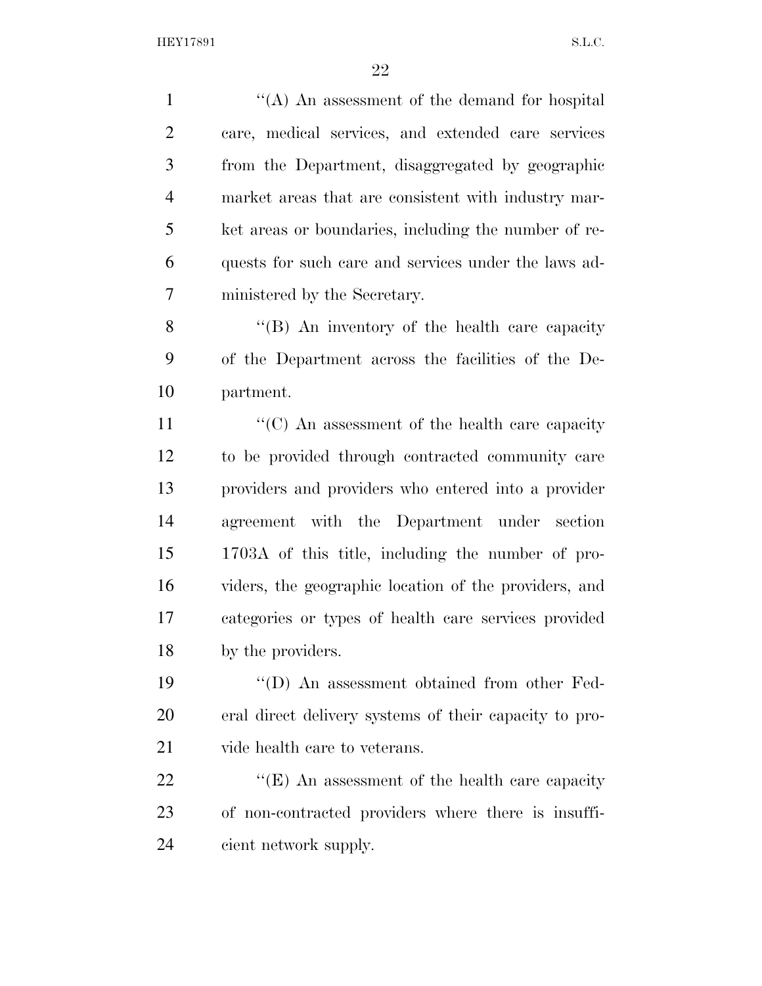''(A) An assessment of the demand for hospital care, medical services, and extended care services from the Department, disaggregated by geographic market areas that are consistent with industry mar- ket areas or boundaries, including the number of re- quests for such care and services under the laws ad-ministered by the Secretary.

8 "(B) An inventory of the health care capacity of the Department across the facilities of the De-partment.

11 ''(C) An assessment of the health care capacity to be provided through contracted community care providers and providers who entered into a provider agreement with the Department under section 1703A of this title, including the number of pro- viders, the geographic location of the providers, and categories or types of health care services provided by the providers.

 ''(D) An assessment obtained from other Fed- eral direct delivery systems of their capacity to pro-vide health care to veterans.

22 "'(E) An assessment of the health care capacity of non-contracted providers where there is insuffi-cient network supply.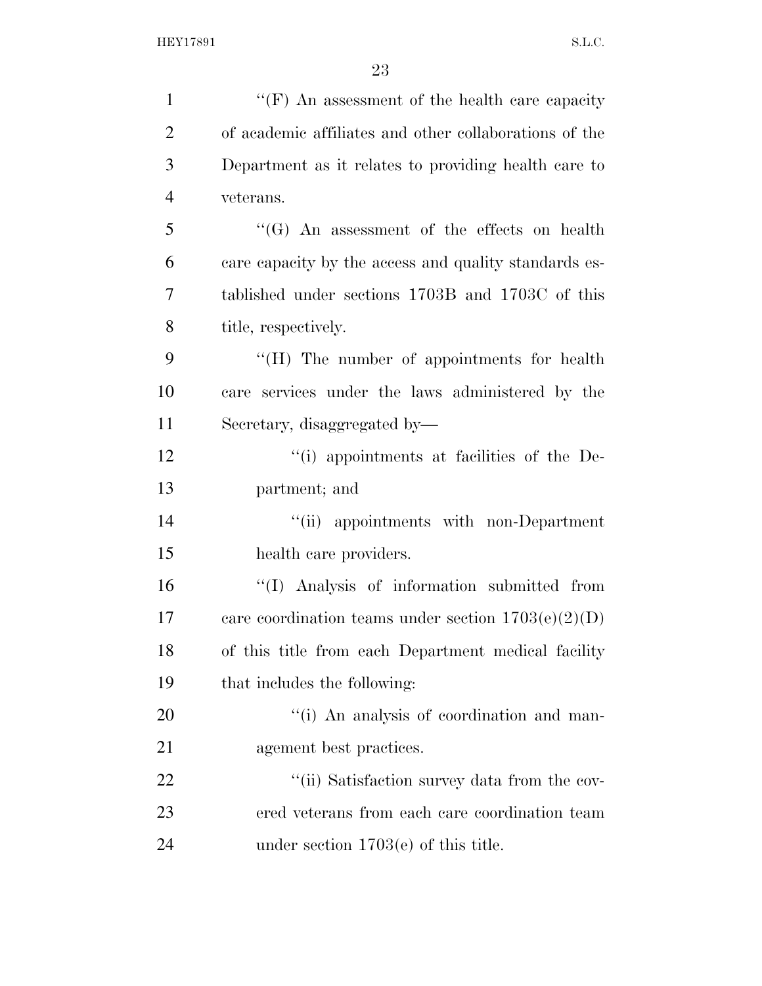| $\mathbf{1}$   | "(F) An assessment of the health care capacity         |
|----------------|--------------------------------------------------------|
| $\overline{2}$ | of academic affiliates and other collaborations of the |
| 3              | Department as it relates to providing health care to   |
| $\overline{4}$ | veterans.                                              |
| 5              | "(G) An assessment of the effects on health            |
| 6              | care capacity by the access and quality standards es-  |
| 7              | tablished under sections 1703B and 1703C of this       |
| 8              | title, respectively.                                   |
| 9              | "(H) The number of appointments for health             |
| 10             | care services under the laws administered by the       |
| 11             | Secretary, disaggregated by-                           |
| 12             | "(i) appointments at facilities of the De-             |
| 13             | partment; and                                          |
| 14             | "(ii) appointments with non-Department                 |
| 15             | health care providers.                                 |
| 16             | "(I) Analysis of information submitted from            |
| 17             | care coordination teams under section $1703(e)(2)(D)$  |
| 18             | of this title from each Department medical facility    |
| 19             | that includes the following:                           |
| 20             | "(i) An analysis of coordination and man-              |
| 21             | agement best practices.                                |
| 22             | "(ii) Satisfaction survey data from the cov-           |
| 23             | ered veterans from each care coordination team         |
| 24             | under section $1703(e)$ of this title.                 |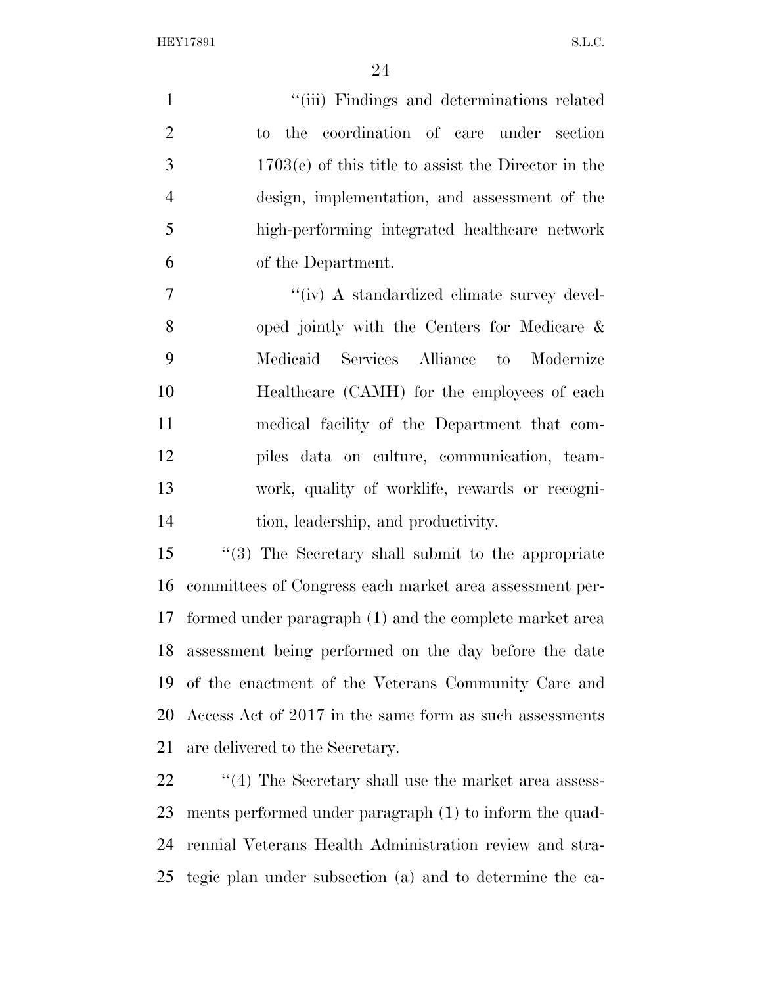1 ''(iii) Findings and determinations related to the coordination of care under section 1703(e) of this title to assist the Director in the design, implementation, and assessment of the high-performing integrated healthcare network of the Department.

 $''(iv)$  A standardized climate survey devel- oped jointly with the Centers for Medicare & Medicaid Services Alliance to Modernize Healthcare (CAMH) for the employees of each medical facility of the Department that com- piles data on culture, communication, team- work, quality of worklife, rewards or recogni-tion, leadership, and productivity.

 ''(3) The Secretary shall submit to the appropriate committees of Congress each market area assessment per- formed under paragraph (1) and the complete market area assessment being performed on the day before the date of the enactment of the Veterans Community Care and Access Act of 2017 in the same form as such assessments are delivered to the Secretary.

22 ''(4) The Secretary shall use the market area assess- ments performed under paragraph (1) to inform the quad- rennial Veterans Health Administration review and stra-tegic plan under subsection (a) and to determine the ca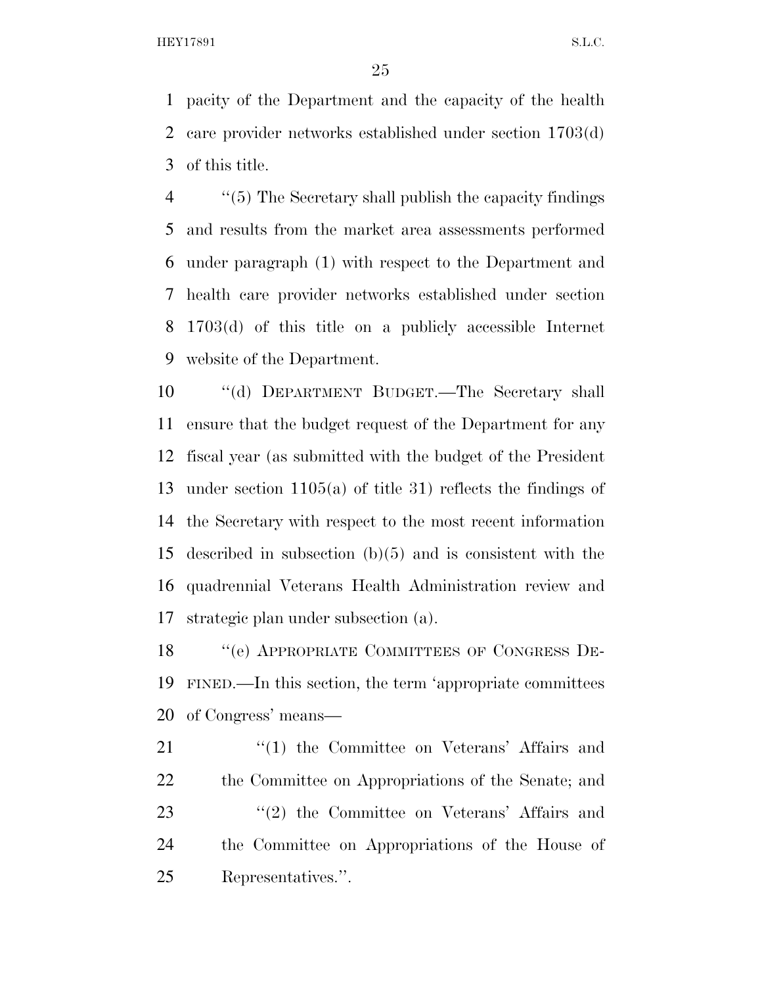pacity of the Department and the capacity of the health care provider networks established under section 1703(d) of this title.

 ''(5) The Secretary shall publish the capacity findings and results from the market area assessments performed under paragraph (1) with respect to the Department and health care provider networks established under section 1703(d) of this title on a publicly accessible Internet website of the Department.

 ''(d) DEPARTMENT BUDGET.—The Secretary shall ensure that the budget request of the Department for any fiscal year (as submitted with the budget of the President under section 1105(a) of title 31) reflects the findings of the Secretary with respect to the most recent information described in subsection (b)(5) and is consistent with the quadrennial Veterans Health Administration review and strategic plan under subsection (a).

18 "(e) APPROPRIATE COMMITTEES OF CONGRESS DE- FINED.—In this section, the term 'appropriate committees of Congress' means—

21 ''(1) the Committee on Veterans' Affairs and the Committee on Appropriations of the Senate; and 23 "(2) the Committee on Veterans' Affairs and the Committee on Appropriations of the House of Representatives.''.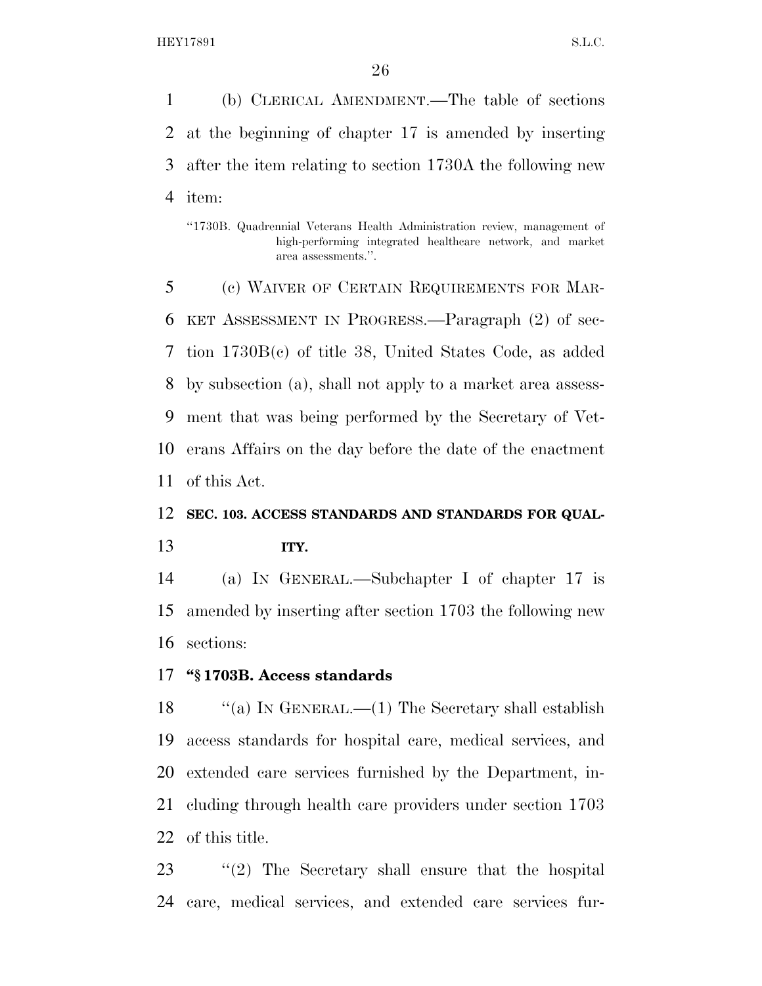(b) CLERICAL AMENDMENT.—The table of sections at the beginning of chapter 17 is amended by inserting after the item relating to section 1730A the following new item:

''1730B. Quadrennial Veterans Health Administration review, management of high-performing integrated healthcare network, and market area assessments.''.

 (c) WAIVER OF CERTAIN REQUIREMENTS FOR MAR- KET ASSESSMENT IN PROGRESS.—Paragraph (2) of sec- tion 1730B(c) of title 38, United States Code, as added by subsection (a), shall not apply to a market area assess- ment that was being performed by the Secretary of Vet- erans Affairs on the day before the date of the enactment of this Act.

# **SEC. 103. ACCESS STANDARDS AND STANDARDS FOR QUAL-**

**ITY.** 

 (a) IN GENERAL.—Subchapter I of chapter 17 is amended by inserting after section 1703 the following new sections:

# **''§ 1703B. Access standards**

 ''(a) IN GENERAL.—(1) The Secretary shall establish access standards for hospital care, medical services, and extended care services furnished by the Department, in- cluding through health care providers under section 1703 of this title.

 ''(2) The Secretary shall ensure that the hospital care, medical services, and extended care services fur-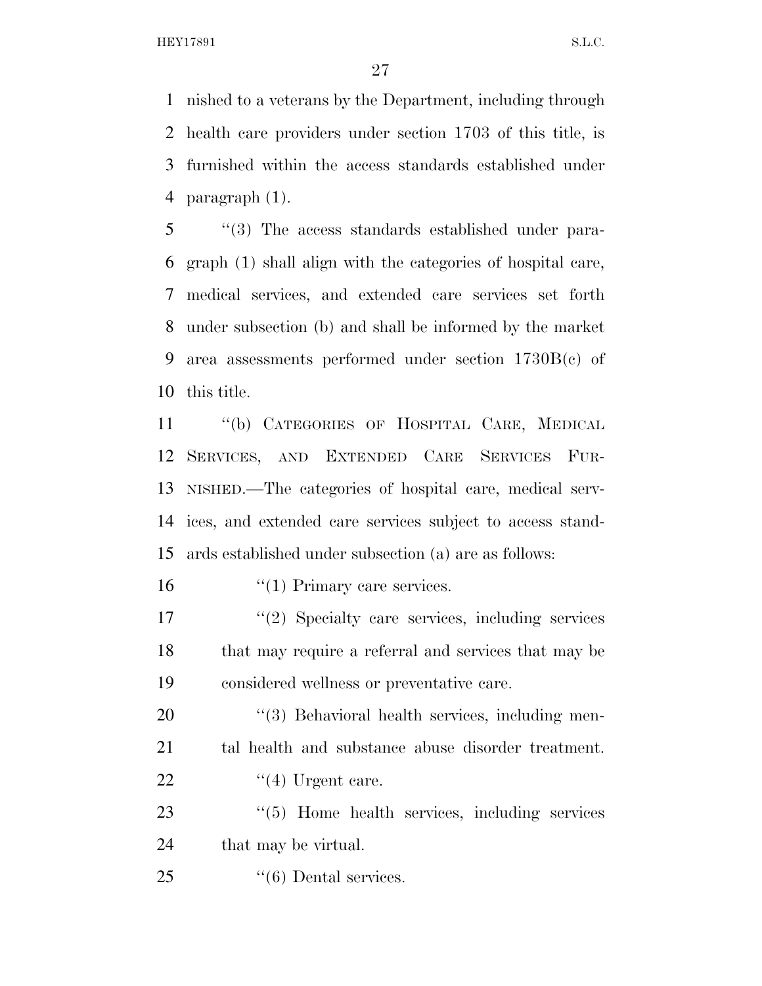nished to a veterans by the Department, including through health care providers under section 1703 of this title, is furnished within the access standards established under paragraph (1).

 ''(3) The access standards established under para- graph (1) shall align with the categories of hospital care, medical services, and extended care services set forth under subsection (b) and shall be informed by the market area assessments performed under section 1730B(c) of this title.

 ''(b) CATEGORIES OF HOSPITAL CARE, MEDICAL SERVICES, AND EXTENDED CARE SERVICES FUR- NISHED.—The categories of hospital care, medical serv- ices, and extended care services subject to access stand-ards established under subsection (a) are as follows:

16 '(1) Primary care services.

 ''(2) Specialty care services, including services that may require a referral and services that may be considered wellness or preventative care.

20 "(3) Behavioral health services, including men- tal health and substance abuse disorder treatment. 22  $\frac{4}{12}$  Urgent care.

23 "(5) Home health services, including services 24 that may be virtual.

25 "(6) Dental services.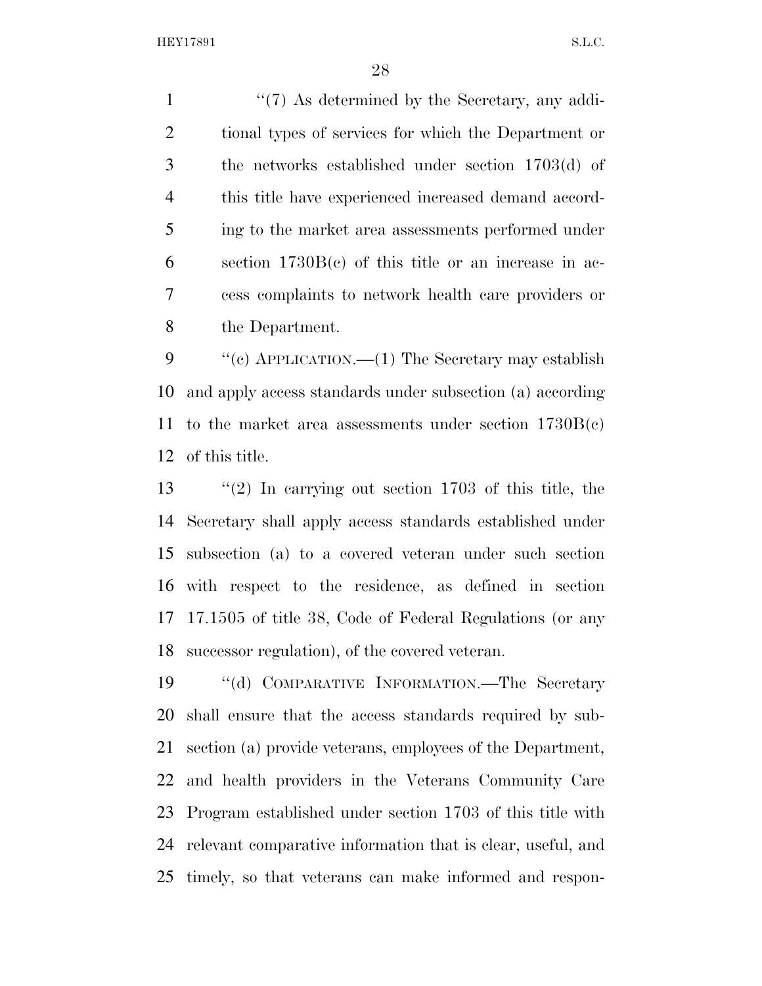1 ''(7) As determined by the Secretary, any addi- tional types of services for which the Department or the networks established under section 1703(d) of this title have experienced increased demand accord- ing to the market area assessments performed under section 1730B(c) of this title or an increase in ac- cess complaints to network health care providers or the Department.

9 "(c) APPLICATION.—(1) The Secretary may establish and apply access standards under subsection (a) according 11 to the market area assessments under section  $1730B(c)$ of this title.

 ''(2) In carrying out section 1703 of this title, the Secretary shall apply access standards established under subsection (a) to a covered veteran under such section with respect to the residence, as defined in section 17.1505 of title 38, Code of Federal Regulations (or any successor regulation), of the covered veteran.

 ''(d) COMPARATIVE INFORMATION.—The Secretary shall ensure that the access standards required by sub- section (a) provide veterans, employees of the Department, and health providers in the Veterans Community Care Program established under section 1703 of this title with relevant comparative information that is clear, useful, and timely, so that veterans can make informed and respon-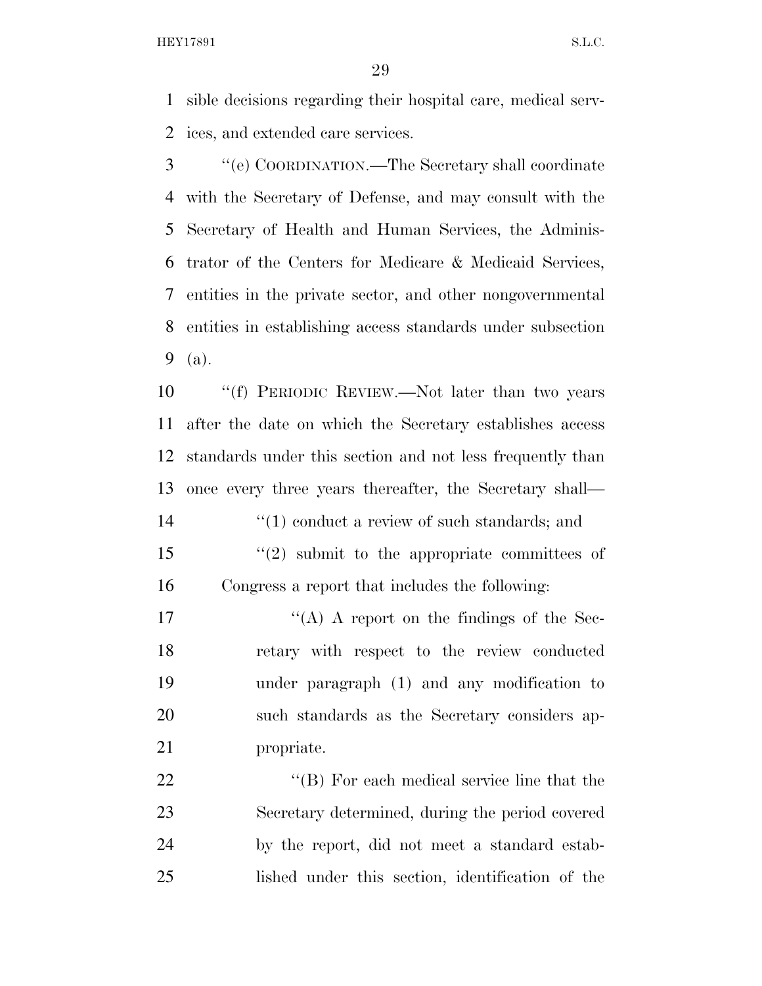sible decisions regarding their hospital care, medical serv-ices, and extended care services.

 ''(e) COORDINATION.—The Secretary shall coordinate with the Secretary of Defense, and may consult with the Secretary of Health and Human Services, the Adminis- trator of the Centers for Medicare & Medicaid Services, entities in the private sector, and other nongovernmental entities in establishing access standards under subsection (a).

 ''(f) PERIODIC REVIEW.—Not later than two years after the date on which the Secretary establishes access standards under this section and not less frequently than once every three years thereafter, the Secretary shall—  $\frac{1}{2}$  (1) conduct a review of such standards; and ''(2) submit to the appropriate committees of Congress a report that includes the following:

 $i'(A)$  A report on the findings of the Sec- retary with respect to the review conducted under paragraph (1) and any modification to such standards as the Secretary considers ap-propriate.

22 ''(B) For each medical service line that the Secretary determined, during the period covered by the report, did not meet a standard estab-lished under this section, identification of the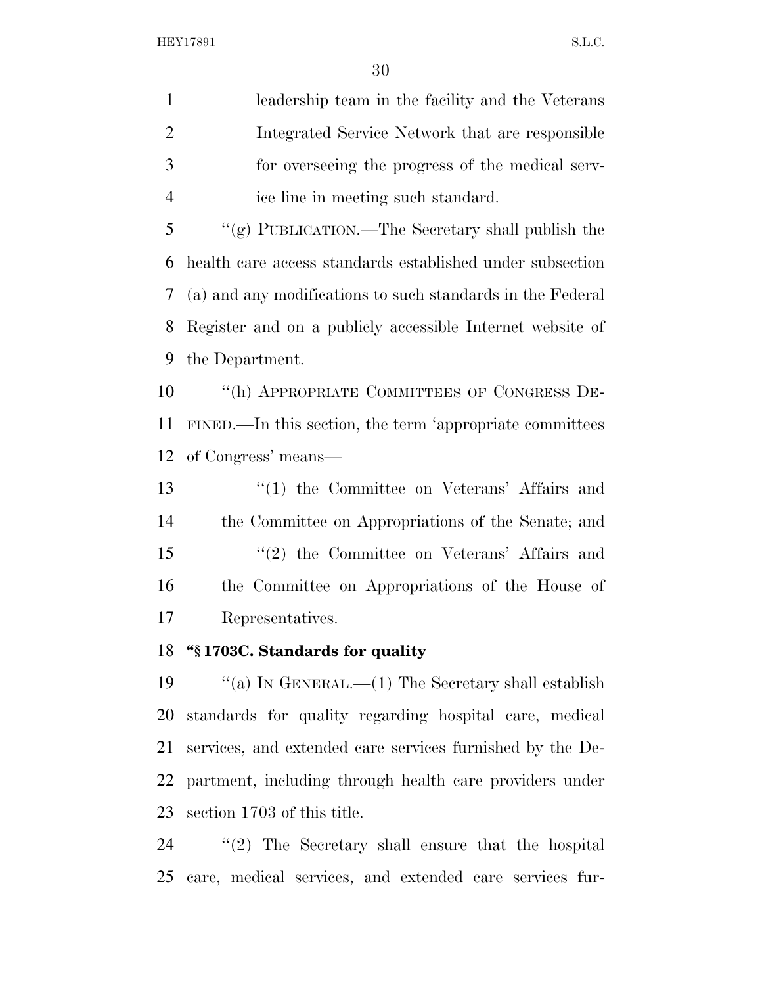leadership team in the facility and the Veterans Integrated Service Network that are responsible for overseeing the progress of the medical serv-ice line in meeting such standard.

 ''(g) PUBLICATION.—The Secretary shall publish the health care access standards established under subsection (a) and any modifications to such standards in the Federal Register and on a publicly accessible Internet website of the Department.

 ''(h) APPROPRIATE COMMITTEES OF CONGRESS DE- FINED.—In this section, the term 'appropriate committees of Congress' means—

13 ''(1) the Committee on Veterans' Affairs and the Committee on Appropriations of the Senate; and ''(2) the Committee on Veterans' Affairs and the Committee on Appropriations of the House of Representatives.

# **''§ 1703C. Standards for quality**

 ''(a) IN GENERAL.—(1) The Secretary shall establish standards for quality regarding hospital care, medical services, and extended care services furnished by the De- partment, including through health care providers under section 1703 of this title.

 ''(2) The Secretary shall ensure that the hospital care, medical services, and extended care services fur-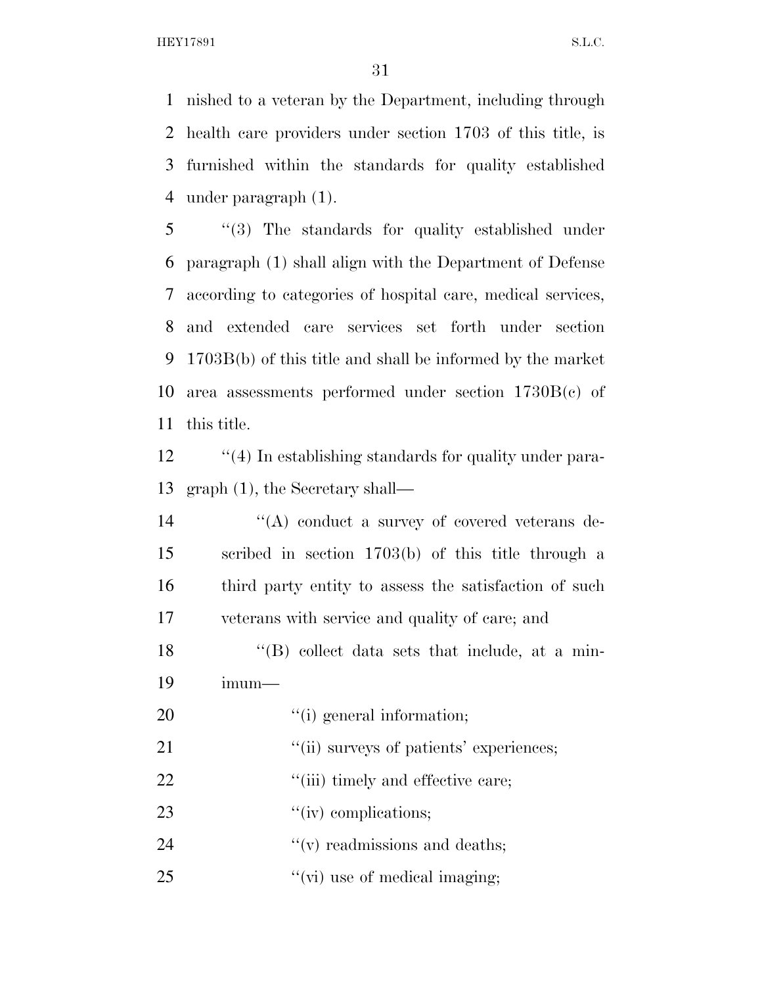nished to a veteran by the Department, including through health care providers under section 1703 of this title, is furnished within the standards for quality established under paragraph (1).

 ''(3) The standards for quality established under paragraph (1) shall align with the Department of Defense according to categories of hospital care, medical services, and extended care services set forth under section 1703B(b) of this title and shall be informed by the market area assessments performed under section 1730B(c) of this title.

12 ''(4) In establishing standards for quality under para-graph (1), the Secretary shall—

 $\langle A \rangle$  conduct a survey of covered veterans de- scribed in section 1703(b) of this title through a third party entity to assess the satisfaction of such veterans with service and quality of care; and

18 ''(B) collect data sets that include, at a min-imum—

20  $\frac{1}{2}$  (i) general information;

- 21  $\frac{1}{10}$  surveys of patients' experiences;
- 22  $\frac{1}{2}$   $\frac{1}{2}$   $\frac{1}{2}$   $\frac{1}{2}$   $\frac{1}{2}$   $\frac{1}{2}$   $\frac{1}{2}$   $\frac{1}{2}$   $\frac{1}{2}$   $\frac{1}{2}$   $\frac{1}{2}$   $\frac{1}{2}$   $\frac{1}{2}$   $\frac{1}{2}$   $\frac{1}{2}$   $\frac{1}{2}$   $\frac{1}{2}$   $\frac{1}{2}$   $\frac{1}{2}$   $\frac{1}{2}$   $\frac{1}{2}$   $\frac{1}{2}$

23  $\frac{1}{\cdot}$   $\cdot\cdot\cdot$  (iv) complications;

24  $''(v)$  readmissions and deaths;

25  $''(\vec{v})$  use of medical imaging;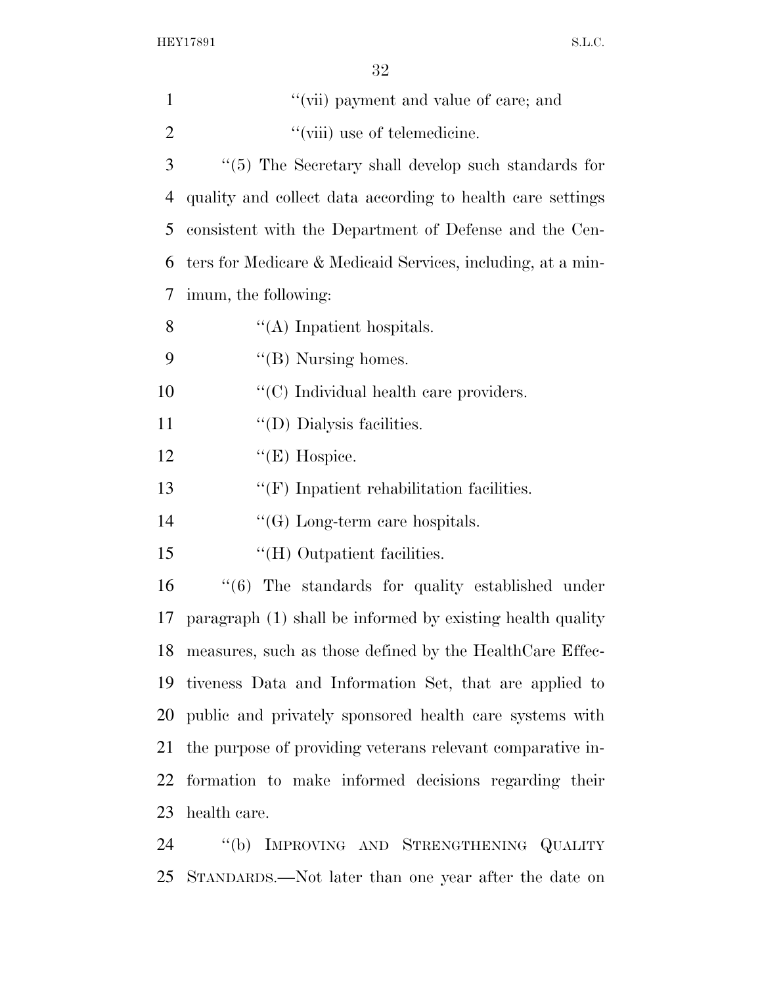| $\mathbf{1}$   | "(vii) payment and value of care; and                         |
|----------------|---------------------------------------------------------------|
| $\overline{2}$ | "(viii) use of telemedicine.                                  |
| 3              | $``(5)$ The Secretary shall develop such standards for        |
| $\overline{4}$ | quality and collect data according to health care settings    |
| 5              | consistent with the Department of Defense and the Cen-        |
| 6              | ters for Medicare & Medicaid Services, including, at a min-   |
| 7              | imum, the following:                                          |
| 8              | $\lq\lq$ Inpatient hospitals.                                 |
| 9              | $\lq\lq$ (B) Nursing homes.                                   |
| 10             | "(C) Individual health care providers.                        |
| 11             | "(D) Dialysis facilities.                                     |
| 12             | $\lq\lq(E)$ Hospice.                                          |
| 13             | $\lq\lq(F)$ Inpatient rehabilitation facilities.              |
| 14             | $\lq\lq(G)$ Long-term care hospitals.                         |
| 15             | "(H) Outpatient facilities.                                   |
| 16             | $\cdot$ (6) The standards for quality established under       |
| 17             | paragraph (1) shall be informed by existing health quality    |
|                | 18 measures, such as those defined by the HealthCare Effec-   |
| 19             | tiveness Data and Information Set, that are applied to        |
|                | 20 public and privately sponsored health care systems with    |
|                | 21 the purpose of providing veterans relevant comparative in- |
| 22             | formation to make informed decisions regarding their          |
| 23             | health care.                                                  |
| $\mathcal{L}$  | $\mathcal{H}(k)$ IMPROVING AND CONDITIONING OVALUES.          |

 ''(b) IMPROVING AND STRENGTHENING QUALITY STANDARDS.—Not later than one year after the date on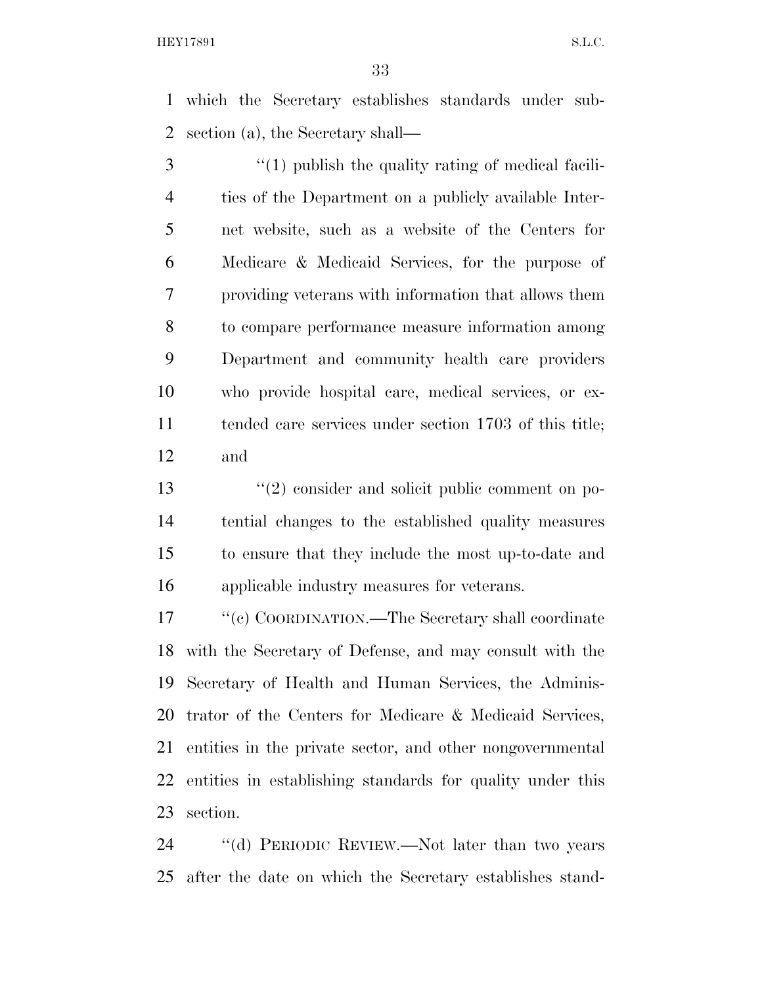which the Secretary establishes standards under sub-section (a), the Secretary shall—

 ''(1) publish the quality rating of medical facili- ties of the Department on a publicly available Inter- net website, such as a website of the Centers for Medicare & Medicaid Services, for the purpose of providing veterans with information that allows them to compare performance measure information among Department and community health care providers who provide hospital care, medical services, or ex- tended care services under section 1703 of this title; and

13 ''(2) consider and solicit public comment on po- tential changes to the established quality measures to ensure that they include the most up-to-date and applicable industry measures for veterans.

17 ''(c) COORDINATION.—The Secretary shall coordinate with the Secretary of Defense, and may consult with the Secretary of Health and Human Services, the Adminis- trator of the Centers for Medicare & Medicaid Services, entities in the private sector, and other nongovernmental entities in establishing standards for quality under this section.

24 "(d) PERIODIC REVIEW.—Not later than two years after the date on which the Secretary establishes stand-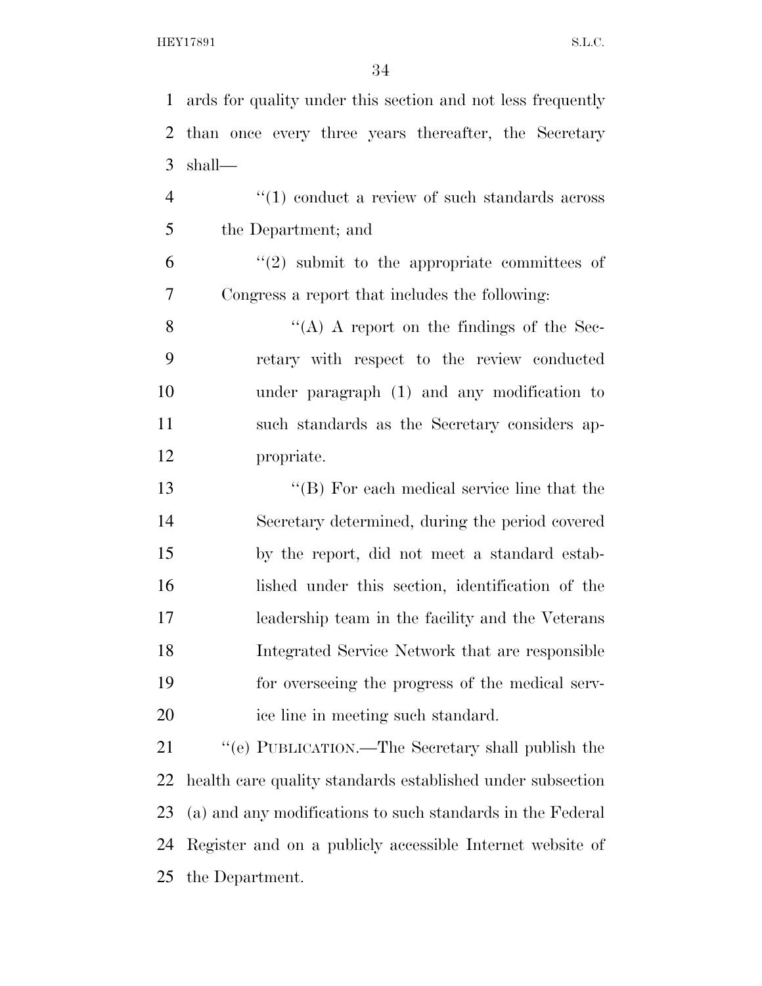ards for quality under this section and not less frequently than once every three years thereafter, the Secretary shall— 4 "(1) conduct a review of such standards across

the Department; and

 $(2)$  submit to the appropriate committees of Congress a report that includes the following:

 $"({\rm A})$  A report on the findings of the Sec- retary with respect to the review conducted under paragraph (1) and any modification to such standards as the Secretary considers ap-propriate.

 ''(B) For each medical service line that the Secretary determined, during the period covered by the report, did not meet a standard estab- lished under this section, identification of the leadership team in the facility and the Veterans Integrated Service Network that are responsible for overseeing the progress of the medical serv-ice line in meeting such standard.

 ''(e) PUBLICATION.—The Secretary shall publish the health care quality standards established under subsection (a) and any modifications to such standards in the Federal Register and on a publicly accessible Internet website of the Department.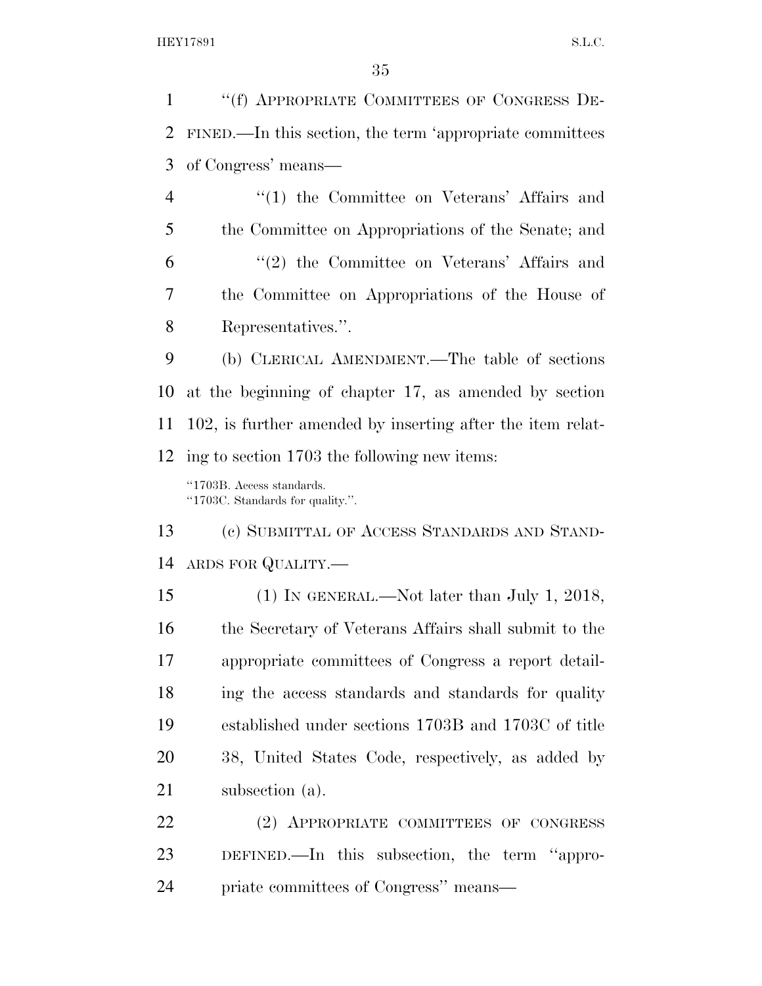''(f) APPROPRIATE COMMITTEES OF CONGRESS DE- FINED.—In this section, the term 'appropriate committees of Congress' means—

4 "(1) the Committee on Veterans' Affairs and the Committee on Appropriations of the Senate; and ''(2) the Committee on Veterans' Affairs and the Committee on Appropriations of the House of Representatives.''.

 (b) CLERICAL AMENDMENT.—The table of sections at the beginning of chapter 17, as amended by section 102, is further amended by inserting after the item relat-ing to section 1703 the following new items:

''1703B. Access standards. ''1703C. Standards for quality.''.

 (c) SUBMITTAL OF ACCESS STANDARDS AND STAND-ARDS FOR QUALITY.—

 (1) IN GENERAL.—Not later than July 1, 2018, the Secretary of Veterans Affairs shall submit to the appropriate committees of Congress a report detail- ing the access standards and standards for quality established under sections 1703B and 1703C of title 38, United States Code, respectively, as added by subsection (a).

 (2) APPROPRIATE COMMITTEES OF CONGRESS DEFINED.—In this subsection, the term ''appro-priate committees of Congress'' means—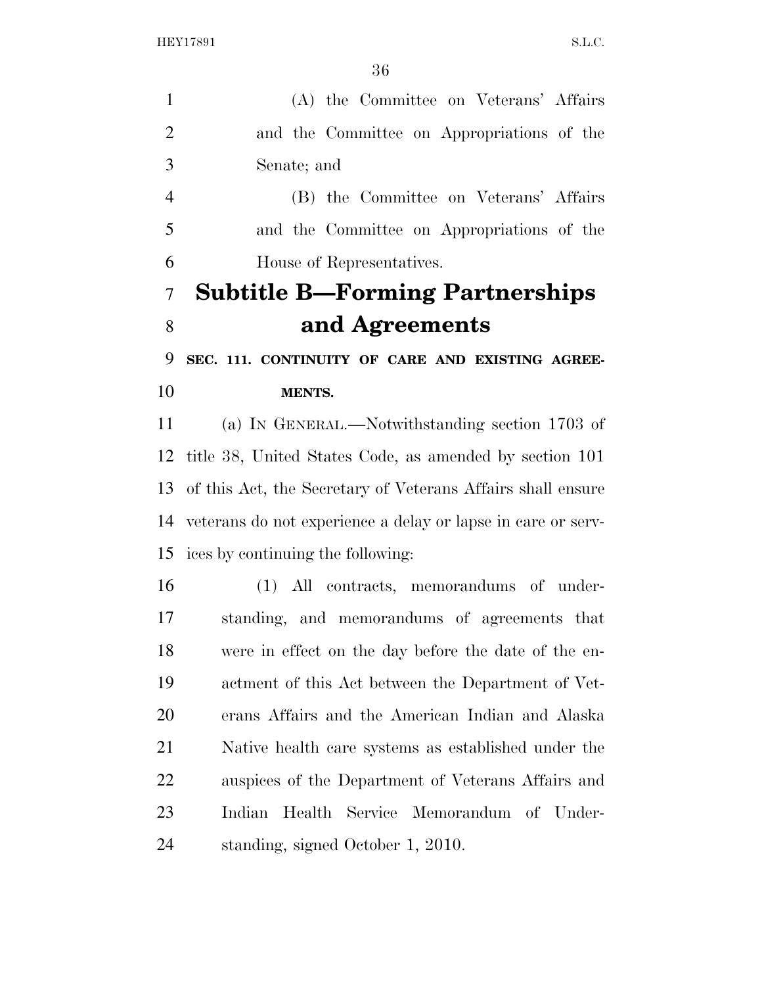| (A) the Committee on Veterans' Affairs                          |
|-----------------------------------------------------------------|
| and the Committee on Appropriations of the                      |
| Senate; and                                                     |
| (B) the Committee on Veterans' Affairs                          |
| and the Committee on Appropriations of the                      |
| House of Representatives.                                       |
| <b>Subtitle B—Forming Partnerships</b>                          |
| and Agreements                                                  |
| SEC. 111. CONTINUITY OF CARE AND EXISTING AGREE-                |
| <b>MENTS.</b>                                                   |
| (a) IN GENERAL.—Notwithstanding section 1703 of                 |
| title 38, United States Code, as amended by section 101         |
| 13 of this Act, the Secretary of Veterans Affairs shall ensure  |
| 14 veterans do not experience a delay or lapse in care or serv- |
| 15 ices by continuing the following:                            |
| (1) All contracts, memorandums of under-                        |
| standing, and memorandums of agreements that                    |
| were in effect on the day before the date of the en-            |
| actment of this Act between the Department of Vet-              |
| erans Affairs and the American Indian and Alaska                |
| Native health care systems as established under the             |
| auspices of the Department of Veterans Affairs and              |
| Indian Health Service Memorandum of Under-                      |
| standing, signed October 1, 2010.                               |
|                                                                 |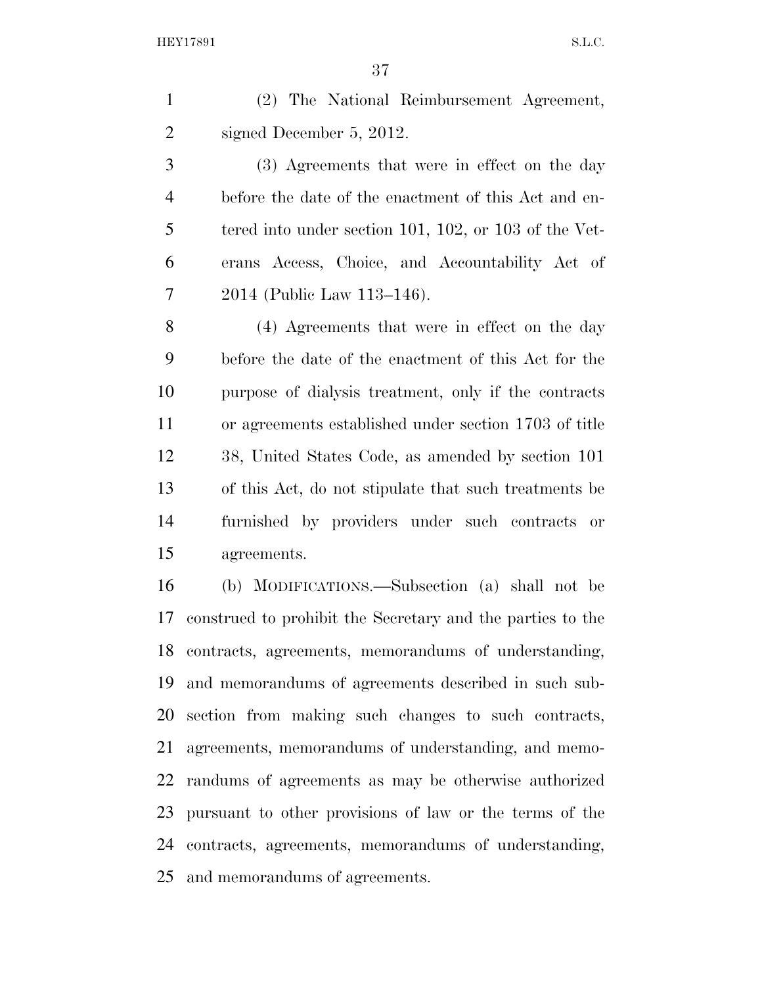(2) The National Reimbursement Agreement, signed December 5, 2012.

 (3) Agreements that were in effect on the day before the date of the enactment of this Act and en- tered into under section 101, 102, or 103 of the Vet- erans Access, Choice, and Accountability Act of 2014 (Public Law 113–146).

 (4) Agreements that were in effect on the day before the date of the enactment of this Act for the purpose of dialysis treatment, only if the contracts or agreements established under section 1703 of title 38, United States Code, as amended by section 101 of this Act, do not stipulate that such treatments be furnished by providers under such contracts or agreements.

 (b) MODIFICATIONS.—Subsection (a) shall not be construed to prohibit the Secretary and the parties to the contracts, agreements, memorandums of understanding, and memorandums of agreements described in such sub- section from making such changes to such contracts, agreements, memorandums of understanding, and memo- randums of agreements as may be otherwise authorized pursuant to other provisions of law or the terms of the contracts, agreements, memorandums of understanding, and memorandums of agreements.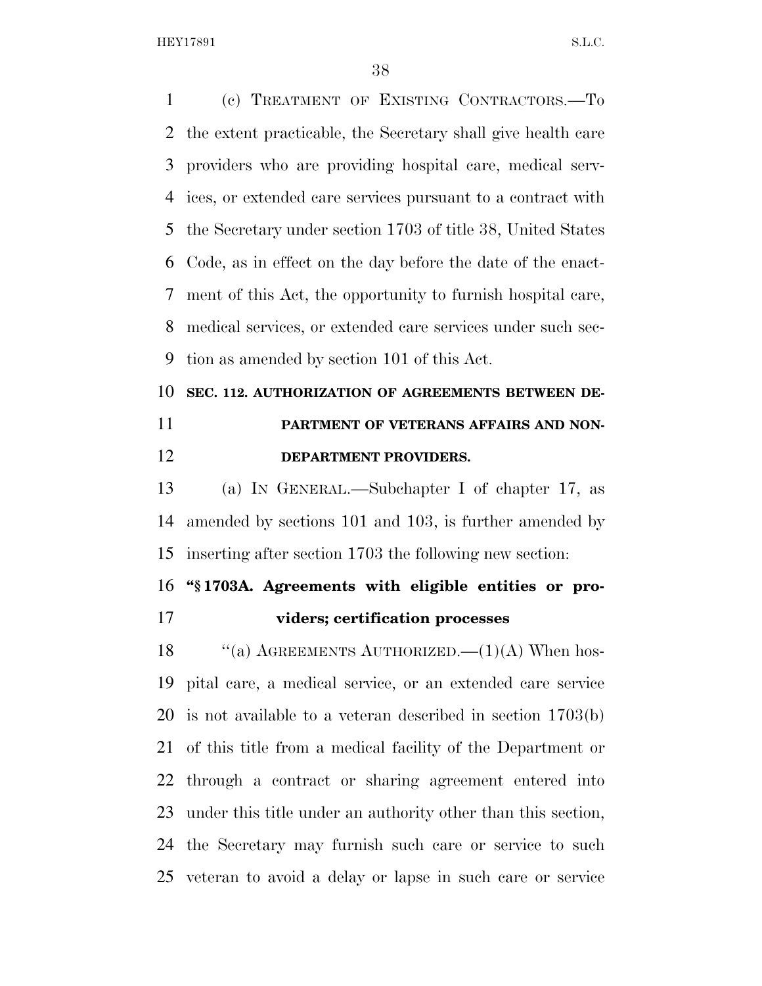(c) TREATMENT OF EXISTING CONTRACTORS.—To the extent practicable, the Secretary shall give health care providers who are providing hospital care, medical serv- ices, or extended care services pursuant to a contract with the Secretary under section 1703 of title 38, United States Code, as in effect on the day before the date of the enact- ment of this Act, the opportunity to furnish hospital care, medical services, or extended care services under such sec-tion as amended by section 101 of this Act.

# **SEC. 112. AUTHORIZATION OF AGREEMENTS BETWEEN DE- PARTMENT OF VETERANS AFFAIRS AND NON-DEPARTMENT PROVIDERS.**

 (a) IN GENERAL.—Subchapter I of chapter 17, as amended by sections 101 and 103, is further amended by inserting after section 1703 the following new section:

**''§ 1703A. Agreements with eligible entities or pro-**

#### **viders; certification processes**

18 "(a) AGREEMENTS AUTHORIZED. (1)(A) When hos- pital care, a medical service, or an extended care service is not available to a veteran described in section 1703(b) of this title from a medical facility of the Department or through a contract or sharing agreement entered into under this title under an authority other than this section, the Secretary may furnish such care or service to such veteran to avoid a delay or lapse in such care or service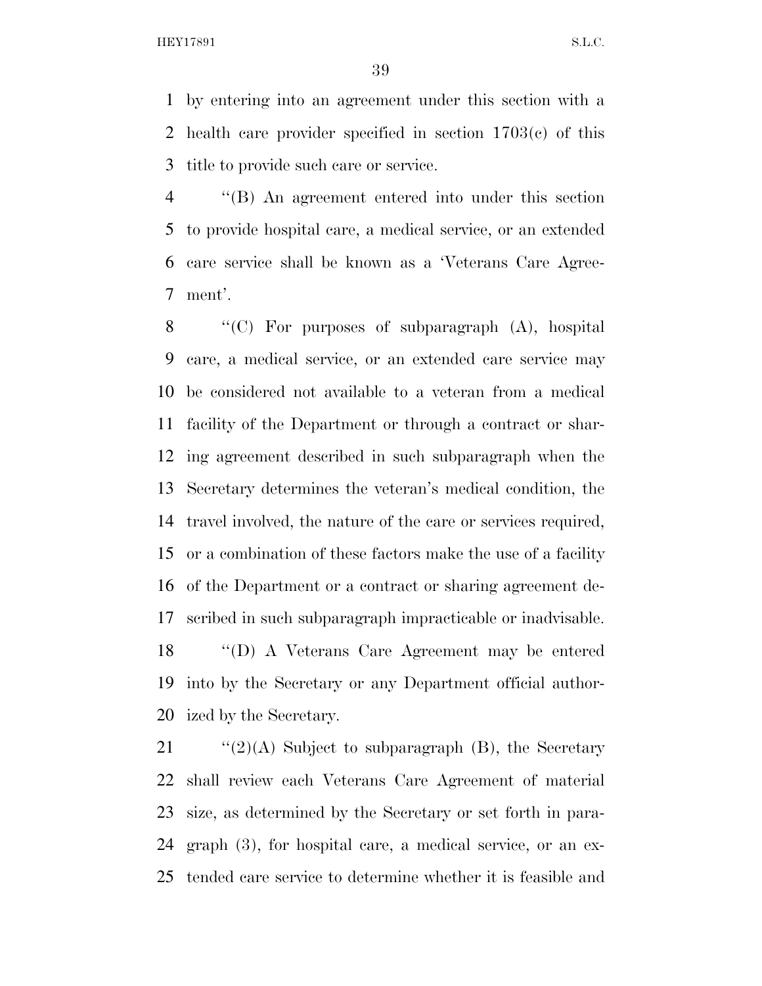by entering into an agreement under this section with a health care provider specified in section 1703(c) of this title to provide such care or service.

 ''(B) An agreement entered into under this section to provide hospital care, a medical service, or an extended care service shall be known as a 'Veterans Care Agree-ment'.

 $\langle\!\langle C\rangle\rangle$  For purposes of subparagraph  $(A)$ , hospital care, a medical service, or an extended care service may be considered not available to a veteran from a medical facility of the Department or through a contract or shar- ing agreement described in such subparagraph when the Secretary determines the veteran's medical condition, the travel involved, the nature of the care or services required, or a combination of these factors make the use of a facility of the Department or a contract or sharing agreement de-scribed in such subparagraph impracticable or inadvisable.

 ''(D) A Veterans Care Agreement may be entered into by the Secretary or any Department official author-ized by the Secretary.

 $\frac{1}{2}(2)(A)$  Subject to subparagraph (B), the Secretary shall review each Veterans Care Agreement of material size, as determined by the Secretary or set forth in para- graph (3), for hospital care, a medical service, or an ex-tended care service to determine whether it is feasible and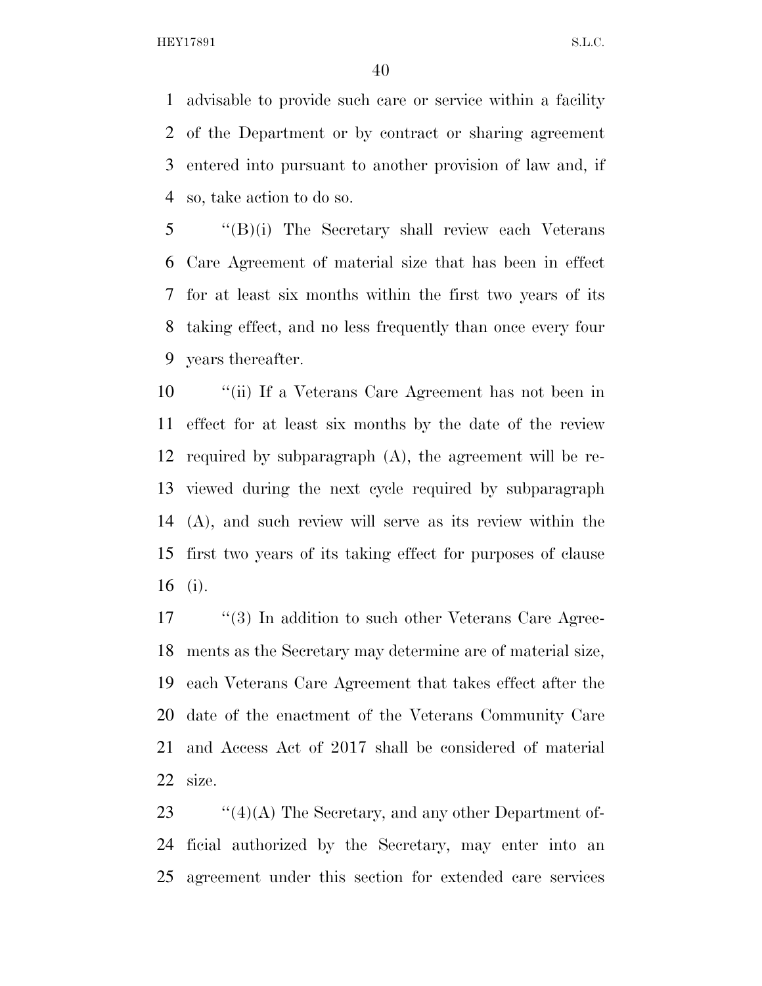advisable to provide such care or service within a facility of the Department or by contract or sharing agreement entered into pursuant to another provision of law and, if so, take action to do so.

 ''(B)(i) The Secretary shall review each Veterans Care Agreement of material size that has been in effect for at least six months within the first two years of its taking effect, and no less frequently than once every four years thereafter.

 ''(ii) If a Veterans Care Agreement has not been in effect for at least six months by the date of the review required by subparagraph (A), the agreement will be re- viewed during the next cycle required by subparagraph (A), and such review will serve as its review within the first two years of its taking effect for purposes of clause (i).

17 ''(3) In addition to such other Veterans Care Agree- ments as the Secretary may determine are of material size, each Veterans Care Agreement that takes effect after the date of the enactment of the Veterans Community Care and Access Act of 2017 shall be considered of material size.

23  $\frac{1}{4}(4)(A)$  The Secretary, and any other Department of- ficial authorized by the Secretary, may enter into an agreement under this section for extended care services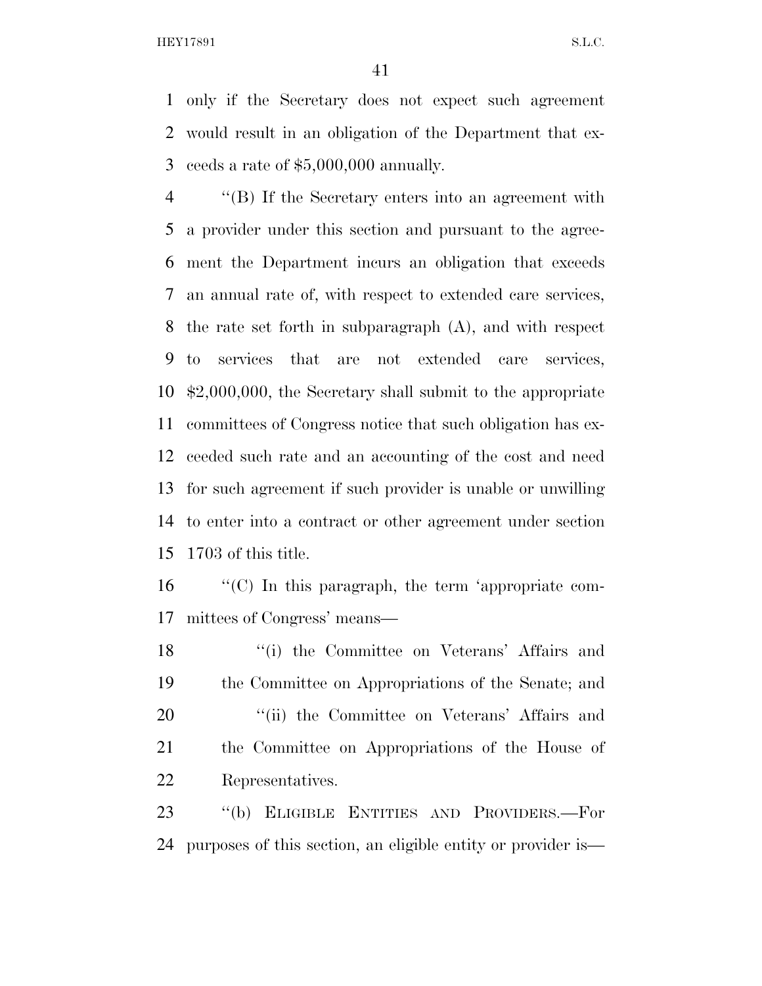only if the Secretary does not expect such agreement would result in an obligation of the Department that ex-ceeds a rate of \$5,000,000 annually.

 ''(B) If the Secretary enters into an agreement with a provider under this section and pursuant to the agree- ment the Department incurs an obligation that exceeds an annual rate of, with respect to extended care services, the rate set forth in subparagraph (A), and with respect to services that are not extended care services, \$2,000,000, the Secretary shall submit to the appropriate committees of Congress notice that such obligation has ex- ceeded such rate and an accounting of the cost and need for such agreement if such provider is unable or unwilling to enter into a contract or other agreement under section 1703 of this title.

 ''(C) In this paragraph, the term 'appropriate com-mittees of Congress' means—

18 ''(i) the Committee on Veterans' Affairs and the Committee on Appropriations of the Senate; and 20 "(ii) the Committee on Veterans' Affairs and the Committee on Appropriations of the House of Representatives.

 ''(b) ELIGIBLE ENTITIES AND PROVIDERS.—For purposes of this section, an eligible entity or provider is—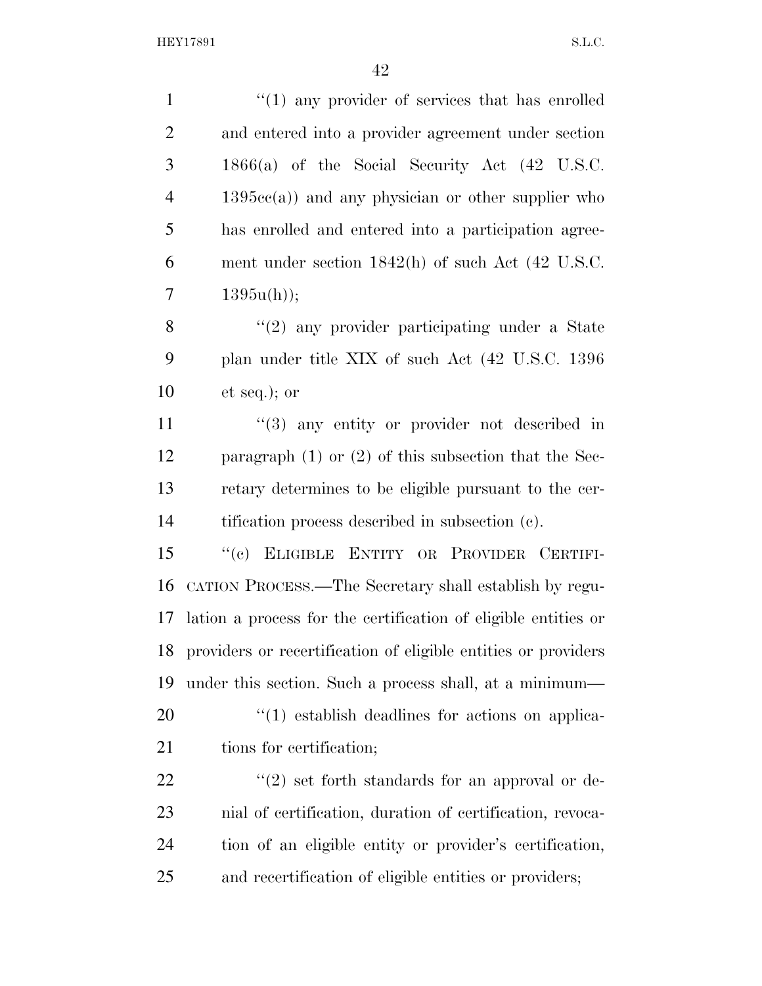| $\mathbf{1}$   | $\lq(1)$ any provider of services that has enrolled            |
|----------------|----------------------------------------------------------------|
| $\overline{2}$ | and entered into a provider agreement under section            |
| 3              | $1866(a)$ of the Social Security Act $(42 \text{ U.S.C.})$     |
| $\overline{4}$ | $1395cc(a)$ and any physician or other supplier who            |
| 5              | has enrolled and entered into a participation agree-           |
| 6              | ment under section $1842(h)$ of such Act $(42 \text{ U.S.C.})$ |
| 7              | $1395u(h)$ ;                                                   |
| 8              | $\lq(2)$ any provider participating under a State              |
| 9              | plan under title XIX of such Act (42 U.S.C. 1396)              |
| 10             | et seq.); or                                                   |
| 11             | $(3)$ any entity or provider not described in                  |
| 12             | paragraph $(1)$ or $(2)$ of this subsection that the Sec-      |
| 13             | retary determines to be eligible pursuant to the cer-          |
| 14             | tification process described in subsection (c).                |
| 15             | "(c) ELIGIBLE ENTITY OR PROVIDER CERTIFI-                      |
| 16             | CATION PROCESS.—The Secretary shall establish by regu-         |
| 17             | lation a process for the certification of eligible entities or |
| 18             | providers or recertification of eligible entities or providers |
| 19             | under this section. Such a process shall, at a minimum—        |
| 20             | $\lq(1)$ establish deadlines for actions on applica-           |
| 21             | tions for certification;                                       |
| 22             | $\lq(2)$ set forth standards for an approval or de-            |
| 23             | nial of certification, duration of certification, revoca-      |
| 24             | tion of an eligible entity or provider's certification,        |
| 25             | and recertification of eligible entities or providers;         |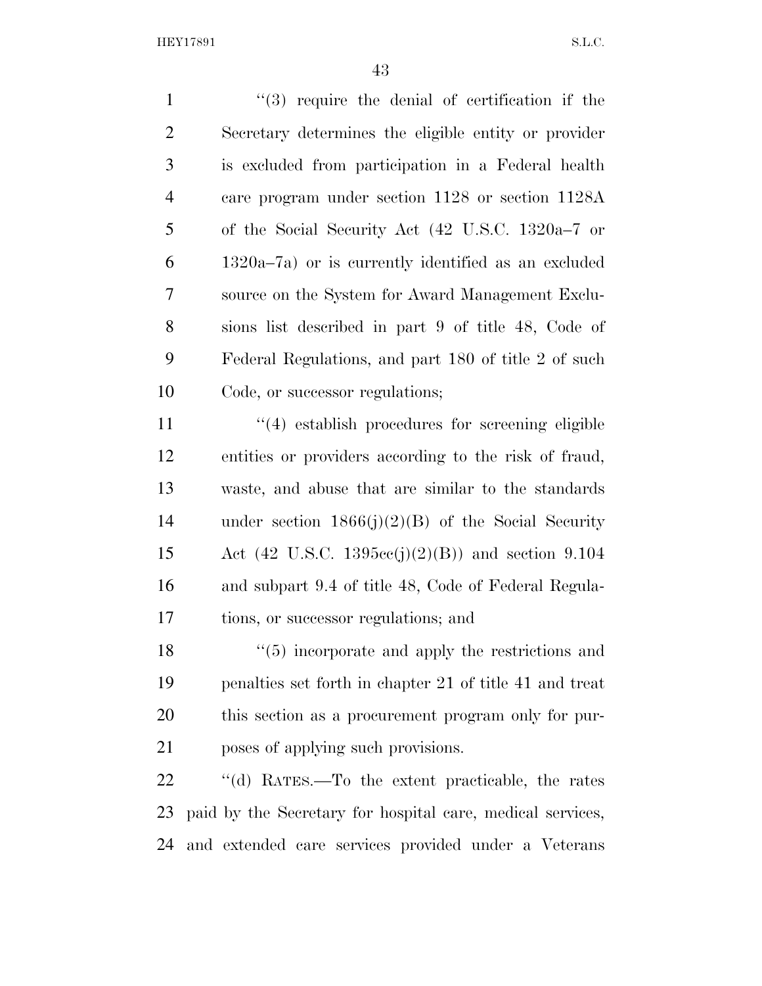1 ''(3) require the denial of certification if the Secretary determines the eligible entity or provider is excluded from participation in a Federal health care program under section 1128 or section 1128A of the Social Security Act (42 U.S.C. 1320a–7 or 1320a–7a) or is currently identified as an excluded source on the System for Award Management Exclu- sions list described in part 9 of title 48, Code of Federal Regulations, and part 180 of title 2 of such Code, or successor regulations;

11 ''(4) establish procedures for screening eligible entities or providers according to the risk of fraud, waste, and abuse that are similar to the standards under section 1866(j)(2)(B) of the Social Security Act (42 U.S.C. 1395cc(j)(2)(B)) and section 9.104 and subpart 9.4 of title 48, Code of Federal Regula-tions, or successor regulations; and

18 ''(5) incorporate and apply the restrictions and penalties set forth in chapter 21 of title 41 and treat this section as a procurement program only for pur-poses of applying such provisions.

 ''(d) RATES.—To the extent practicable, the rates paid by the Secretary for hospital care, medical services, and extended care services provided under a Veterans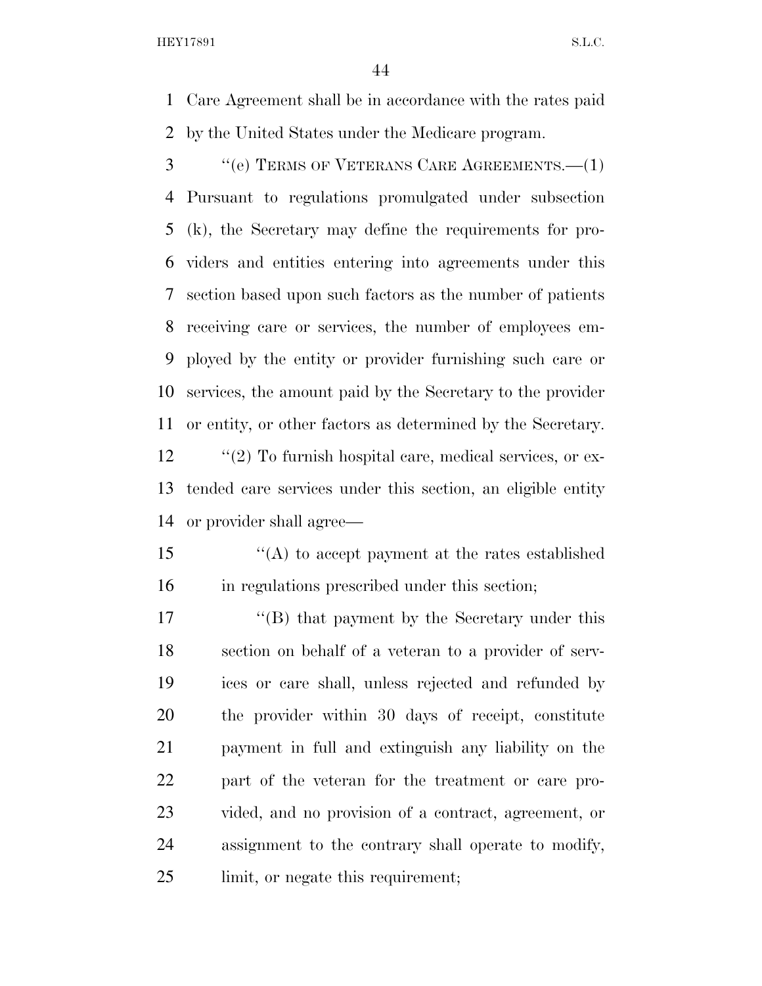Care Agreement shall be in accordance with the rates paid by the United States under the Medicare program.

 ''(e) TERMS OF VETERANS CARE AGREEMENTS.—(1) Pursuant to regulations promulgated under subsection (k), the Secretary may define the requirements for pro- viders and entities entering into agreements under this section based upon such factors as the number of patients receiving care or services, the number of employees em- ployed by the entity or provider furnishing such care or services, the amount paid by the Secretary to the provider or entity, or other factors as determined by the Secretary.

12  $\cdot$  ''(2) To furnish hospital care, medical services, or ex- tended care services under this section, an eligible entity or provider shall agree—

 ''(A) to accept payment at the rates established in regulations prescribed under this section;

17 ''(B) that payment by the Secretary under this section on behalf of a veteran to a provider of serv- ices or care shall, unless rejected and refunded by the provider within 30 days of receipt, constitute payment in full and extinguish any liability on the part of the veteran for the treatment or care pro- vided, and no provision of a contract, agreement, or assignment to the contrary shall operate to modify, 25 limit, or negate this requirement;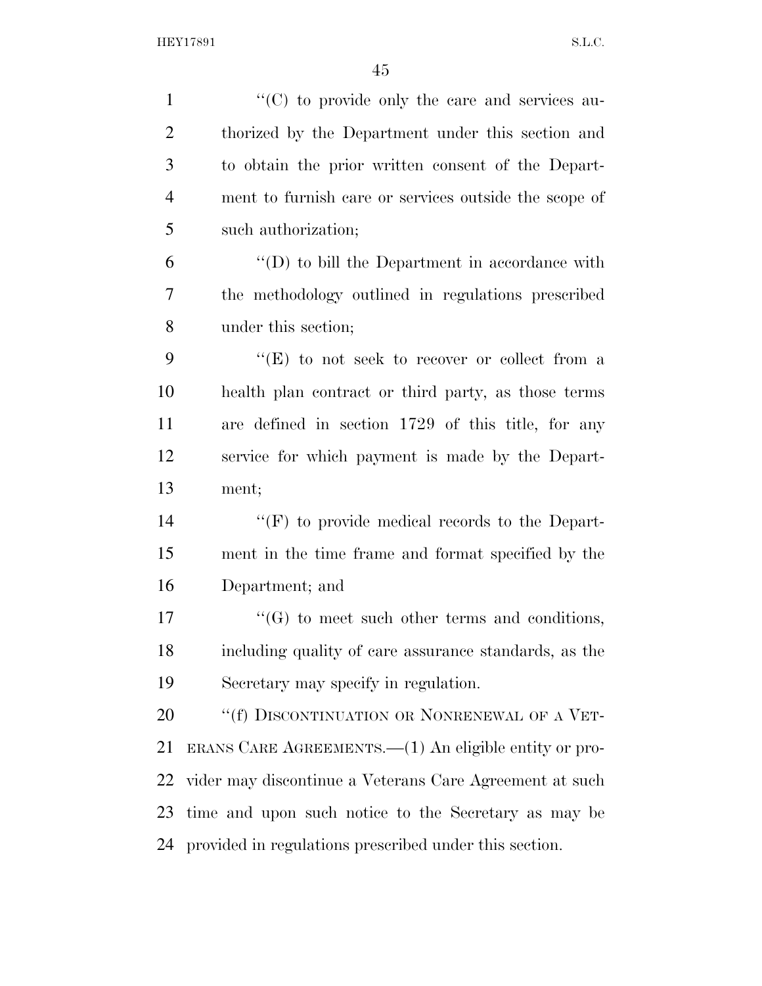| $\mathbf{1}$   | "(C) to provide only the care and services au-          |
|----------------|---------------------------------------------------------|
| $\overline{2}$ | thorized by the Department under this section and       |
| 3              | to obtain the prior written consent of the Depart-      |
| $\overline{4}$ | ment to furnish care or services outside the scope of   |
| 5              | such authorization;                                     |
| 6              | $\lq\lq$ to bill the Department in accordance with      |
| 7              | the methodology outlined in regulations prescribed      |
| 8              | under this section;                                     |
| 9              | "(E) to not seek to recover or collect from a           |
| 10             | health plan contract or third party, as those terms     |
| 11             | are defined in section 1729 of this title, for any      |
| 12             | service for which payment is made by the Depart-        |
| 13             | ment;                                                   |
| 14             | "(F) to provide medical records to the Depart-          |
| 15             | ment in the time frame and format specified by the      |
| 16             | Department; and                                         |
| 17             | $\lq\lq(G)$ to meet such other terms and conditions,    |
| 18             | including quality of care assurance standards, as the   |
| 19             | Secretary may specify in regulation.                    |
| 20             | "(f) DISCONTINUATION OR NONRENEWAL OF A VET-            |
| 21             | ERANS CARE AGREEMENTS.—(1) An eligible entity or pro-   |
| 22             | vider may discontinue a Veterans Care Agreement at such |
| 23             | time and upon such notice to the Secretary as may be    |
| 24             | provided in regulations prescribed under this section.  |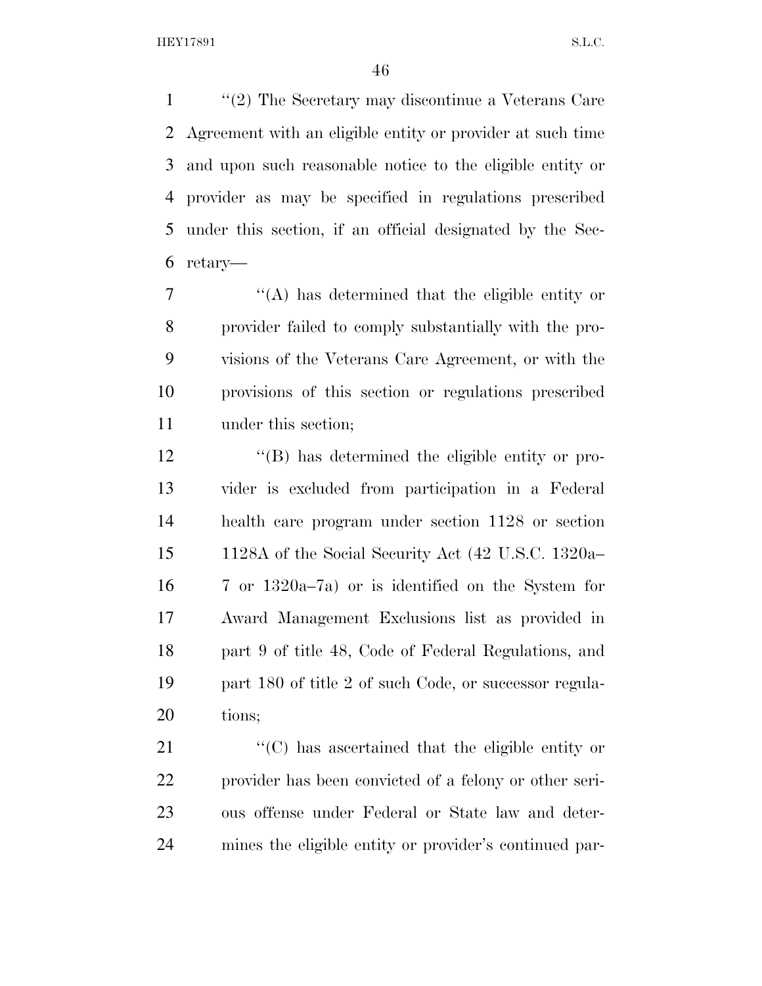''(2) The Secretary may discontinue a Veterans Care Agreement with an eligible entity or provider at such time and upon such reasonable notice to the eligible entity or provider as may be specified in regulations prescribed under this section, if an official designated by the Sec-retary—

 ''(A) has determined that the eligible entity or provider failed to comply substantially with the pro- visions of the Veterans Care Agreement, or with the provisions of this section or regulations prescribed under this section;

 ''(B) has determined the eligible entity or pro- vider is excluded from participation in a Federal health care program under section 1128 or section 1128A of the Social Security Act (42 U.S.C. 1320a– 7 or 1320a–7a) or is identified on the System for Award Management Exclusions list as provided in part 9 of title 48, Code of Federal Regulations, and 19 part 180 of title 2 of such Code, or successor regula-tions;

 $\langle ^{\prime}(C) \rangle$  has ascertained that the eligible entity or provider has been convicted of a felony or other seri- ous offense under Federal or State law and deter-mines the eligible entity or provider's continued par-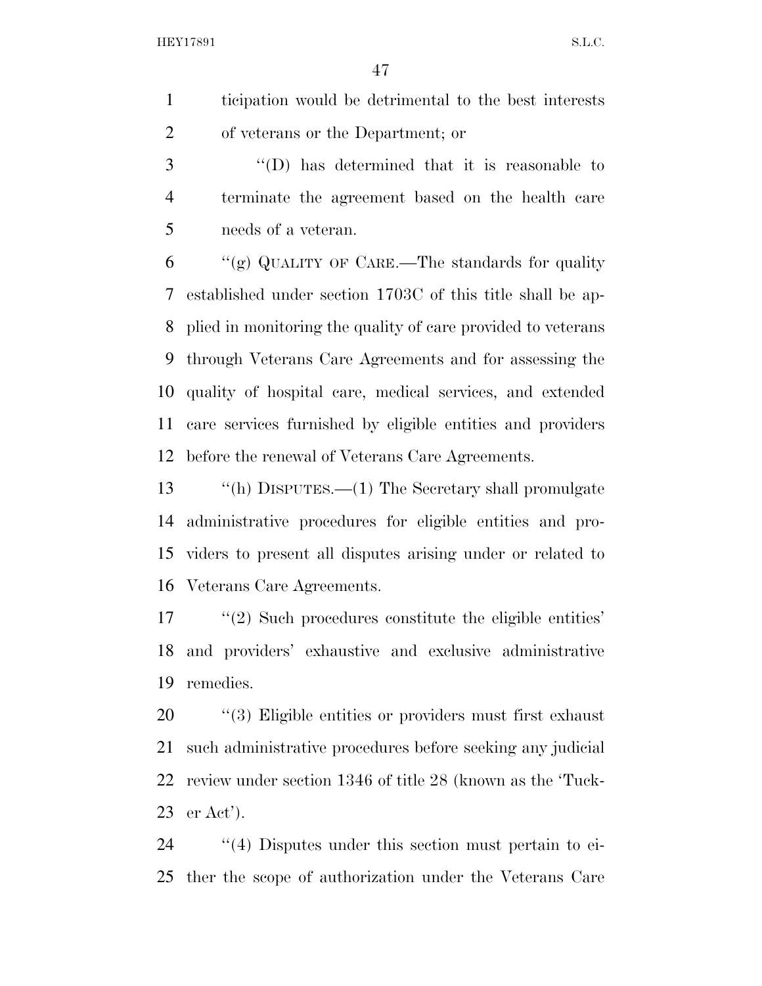ticipation would be detrimental to the best interests of veterans or the Department; or

 ''(D) has determined that it is reasonable to terminate the agreement based on the health care needs of a veteran.

 "(g) QUALITY OF CARE.—The standards for quality established under section 1703C of this title shall be ap- plied in monitoring the quality of care provided to veterans through Veterans Care Agreements and for assessing the quality of hospital care, medical services, and extended care services furnished by eligible entities and providers before the renewal of Veterans Care Agreements.

 ''(h) DISPUTES.—(1) The Secretary shall promulgate administrative procedures for eligible entities and pro- viders to present all disputes arising under or related to Veterans Care Agreements.

 ''(2) Such procedures constitute the eligible entities' and providers' exhaustive and exclusive administrative remedies.

 $\frac{1}{20}$  (3) Eligible entities or providers must first exhaust such administrative procedures before seeking any judicial review under section 1346 of title 28 (known as the 'Tuck-er Act').

24  $\frac{1}{4}$  Disputes under this section must pertain to ei-ther the scope of authorization under the Veterans Care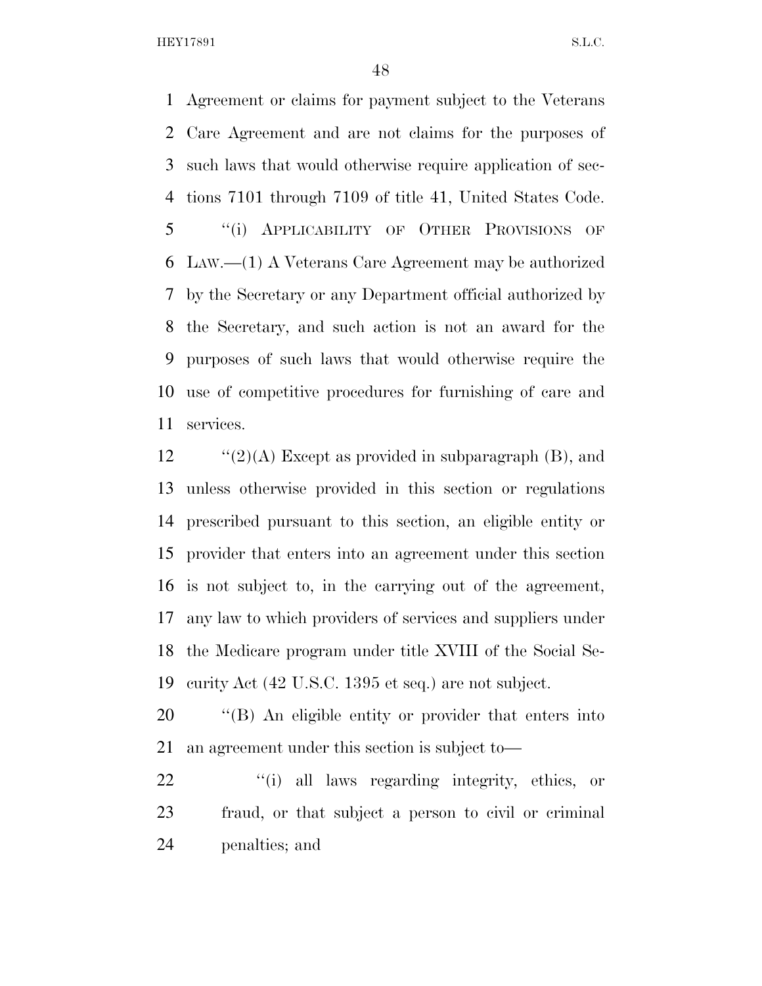Agreement or claims for payment subject to the Veterans Care Agreement and are not claims for the purposes of such laws that would otherwise require application of sec- tions 7101 through 7109 of title 41, United States Code. ''(i) APPLICABILITY OF OTHER PROVISIONS OF LAW.—(1) A Veterans Care Agreement may be authorized by the Secretary or any Department official authorized by the Secretary, and such action is not an award for the purposes of such laws that would otherwise require the use of competitive procedures for furnishing of care and services.

 $\text{``(2)(A)}$  Except as provided in subparagraph (B), and unless otherwise provided in this section or regulations prescribed pursuant to this section, an eligible entity or provider that enters into an agreement under this section is not subject to, in the carrying out of the agreement, any law to which providers of services and suppliers under the Medicare program under title XVIII of the Social Se-curity Act (42 U.S.C. 1395 et seq.) are not subject.

 ''(B) An eligible entity or provider that enters into an agreement under this section is subject to—

22 "(i) all laws regarding integrity, ethics, or fraud, or that subject a person to civil or criminal penalties; and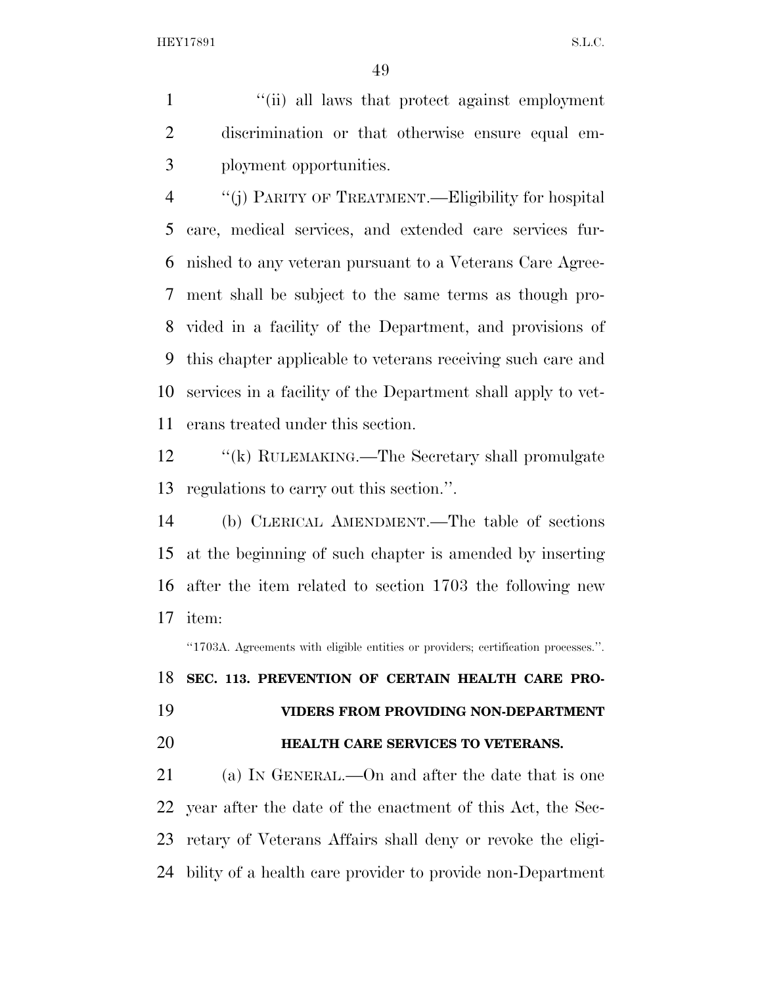''(ii) all laws that protect against employment discrimination or that otherwise ensure equal em-ployment opportunities.

 ''(j) PARITY OF TREATMENT.—Eligibility for hospital care, medical services, and extended care services fur- nished to any veteran pursuant to a Veterans Care Agree- ment shall be subject to the same terms as though pro- vided in a facility of the Department, and provisions of this chapter applicable to veterans receiving such care and services in a facility of the Department shall apply to vet-erans treated under this section.

12 "(k) RULEMAKING.—The Secretary shall promulgate regulations to carry out this section.''.

 (b) CLERICAL AMENDMENT.—The table of sections at the beginning of such chapter is amended by inserting after the item related to section 1703 the following new item:

''1703A. Agreements with eligible entities or providers; certification processes.''.

**SEC. 113. PREVENTION OF CERTAIN HEALTH CARE PRO-**

**VIDERS FROM PROVIDING NON-DEPARTMENT** 

## **HEALTH CARE SERVICES TO VETERANS.**

 (a) IN GENERAL.—On and after the date that is one year after the date of the enactment of this Act, the Sec- retary of Veterans Affairs shall deny or revoke the eligi-bility of a health care provider to provide non-Department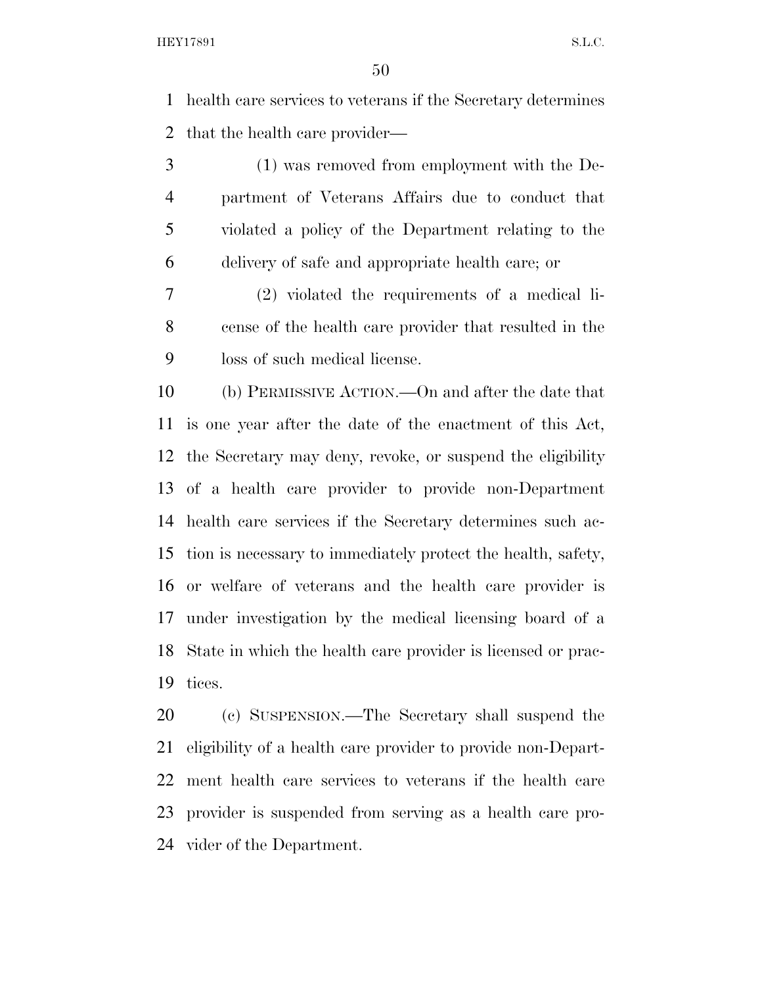health care services to veterans if the Secretary determines that the health care provider—

 (1) was removed from employment with the De- partment of Veterans Affairs due to conduct that violated a policy of the Department relating to the delivery of safe and appropriate health care; or

 (2) violated the requirements of a medical li- cense of the health care provider that resulted in the loss of such medical license.

 (b) PERMISSIVE ACTION.—On and after the date that is one year after the date of the enactment of this Act, the Secretary may deny, revoke, or suspend the eligibility of a health care provider to provide non-Department health care services if the Secretary determines such ac- tion is necessary to immediately protect the health, safety, or welfare of veterans and the health care provider is under investigation by the medical licensing board of a State in which the health care provider is licensed or prac-tices.

 (c) SUSPENSION.—The Secretary shall suspend the eligibility of a health care provider to provide non-Depart- ment health care services to veterans if the health care provider is suspended from serving as a health care pro-vider of the Department.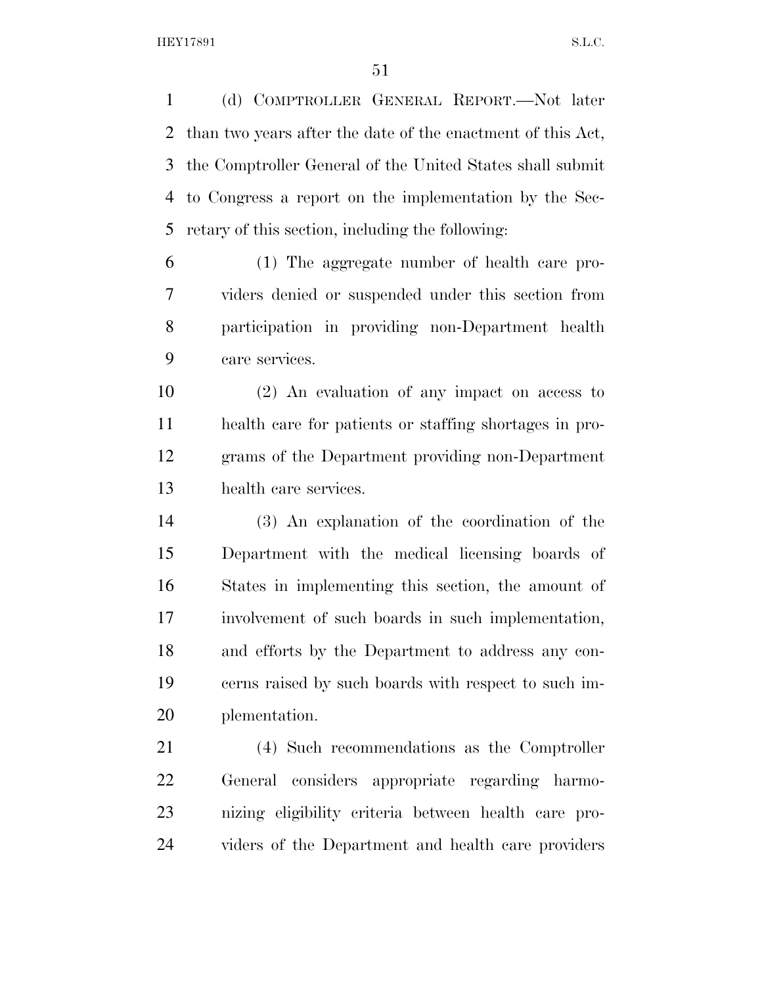(d) COMPTROLLER GENERAL REPORT.—Not later than two years after the date of the enactment of this Act, the Comptroller General of the United States shall submit to Congress a report on the implementation by the Sec-retary of this section, including the following:

 (1) The aggregate number of health care pro- viders denied or suspended under this section from participation in providing non-Department health care services.

 (2) An evaluation of any impact on access to health care for patients or staffing shortages in pro- grams of the Department providing non-Department health care services.

 (3) An explanation of the coordination of the Department with the medical licensing boards of States in implementing this section, the amount of involvement of such boards in such implementation, and efforts by the Department to address any con- cerns raised by such boards with respect to such im-plementation.

 (4) Such recommendations as the Comptroller General considers appropriate regarding harmo- nizing eligibility criteria between health care pro-viders of the Department and health care providers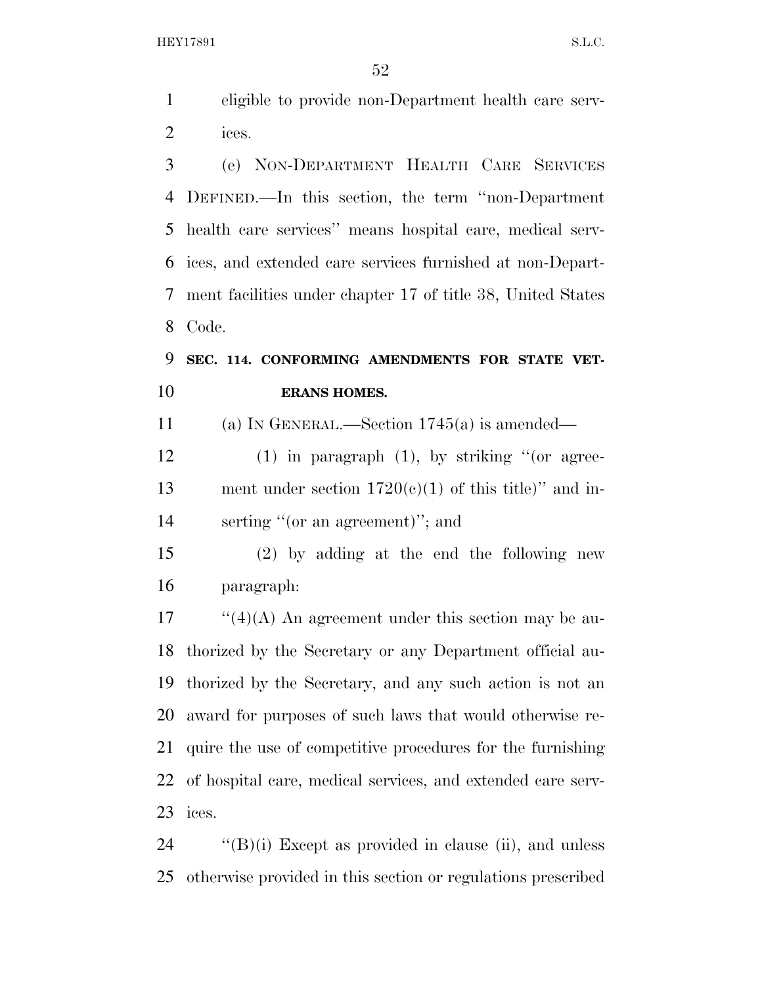eligible to provide non-Department health care serv-ices.

 (e) NON-DEPARTMENT HEALTH CARE SERVICES DEFINED.—In this section, the term ''non-Department health care services'' means hospital care, medical serv- ices, and extended care services furnished at non-Depart- ment facilities under chapter 17 of title 38, United States Code.

### **SEC. 114. CONFORMING AMENDMENTS FOR STATE VET-ERANS HOMES.**

(a) IN GENERAL.—Section 1745(a) is amended—

 (1) in paragraph (1), by striking ''(or agree-13 ment under section  $1720(e)(1)$  of this title)" and in-serting ''(or an agreement)''; and

 (2) by adding at the end the following new paragraph:

 ''(4)(A) An agreement under this section may be au- thorized by the Secretary or any Department official au- thorized by the Secretary, and any such action is not an award for purposes of such laws that would otherwise re- quire the use of competitive procedures for the furnishing of hospital care, medical services, and extended care serv-ices.

 ''(B)(i) Except as provided in clause (ii), and unless otherwise provided in this section or regulations prescribed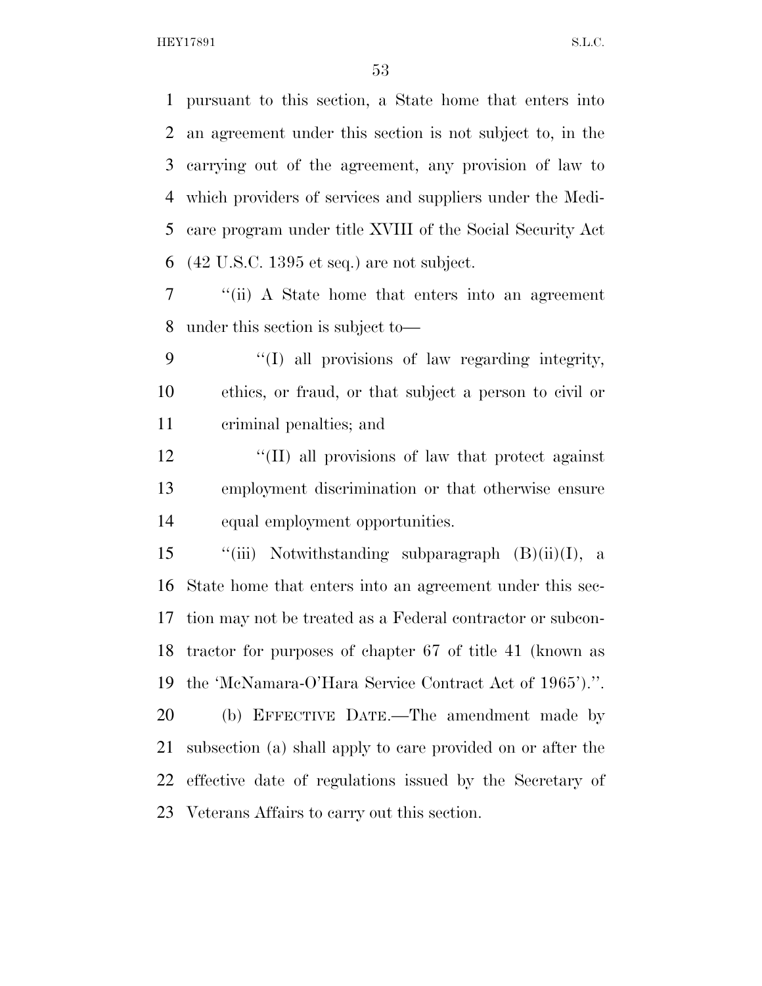pursuant to this section, a State home that enters into an agreement under this section is not subject to, in the carrying out of the agreement, any provision of law to which providers of services and suppliers under the Medi- care program under title XVIII of the Social Security Act (42 U.S.C. 1395 et seq.) are not subject.

 ''(ii) A State home that enters into an agreement under this section is subject to—

9 "(I) all provisions of law regarding integrity, ethics, or fraud, or that subject a person to civil or criminal penalties; and

 ''(II) all provisions of law that protect against employment discrimination or that otherwise ensure equal employment opportunities.

 $\qquad$  "(iii) Notwithstanding subparagraph  $(B)(ii)(I)$ , a State home that enters into an agreement under this sec- tion may not be treated as a Federal contractor or subcon- tractor for purposes of chapter 67 of title 41 (known as the 'McNamara-O'Hara Service Contract Act of 1965').''.

 (b) EFFECTIVE DATE.—The amendment made by subsection (a) shall apply to care provided on or after the effective date of regulations issued by the Secretary of Veterans Affairs to carry out this section.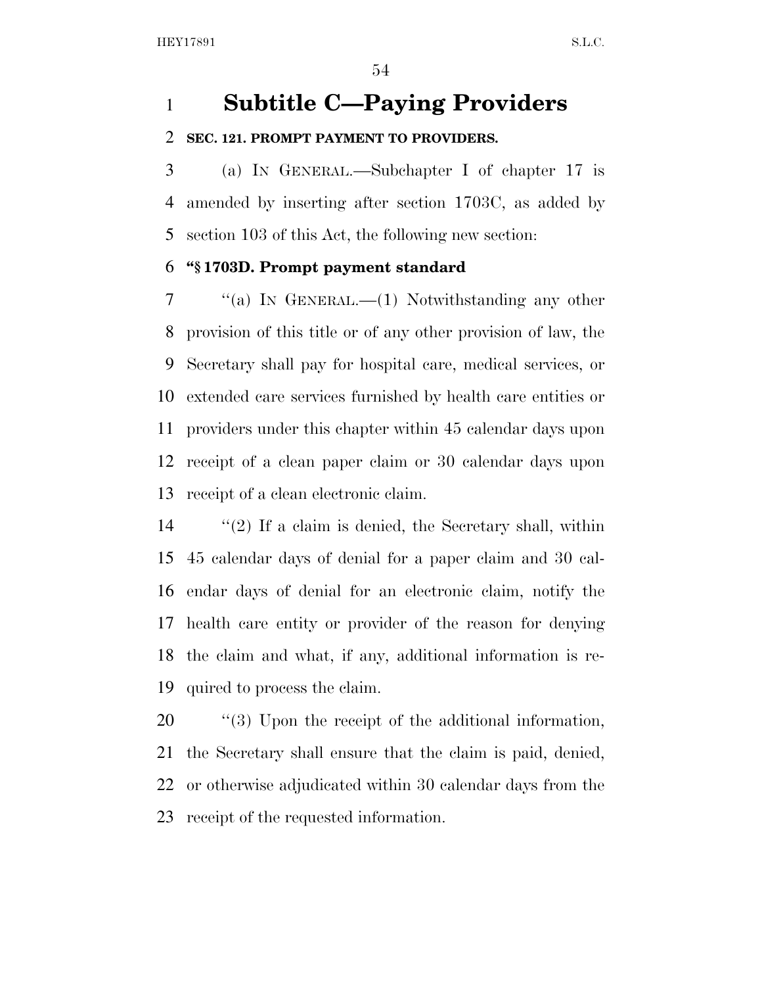### **Subtitle C—Paying Providers**

#### **SEC. 121. PROMPT PAYMENT TO PROVIDERS.**

 (a) IN GENERAL.—Subchapter I of chapter 17 is amended by inserting after section 1703C, as added by section 103 of this Act, the following new section:

#### **''§ 1703D. Prompt payment standard**

 ''(a) IN GENERAL.—(1) Notwithstanding any other provision of this title or of any other provision of law, the Secretary shall pay for hospital care, medical services, or extended care services furnished by health care entities or providers under this chapter within 45 calendar days upon receipt of a clean paper claim or 30 calendar days upon receipt of a clean electronic claim.

 ''(2) If a claim is denied, the Secretary shall, within 45 calendar days of denial for a paper claim and 30 cal- endar days of denial for an electronic claim, notify the health care entity or provider of the reason for denying the claim and what, if any, additional information is re-quired to process the claim.

 $\frac{1}{20}$  (3) Upon the receipt of the additional information, the Secretary shall ensure that the claim is paid, denied, or otherwise adjudicated within 30 calendar days from the receipt of the requested information.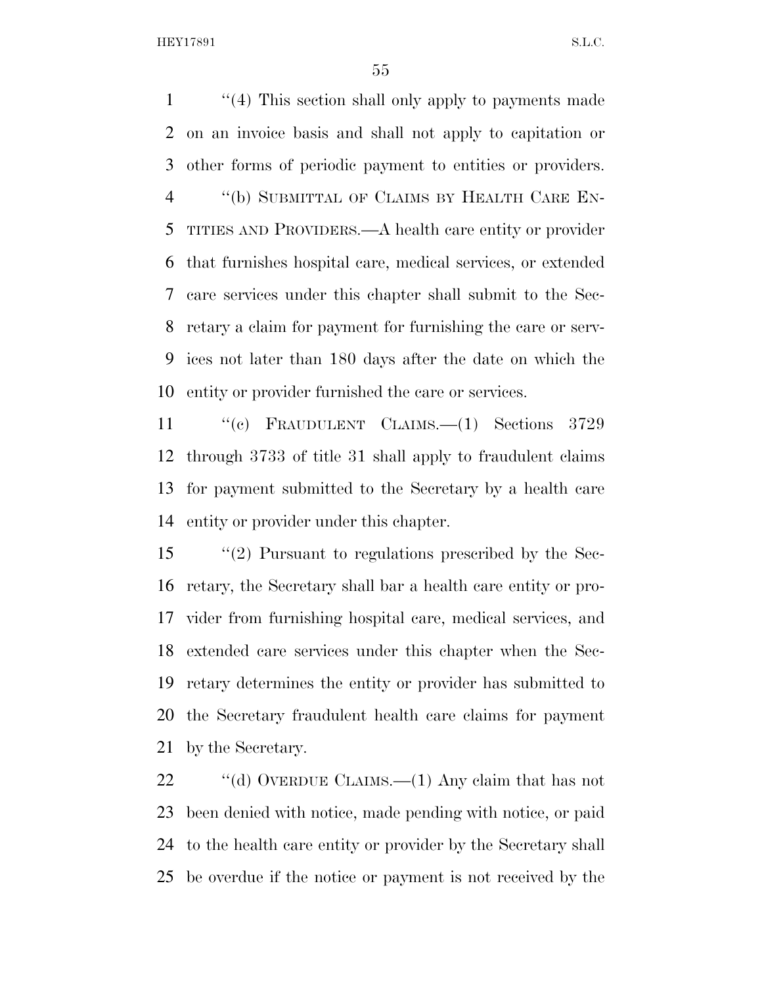''(4) This section shall only apply to payments made on an invoice basis and shall not apply to capitation or other forms of periodic payment to entities or providers. ''(b) SUBMITTAL OF CLAIMS BY HEALTH CARE EN- TITIES AND PROVIDERS.—A health care entity or provider that furnishes hospital care, medical services, or extended care services under this chapter shall submit to the Sec- retary a claim for payment for furnishing the care or serv- ices not later than 180 days after the date on which the entity or provider furnished the care or services.

 ''(c) FRAUDULENT CLAIMS.—(1) Sections 3729 through 3733 of title 31 shall apply to fraudulent claims for payment submitted to the Secretary by a health care entity or provider under this chapter.

 ''(2) Pursuant to regulations prescribed by the Sec- retary, the Secretary shall bar a health care entity or pro- vider from furnishing hospital care, medical services, and extended care services under this chapter when the Sec- retary determines the entity or provider has submitted to the Secretary fraudulent health care claims for payment by the Secretary.

22 "(d) OVERDUE CLAIMS.—(1) Any claim that has not been denied with notice, made pending with notice, or paid to the health care entity or provider by the Secretary shall be overdue if the notice or payment is not received by the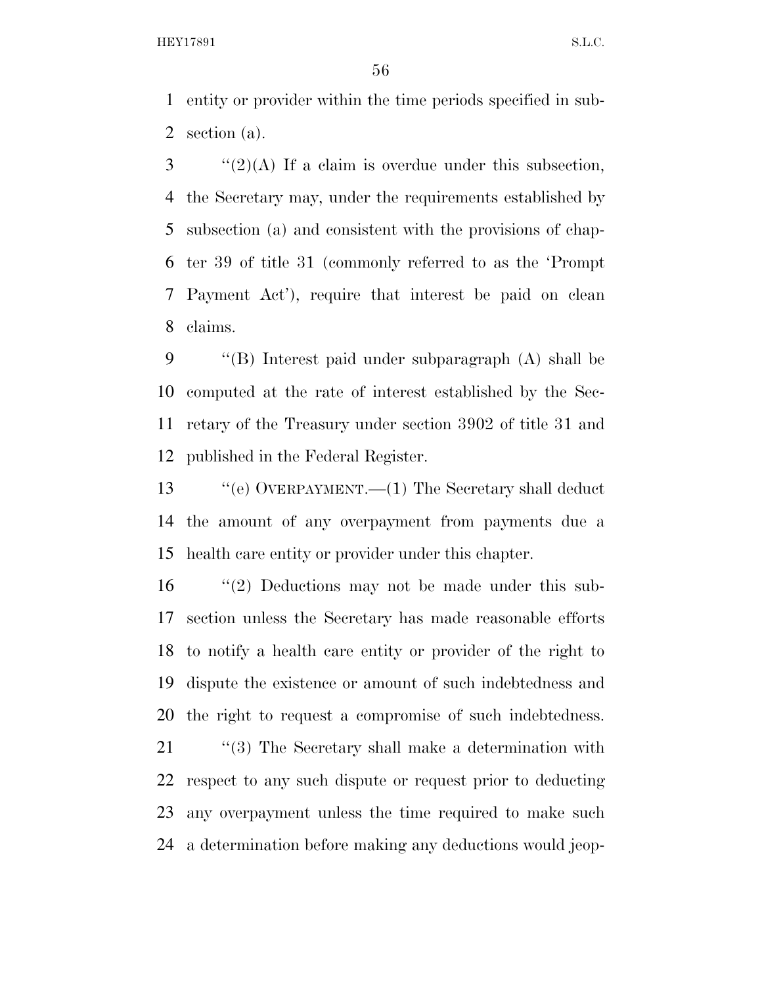entity or provider within the time periods specified in sub-section (a).

 ''(2)(A) If a claim is overdue under this subsection, the Secretary may, under the requirements established by subsection (a) and consistent with the provisions of chap- ter 39 of title 31 (commonly referred to as the 'Prompt Payment Act'), require that interest be paid on clean claims.

 ''(B) Interest paid under subparagraph (A) shall be computed at the rate of interest established by the Sec- retary of the Treasury under section 3902 of title 31 and published in the Federal Register.

 ''(e) OVERPAYMENT.—(1) The Secretary shall deduct the amount of any overpayment from payments due a health care entity or provider under this chapter.

 ''(2) Deductions may not be made under this sub- section unless the Secretary has made reasonable efforts to notify a health care entity or provider of the right to dispute the existence or amount of such indebtedness and the right to request a compromise of such indebtedness.

21 "(3) The Secretary shall make a determination with respect to any such dispute or request prior to deducting any overpayment unless the time required to make such a determination before making any deductions would jeop-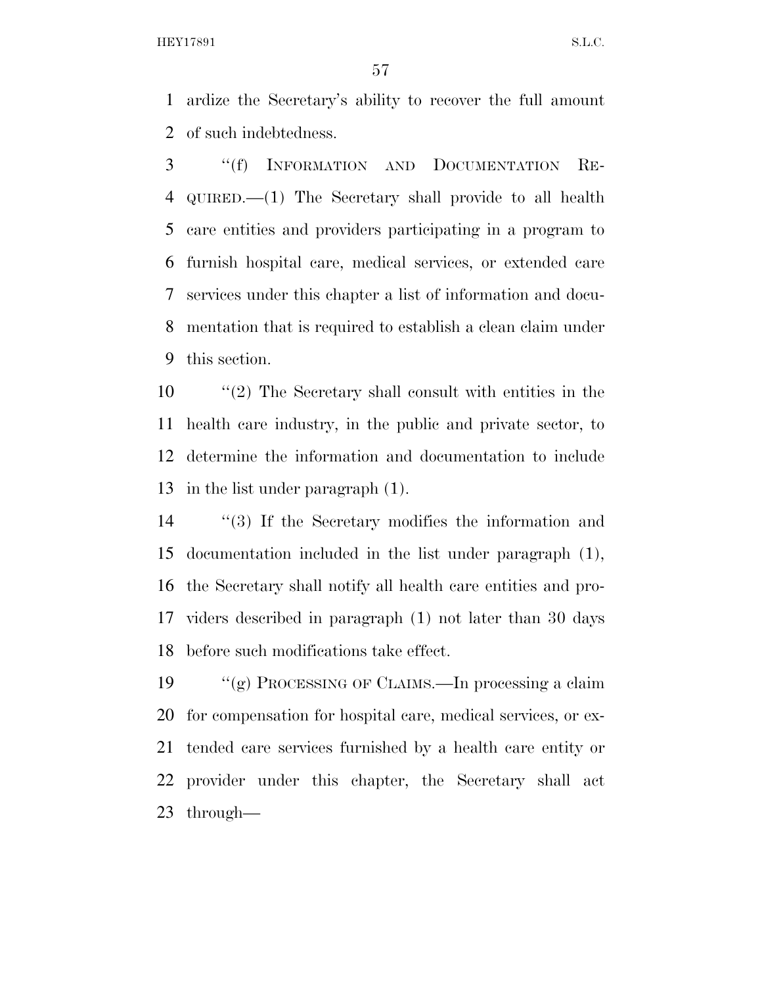ardize the Secretary's ability to recover the full amount of such indebtedness.

 ''(f) INFORMATION AND DOCUMENTATION RE- QUIRED.—(1) The Secretary shall provide to all health care entities and providers participating in a program to furnish hospital care, medical services, or extended care services under this chapter a list of information and docu- mentation that is required to establish a clean claim under this section.

 ''(2) The Secretary shall consult with entities in the health care industry, in the public and private sector, to determine the information and documentation to include in the list under paragraph (1).

 ''(3) If the Secretary modifies the information and documentation included in the list under paragraph (1), the Secretary shall notify all health care entities and pro- viders described in paragraph (1) not later than 30 days before such modifications take effect.

 ''(g) PROCESSING OF CLAIMS.—In processing a claim for compensation for hospital care, medical services, or ex- tended care services furnished by a health care entity or provider under this chapter, the Secretary shall act through—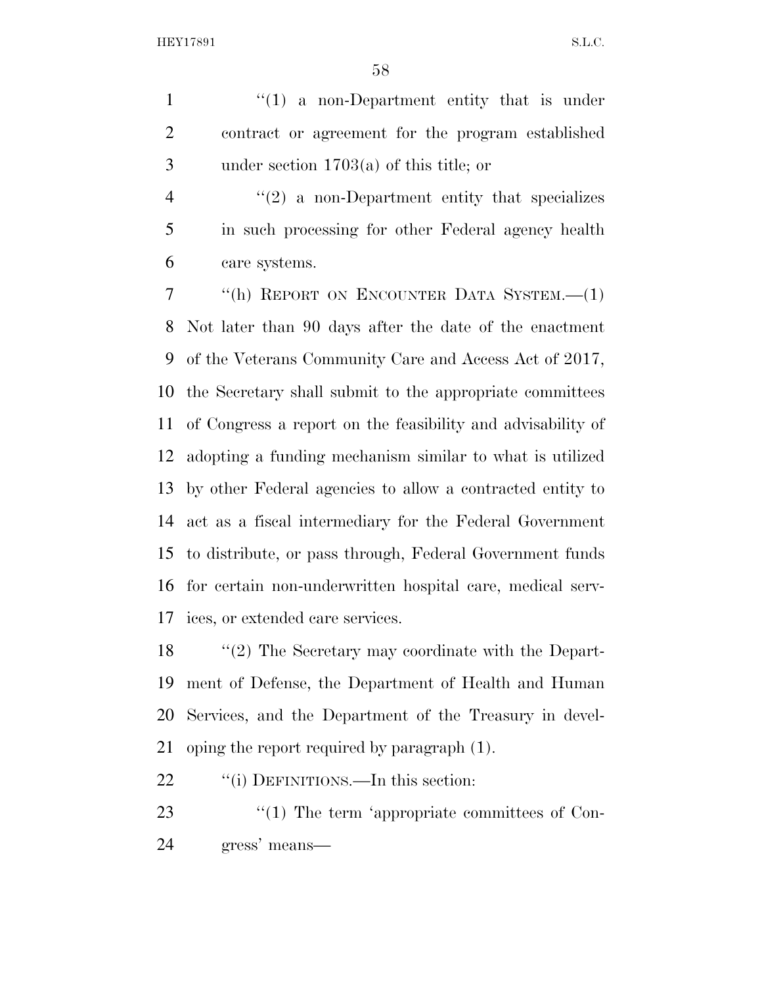1 ''(1) a non-Department entity that is under contract or agreement for the program established under section 1703(a) of this title; or

4 "(2) a non-Department entity that specializes in such processing for other Federal agency health care systems.

 ''(h) REPORT ON ENCOUNTER DATA SYSTEM.—(1) Not later than 90 days after the date of the enactment of the Veterans Community Care and Access Act of 2017, the Secretary shall submit to the appropriate committees of Congress a report on the feasibility and advisability of adopting a funding mechanism similar to what is utilized by other Federal agencies to allow a contracted entity to act as a fiscal intermediary for the Federal Government to distribute, or pass through, Federal Government funds for certain non-underwritten hospital care, medical serv-ices, or extended care services.

 ''(2) The Secretary may coordinate with the Depart- ment of Defense, the Department of Health and Human Services, and the Department of the Treasury in devel-oping the report required by paragraph (1).

22 ""(i) DEFINITIONS.—In this section:

23  $\frac{1}{2}$  The term 'appropriate committees of Con-gress' means—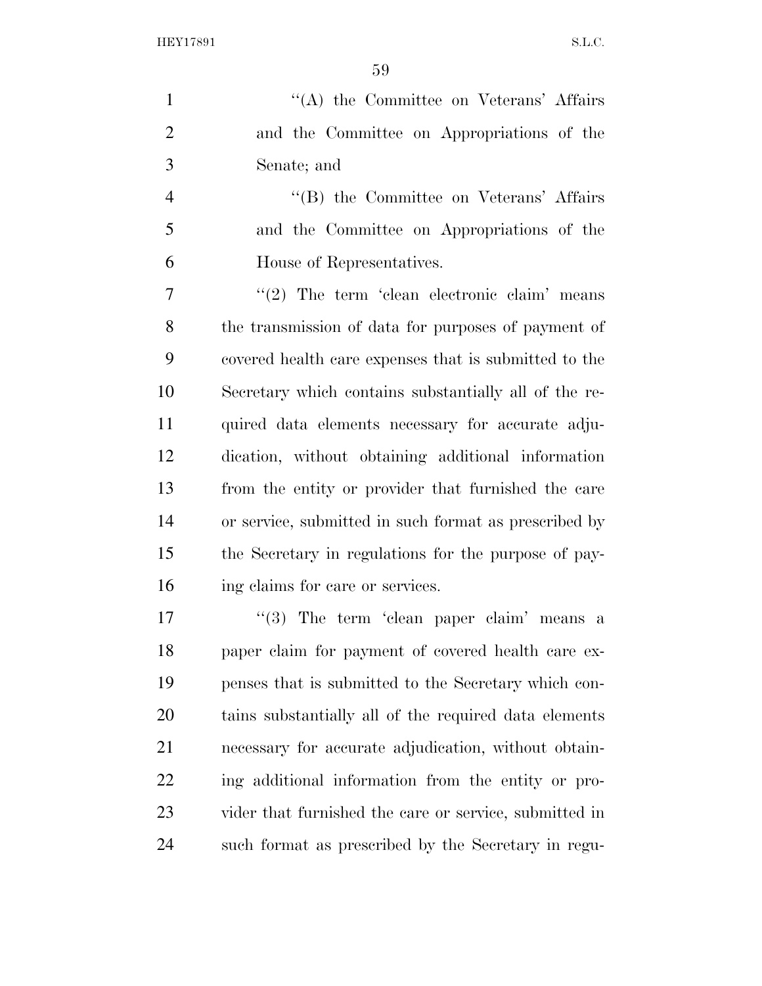1 ''(A) the Committee on Veterans' Affairs and the Committee on Appropriations of the Senate; and

4 ''(B) the Committee on Veterans' Affairs and the Committee on Appropriations of the House of Representatives.

 $7 \t$  (2) The term 'clean electronic claim' means the transmission of data for purposes of payment of covered health care expenses that is submitted to the Secretary which contains substantially all of the re- quired data elements necessary for accurate adju- dication, without obtaining additional information from the entity or provider that furnished the care or service, submitted in such format as prescribed by the Secretary in regulations for the purpose of pay-16 ing claims for care or services.

 "(3) The term 'clean paper claim' means a paper claim for payment of covered health care ex- penses that is submitted to the Secretary which con- tains substantially all of the required data elements necessary for accurate adjudication, without obtain- ing additional information from the entity or pro- vider that furnished the care or service, submitted in such format as prescribed by the Secretary in regu-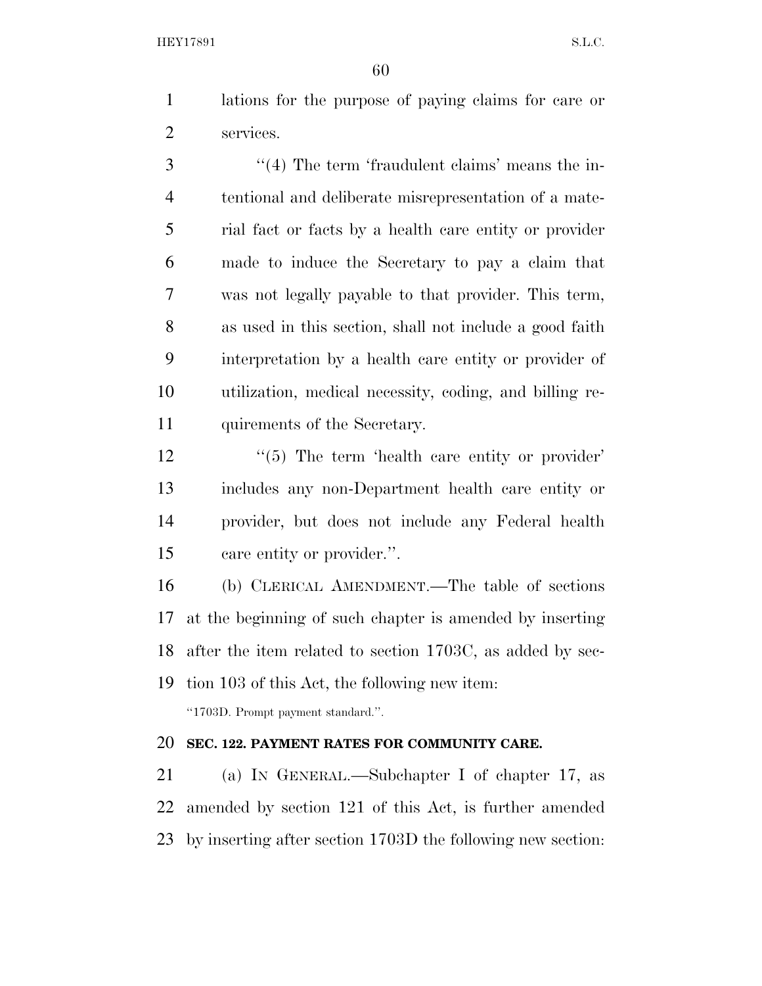lations for the purpose of paying claims for care or services.

3 ''(4) The term 'fraudulent claims' means the in- tentional and deliberate misrepresentation of a mate- rial fact or facts by a health care entity or provider made to induce the Secretary to pay a claim that was not legally payable to that provider. This term, as used in this section, shall not include a good faith interpretation by a health care entity or provider of utilization, medical necessity, coding, and billing re-quirements of the Secretary.

12 ''(5) The term 'health care entity or provider' includes any non-Department health care entity or provider, but does not include any Federal health care entity or provider.''.

 (b) CLERICAL AMENDMENT.—The table of sections at the beginning of such chapter is amended by inserting after the item related to section 1703C, as added by sec- tion 103 of this Act, the following new item: ''1703D. Prompt payment standard.''.

#### **SEC. 122. PAYMENT RATES FOR COMMUNITY CARE.**

 (a) IN GENERAL.—Subchapter I of chapter 17, as amended by section 121 of this Act, is further amended by inserting after section 1703D the following new section: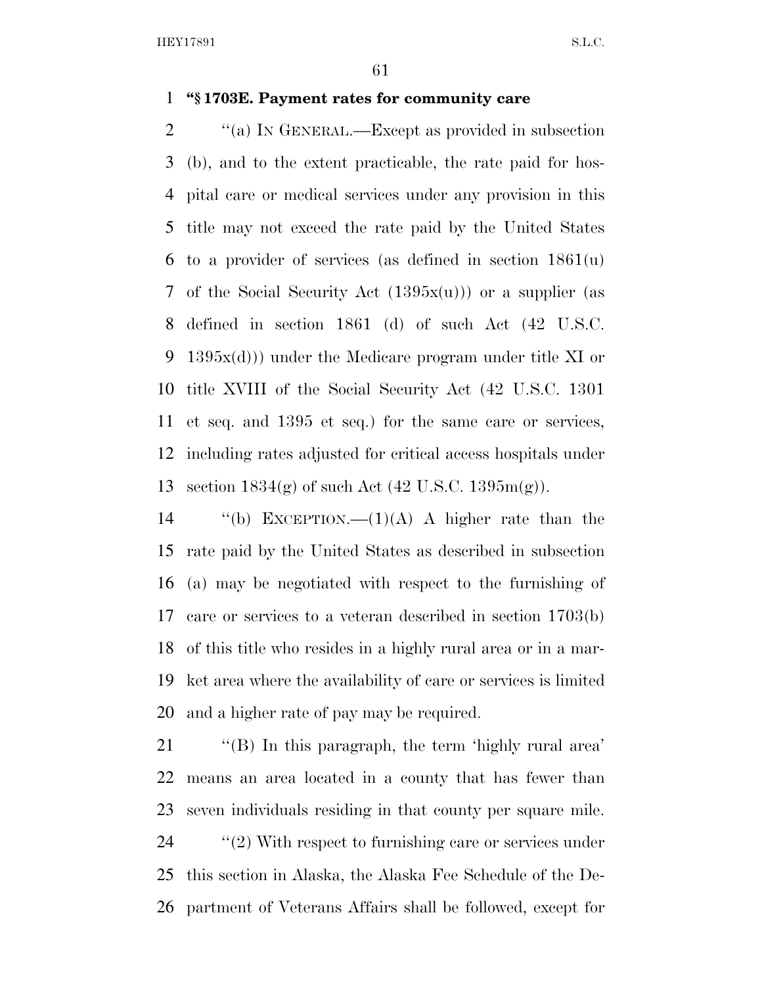#### **''§ 1703E. Payment rates for community care**

 $\gamma$  (a) In GENERAL.—Except as provided in subsection (b), and to the extent practicable, the rate paid for hos- pital care or medical services under any provision in this title may not exceed the rate paid by the United States to a provider of services (as defined in section 1861(u) of the Social Security Act (1395x(u))) or a supplier (as defined in section 1861 (d) of such Act (42 U.S.C. 1395x(d))) under the Medicare program under title XI or title XVIII of the Social Security Act (42 U.S.C. 1301 et seq. and 1395 et seq.) for the same care or services, including rates adjusted for critical access hospitals under section 1834(g) of such Act (42 U.S.C. 1395m(g)).

 $\qquad$  (b) EXCEPTION.—(1)(A) A higher rate than the rate paid by the United States as described in subsection (a) may be negotiated with respect to the furnishing of care or services to a veteran described in section 1703(b) of this title who resides in a highly rural area or in a mar- ket area where the availability of care or services is limited and a higher rate of pay may be required.

 ''(B) In this paragraph, the term 'highly rural area' means an area located in a county that has fewer than seven individuals residing in that county per square mile.  $\gamma$  (2) With respect to furnishing care or services under this section in Alaska, the Alaska Fee Schedule of the De-partment of Veterans Affairs shall be followed, except for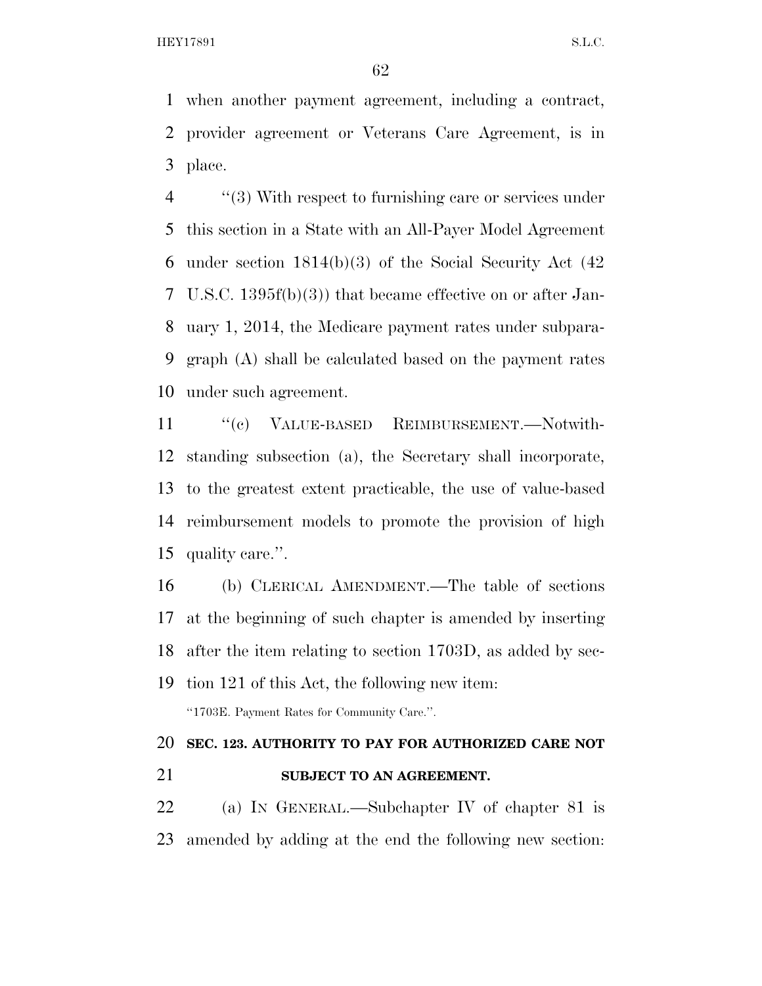when another payment agreement, including a contract, provider agreement or Veterans Care Agreement, is in place.

 ''(3) With respect to furnishing care or services under this section in a State with an All-Payer Model Agreement under section 1814(b)(3) of the Social Security Act (42 U.S.C. 1395f(b)(3)) that became effective on or after Jan- uary 1, 2014, the Medicare payment rates under subpara- graph (A) shall be calculated based on the payment rates under such agreement.

11 "(c) VALUE-BASED REIMBURSEMENT.—Notwith- standing subsection (a), the Secretary shall incorporate, to the greatest extent practicable, the use of value-based reimbursement models to promote the provision of high quality care.''.

 (b) CLERICAL AMENDMENT.—The table of sections at the beginning of such chapter is amended by inserting after the item relating to section 1703D, as added by sec- tion 121 of this Act, the following new item: ''1703E. Payment Rates for Community Care.''.

### **SEC. 123. AUTHORITY TO PAY FOR AUTHORIZED CARE NOT SUBJECT TO AN AGREEMENT.**

 (a) IN GENERAL.—Subchapter IV of chapter 81 is amended by adding at the end the following new section: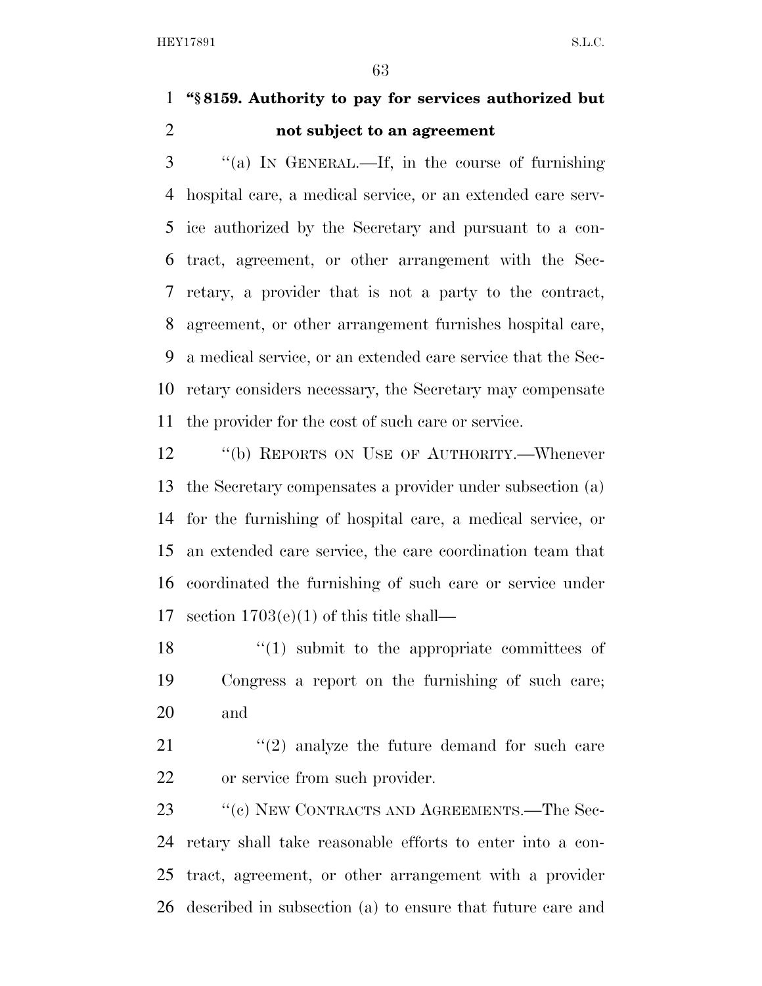### **''§ 8159. Authority to pay for services authorized but not subject to an agreement**

 ''(a) IN GENERAL.—If, in the course of furnishing hospital care, a medical service, or an extended care serv- ice authorized by the Secretary and pursuant to a con- tract, agreement, or other arrangement with the Sec- retary, a provider that is not a party to the contract, agreement, or other arrangement furnishes hospital care, a medical service, or an extended care service that the Sec- retary considers necessary, the Secretary may compensate the provider for the cost of such care or service.

12 "(b) REPORTS ON USE OF AUTHORITY.—Whenever the Secretary compensates a provider under subsection (a) for the furnishing of hospital care, a medical service, or an extended care service, the care coordination team that coordinated the furnishing of such care or service under 17 section  $1703(e)(1)$  of this title shall—

18  $\langle (1)$  submit to the appropriate committees of Congress a report on the furnishing of such care; and

21  $(2)$  analyze the future demand for such care or service from such provider.

23 " (c) NEW CONTRACTS AND AGREEMENTS.—The Sec- retary shall take reasonable efforts to enter into a con- tract, agreement, or other arrangement with a provider described in subsection (a) to ensure that future care and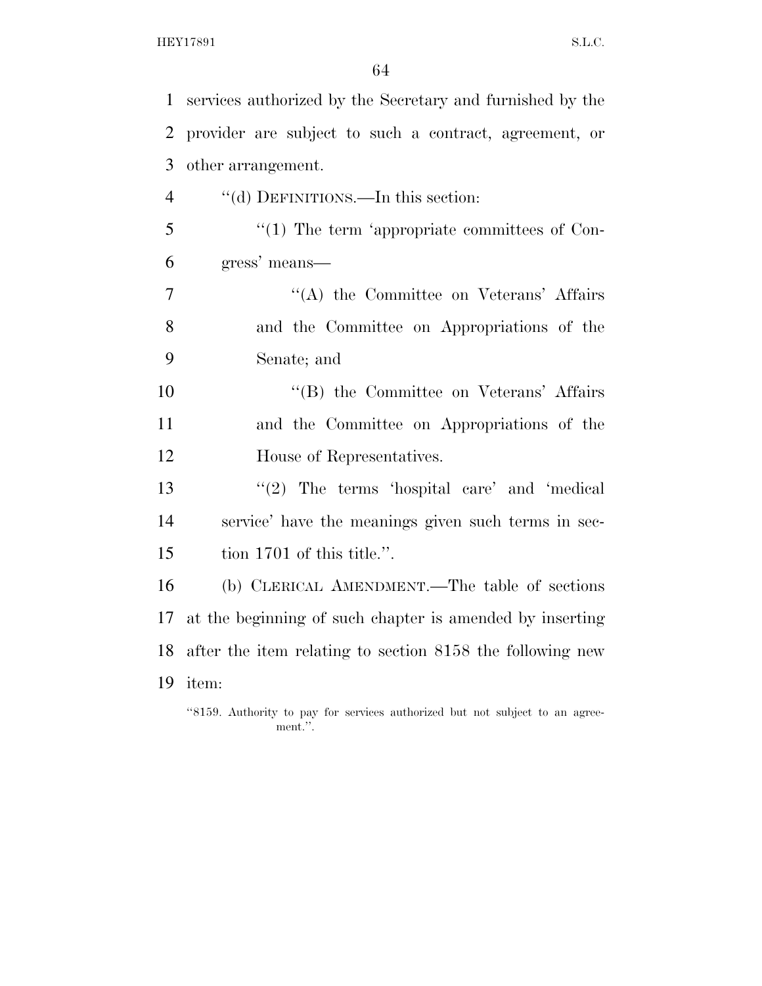| $\mathbf{1}$   | services authorized by the Secretary and furnished by the                               |
|----------------|-----------------------------------------------------------------------------------------|
| $\overline{2}$ | provider are subject to such a contract, agreement, or                                  |
| 3              | other arrangement.                                                                      |
| $\overline{4}$ | "(d) DEFINITIONS.—In this section:                                                      |
| 5              | $\lq(1)$ The term 'appropriate committees of Con-                                       |
| 6              | gress' means—                                                                           |
| 7              | "(A) the Committee on Veterans' Affairs                                                 |
| 8              | and the Committee on Appropriations of the                                              |
| 9              | Senate; and                                                                             |
| 10             | "(B) the Committee on Veterans' Affairs                                                 |
| 11             | and the Committee on Appropriations of the                                              |
| 12             | House of Representatives.                                                               |
| 13             | " $(2)$ The terms 'hospital care' and 'medical                                          |
| 14             | service' have the meanings given such terms in sec-                                     |
| 15             | tion 1701 of this title.".                                                              |
| 16             | (b) CLERICAL AMENDMENT.—The table of sections                                           |
| 17             | at the beginning of such chapter is amended by inserting                                |
| 18             | after the item relating to section 8158 the following new                               |
| 19             | item:                                                                                   |
|                | "8159. Authority to pay for services authorized but not subject to an agree-<br>ment.". |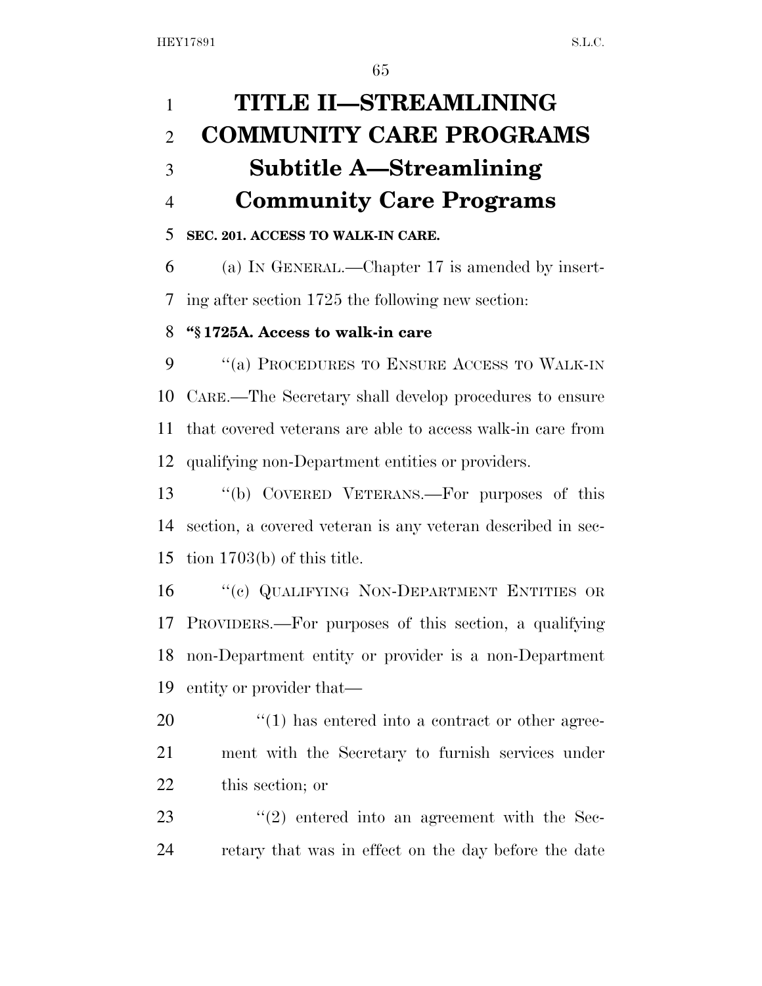| $\mathbf{1}$   | TITLE II-STREAMLINING                                            |
|----------------|------------------------------------------------------------------|
| $\overline{2}$ | <b>COMMUNITY CARE PROGRAMS</b>                                   |
| 3              | Subtitle A—Streamlining                                          |
| $\overline{4}$ | <b>Community Care Programs</b>                                   |
| 5              | SEC. 201. ACCESS TO WALK-IN CARE.                                |
| 6              | (a) IN GENERAL.—Chapter 17 is amended by insert-                 |
| 7              | ing after section 1725 the following new section:                |
| 8              | "§1725A. Access to walk-in care                                  |
| 9              | "(a) PROCEDURES TO ENSURE ACCESS TO WALK-IN                      |
| 10             | CARE.—The Secretary shall develop procedures to ensure           |
| 11             | that covered veterans are able to access walk-in care from       |
| 12             | qualifying non-Department entities or providers.                 |
| 13             | "(b) COVERED VETERANS.—For purposes of this                      |
| 14             | section, a covered veteran is any veteran described in sec-      |
| 15             | tion $1703(b)$ of this title.                                    |
| 16             | "(c) QUALIFYING NON-DEPARTMENT ENTITIES OR                       |
|                | 17 PROVIDERS.—For purposes of this section, a qualifying         |
| 18             | non-Department entity or provider is a non-Department            |
| 19             | entity or provider that—                                         |
| 20             | $\cdot\cdot\cdot(1)$ has entered into a contract or other agree- |
| 21             | ment with the Secretary to furnish services under                |
| 22             | this section; or                                                 |

23 ''(2) entered into an agreement with the Sec-retary that was in effect on the day before the date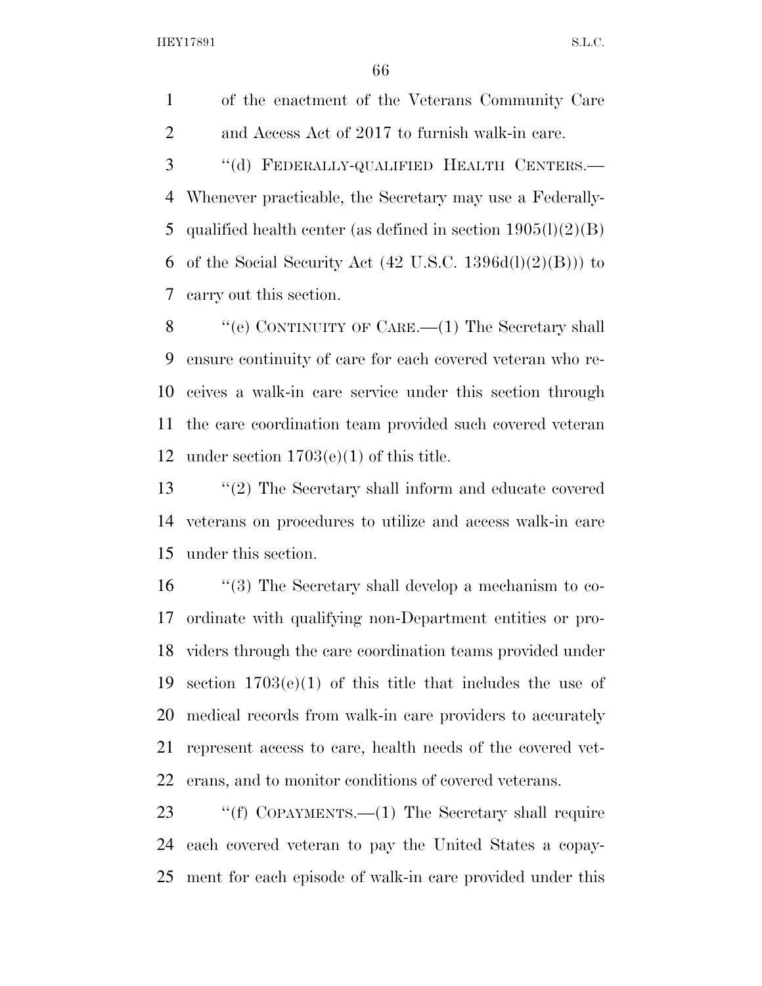of the enactment of the Veterans Community Care and Access Act of 2017 to furnish walk-in care.

 ''(d) FEDERALLY-QUALIFIED HEALTH CENTERS.— Whenever practicable, the Secretary may use a Federally-5 qualified health center (as defined in section  $1905(l)(2)(B)$ ) 6 of the Social Security Act  $(42 \text{ U.S.C. } 1396d(l)(2)(B))$  to carry out this section.

8 "'(e) CONTINUITY OF CARE.—(1) The Secretary shall ensure continuity of care for each covered veteran who re- ceives a walk-in care service under this section through the care coordination team provided such covered veteran under section 1703(e)(1) of this title.

 ''(2) The Secretary shall inform and educate covered veterans on procedures to utilize and access walk-in care under this section.

 ''(3) The Secretary shall develop a mechanism to co- ordinate with qualifying non-Department entities or pro- viders through the care coordination teams provided under section 1703(e)(1) of this title that includes the use of medical records from walk-in care providers to accurately represent access to care, health needs of the covered vet-erans, and to monitor conditions of covered veterans.

 ''(f) COPAYMENTS.—(1) The Secretary shall require each covered veteran to pay the United States a copay-ment for each episode of walk-in care provided under this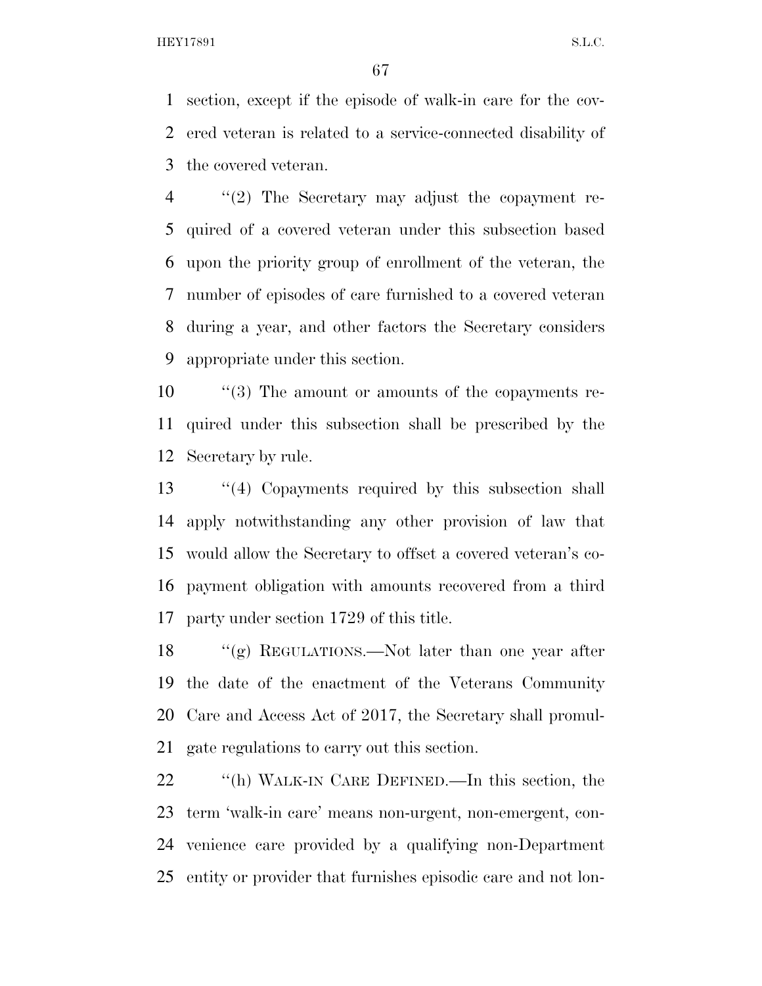section, except if the episode of walk-in care for the cov- ered veteran is related to a service-connected disability of the covered veteran.

 ''(2) The Secretary may adjust the copayment re- quired of a covered veteran under this subsection based upon the priority group of enrollment of the veteran, the number of episodes of care furnished to a covered veteran during a year, and other factors the Secretary considers appropriate under this section.

 ''(3) The amount or amounts of the copayments re- quired under this subsection shall be prescribed by the Secretary by rule.

 ''(4) Copayments required by this subsection shall apply notwithstanding any other provision of law that would allow the Secretary to offset a covered veteran's co- payment obligation with amounts recovered from a third party under section 1729 of this title.

 ''(g) REGULATIONS.—Not later than one year after the date of the enactment of the Veterans Community Care and Access Act of 2017, the Secretary shall promul-gate regulations to carry out this section.

22 "(h) WALK-IN CARE DEFINED.—In this section, the term 'walk-in care' means non-urgent, non-emergent, con- venience care provided by a qualifying non-Department entity or provider that furnishes episodic care and not lon-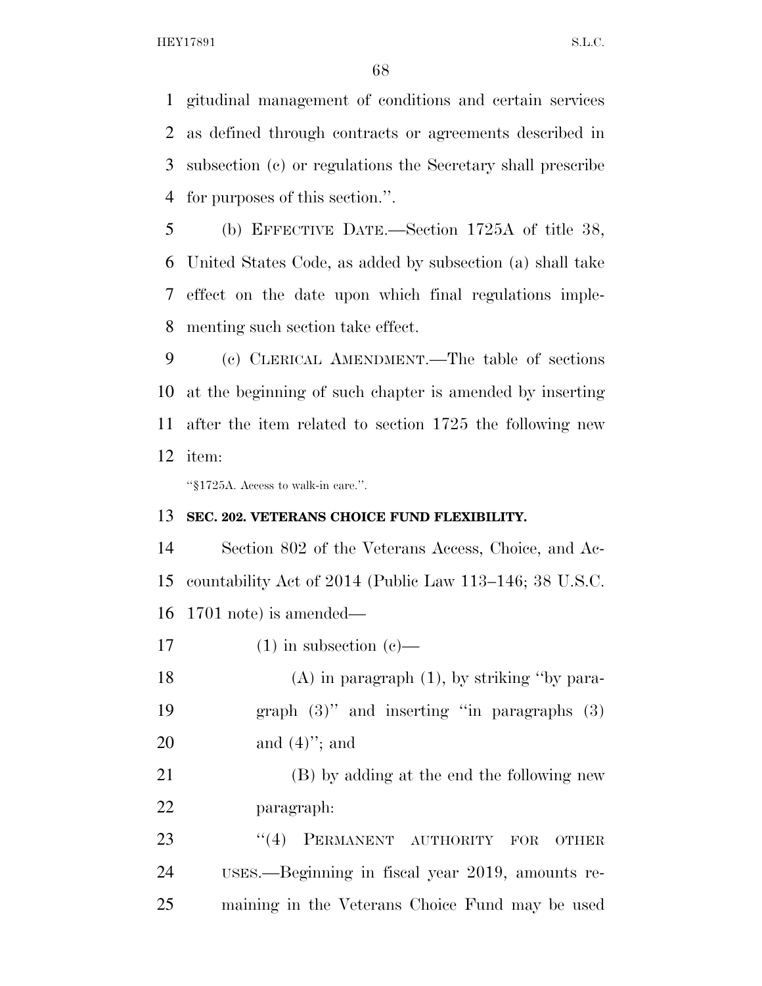gitudinal management of conditions and certain services as defined through contracts or agreements described in subsection (c) or regulations the Secretary shall prescribe for purposes of this section.''.

 (b) EFFECTIVE DATE.—Section 1725A of title 38, United States Code, as added by subsection (a) shall take effect on the date upon which final regulations imple-menting such section take effect.

 (c) CLERICAL AMENDMENT.—The table of sections at the beginning of such chapter is amended by inserting after the item related to section 1725 the following new item:

''§1725A. Access to walk-in care.''.

#### **SEC. 202. VETERANS CHOICE FUND FLEXIBILITY.**

 Section 802 of the Veterans Access, Choice, and Ac- countability Act of 2014 (Public Law 113–146; 38 U.S.C. 1701 note) is amended—

17 (1) in subsection  $(c)$ —

 (A) in paragraph (1), by striking ''by para- graph (3)'' and inserting ''in paragraphs (3) and (4)''; and

 (B) by adding at the end the following new paragraph:

23 "(4) PERMANENT AUTHORITY FOR OTHER USES.—Beginning in fiscal year 2019, amounts re-maining in the Veterans Choice Fund may be used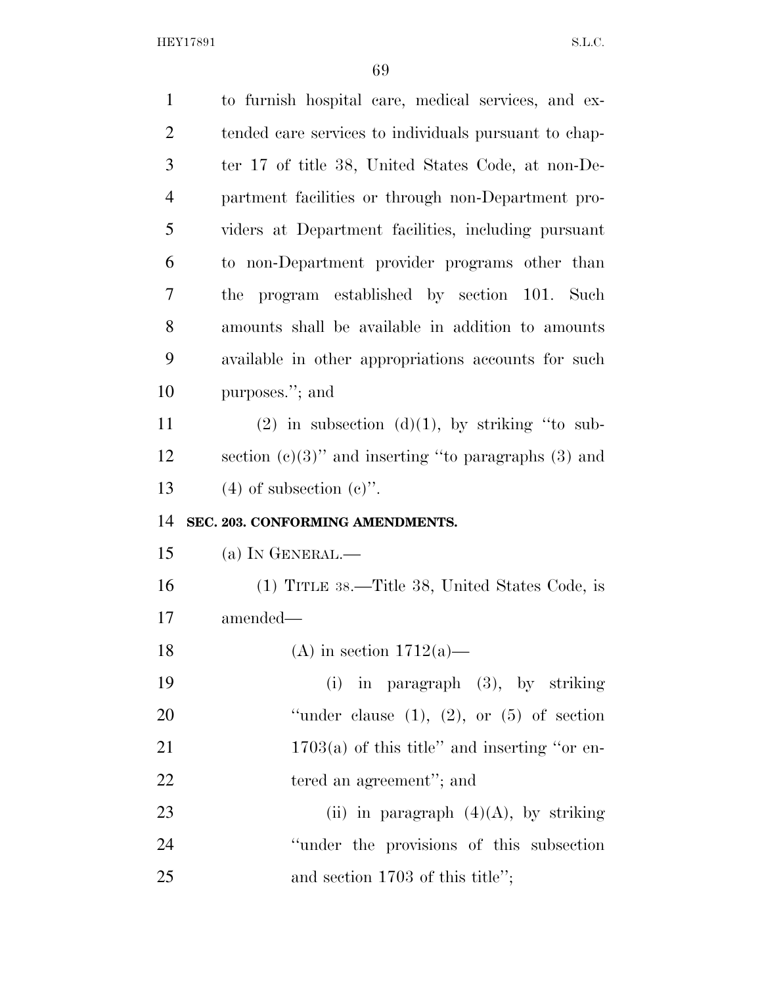| $\mathbf{1}$   | to furnish hospital care, medical services, and ex-       |
|----------------|-----------------------------------------------------------|
| $\overline{2}$ | tended care services to individuals pursuant to chap-     |
| 3              | ter 17 of title 38, United States Code, at non-De-        |
| $\overline{4}$ | partment facilities or through non-Department pro-        |
| 5              | viders at Department facilities, including pursuant       |
| 6              | to non-Department provider programs other than            |
| 7              | program established by section 101. Such<br>the           |
| 8              | amounts shall be available in addition to amounts         |
| 9              | available in other appropriations accounts for such       |
| 10             | purposes."; and                                           |
| 11             | $(2)$ in subsection $(d)(1)$ , by striking "to sub-       |
| 12             | section $(c)(3)$ " and inserting "to paragraphs $(3)$ and |
|                |                                                           |
| 13             | $(4)$ of subsection $(e)$ ".                              |
| 14             | SEC. 203. CONFORMING AMENDMENTS.                          |
| 15             | (a) IN GENERAL.-                                          |
| 16             | (1) TITLE 38.—Title 38, United States Code, is            |
| 17             | amended-                                                  |
| 18             | (A) in section $1712(a)$ —                                |
| 19             | $(i)$ in paragraph $(3)$ , by striking                    |
| 20             | "under clause $(1)$ , $(2)$ , or $(5)$ of section         |
| 21             | $1703(a)$ of this title" and inserting "or en-            |
| 22             | tered an agreement"; and                                  |
| 23             | (ii) in paragraph $(4)(A)$ , by striking                  |
| 24             | "under the provisions of this subsection                  |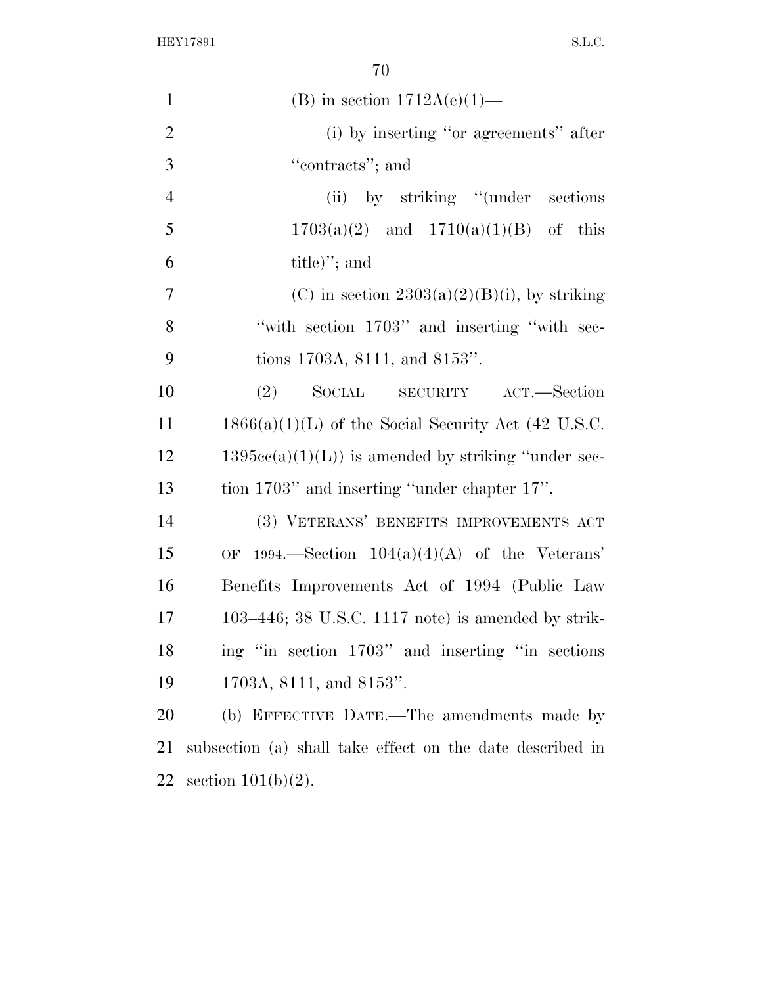| $\mathbf{1}$   | (B) in section $1712A(e)(1)$ —                            |
|----------------|-----------------------------------------------------------|
| $\overline{2}$ | (i) by inserting "or agreements" after                    |
| 3              | "contracts"; and                                          |
| $\overline{4}$ | (ii) by striking "(under sections)                        |
| 5              | $1703(a)(2)$ and $1710(a)(1)(B)$ of this                  |
| 6              | $\text{title}$ "; and                                     |
| $\tau$         | (C) in section $2303(a)(2)(B)(i)$ , by striking           |
| 8              | "with section 1703" and inserting "with sec-              |
| 9              | tions 1703A, 8111, and 8153".                             |
| 10             | SOCIAL SECURITY ACT.—Section<br>(2)                       |
| 11             | $1866(a)(1)(L)$ of the Social Security Act (42 U.S.C.     |
| 12             | $1395cc(a)(1)(L)$ is amended by striking "under sec-      |
| 13             | tion 1703" and inserting "under chapter 17".              |
| 14             | (3) VETERANS' BENEFITS IMPROVEMENTS ACT                   |
| 15             | 1994.—Section $104(a)(4)(A)$ of the Veterans'<br>OF       |
| 16             | Benefits Improvements Act of 1994 (Public Law             |
| 17             | $103-446$ ; 38 U.S.C. 1117 note) is amended by strik-     |
| 18             | ing "in section 1703" and inserting "in sections"         |
| 19             | 1703A, 8111, and 8153".                                   |
| 20             | (b) EFFECTIVE DATE.—The amendments made by                |
| 21             | subsection (a) shall take effect on the date described in |
| 22             | section $101(b)(2)$ .                                     |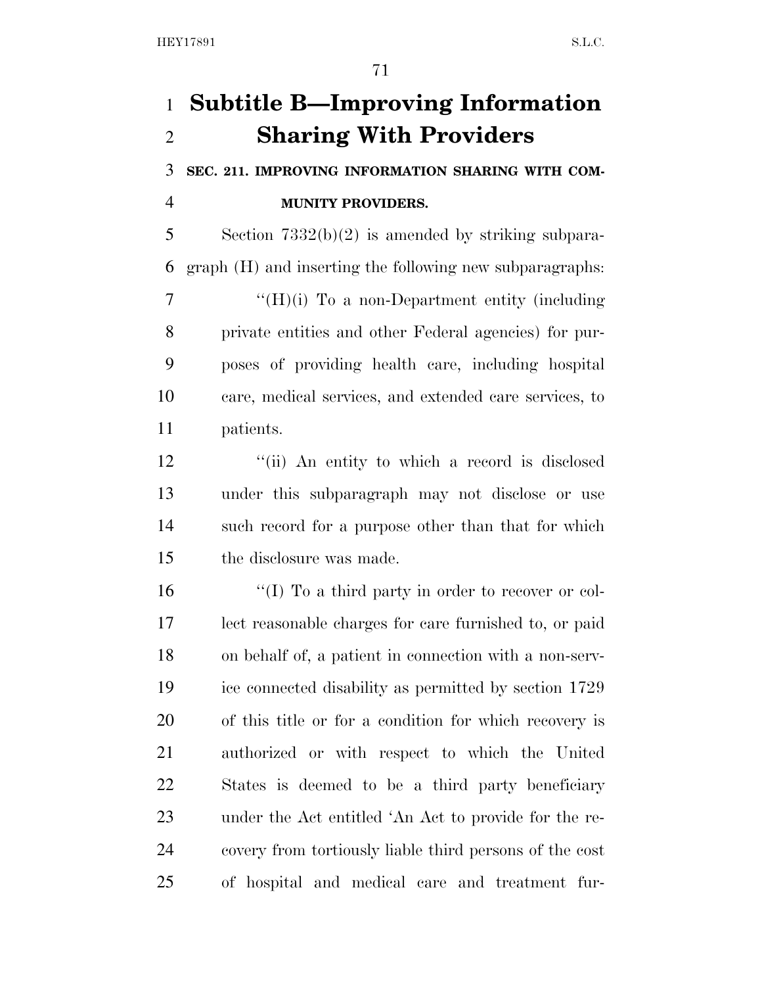# **Subtitle B—Improving Information Sharing With Providers**

 **SEC. 211. IMPROVING INFORMATION SHARING WITH COM-MUNITY PROVIDERS.** 

 Section 7332(b)(2) is amended by striking subpara-graph (H) and inserting the following new subparagraphs:

 $\mathcal{T}$  "(H)(i) To a non-Department entity (including private entities and other Federal agencies) for pur- poses of providing health care, including hospital care, medical services, and extended care services, to patients.

12 ''(ii) An entity to which a record is disclosed under this subparagraph may not disclose or use such record for a purpose other than that for which the disclosure was made.

16 ''(I) To a third party in order to recover or col- lect reasonable charges for care furnished to, or paid on behalf of, a patient in connection with a non-serv- ice connected disability as permitted by section 1729 of this title or for a condition for which recovery is authorized or with respect to which the United States is deemed to be a third party beneficiary under the Act entitled 'An Act to provide for the re- covery from tortiously liable third persons of the cost of hospital and medical care and treatment fur-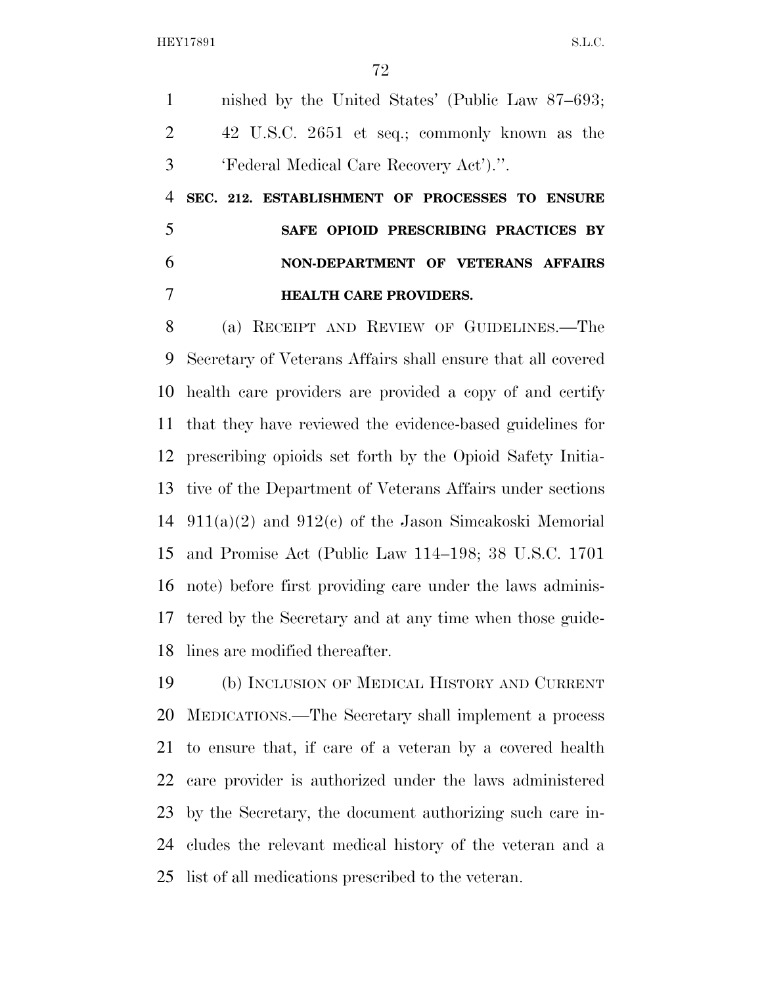nished by the United States' (Public Law 87–693; 42 U.S.C. 2651 et seq.; commonly known as the 'Federal Medical Care Recovery Act').''.

 **SEC. 212. ESTABLISHMENT OF PROCESSES TO ENSURE SAFE OPIOID PRESCRIBING PRACTICES BY NON-DEPARTMENT OF VETERANS AFFAIRS HEALTH CARE PROVIDERS.** 

 (a) RECEIPT AND REVIEW OF GUIDELINES.—The Secretary of Veterans Affairs shall ensure that all covered health care providers are provided a copy of and certify that they have reviewed the evidence-based guidelines for prescribing opioids set forth by the Opioid Safety Initia- tive of the Department of Veterans Affairs under sections 911(a)(2) and 912(c) of the Jason Simcakoski Memorial and Promise Act (Public Law 114–198; 38 U.S.C. 1701 note) before first providing care under the laws adminis- tered by the Secretary and at any time when those guide-lines are modified thereafter.

 (b) INCLUSION OF MEDICAL HISTORY AND CURRENT MEDICATIONS.—The Secretary shall implement a process to ensure that, if care of a veteran by a covered health care provider is authorized under the laws administered by the Secretary, the document authorizing such care in- cludes the relevant medical history of the veteran and a list of all medications prescribed to the veteran.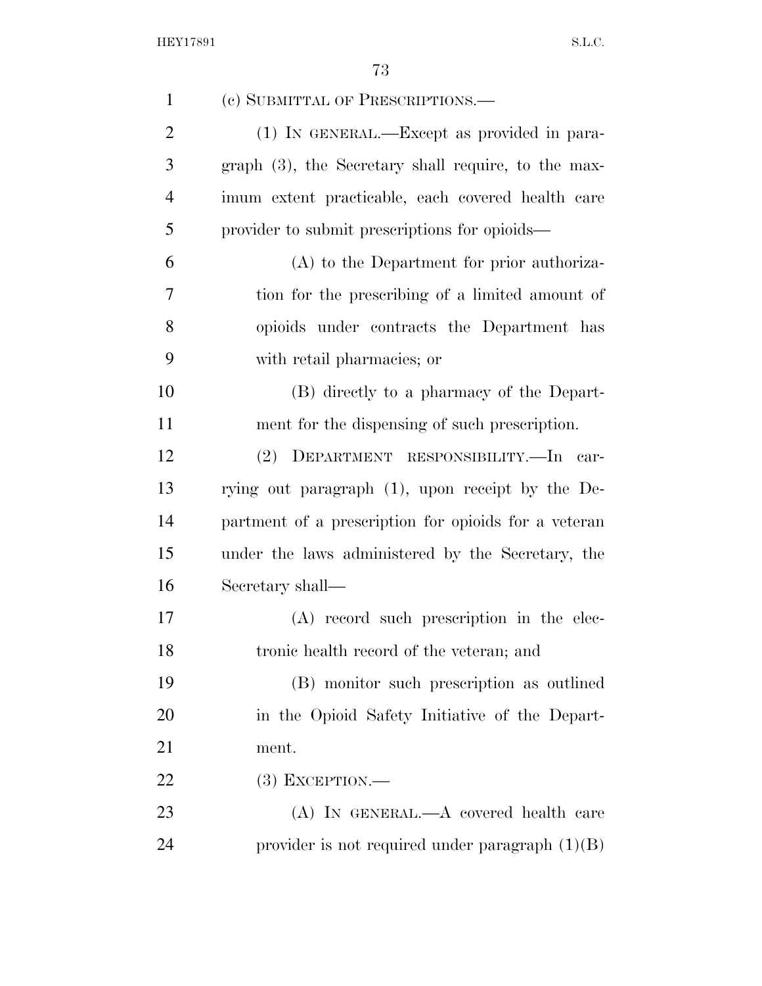| $\mathbf{1}$   | (c) SUBMITTAL OF PRESCRIPTIONS.—                       |
|----------------|--------------------------------------------------------|
| $\overline{2}$ | (1) IN GENERAL.—Except as provided in para-            |
| 3              | graph $(3)$ , the Secretary shall require, to the max- |
| $\overline{4}$ | imum extent practicable, each covered health care      |
| 5              | provider to submit prescriptions for opioids—          |
| 6              | (A) to the Department for prior authoriza-             |
| 7              | tion for the prescribing of a limited amount of        |
| 8              | opioids under contracts the Department has             |
| 9              | with retail pharmacies; or                             |
| 10             | (B) directly to a pharmacy of the Depart-              |
| 11             | ment for the dispensing of such prescription.          |
| 12             | (2) DEPARTMENT RESPONSIBILITY.—In car-                 |
| 13             | rying out paragraph (1), upon receipt by the De-       |
| 14             | partment of a prescription for opioids for a veteran   |
| 15             | under the laws administered by the Secretary, the      |
| 16             | Secretary shall—                                       |
| 17             | (A) record such prescription in the elec-              |
| 18             | tronic health record of the veteran; and               |
| 19             | (B) monitor such prescription as outlined              |
| 20             | in the Opioid Safety Initiative of the Depart-         |
| 21             | ment.                                                  |
| 22             | $(3)$ EXCEPTION.—                                      |
| 23             | $(A)$ In GENERAL.— $A$ covered health care             |
| 24             | provider is not required under paragraph $(1)(B)$      |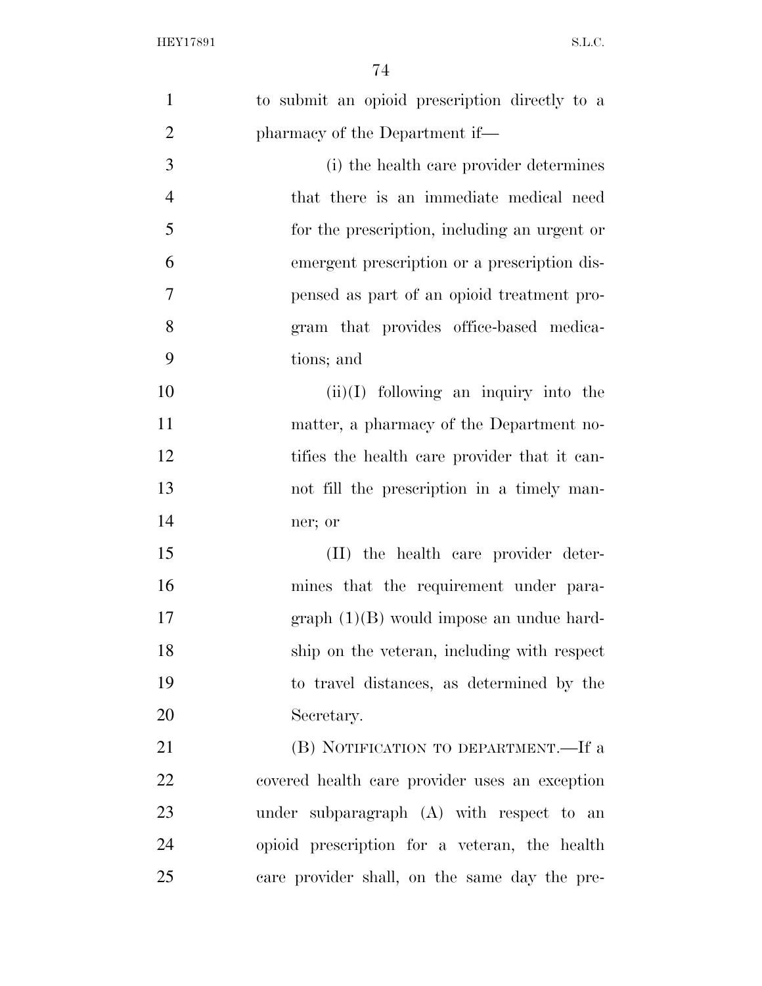| $\mathbf{1}$   | to submit an opioid prescription directly to a |
|----------------|------------------------------------------------|
| $\overline{2}$ | pharmacy of the Department if—                 |
| 3              | (i) the health care provider determines        |
| $\overline{4}$ | that there is an immediate medical need        |
| 5              | for the prescription, including an urgent or   |
| 6              | emergent prescription or a prescription dis-   |
| 7              | pensed as part of an opioid treatment pro-     |
| 8              | gram that provides office-based medica-        |
| 9              | tions; and                                     |
| 10             | $(ii)(I)$ following an inquiry into the        |
| 11             | matter, a pharmacy of the Department no-       |
| 12             | tifies the health care provider that it can-   |
| 13             | not fill the prescription in a timely man-     |
| 14             | ner; or                                        |
| 15             | (II) the health care provider deter-           |
| 16             | mines that the requirement under para-         |
| 17             | $graph (1)(B)$ would impose an undue hard-     |
| 18             | ship on the veteran, including with respect    |
| 19             | to travel distances, as determined by the      |
| 20             | Secretary.                                     |
| 21             | (B) NOTIFICATION TO DEPARTMENT.—If a           |
| 22             | covered health care provider uses an exception |
| 23             | under subparagraph (A) with respect to an      |
| 24             | opioid prescription for a veteran, the health  |
| 25             | care provider shall, on the same day the pre-  |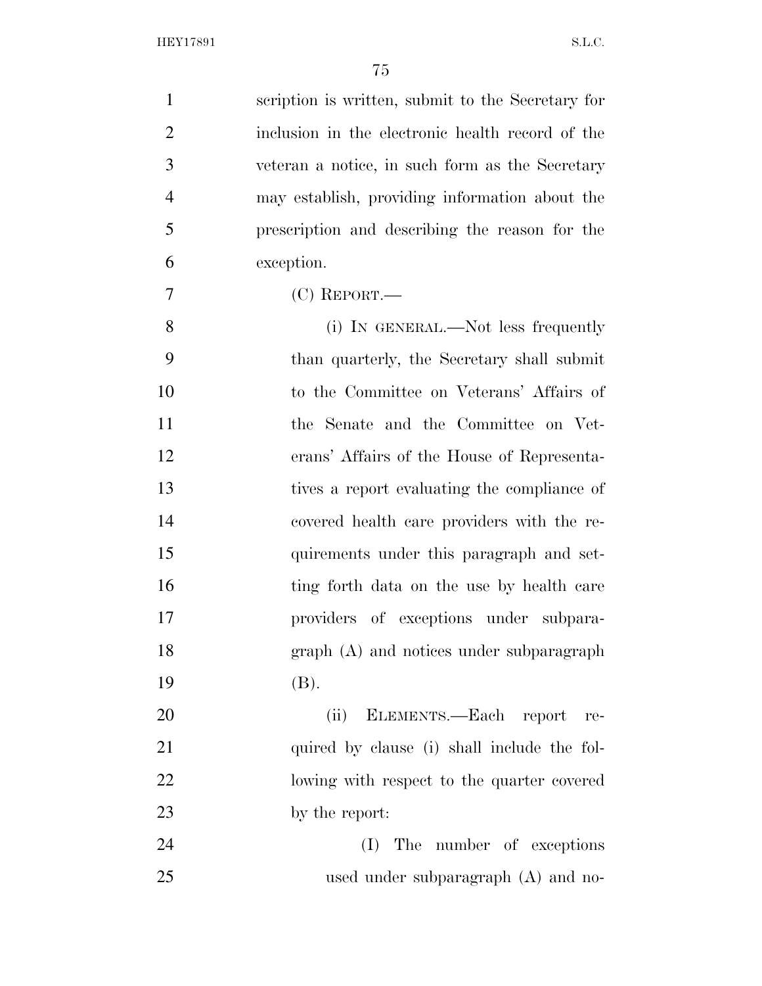| $\mathbf{1}$   | scription is written, submit to the Secretary for |
|----------------|---------------------------------------------------|
| $\overline{2}$ | inclusion in the electronic health record of the  |
| 3              | veteran a notice, in such form as the Secretary   |
| $\overline{4}$ | may establish, providing information about the    |
| 5              | prescription and describing the reason for the    |
| 6              | exception.                                        |
| $\tau$         | $(C)$ REPORT.—                                    |
| 8              | (i) IN GENERAL.—Not less frequently               |
| 9              | than quarterly, the Secretary shall submit        |
| 10             | to the Committee on Veterans' Affairs of          |
| 11             | the Senate and the Committee on Vet-              |
| 12             | erans' Affairs of the House of Representa-        |
| 13             | tives a report evaluating the compliance of       |
| 14             | covered health care providers with the re-        |
| 15             | quirements under this paragraph and set-          |
| 16             | ting forth data on the use by health care         |
| 17             | providers of exceptions under subpara-            |
| 18             | $graph(A)$ and notices under subparagraph         |
| 19             | (B).                                              |
| 20             | ELEMENTS.—Each report<br>(ii)<br>re-              |
| 21             | quired by clause (i) shall include the fol-       |
| 22             | lowing with respect to the quarter covered        |
| 23             | by the report:                                    |
| 24             | The number of exceptions<br>(I)                   |
| 25             | used under subparagraph $(A)$ and no-             |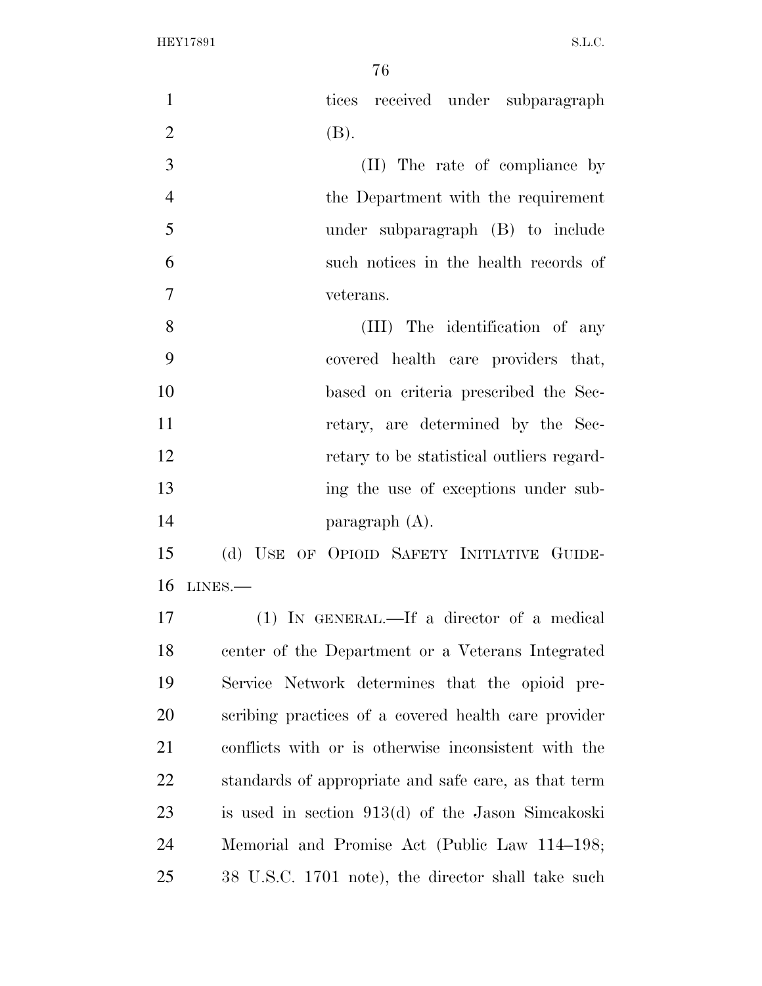| $\mathbf{1}$   | tices received under subparagraph                    |
|----------------|------------------------------------------------------|
| $\overline{2}$ | (B).                                                 |
| 3              | (II) The rate of compliance by                       |
| $\overline{4}$ | the Department with the requirement                  |
| 5              | under subparagraph (B) to include                    |
| 6              | such notices in the health records of                |
| $\overline{7}$ | veterans.                                            |
| 8              | (III) The identification of any                      |
| 9              | covered health care providers that,                  |
| 10             | based on criteria prescribed the Sec-                |
| 11             | retary, are determined by the Sec-                   |
| 12             | retary to be statistical outliers regard-            |
| 13             | ing the use of exceptions under sub-                 |
| 14             | paragraph $(A)$ .                                    |
| 15             | (d) USE OF OPIOID SAFETY INITIATIVE GUIDE-           |
| 16             | $LINES. -$                                           |
| 17             | $(1)$ IN GENERAL.—If a director of a medical         |
| 18             | center of the Department or a Veterans Integrated    |
| 19             | Service Network determines that the opioid pre-      |
| 20             | scribing practices of a covered health care provider |
| 21             | conflicts with or is otherwise inconsistent with the |
| 22             | standards of appropriate and safe care, as that term |
| 23             | is used in section 913(d) of the Jason Simcakoski    |
| 24             | Memorial and Promise Act (Public Law 114–198;        |
| 25             | 38 U.S.C. 1701 note), the director shall take such   |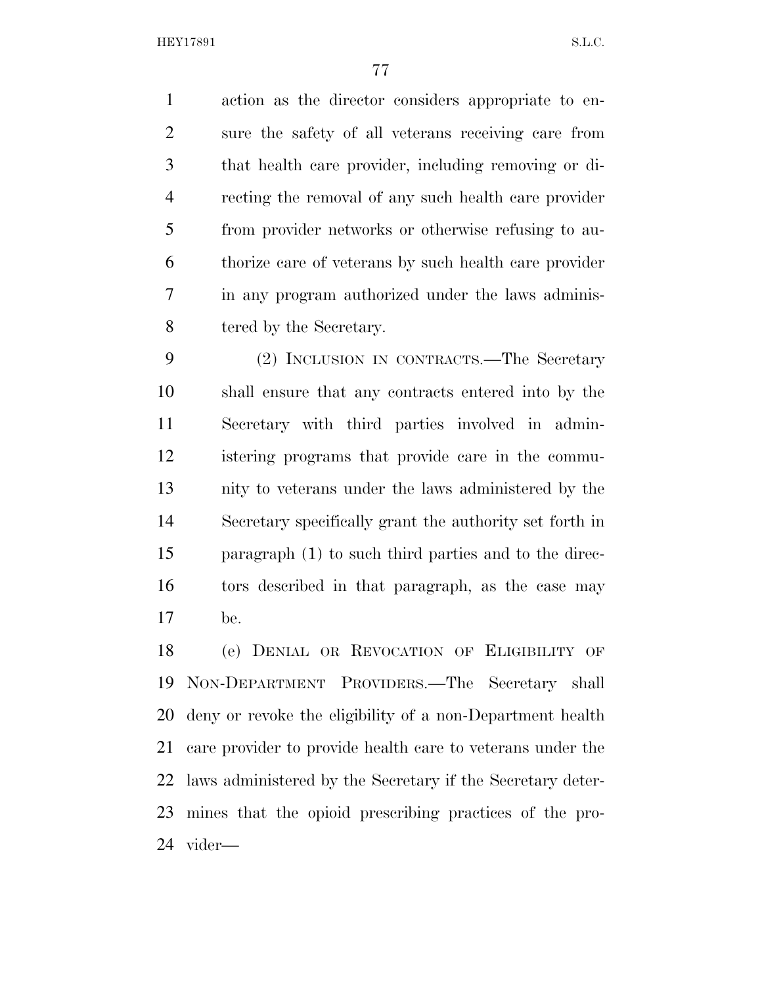action as the director considers appropriate to en- sure the safety of all veterans receiving care from that health care provider, including removing or di- recting the removal of any such health care provider from provider networks or otherwise refusing to au- thorize care of veterans by such health care provider in any program authorized under the laws adminis-8 tered by the Secretary.

 (2) INCLUSION IN CONTRACTS.—The Secretary shall ensure that any contracts entered into by the Secretary with third parties involved in admin- istering programs that provide care in the commu- nity to veterans under the laws administered by the Secretary specifically grant the authority set forth in paragraph (1) to such third parties and to the direc- tors described in that paragraph, as the case may be.

 (e) DENIAL OR REVOCATION OF ELIGIBILITY OF NON-DEPARTMENT PROVIDERS.—The Secretary shall deny or revoke the eligibility of a non-Department health care provider to provide health care to veterans under the laws administered by the Secretary if the Secretary deter- mines that the opioid prescribing practices of the pro-vider—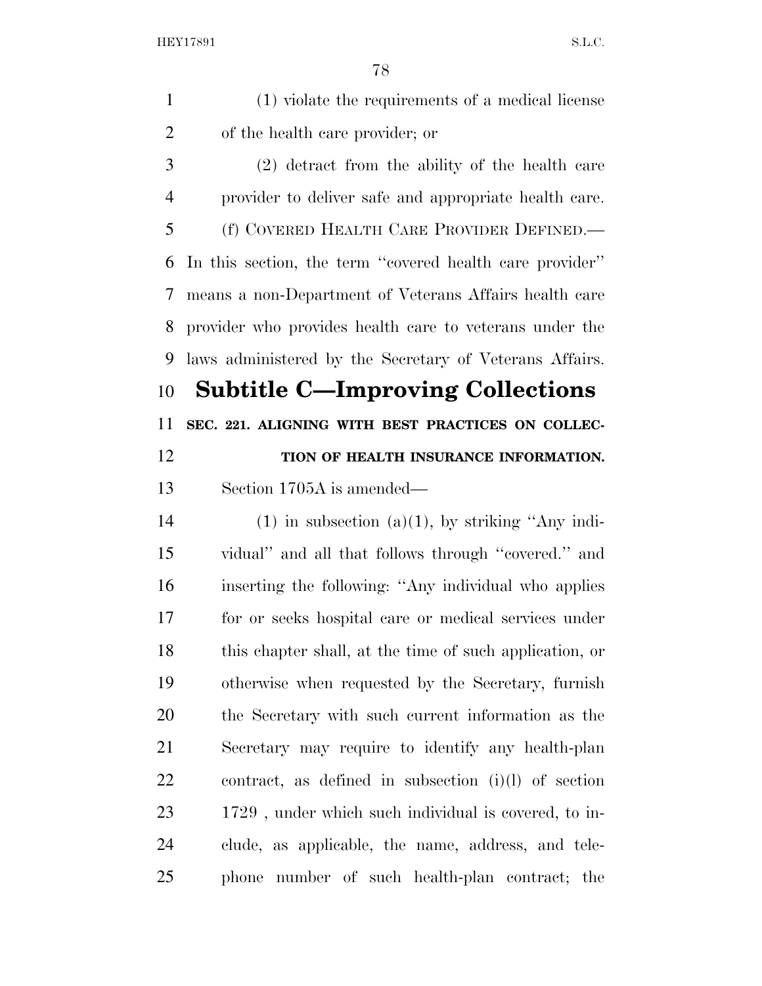(1) violate the requirements of a medical license of the health care provider; or (2) detract from the ability of the health care provider to deliver safe and appropriate health care. (f) COVERED HEALTH CARE PROVIDER DEFINED.— In this section, the term ''covered health care provider'' means a non-Department of Veterans Affairs health care provider who provides health care to veterans under the laws administered by the Secretary of Veterans Affairs. **Subtitle C—Improving Collections SEC. 221. ALIGNING WITH BEST PRACTICES ON COLLEC- TION OF HEALTH INSURANCE INFORMATION.**  Section 1705A is amended— 14 (1) in subsection (a)(1), by striking "Any indi- vidual'' and all that follows through ''covered.'' and inserting the following: ''Any individual who applies for or seeks hospital care or medical services under this chapter shall, at the time of such application, or otherwise when requested by the Secretary, furnish the Secretary with such current information as the Secretary may require to identify any health-plan contract, as defined in subsection (i)(l) of section 1729 , under which such individual is covered, to in- clude, as applicable, the name, address, and tele-phone number of such health-plan contract; the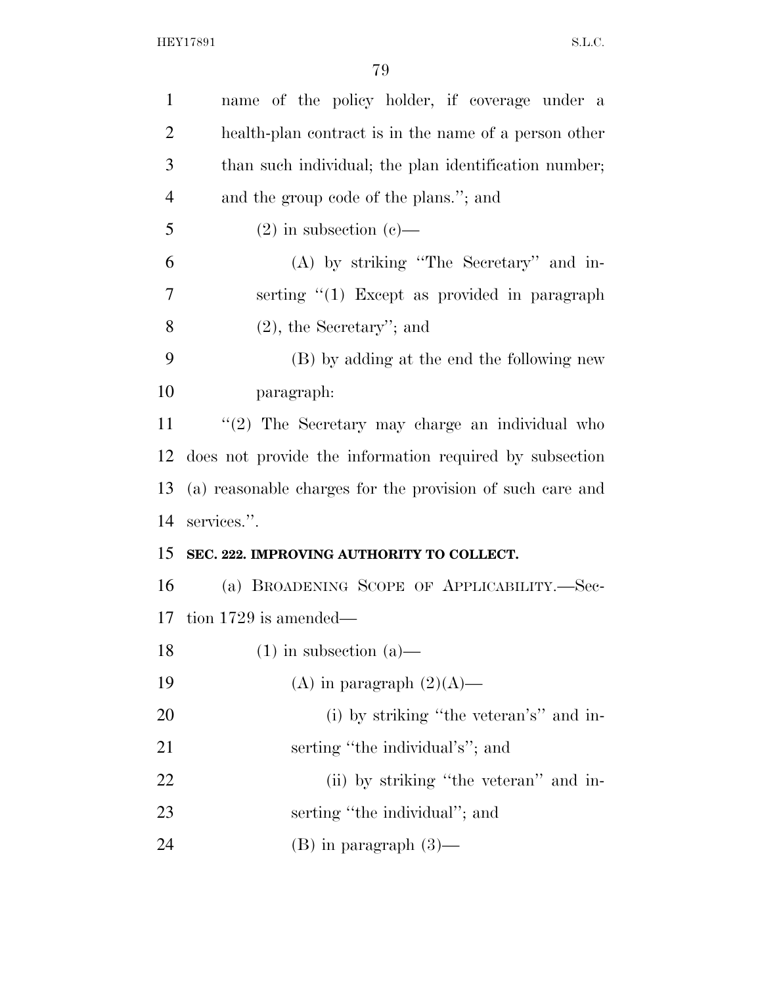| $\mathbf{1}$   | name of the policy holder, if coverage under a            |
|----------------|-----------------------------------------------------------|
| $\overline{2}$ | health-plan contract is in the name of a person other     |
| 3              | than such individual; the plan identification number;     |
| $\overline{4}$ | and the group code of the plans."; and                    |
| 5              | $(2)$ in subsection $(e)$ —                               |
| 6              | (A) by striking "The Secretary" and in-                   |
| 7              | serting $\lq(1)$ Except as provided in paragraph          |
| 8              | $(2)$ , the Secretary'; and                               |
| 9              | (B) by adding at the end the following new                |
| 10             | paragraph:                                                |
| 11             | $\lq(2)$ The Secretary may charge an individual who       |
| 12             | does not provide the information required by subsection   |
| 13             | (a) reasonable charges for the provision of such care and |
| 14             | services.".                                               |
| 15             | SEC. 222. IMPROVING AUTHORITY TO COLLECT.                 |
| 16             |                                                           |
|                | (a) BROADENING SCOPE OF APPLICABILITY.-Sec-               |
|                | 17 tion $1729$ is amended—                                |
| 18             | $(1)$ in subsection $(a)$ —                               |
|                | (A) in paragraph $(2)(A)$ —                               |
|                | (i) by striking "the veteran's" and in-                   |
| 19<br>20<br>21 | serting "the individual's"; and                           |
| 22             | (ii) by striking "the veteran" and in-                    |
| 23             | serting "the individual"; and                             |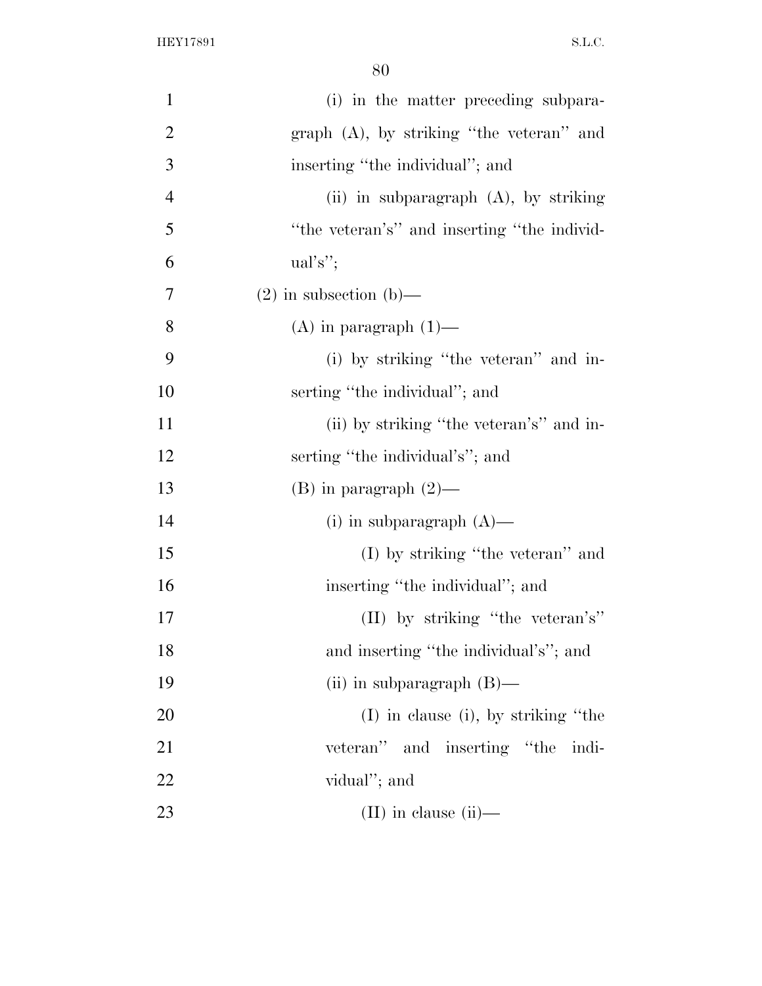| $\mathbf{1}$   | (i) in the matter preceding subpara-        |
|----------------|---------------------------------------------|
| $\overline{2}$ | graph $(A)$ , by striking "the veteran" and |
| 3              | inserting "the individual"; and             |
| $\overline{4}$ | (ii) in subparagraph $(A)$ , by striking    |
| 5              | "the veteran's" and inserting "the individ- |
| 6              | $ual's$ ";                                  |
| 7              | $(2)$ in subsection $(b)$ —                 |
| 8              | $(A)$ in paragraph $(1)$ —                  |
| 9              | (i) by striking "the veteran" and in-       |
| 10             | serting "the individual"; and               |
| 11             | (ii) by striking "the veteran's" and in-    |
| 12             | serting "the individual's"; and             |
| 13             | $(B)$ in paragraph $(2)$ —                  |
| 14             | (i) in subparagraph $(A)$ —                 |
| 15             | (I) by striking "the veteran" and           |
| 16             | inserting "the individual"; and             |
| 17             | (II) by striking "the veteran's"            |
| 18             | and inserting "the individual's"; and       |
| 19             | (ii) in subparagraph $(B)$ —                |
| 20             | $(I)$ in clause (i), by striking "the       |
| 21             | veteran" and inserting "the indi-           |
| 22             | vidual"; and                                |
| 23             | $(II)$ in clause $(ii)$ —                   |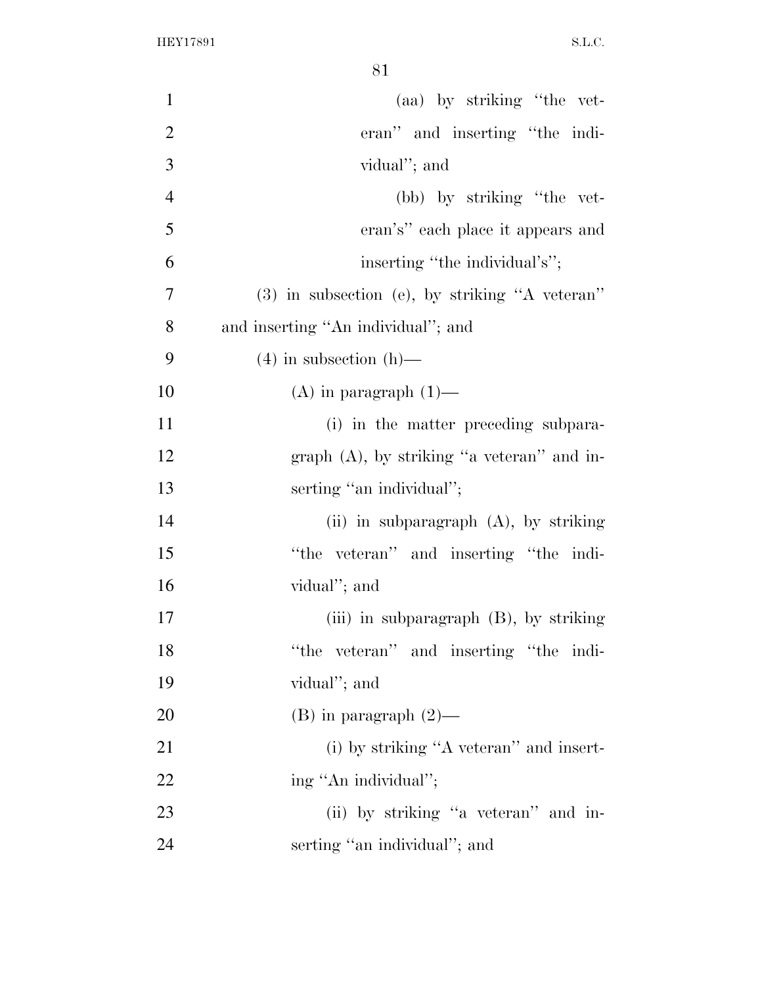| $\mathbf{1}$   | (aa) by striking "the vet-                       |
|----------------|--------------------------------------------------|
| $\overline{2}$ | eran" and inserting "the indi-                   |
| 3              | vidual"; and                                     |
| $\overline{4}$ | (bb) by striking "the vet-                       |
| 5              | eran's" each place it appears and                |
| 6              | inserting "the individual's";                    |
| 7              | $(3)$ in subsection (e), by striking "A veteran" |
| 8              | and inserting "An individual"; and               |
| 9              | $(4)$ in subsection $(h)$ —                      |
| 10             | $(A)$ in paragraph $(1)$ —                       |
| 11             | (i) in the matter preceding subpara-             |
| 12             | graph $(A)$ , by striking "a veteran" and in-    |
| 13             | serting "an individual";                         |
| 14             | (ii) in subparagraph $(A)$ , by striking         |
| 15             | "the veteran" and inserting "the indi-           |
| 16             | vidual"; and                                     |
| 17             | (iii) in subparagraph $(B)$ , by striking        |
| 18             | "the veteran" and inserting "the indi-           |
| 19             | vidual"; and                                     |
| 20             | $(B)$ in paragraph $(2)$ —                       |
| 21             | (i) by striking "A veteran" and insert-          |
| 22             | ing "An individual";                             |
| 23             | (ii) by striking "a veteran" and in-             |
| 24             | serting "an individual"; and                     |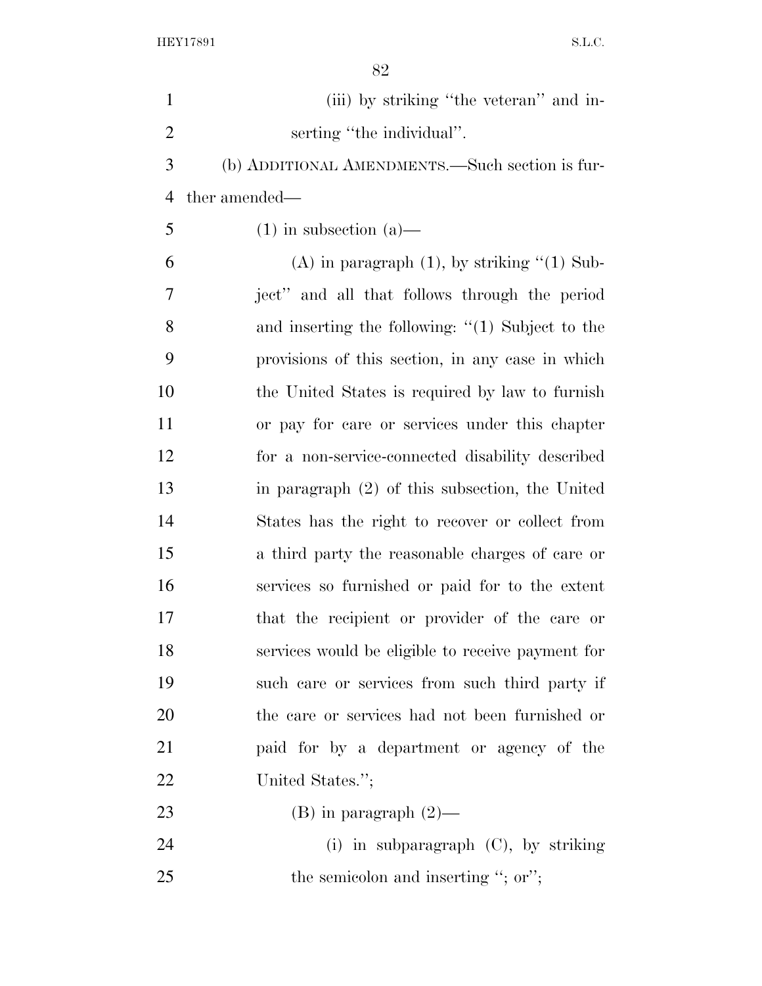| $\mathbf{1}$   | (iii) by striking "the veteran" and in-              |
|----------------|------------------------------------------------------|
| $\overline{2}$ | serting "the individual".                            |
| 3              | (b) ADDITIONAL AMENDMENTS.—Such section is fur-      |
| $\overline{4}$ | ther amended—                                        |
| 5              | $(1)$ in subsection $(a)$ —                          |
| 6              | $(A)$ in paragraph $(1)$ , by striking " $(1)$ Sub-  |
| 7              | ject" and all that follows through the period        |
| 8              | and inserting the following: $\lq(1)$ Subject to the |
| 9              | provisions of this section, in any case in which     |
| 10             | the United States is required by law to furnish      |
| 11             | or pay for care or services under this chapter       |
| 12             | for a non-service-connected disability described     |
| 13             | in paragraph $(2)$ of this subsection, the United    |
| 14             | States has the right to recover or collect from      |
| 15             | a third party the reasonable charges of care or      |
| 16             | services so furnished or paid for to the extent      |
| 17             | that the recipient or provider of the care or        |
| 18             | services would be eligible to receive payment for    |
| 19             | such care or services from such third party if       |
| 20             | the care or services had not been furnished or       |
| 21             | paid for by a department or agency of the            |
| 22             | United States.";                                     |
| 23             | $(B)$ in paragraph $(2)$ —                           |
| 24             | (i) in subparagraph $(C)$ , by striking              |
| 25             | the semicolon and inserting "; or";                  |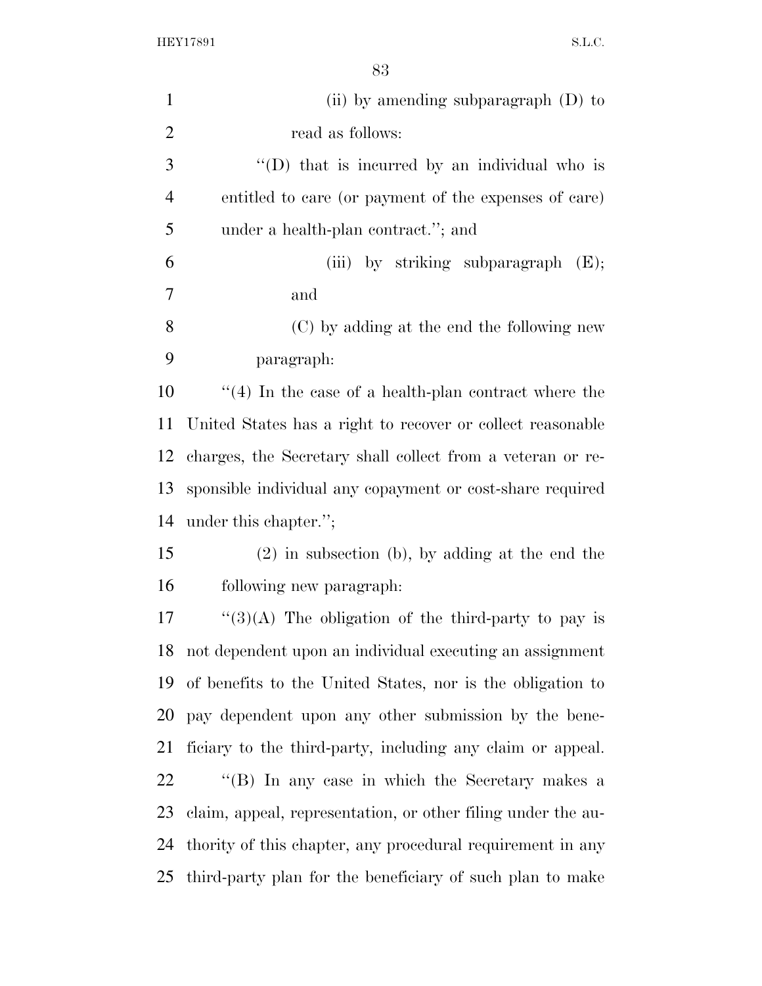| $\mathbf{1}$   | (ii) by amending subparagraph $(D)$ to                       |
|----------------|--------------------------------------------------------------|
| $\overline{2}$ | read as follows:                                             |
| 3              | $\lq\lq$ (D) that is incurred by an individual who is        |
| $\overline{4}$ | entitled to care (or payment of the expenses of care)        |
| 5              | under a health-plan contract."; and                          |
| 6              | (iii) by striking subparagraph $(E)$ ;                       |
| 7              | and                                                          |
| 8              | (C) by adding at the end the following new                   |
| 9              | paragraph:                                                   |
| 10             | $\lq(4)$ In the case of a health-plan contract where the     |
| 11             | United States has a right to recover or collect reasonable   |
| 12             | charges, the Secretary shall collect from a veteran or re-   |
| 13             | sponsible individual any copayment or cost-share required    |
| 14             | under this chapter.";                                        |
| 15             | $(2)$ in subsection (b), by adding at the end the            |
| 16             | following new paragraph.                                     |
| 17             | " $(3)(A)$ The obligation of the third-party to pay is       |
| 18             | not dependent upon an individual executing an assignment     |
| 19             | of benefits to the United States, nor is the obligation to   |
| 20             | pay dependent upon any other submission by the bene-         |
| 21             | ficiary to the third-party, including any claim or appeal.   |
| 22             | "(B) In any case in which the Secretary makes a              |
| 23             | claim, appeal, representation, or other filing under the au- |
| 24             | thority of this chapter, any procedural requirement in any   |
| 25             | third-party plan for the beneficiary of such plan to make    |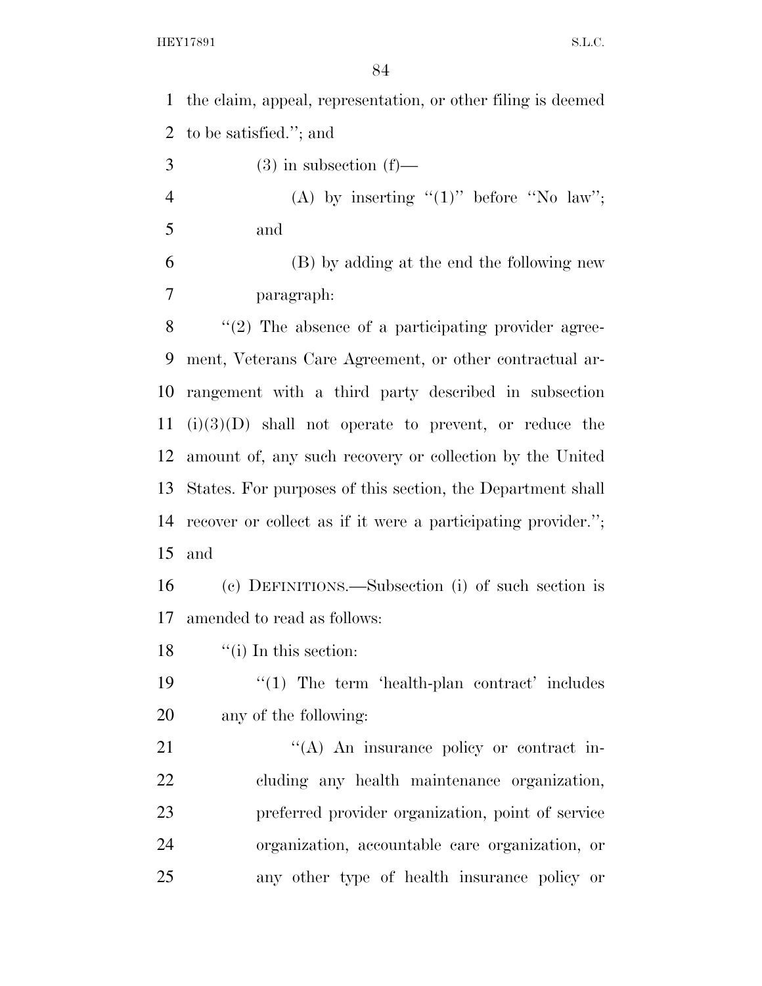the claim, appeal, representation, or other filing is deemed to be satisfied.''; and  $3 \qquad \qquad (3)$  in subsection (f)— 4 (A) by inserting  $"(1)"$  before  $"No law";$  and (B) by adding at the end the following new paragraph: 8 "(2) The absence of a participating provider agree- ment, Veterans Care Agreement, or other contractual ar- rangement with a third party described in subsection (i)(3)(D) shall not operate to prevent, or reduce the amount of, any such recovery or collection by the United States. For purposes of this section, the Department shall recover or collect as if it were a participating provider.''; and (c) DEFINITIONS.—Subsection (i) of such section is amended to read as follows: 18 ''(i) In this section: 19 ''(1) The term 'health-plan contract' includes any of the following: 21 "'(A) An insurance policy or contract in- cluding any health maintenance organization, preferred provider organization, point of service organization, accountable care organization, or any other type of health insurance policy or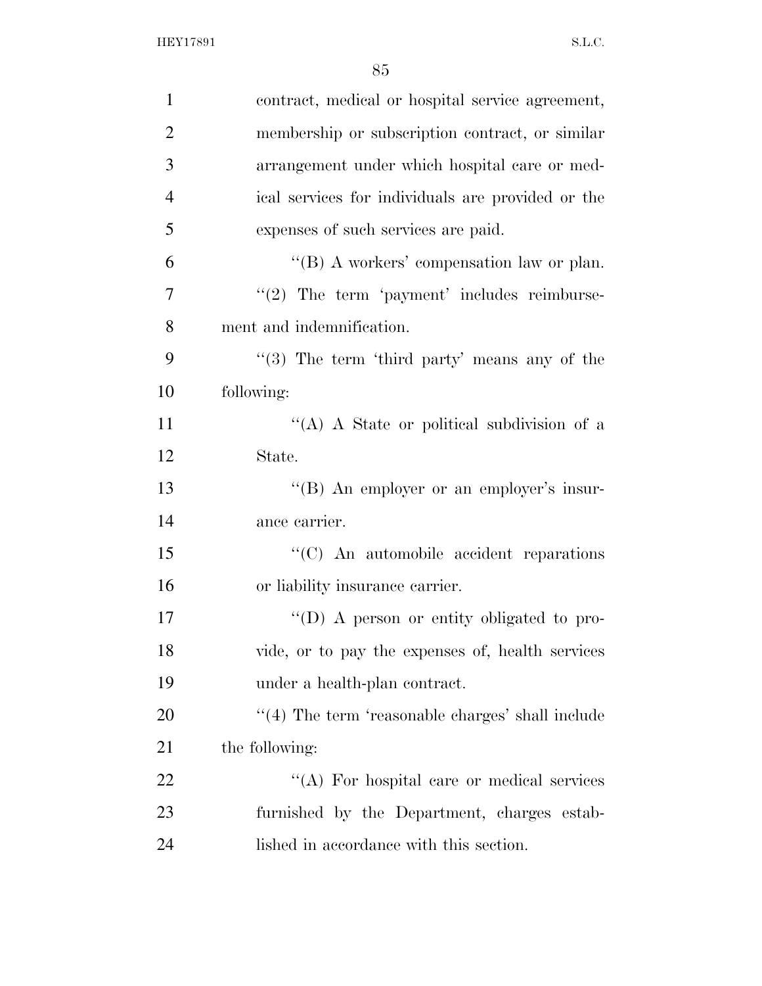| $\mathbf{1}$   | contract, medical or hospital service agreement,        |
|----------------|---------------------------------------------------------|
| $\overline{2}$ | membership or subscription contract, or similar         |
| 3              | arrangement under which hospital care or med-           |
| $\overline{4}$ | ical services for individuals are provided or the       |
| 5              | expenses of such services are paid.                     |
| 6              | "(B) A workers' compensation law or plan.               |
| $\overline{7}$ | $"(2)$ The term 'payment' includes reimburse-           |
| 8              | ment and indemnification.                               |
| 9              | $\lq(3)$ The term 'third party' means any of the        |
| 10             | following:                                              |
| 11             | "(A) A State or political subdivision of a              |
| 12             | State.                                                  |
| 13             | "(B) An employer or an employer's insur-                |
| 14             | ance carrier.                                           |
| 15             | "(C) An automobile accident reparations                 |
| 16             | or liability insurance carrier.                         |
| 17             | "(D) A person or entity obligated to pro-               |
| 18             | vide, or to pay the expenses of, health services        |
| 19             | under a health-plan contract.                           |
| 20             | $\cdot$ (4) The term 'reasonable charges' shall include |
| 21             | the following:                                          |
| 22             | "(A) For hospital care or medical services              |
| 23             | furnished by the Department, charges estab-             |
| 24             | lished in accordance with this section.                 |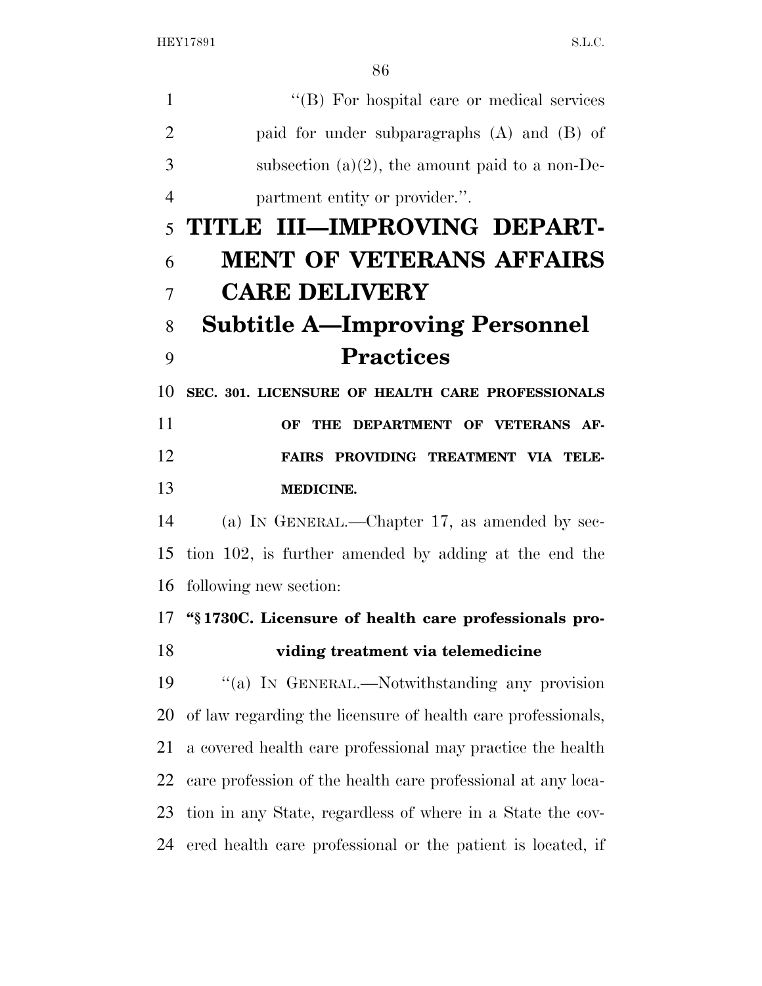1 ''(B) For hospital care or medical services paid for under subparagraphs (A) and (B) of 3 subsection  $(a)(2)$ , the amount paid to a non-De- partment entity or provider.''. **TITLE III—IMPROVING DEPART- MENT OF VETERANS AFFAIRS CARE DELIVERY Subtitle A—Improving Personnel Practices SEC. 301. LICENSURE OF HEALTH CARE PROFESSIONALS OF THE DEPARTMENT OF VETERANS AF- FAIRS PROVIDING TREATMENT VIA TELE- MEDICINE.**  (a) IN GENERAL.—Chapter 17, as amended by sec- tion 102, is further amended by adding at the end the following new section: **''§ 1730C. Licensure of health care professionals pro- viding treatment via telemedicine**  ''(a) IN GENERAL.—Notwithstanding any provision of law regarding the licensure of health care professionals, a covered health care professional may practice the health care profession of the health care professional at any loca- tion in any State, regardless of where in a State the cov-ered health care professional or the patient is located, if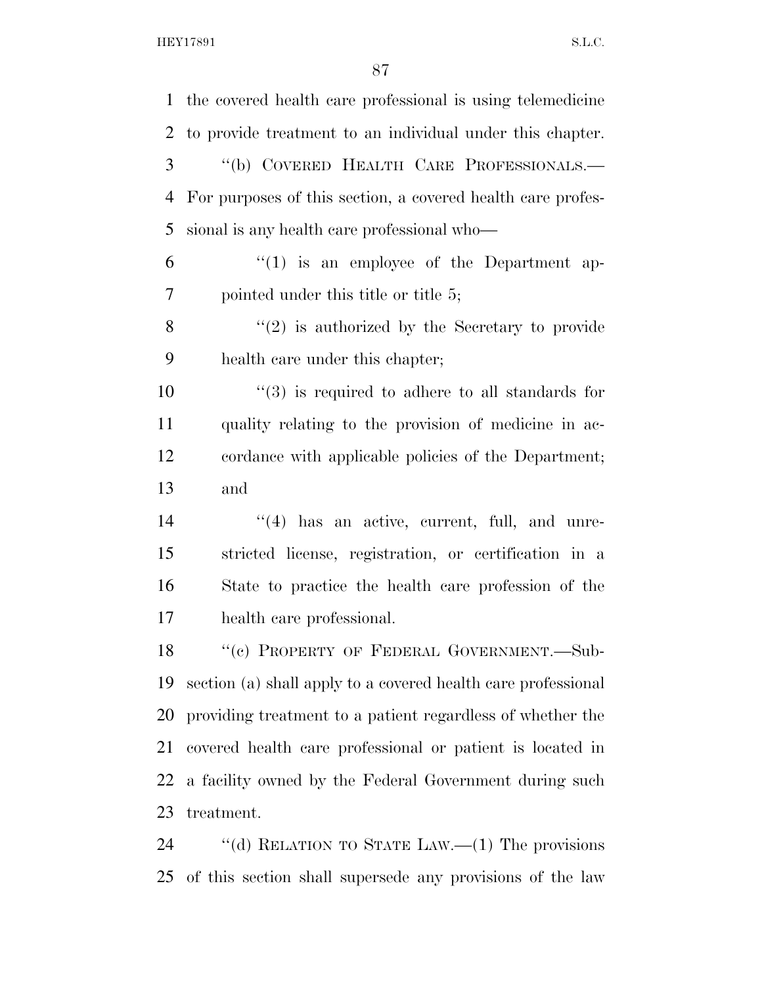| $\mathbf{1}$ | the covered health care professional is using telemedicine    |
|--------------|---------------------------------------------------------------|
| 2            | to provide treatment to an individual under this chapter.     |
| 3            | "(b) COVERED HEALTH CARE PROFESSIONALS.-                      |
| 4            | For purposes of this section, a covered health care profes-   |
| 5            | sional is any health care professional who-                   |
| 6            | $\lq(1)$ is an employee of the Department ap-                 |
| 7            | pointed under this title or title 5;                          |
| 8            | $f'(2)$ is authorized by the Secretary to provide             |
| 9            | health care under this chapter;                               |
| 10           | $(3)$ is required to adhere to all standards for              |
| 11           | quality relating to the provision of medicine in ac-          |
| 12           | cordance with applicable policies of the Department;          |
| 13           | and                                                           |
| 14           | $(4)$ has an active, current, full, and unre-                 |
| 15           | stricted license, registration, or certification in a         |
| 16           | State to practice the health care profession of the           |
| 17           | health care professional.                                     |
| 18           | "(c) PROPERTY OF FEDERAL GOVERNMENT.—Sub-                     |
| 19           | section (a) shall apply to a covered health care professional |
| 20           | providing treatment to a patient regardless of whether the    |
| 21           | covered health care professional or patient is located in     |
| 22           | a facility owned by the Federal Government during such        |
| 23           | treatment.                                                    |
| 24           | "(d) RELATION TO STATE LAW.— $(1)$ The provisions             |
| 25           | of this section shall supersede any provisions of the law     |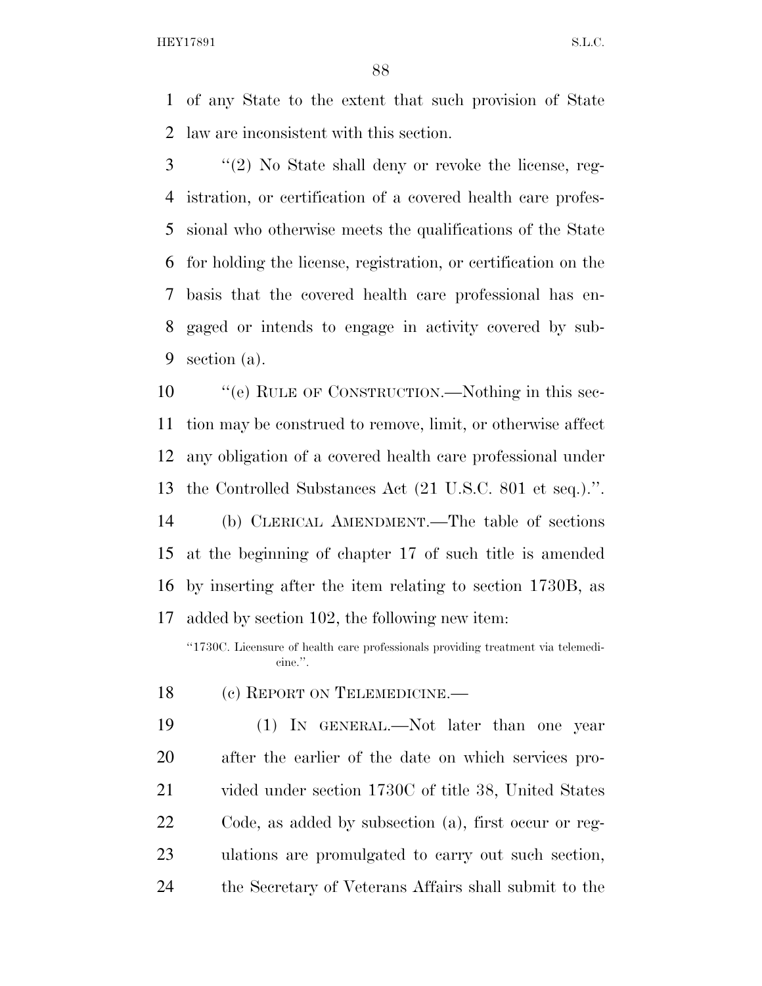of any State to the extent that such provision of State law are inconsistent with this section.

 ''(2) No State shall deny or revoke the license, reg- istration, or certification of a covered health care profes- sional who otherwise meets the qualifications of the State for holding the license, registration, or certification on the basis that the covered health care professional has en- gaged or intends to engage in activity covered by sub-section (a).

10 "'(e) RULE OF CONSTRUCTION.—Nothing in this sec- tion may be construed to remove, limit, or otherwise affect any obligation of a covered health care professional under the Controlled Substances Act (21 U.S.C. 801 et seq.).''.

 (b) CLERICAL AMENDMENT.—The table of sections at the beginning of chapter 17 of such title is amended by inserting after the item relating to section 1730B, as added by section 102, the following new item:

''1730C. Licensure of health care professionals providing treatment via telemedicine.''.

18 (c) REPORT ON TELEMEDICINE.

 (1) IN GENERAL.—Not later than one year after the earlier of the date on which services pro- vided under section 1730C of title 38, United States Code, as added by subsection (a), first occur or reg- ulations are promulgated to carry out such section, the Secretary of Veterans Affairs shall submit to the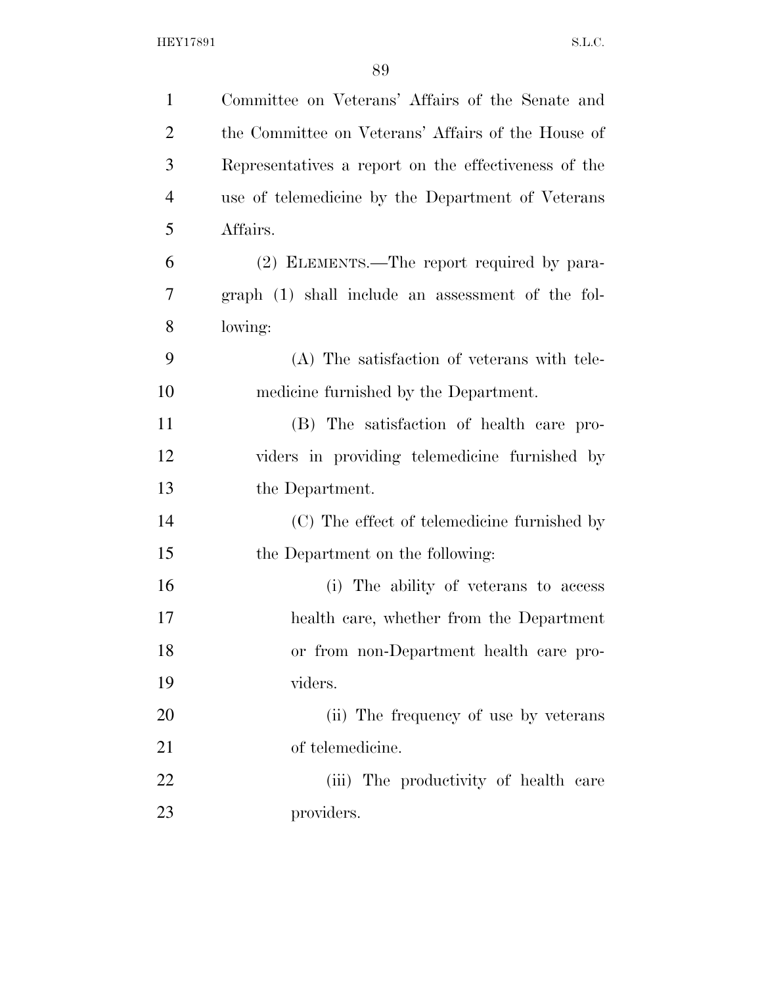| $\mathbf{1}$   | Committee on Veterans' Affairs of the Senate and     |
|----------------|------------------------------------------------------|
| $\overline{c}$ | the Committee on Veterans' Affairs of the House of   |
| 3              | Representatives a report on the effectiveness of the |
| $\overline{4}$ | use of telemedicine by the Department of Veterans    |
| 5              | Affairs.                                             |
| 6              | (2) ELEMENTS.—The report required by para-           |
| 7              | graph (1) shall include an assessment of the fol-    |
| 8              | lowing:                                              |
| 9              | (A) The satisfaction of veterans with tele-          |
| 10             | medicine furnished by the Department.                |
| 11             | (B) The satisfaction of health care pro-             |
| 12             | viders in providing telemedicine furnished by        |
| 13             | the Department.                                      |
| 14             | (C) The effect of telemedicine furnished by          |
| 15             | the Department on the following:                     |
| 16             | (i) The ability of veterans to access                |
| 17             | health care, whether from the Department             |
| 18             | or from non-Department health care pro-              |
| 19             | viders.                                              |
| 20             | (ii) The frequency of use by veterans                |
| 21             | of telemedicine.                                     |
| 22             | (iii) The productivity of health care                |
| 23             | providers.                                           |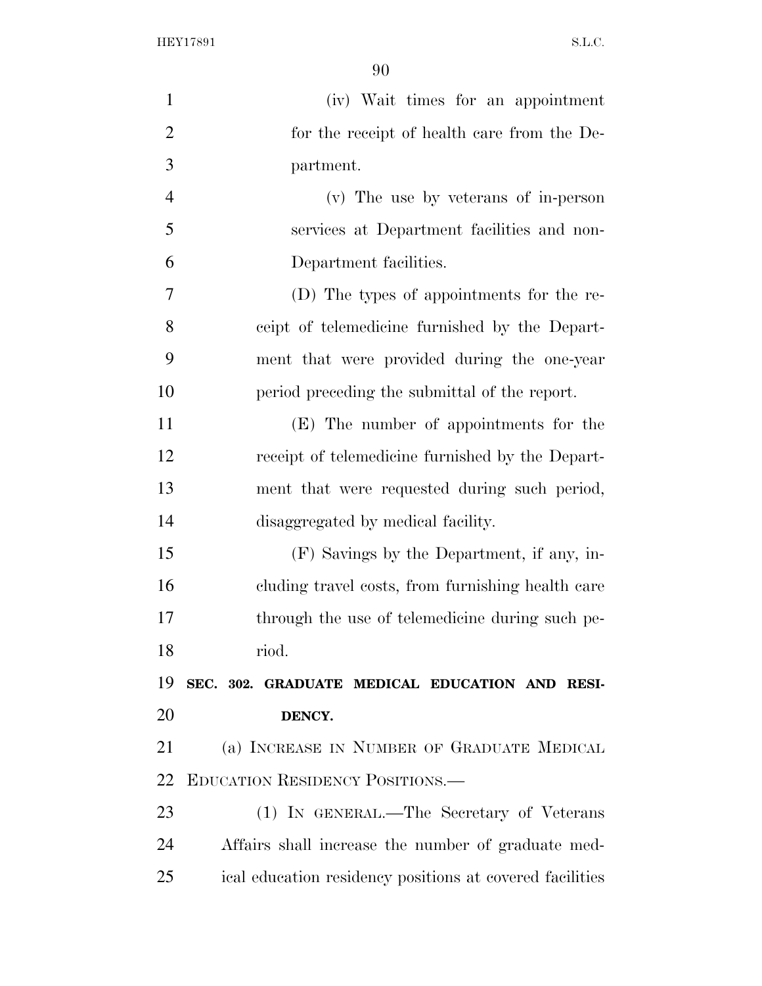| $\mathbf{1}$   | (iv) Wait times for an appointment                       |
|----------------|----------------------------------------------------------|
| $\overline{2}$ | for the receipt of health care from the De-              |
| 3              | partment.                                                |
| $\overline{4}$ | (v) The use by veterans of in-person                     |
| 5              | services at Department facilities and non-               |
| 6              | Department facilities.                                   |
| 7              | (D) The types of appointments for the re-                |
| 8              | ceipt of telemedicine furnished by the Depart-           |
| 9              | ment that were provided during the one-year              |
| 10             | period preceding the submittal of the report.            |
| 11             | (E) The number of appointments for the                   |
| 12             | receipt of telemedicine furnished by the Depart-         |
| 13             | ment that were requested during such period,             |
| 14             | disaggregated by medical facility.                       |
| 15             | (F) Savings by the Department, if any, in-               |
| 16             | cluding travel costs, from furnishing health care        |
| 17             | through the use of telemedicine during such pe-          |
| 18             | riod.                                                    |
| 19             | SEC. 302. GRADUATE MEDICAL EDUCATION AND RESI-           |
| 20             | DENCY.                                                   |
| 21             | (a) INCREASE IN NUMBER OF GRADUATE MEDICAL               |
| 22             | EDUCATION RESIDENCY POSITIONS.                           |
| 23             | (1) IN GENERAL.—The Secretary of Veterans                |
| 24             | Affairs shall increase the number of graduate med-       |
| 25             | ical education residency positions at covered facilities |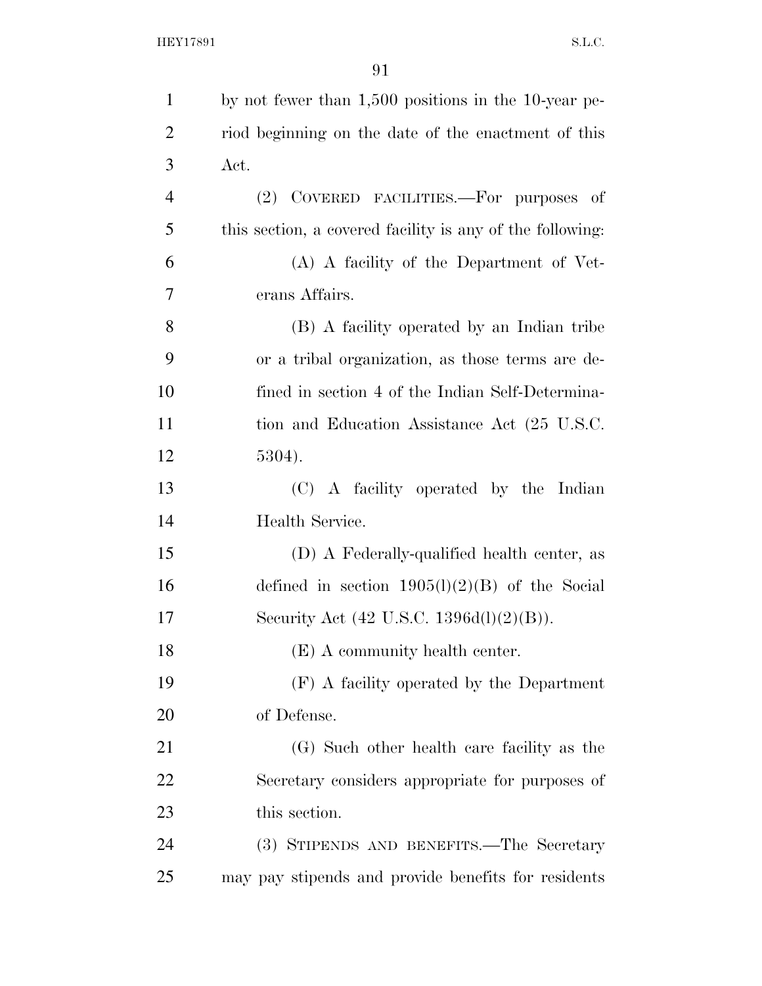| $\mathbf{1}$   | by not fewer than 1,500 positions in the 10-year pe-      |
|----------------|-----------------------------------------------------------|
| $\overline{2}$ | riod beginning on the date of the enactment of this       |
| 3              | Act.                                                      |
| $\overline{4}$ | (2) COVERED FACILITIES.—For purposes of                   |
| 5              | this section, a covered facility is any of the following: |
| 6              | (A) A facility of the Department of Vet-                  |
| 7              | erans Affairs.                                            |
| 8              | (B) A facility operated by an Indian tribe                |
| 9              | or a tribal organization, as those terms are de-          |
| 10             | fined in section 4 of the Indian Self-Determina-          |
| 11             | tion and Education Assistance Act (25 U.S.C.              |
| 12             | 5304).                                                    |
| 13             | (C) A facility operated by the Indian                     |
| 14             | Health Service.                                           |
| 15             | (D) A Federally-qualified health center, as               |
| 16             | defined in section $1905(l)(2)(B)$ of the Social          |
| 17             | Security Act $(42 \text{ U.S.C. } 1396d(l)(2)(B)).$       |
| 18             | (E) A community health center.                            |
| 19             | (F) A facility operated by the Department                 |
| 20             | of Defense.                                               |
| 21             | (G) Such other health care facility as the                |
| 22             | Secretary considers appropriate for purposes of           |
| 23             | this section.                                             |
| 24             | (3) STIPENDS AND BENEFITS.—The Secretary                  |
| 25             | may pay stipends and provide benefits for residents       |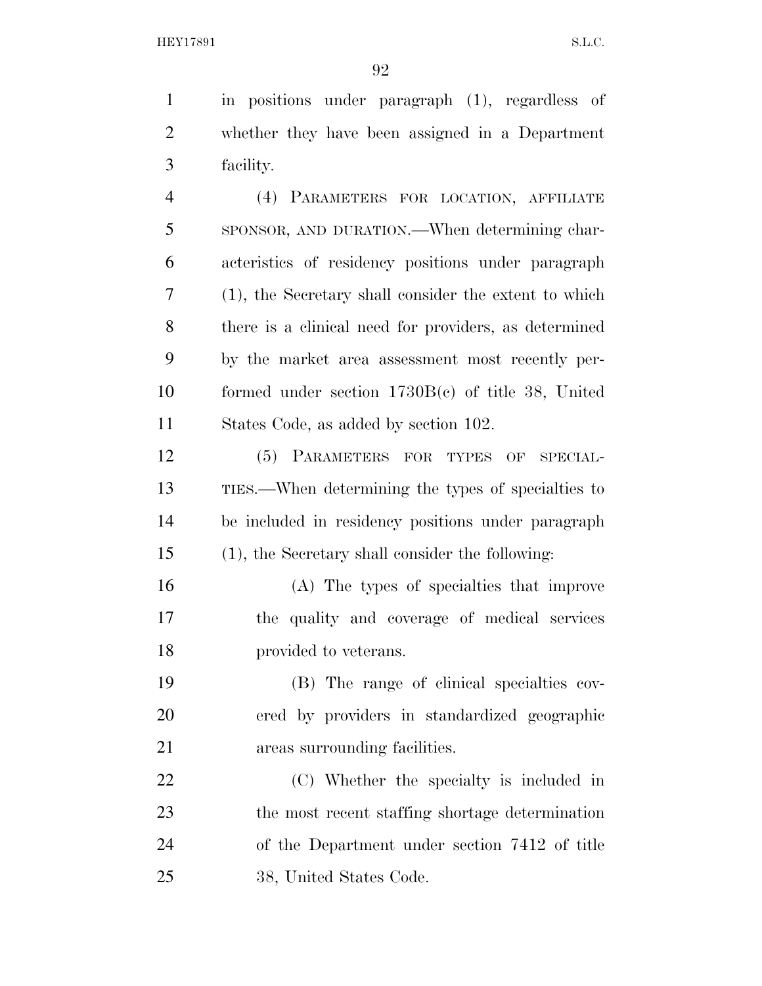in positions under paragraph (1), regardless of whether they have been assigned in a Department facility. (4) PARAMETERS FOR LOCATION, AFFILIATE

 SPONSOR, AND DURATION.—When determining char- acteristics of residency positions under paragraph (1), the Secretary shall consider the extent to which there is a clinical need for providers, as determined by the market area assessment most recently per- formed under section 1730B(c) of title 38, United States Code, as added by section 102.

 (5) PARAMETERS FOR TYPES OF SPECIAL- TIES.—When determining the types of specialties to be included in residency positions under paragraph (1), the Secretary shall consider the following:

 (A) The types of specialties that improve the quality and coverage of medical services **provided to veterans.** 

 (B) The range of clinical specialties cov- ered by providers in standardized geographic areas surrounding facilities.

 (C) Whether the specialty is included in the most recent staffing shortage determination of the Department under section 7412 of title 38, United States Code.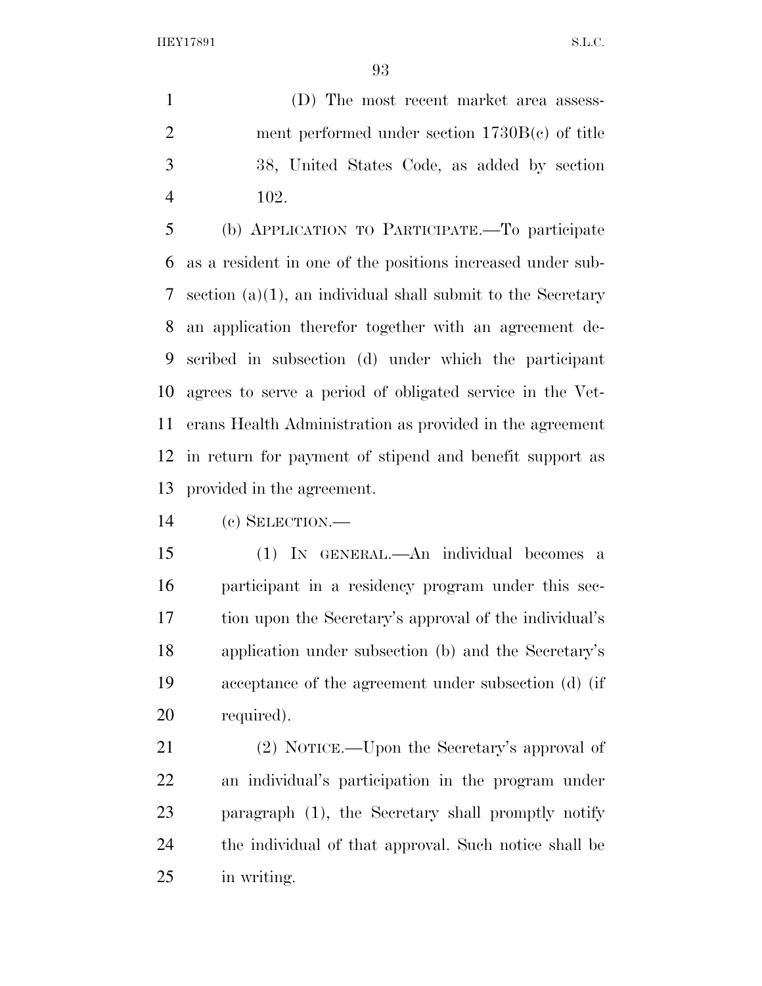(D) The most recent market area assess- ment performed under section 1730B(c) of title 38, United States Code, as added by section 102.

 (b) APPLICATION TO PARTICIPATE.—To participate as a resident in one of the positions increased under sub- section (a)(1), an individual shall submit to the Secretary an application therefor together with an agreement de- scribed in subsection (d) under which the participant agrees to serve a period of obligated service in the Vet- erans Health Administration as provided in the agreement in return for payment of stipend and benefit support as provided in the agreement.

(c) SELECTION.—

 (1) IN GENERAL.—An individual becomes a participant in a residency program under this sec- tion upon the Secretary's approval of the individual's application under subsection (b) and the Secretary's acceptance of the agreement under subsection (d) (if required).

 (2) NOTICE.—Upon the Secretary's approval of an individual's participation in the program under paragraph (1), the Secretary shall promptly notify the individual of that approval. Such notice shall be in writing.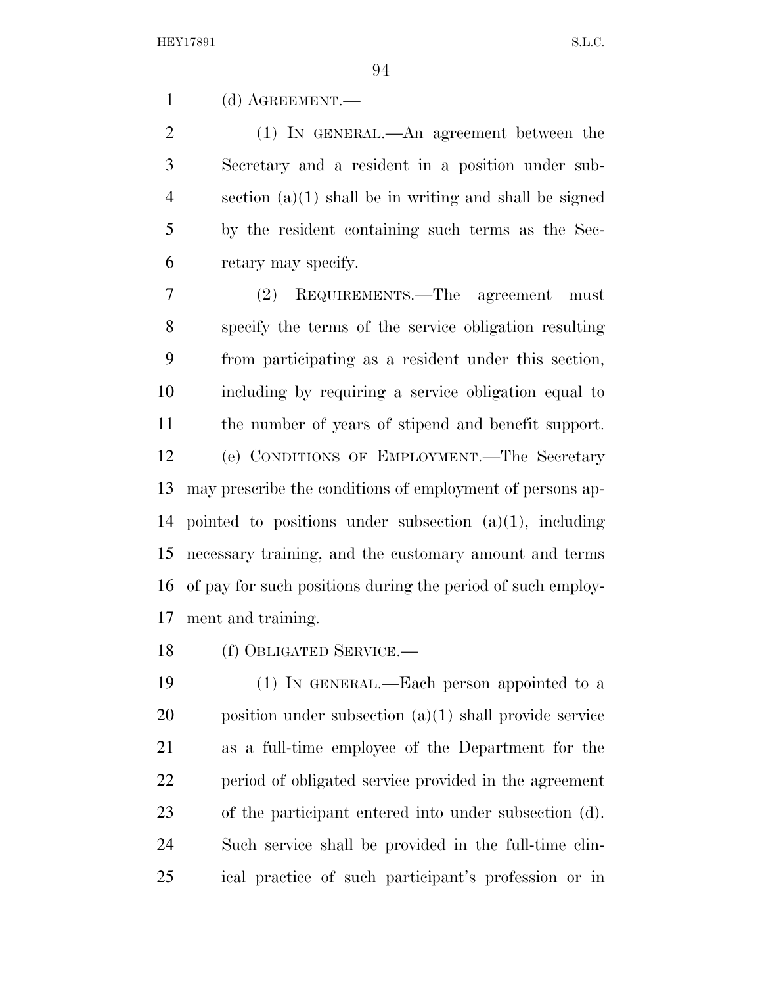(d) AGREEMENT.—

 (1) IN GENERAL.—An agreement between the Secretary and a resident in a position under sub- section (a)(1) shall be in writing and shall be signed by the resident containing such terms as the Sec-retary may specify.

 (2) REQUIREMENTS.—The agreement must specify the terms of the service obligation resulting from participating as a resident under this section, including by requiring a service obligation equal to the number of years of stipend and benefit support. (e) CONDITIONS OF EMPLOYMENT.—The Secretary may prescribe the conditions of employment of persons ap- pointed to positions under subsection (a)(1), including necessary training, and the customary amount and terms of pay for such positions during the period of such employ-ment and training.

(f) OBLIGATED SERVICE.—

 (1) IN GENERAL.—Each person appointed to a position under subsection (a)(1) shall provide service as a full-time employee of the Department for the period of obligated service provided in the agreement of the participant entered into under subsection (d). Such service shall be provided in the full-time clin-ical practice of such participant's profession or in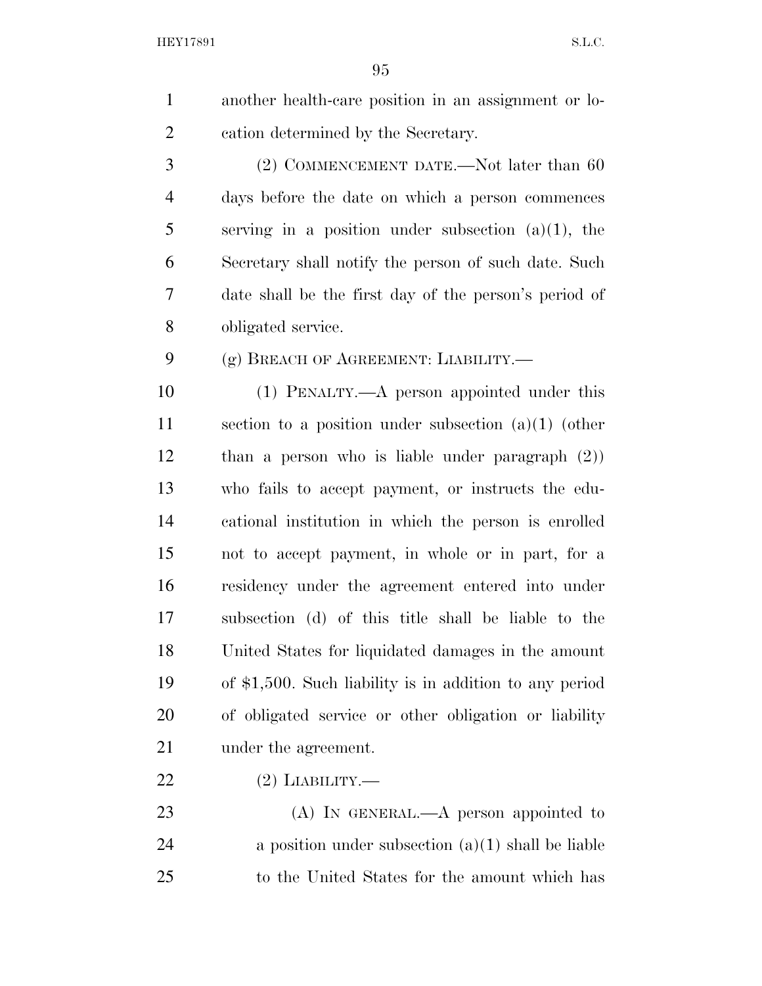another health-care position in an assignment or lo-cation determined by the Secretary.

3 (2) COMMENCEMENT DATE.—Not later than 60 days before the date on which a person commences serving in a position under subsection (a)(1), the Secretary shall notify the person of such date. Such date shall be the first day of the person's period of obligated service.

(g) BREACH OF AGREEMENT: LIABILITY.—

 (1) PENALTY.—A person appointed under this section to a position under subsection (a)(1) (other than a person who is liable under paragraph (2)) who fails to accept payment, or instructs the edu- cational institution in which the person is enrolled not to accept payment, in whole or in part, for a residency under the agreement entered into under subsection (d) of this title shall be liable to the United States for liquidated damages in the amount of \$1,500. Such liability is in addition to any period of obligated service or other obligation or liability 21 under the agreement.

(2) LIABILITY.—

23 (A) In GENERAL.—A person appointed to 24 a position under subsection  $(a)(1)$  shall be liable to the United States for the amount which has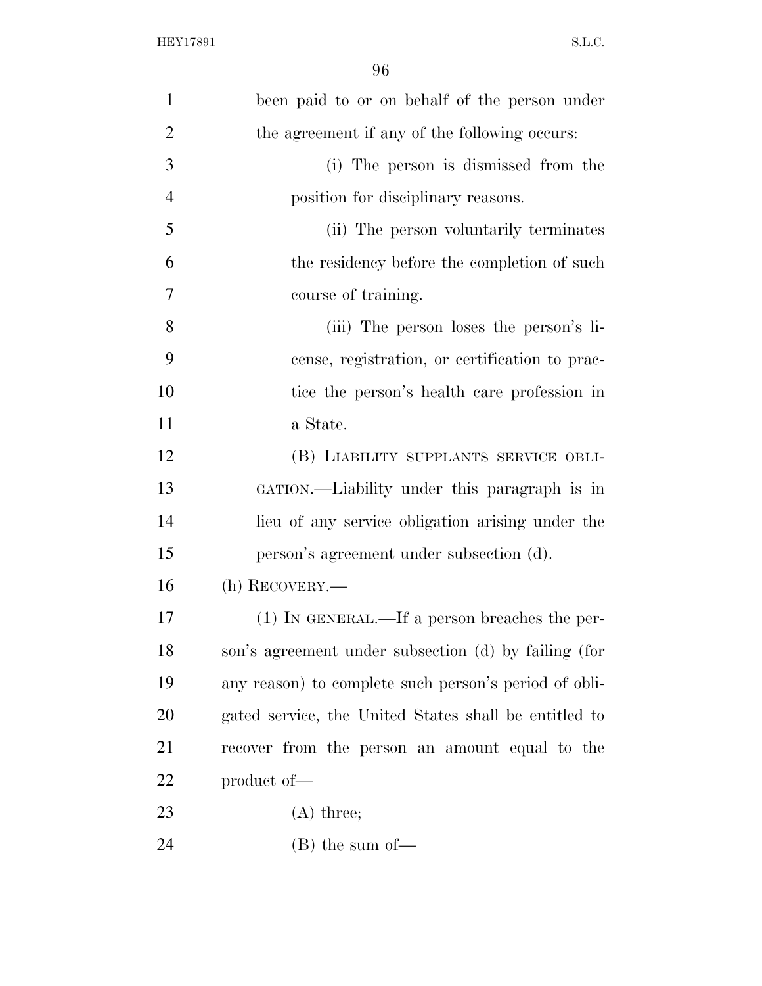| $\mathbf{1}$   | been paid to or on behalf of the person under         |
|----------------|-------------------------------------------------------|
| $\overline{2}$ | the agreement if any of the following occurs:         |
| 3              | (i) The person is dismissed from the                  |
| $\overline{4}$ | position for disciplinary reasons.                    |
| 5              | (ii) The person voluntarily terminates                |
| 6              | the residency before the completion of such           |
| 7              | course of training.                                   |
| 8              | (iii) The person loses the person's li-               |
| 9              | cense, registration, or certification to prac-        |
| 10             | tice the person's health care profession in           |
| 11             | a State.                                              |
| 12             | (B) LIABILITY SUPPLANTS SERVICE OBLI-                 |
| 13             | GATION.—Liability under this paragraph is in          |
| 14             | lieu of any service obligation arising under the      |
| 15             | person's agreement under subsection (d).              |
| 16             | (h) RECOVERY.—                                        |
| 17             | (1) IN GENERAL.—If a person breaches the per-         |
| 18             | son's agreement under subsection (d) by failing (for  |
| 19             | any reason) to complete such person's period of obli- |
| 20             | gated service, the United States shall be entitled to |
| 21             | recover from the person an amount equal to the        |
| 22             | product of-                                           |
| 23             | $(A)$ three;                                          |
| 24             | $(B)$ the sum of —                                    |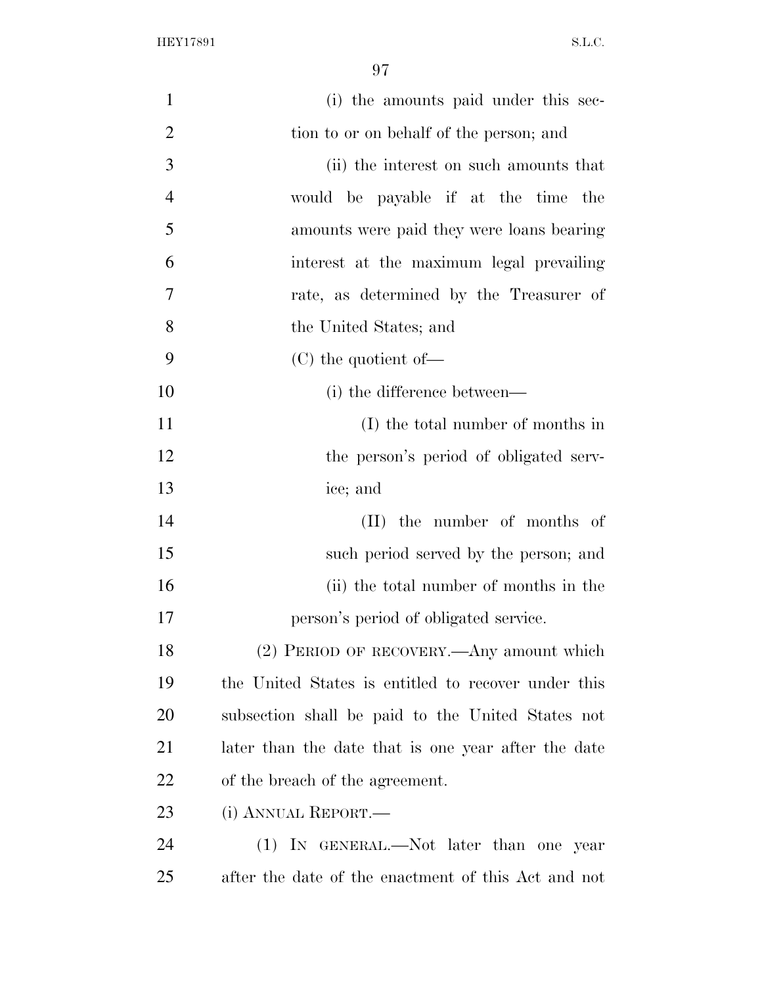| $\mathbf{1}$   | (i) the amounts paid under this sec-                |
|----------------|-----------------------------------------------------|
| $\overline{2}$ | tion to or on behalf of the person; and             |
| 3              | (ii) the interest on such amounts that              |
| $\overline{4}$ | would be payable if at the time the                 |
| 5              | amounts were paid they were loans bearing           |
| 6              | interest at the maximum legal prevailing            |
| $\overline{7}$ | rate, as determined by the Treasurer of             |
| 8              | the United States; and                              |
| 9              | $(C)$ the quotient of —                             |
| 10             | (i) the difference between—                         |
| <sup>11</sup>  | (I) the total number of months in                   |
| 12             | the person's period of obligated serv-              |
| 13             | ice; and                                            |
| 14             | (II) the number of months of                        |
| 15             | such period served by the person; and               |
| 16             | (ii) the total number of months in the              |
| 17             | person's period of obligated service.               |
| 18             | (2) PERIOD OF RECOVERY.—Any amount which            |
| 19             | the United States is entitled to recover under this |
| 20             | subsection shall be paid to the United States not   |
| 21             | later than the date that is one year after the date |
| 22             | of the breach of the agreement.                     |
| 23             | (i) ANNUAL REPORT.—                                 |
| 24             | (1) IN GENERAL.—Not later than one year             |
| 25             | after the date of the enactment of this Act and not |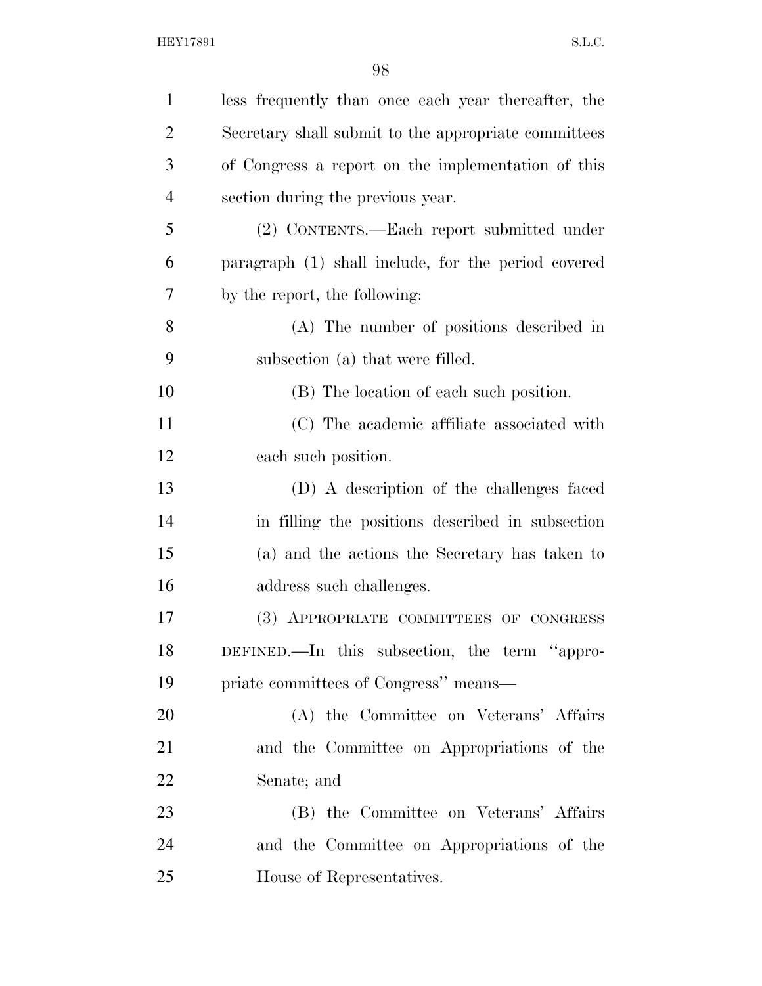| $\mathbf{1}$   | less frequently than once each year thereafter, the  |
|----------------|------------------------------------------------------|
| $\overline{2}$ | Secretary shall submit to the appropriate committees |
| 3              | of Congress a report on the implementation of this   |
| $\overline{4}$ | section during the previous year.                    |
| 5              | (2) CONTENTS.—Each report submitted under            |
| 6              | paragraph (1) shall include, for the period covered  |
| 7              | by the report, the following:                        |
| 8              | (A) The number of positions described in             |
| 9              | subsection (a) that were filled.                     |
| 10             | (B) The location of each such position.              |
| 11             | (C) The academic affiliate associated with           |
| 12             | each such position.                                  |
| 13             | (D) A description of the challenges faced            |
| 14             | in filling the positions described in subsection     |
| 15             | (a) and the actions the Secretary has taken to       |
| 16             | address such challenges.                             |
| 17             | (3) APPROPRIATE COMMITTEES OF CONGRESS               |
| 18             | DEFINED.—In this subsection, the term "appro-        |
| 19             | priate committees of Congress" means—                |
| 20             | (A) the Committee on Veterans' Affairs               |
| 21             | and the Committee on Appropriations of the           |
| 22             | Senate; and                                          |
| 23             | (B) the Committee on Veterans' Affairs               |
| 24             | and the Committee on Appropriations of the           |
| 25             | House of Representatives.                            |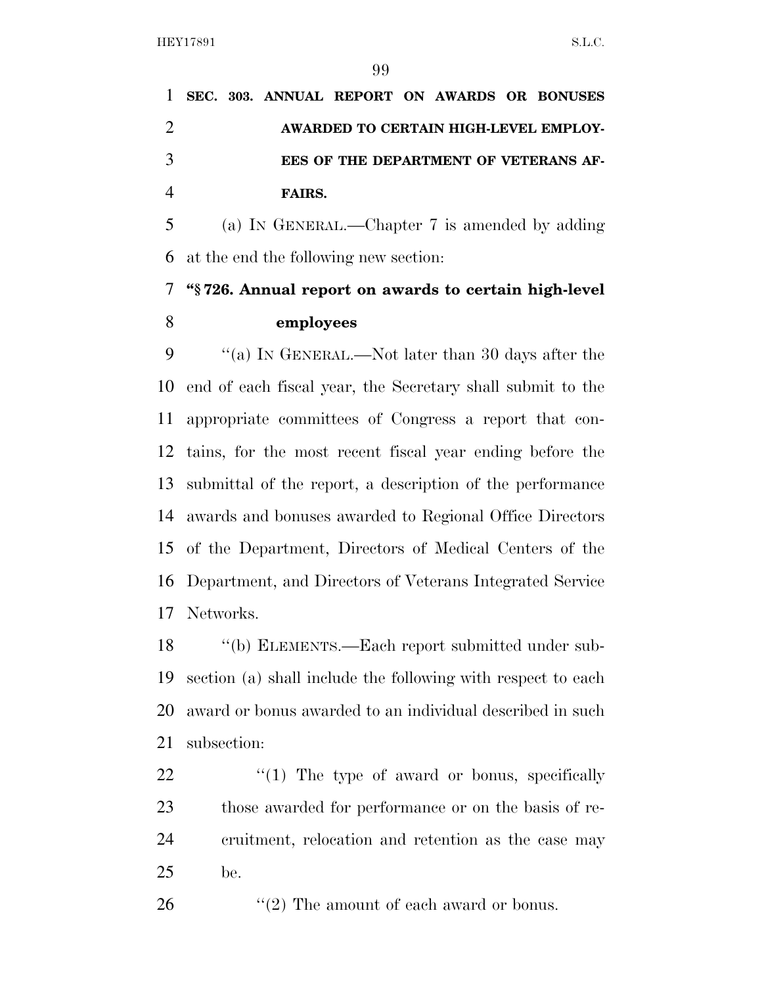|  |               |  |  | 1 SEC. 303. ANNUAL REPORT ON AWARDS OR BONUSES |
|--|---------------|--|--|------------------------------------------------|
|  |               |  |  | AWARDED TO CERTAIN HIGH-LEVEL EMPLOY-          |
|  |               |  |  | EES OF THE DEPARTMENT OF VETERANS AF-          |
|  | <b>FAIRS.</b> |  |  |                                                |

 (a) IN GENERAL.—Chapter 7 is amended by adding at the end the following new section:

## **''§ 726. Annual report on awards to certain high-level employees**

 ''(a) IN GENERAL.—Not later than 30 days after the end of each fiscal year, the Secretary shall submit to the appropriate committees of Congress a report that con- tains, for the most recent fiscal year ending before the submittal of the report, a description of the performance awards and bonuses awarded to Regional Office Directors of the Department, Directors of Medical Centers of the Department, and Directors of Veterans Integrated Service Networks.

 ''(b) ELEMENTS.—Each report submitted under sub- section (a) shall include the following with respect to each award or bonus awarded to an individual described in such subsection:

 $\frac{1}{2}$  (1) The type of award or bonus, specifically those awarded for performance or on the basis of re- cruitment, relocation and retention as the case may be.

26 ''(2) The amount of each award or bonus.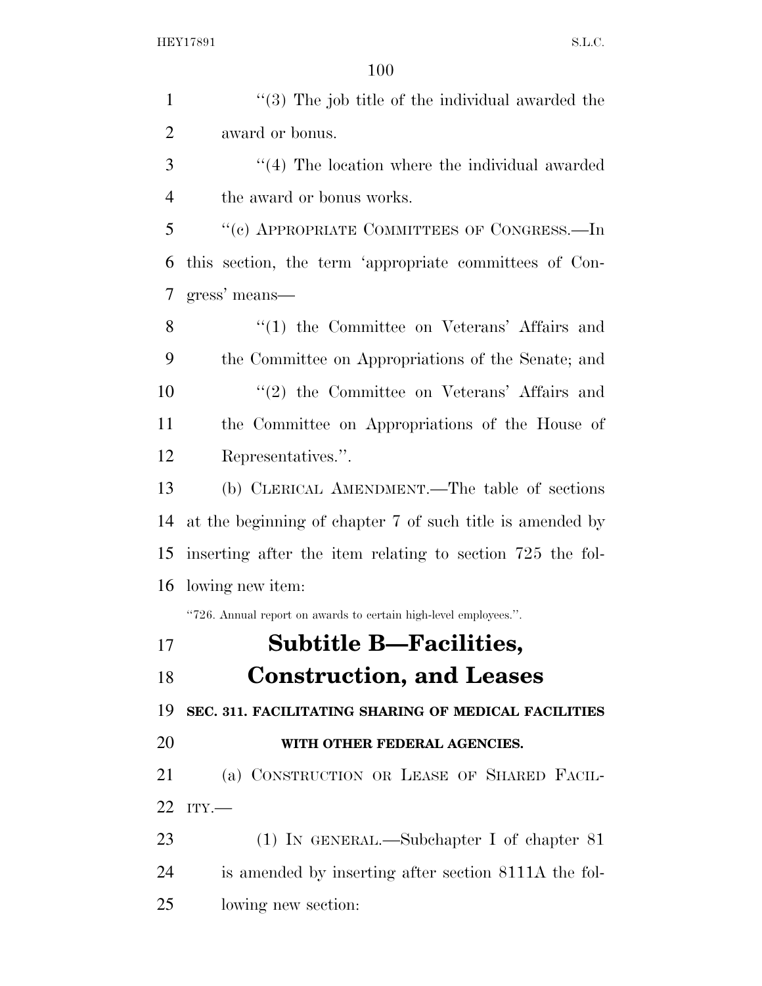| $\mathbf{1}$   | $\cdot$ (3) The job title of the individual awarded the          |
|----------------|------------------------------------------------------------------|
| $\overline{2}$ | award or bonus.                                                  |
| 3              | $\lq(4)$ The location where the individual awarded               |
| $\overline{4}$ | the award or bonus works.                                        |
| 5              | "(c) APPROPRIATE COMMITTEES OF CONGRESS.—In                      |
| 6              | this section, the term 'appropriate committees of Con-           |
| 7              | gress' means—                                                    |
| 8              | $\lq(1)$ the Committee on Veterans' Affairs and                  |
| 9              | the Committee on Appropriations of the Senate; and               |
| 10             | $\lq(2)$ the Committee on Veterans' Affairs and                  |
| 11             | the Committee on Appropriations of the House of                  |
| 12             | Representatives.".                                               |
| 13             | (b) CLERICAL AMENDMENT.—The table of sections                    |
| 14             | at the beginning of chapter 7 of such title is amended by        |
| 15             | inserting after the item relating to section 725 the fol-        |
| 16             | lowing new item:                                                 |
|                | "726. Annual report on awards to certain high-level employees.". |
| 17             | <b>Subtitle B—Facilities,</b>                                    |
| 18             | <b>Construction, and Leases</b>                                  |
| 19             | SEC. 311. FACILITATING SHARING OF MEDICAL FACILITIES             |
| 20             | WITH OTHER FEDERAL AGENCIES.                                     |
| 21             | (a) CONSTRUCTION OR LEASE OF SHARED FACIL-                       |
| 22             | ITY.                                                             |
| 23             | $(1)$ In GENERAL.—Subchapter I of chapter 81                     |
| 24             | is amended by inserting after section 8111A the fol-             |
| 25             | lowing new section:                                              |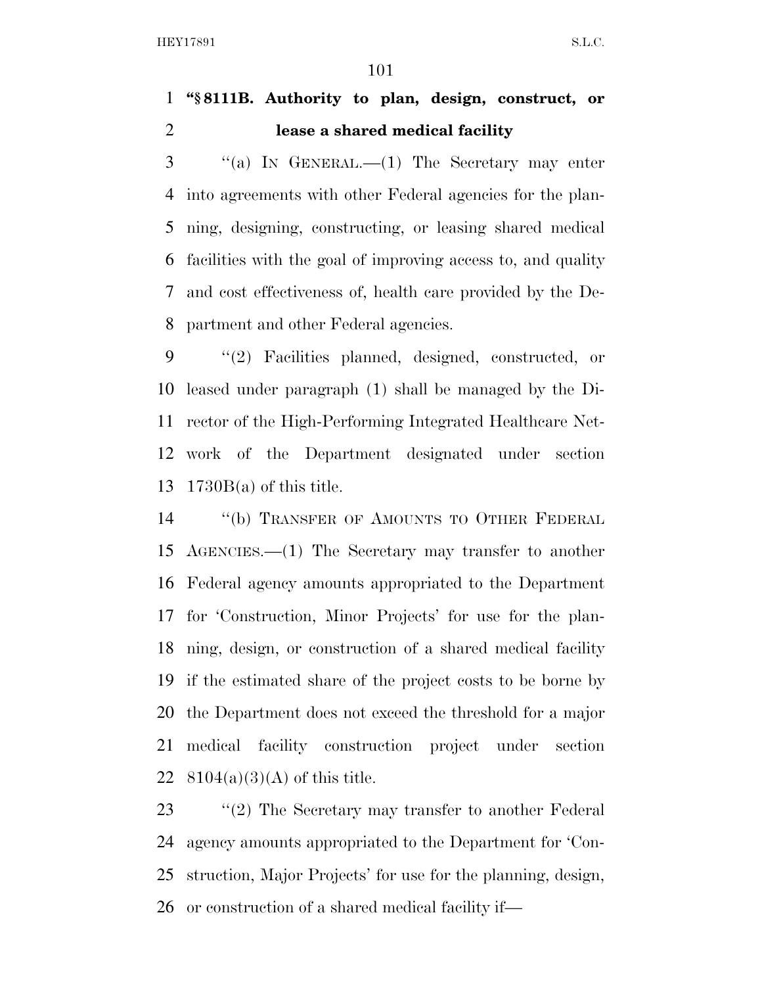## **''§ 8111B. Authority to plan, design, construct, or lease a shared medical facility**

 ''(a) IN GENERAL.—(1) The Secretary may enter into agreements with other Federal agencies for the plan- ning, designing, constructing, or leasing shared medical facilities with the goal of improving access to, and quality and cost effectiveness of, health care provided by the De-partment and other Federal agencies.

 ''(2) Facilities planned, designed, constructed, or leased under paragraph (1) shall be managed by the Di- rector of the High-Performing Integrated Healthcare Net- work of the Department designated under section 1730B(a) of this title.

 ''(b) TRANSFER OF AMOUNTS TO OTHER FEDERAL AGENCIES.—(1) The Secretary may transfer to another Federal agency amounts appropriated to the Department for 'Construction, Minor Projects' for use for the plan- ning, design, or construction of a shared medical facility if the estimated share of the project costs to be borne by the Department does not exceed the threshold for a major medical facility construction project under section  $8104(a)(3)(A)$  of this title.

23 ''(2) The Secretary may transfer to another Federal agency amounts appropriated to the Department for 'Con- struction, Major Projects' for use for the planning, design, or construction of a shared medical facility if—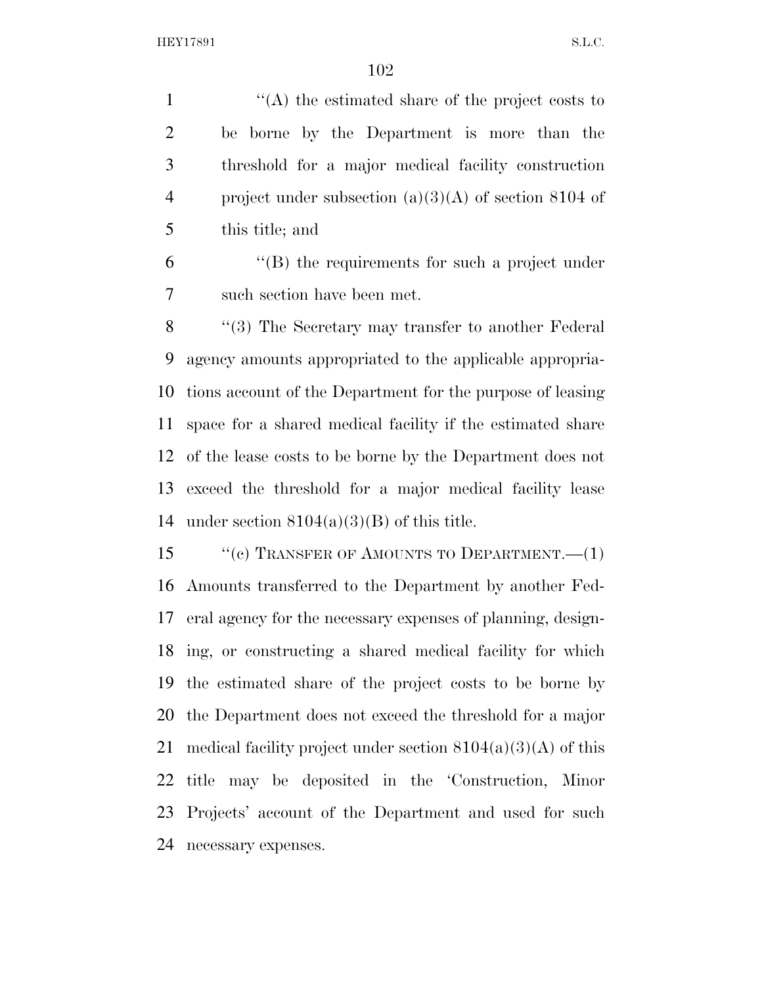''(A) the estimated share of the project costs to be borne by the Department is more than the threshold for a major medical facility construction project under subsection (a)(3)(A) of section 8104 of this title; and

 ''(B) the requirements for such a project under such section have been met.

8 "(3) The Secretary may transfer to another Federal agency amounts appropriated to the applicable appropria- tions account of the Department for the purpose of leasing space for a shared medical facility if the estimated share of the lease costs to be borne by the Department does not exceed the threshold for a major medical facility lease 14 under section  $8104(a)(3)(B)$  of this title.

15 "(c) TRANSFER OF AMOUNTS TO DEPARTMENT.—(1) Amounts transferred to the Department by another Fed- eral agency for the necessary expenses of planning, design- ing, or constructing a shared medical facility for which the estimated share of the project costs to be borne by the Department does not exceed the threshold for a major 21 medical facility project under section  $8104(a)(3)(A)$  of this title may be deposited in the 'Construction, Minor Projects' account of the Department and used for such necessary expenses.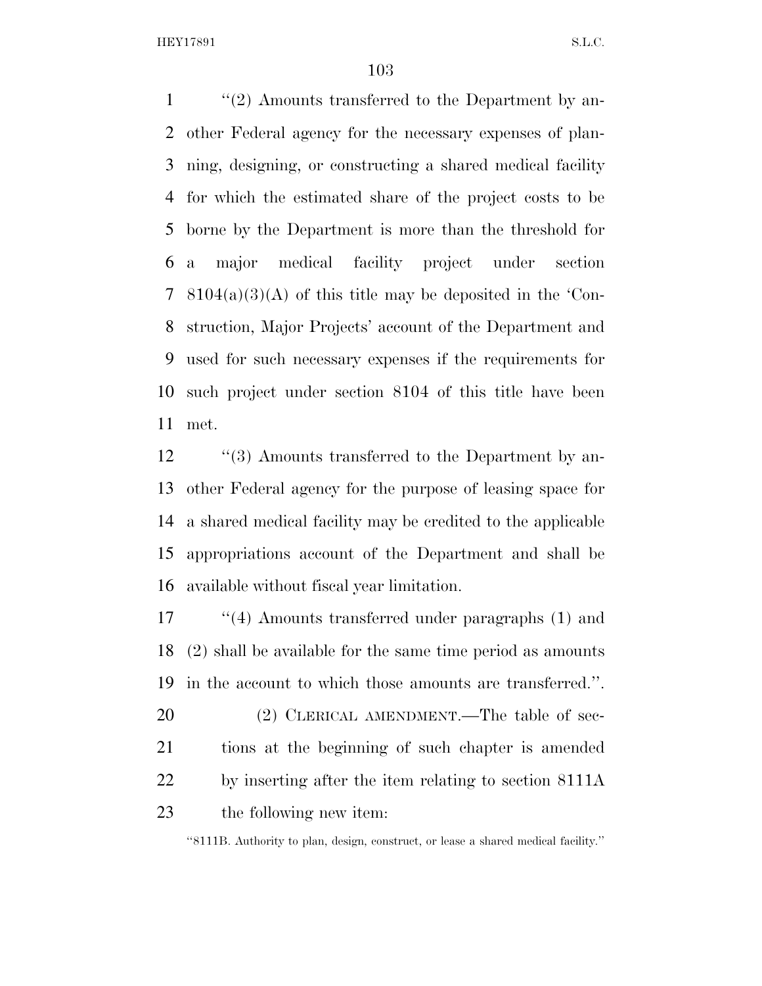1 ''(2) Amounts transferred to the Department by an- other Federal agency for the necessary expenses of plan- ning, designing, or constructing a shared medical facility for which the estimated share of the project costs to be borne by the Department is more than the threshold for a major medical facility project under section 8104(a)(3)(A) of this title may be deposited in the 'Con- struction, Major Projects' account of the Department and used for such necessary expenses if the requirements for such project under section 8104 of this title have been met.

12 ''(3) Amounts transferred to the Department by an- other Federal agency for the purpose of leasing space for a shared medical facility may be credited to the applicable appropriations account of the Department and shall be available without fiscal year limitation.

 ''(4) Amounts transferred under paragraphs (1) and (2) shall be available for the same time period as amounts in the account to which those amounts are transferred.''.

20 (2) CLERICAL AMENDMENT.—The table of sec- tions at the beginning of such chapter is amended by inserting after the item relating to section 8111A the following new item:

''8111B. Authority to plan, design, construct, or lease a shared medical facility.''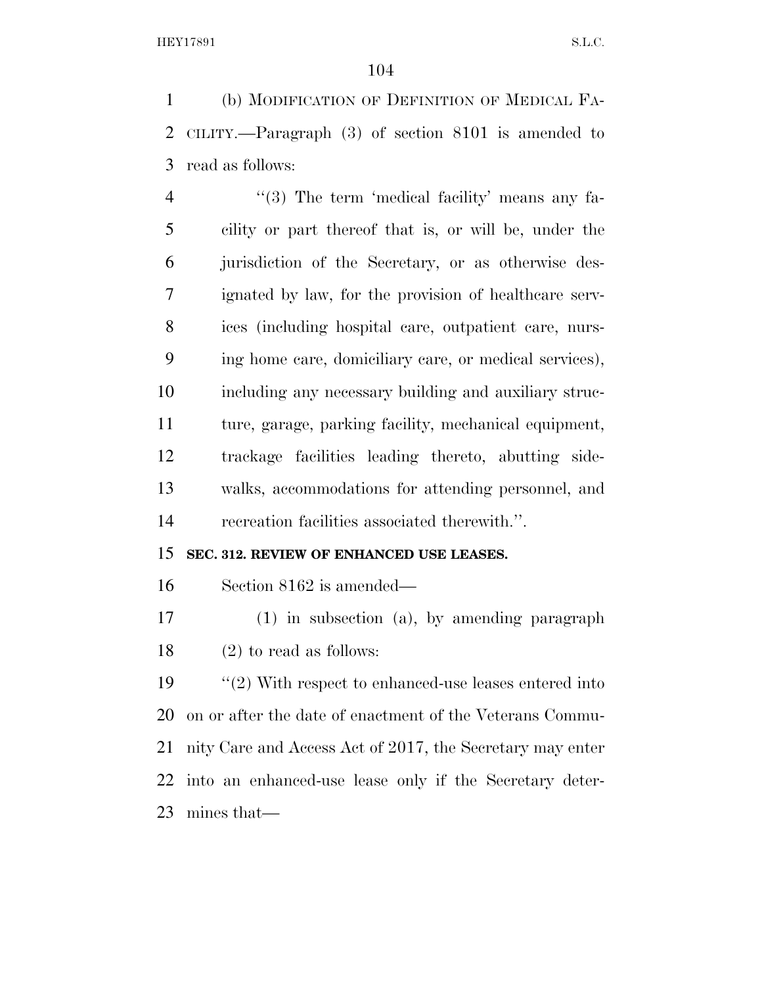(b) MODIFICATION OF DEFINITION OF MEDICAL FA- CILITY.—Paragraph (3) of section 8101 is amended to read as follows:

4 "(3) The term 'medical facility' means any fa- cility or part thereof that is, or will be, under the jurisdiction of the Secretary, or as otherwise des- ignated by law, for the provision of healthcare serv- ices (including hospital care, outpatient care, nurs- ing home care, domiciliary care, or medical services), including any necessary building and auxiliary struc- ture, garage, parking facility, mechanical equipment, trackage facilities leading thereto, abutting side- walks, accommodations for attending personnel, and recreation facilities associated therewith.''.

## **SEC. 312. REVIEW OF ENHANCED USE LEASES.**

Section 8162 is amended—

 (1) in subsection (a), by amending paragraph (2) to read as follows:

 ''(2) With respect to enhanced-use leases entered into on or after the date of enactment of the Veterans Commu- nity Care and Access Act of 2017, the Secretary may enter into an enhanced-use lease only if the Secretary deter-mines that—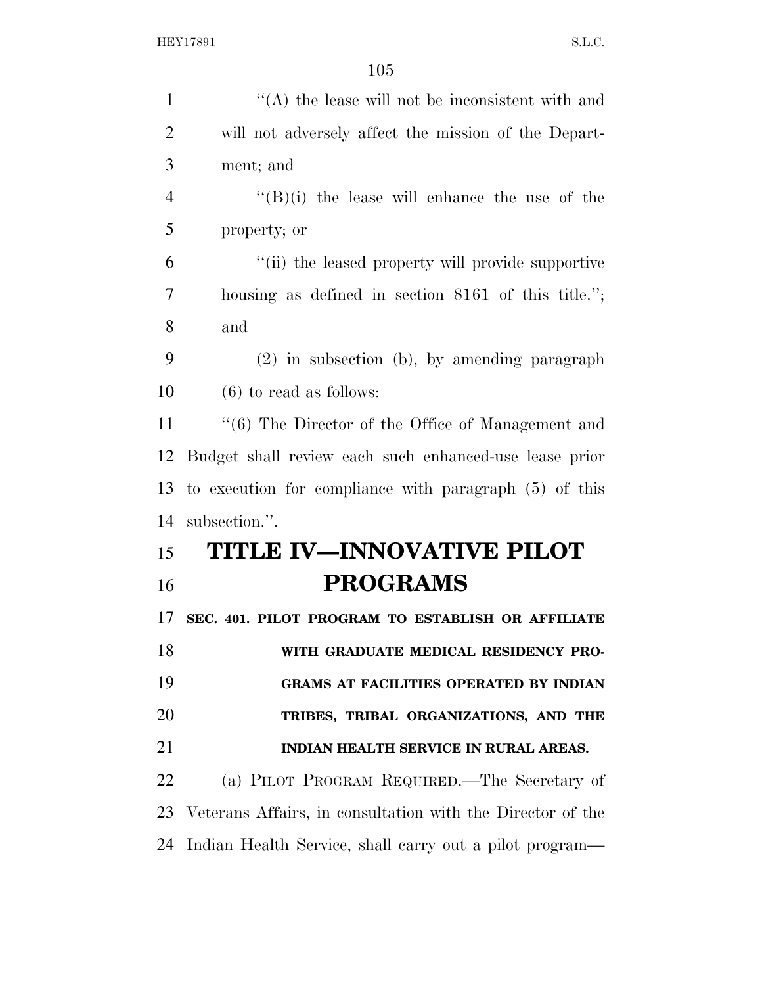| $\mathbf{1}$   | $\cdot$ (A) the lease will not be inconsistent with and       |
|----------------|---------------------------------------------------------------|
| $\overline{2}$ | will not adversely affect the mission of the Depart-          |
| 3              | ment; and                                                     |
| $\overline{4}$ | $\lq\lq(B)(i)$ the lease will enhance the use of the          |
| 5              | property; or                                                  |
| 6              | "(ii) the leased property will provide supportive             |
| $\overline{7}$ | housing as defined in section 8161 of this title.";           |
| 8              | and                                                           |
| 9              | $(2)$ in subsection $(b)$ , by amending paragraph             |
| 10             | $(6)$ to read as follows:                                     |
| 11             | $\cdot\cdot$ (6) The Director of the Office of Management and |
| 12             | Budget shall review each such enhanced-use lease prior        |
| 13             | to execution for compliance with paragraph $(5)$ of this      |
| 14             | subsection.".                                                 |
| 15             | <b>TITLE IV—INNOVATIVE PILOT</b>                              |
| 16             | <b>PROGRAMS</b>                                               |
| 17             | SEC. 401. PILOT PROGRAM TO ESTABLISH OR AFFILIATE             |
| 18             | WITH GRADUATE MEDICAL RESIDENCY PRO-                          |
| 19             | GRAMS AT FACILITIES OPERATED BY INDIAN                        |
| 20             | TRIBES, TRIBAL ORGANIZATIONS, AND THE                         |
| 21             | INDIAN HEALTH SERVICE IN RURAL AREAS.                         |
| 22             | (a) PILOT PROGRAM REQUIRED.—The Secretary of                  |
| 23             | Veterans Affairs, in consultation with the Director of the    |
| 24             | Indian Health Service, shall carry out a pilot program—       |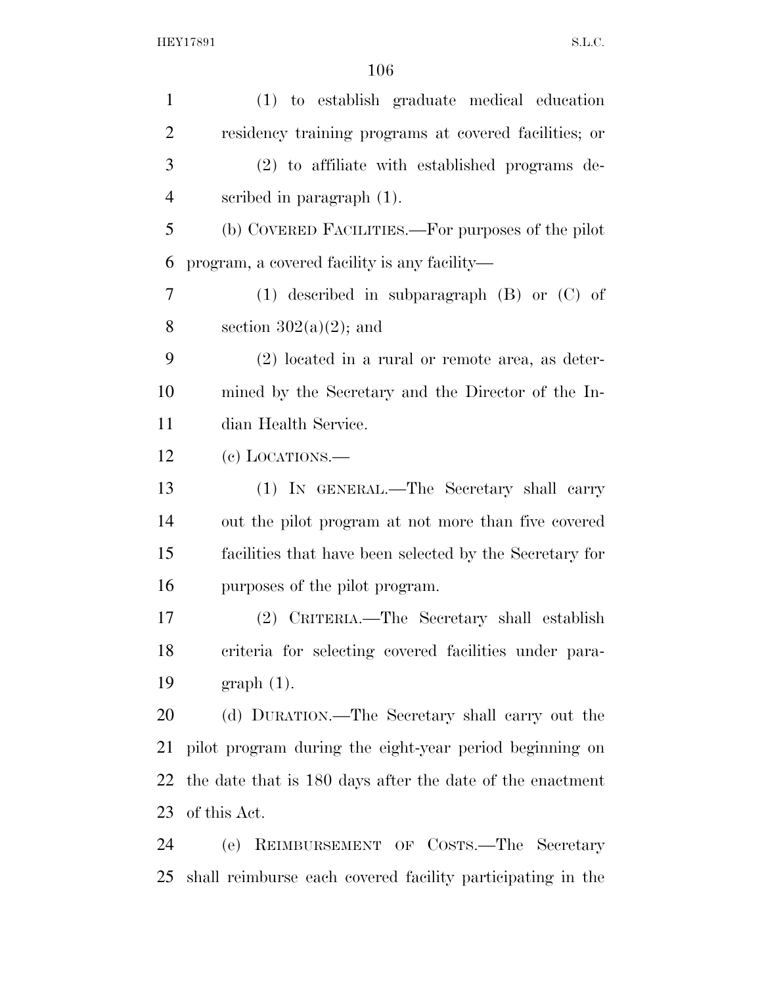| $\mathbf{1}$   | (1) to establish graduate medical education                |
|----------------|------------------------------------------------------------|
| $\overline{2}$ | residency training programs at covered facilities; or      |
| 3              | (2) to affiliate with established programs de-             |
| $\overline{4}$ | scribed in paragraph $(1)$ .                               |
| 5              | (b) COVERED FACILITIES.—For purposes of the pilot          |
| 6              | program, a covered facility is any facility-               |
| 7              | $(1)$ described in subparagraph $(B)$ or $(C)$ of          |
| 8              | section $302(a)(2)$ ; and                                  |
| 9              | $(2)$ located in a rural or remote area, as deter-         |
| 10             | mined by the Secretary and the Director of the In-         |
| 11             | dian Health Service.                                       |
| 12             | (e) LOCATIONS.—                                            |
| 13             | (1) IN GENERAL.—The Secretary shall carry                  |
| 14             | out the pilot program at not more than five covered        |
| 15             | facilities that have been selected by the Secretary for    |
| 16             | purposes of the pilot program.                             |
| 17             | (2) CRITERIA.—The Secretary shall establish                |
| 18             | criteria for selecting covered facilities under para-      |
| 19             | $graph(1)$ .                                               |
| 20             | (d) DURATION.—The Secretary shall carry out the            |
| 21             | pilot program during the eight-year period beginning on    |
| 22             | the date that is 180 days after the date of the enactment  |
| 23             | of this Act.                                               |
| 24             | (e) REIMBURSEMENT OF COSTS.—The Secretary                  |
| 25             | shall reimburse each covered facility participating in the |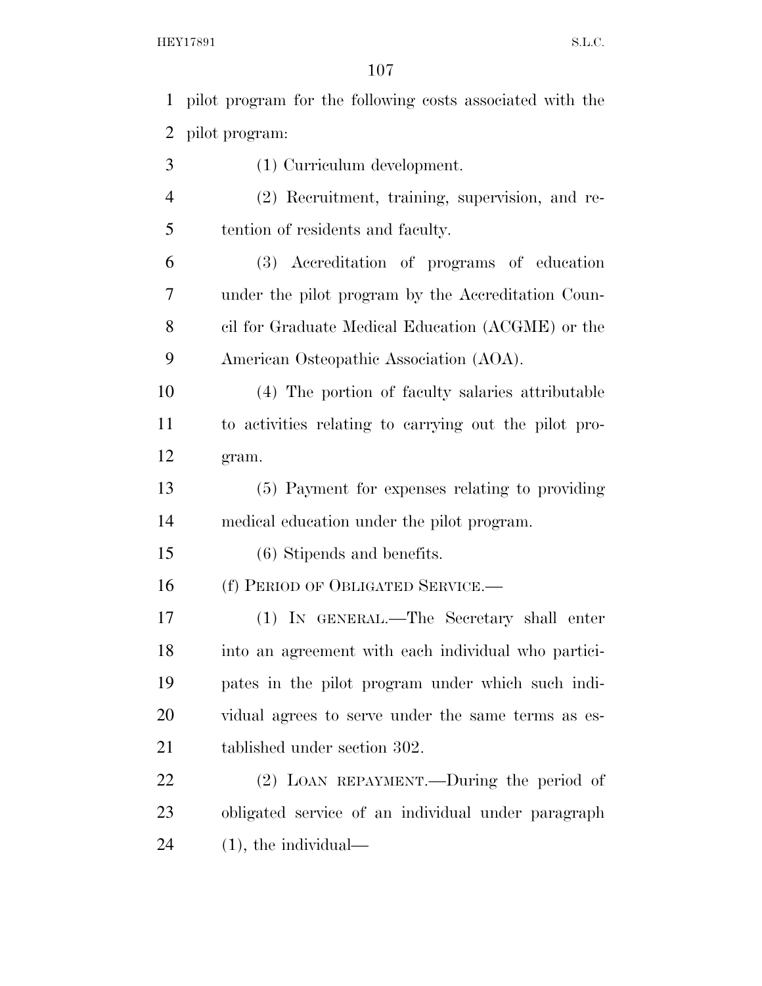pilot program for the following costs associated with the pilot program: (1) Curriculum development. (2) Recruitment, training, supervision, and re- tention of residents and faculty. (3) Accreditation of programs of education under the pilot program by the Accreditation Coun- cil for Graduate Medical Education (ACGME) or the American Osteopathic Association (AOA). (4) The portion of faculty salaries attributable to activities relating to carrying out the pilot pro- gram. (5) Payment for expenses relating to providing medical education under the pilot program. (6) Stipends and benefits. 16 (f) PERIOD OF OBLIGATED SERVICE.— (1) IN GENERAL.—The Secretary shall enter into an agreement with each individual who partici- pates in the pilot program under which such indi- vidual agrees to serve under the same terms as es- tablished under section 302. (2) LOAN REPAYMENT.—During the period of obligated service of an individual under paragraph (1), the individual—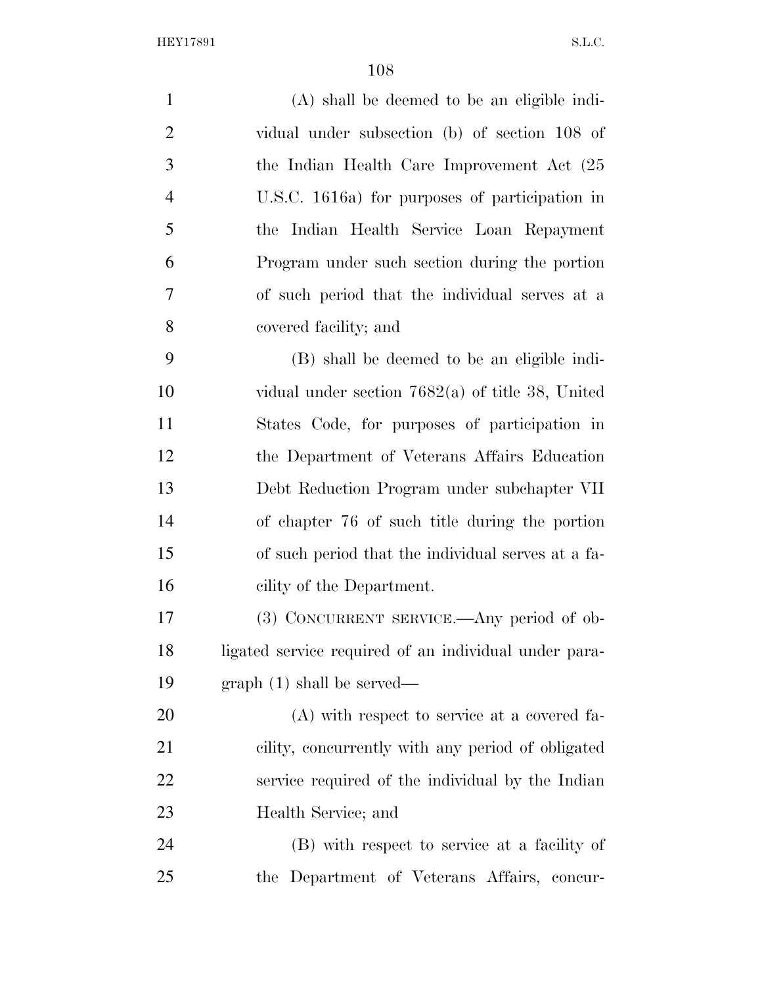(A) shall be deemed to be an eligible indi- vidual under subsection (b) of section 108 of the Indian Health Care Improvement Act (25 U.S.C. 1616a) for purposes of participation in the Indian Health Service Loan Repayment Program under such section during the portion of such period that the individual serves at a covered facility; and (B) shall be deemed to be an eligible indi- vidual under section 7682(a) of title 38, United States Code, for purposes of participation in the Department of Veterans Affairs Education Debt Reduction Program under subchapter VII of chapter 76 of such title during the portion of such period that the individual serves at a fa- cility of the Department. (3) CONCURRENT SERVICE.—Any period of ob- ligated service required of an individual under para- graph (1) shall be served— (A) with respect to service at a covered fa- cility, concurrently with any period of obligated service required of the individual by the Indian Health Service; and (B) with respect to service at a facility of the Department of Veterans Affairs, concur-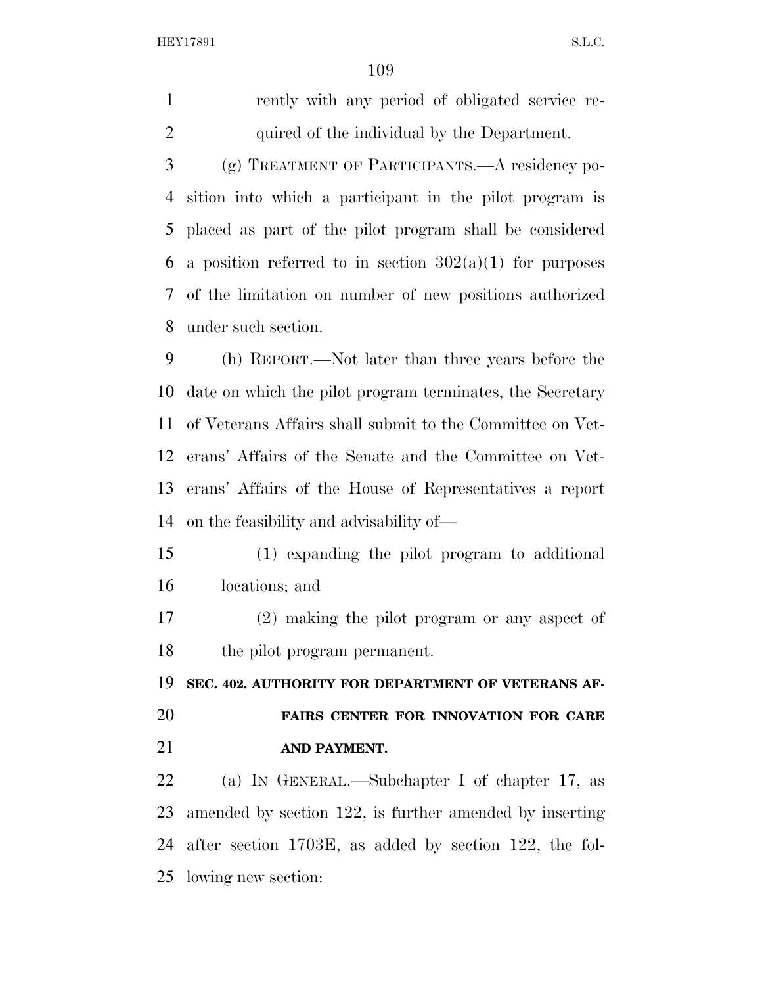rently with any period of obligated service re-quired of the individual by the Department.

 (g) TREATMENT OF PARTICIPANTS.—A residency po- sition into which a participant in the pilot program is placed as part of the pilot program shall be considered 6 a position referred to in section  $302(a)(1)$  for purposes of the limitation on number of new positions authorized under such section.

 (h) REPORT.—Not later than three years before the date on which the pilot program terminates, the Secretary of Veterans Affairs shall submit to the Committee on Vet- erans' Affairs of the Senate and the Committee on Vet- erans' Affairs of the House of Representatives a report on the feasibility and advisability of—

 (1) expanding the pilot program to additional locations; and

 (2) making the pilot program or any aspect of the pilot program permanent.

**SEC. 402. AUTHORITY FOR DEPARTMENT OF VETERANS AF-**

## **FAIRS CENTER FOR INNOVATION FOR CARE AND PAYMENT.**

 (a) IN GENERAL.—Subchapter I of chapter 17, as amended by section 122, is further amended by inserting after section 1703E, as added by section 122, the fol-lowing new section: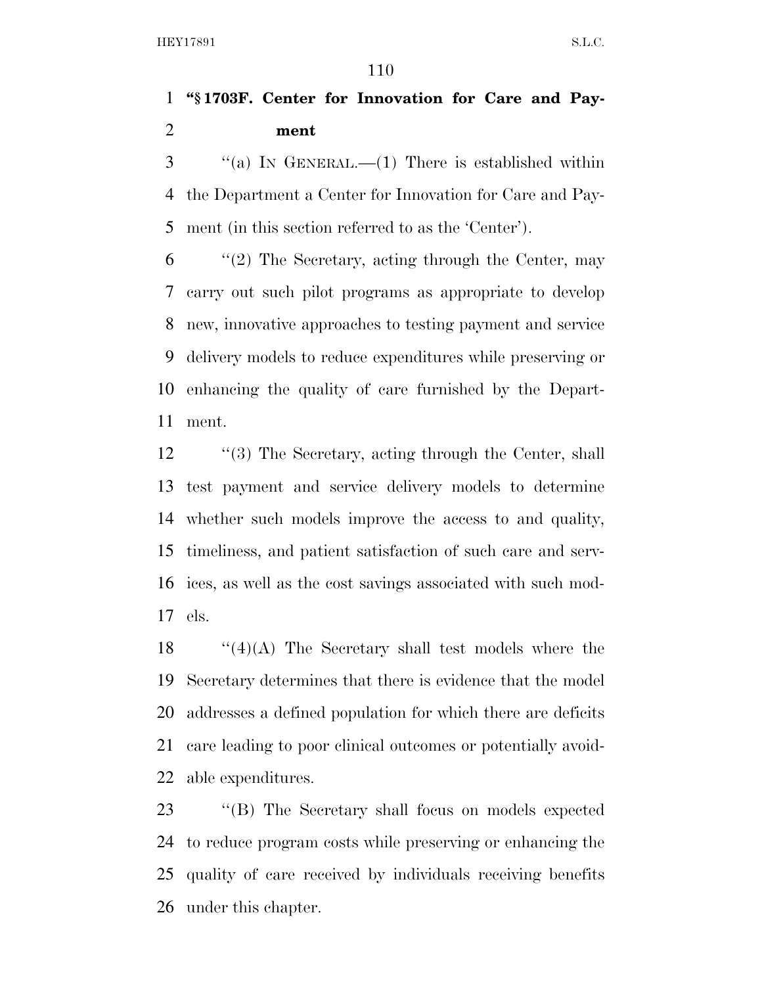## **''§ 1703F. Center for Innovation for Care and Pay-ment**

 "(a) In GENERAL.—(1) There is established within the Department a Center for Innovation for Care and Pay-ment (in this section referred to as the 'Center').

 ''(2) The Secretary, acting through the Center, may carry out such pilot programs as appropriate to develop new, innovative approaches to testing payment and service delivery models to reduce expenditures while preserving or enhancing the quality of care furnished by the Depart-ment.

 ''(3) The Secretary, acting through the Center, shall test payment and service delivery models to determine whether such models improve the access to and quality, timeliness, and patient satisfaction of such care and serv- ices, as well as the cost savings associated with such mod-els.

 $\cdot$  ''(4)(A) The Secretary shall test models where the Secretary determines that there is evidence that the model addresses a defined population for which there are deficits care leading to poor clinical outcomes or potentially avoid-able expenditures.

 ''(B) The Secretary shall focus on models expected to reduce program costs while preserving or enhancing the quality of care received by individuals receiving benefits under this chapter.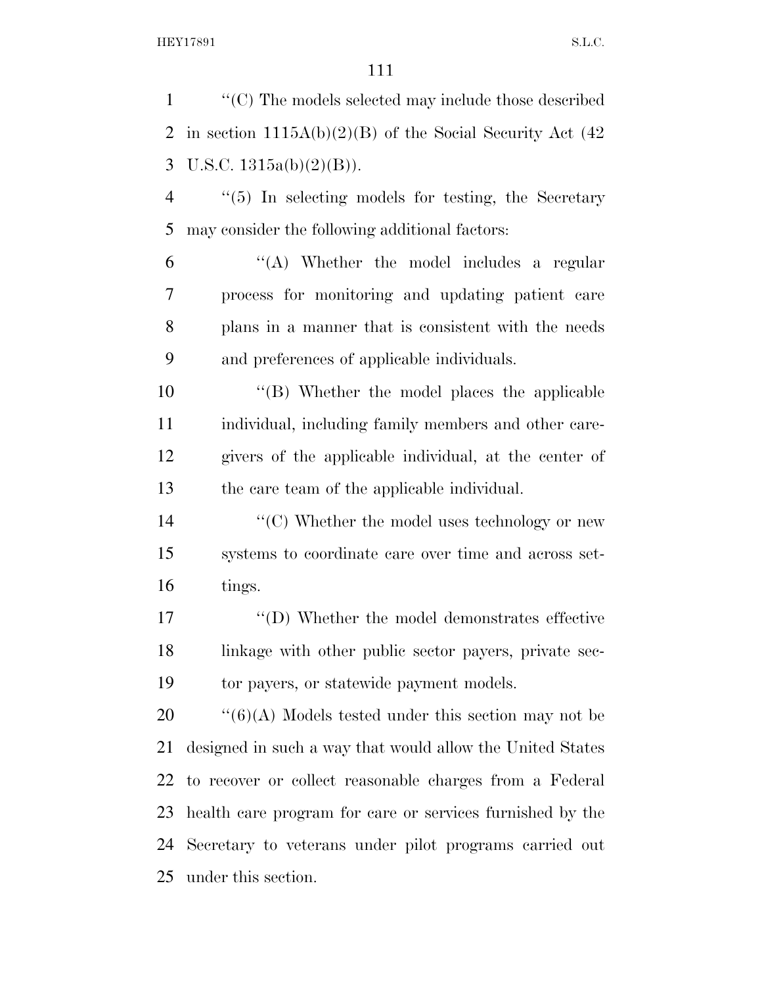''(C) The models selected may include those described 2 in section  $1115A(b)(2)(B)$  of the Social Security Act (42) 3 U.S.C.  $1315a(b)(2)(B)$ ). ''(5) In selecting models for testing, the Secretary may consider the following additional factors: ''(A) Whether the model includes a regular process for monitoring and updating patient care plans in a manner that is consistent with the needs and preferences of applicable individuals. ''(B) Whether the model places the applicable individual, including family members and other care- givers of the applicable individual, at the center of the care team of the applicable individual.  $\langle ^{\prime}(C) \rangle$  Whether the model uses technology or new systems to coordinate care over time and across set- tings. ''(D) Whether the model demonstrates effective linkage with other public sector payers, private sec- tor payers, or statewide payment models.  $\cdot$  ''(6)(A) Models tested under this section may not be designed in such a way that would allow the United States to recover or collect reasonable charges from a Federal health care program for care or services furnished by the Secretary to veterans under pilot programs carried out under this section.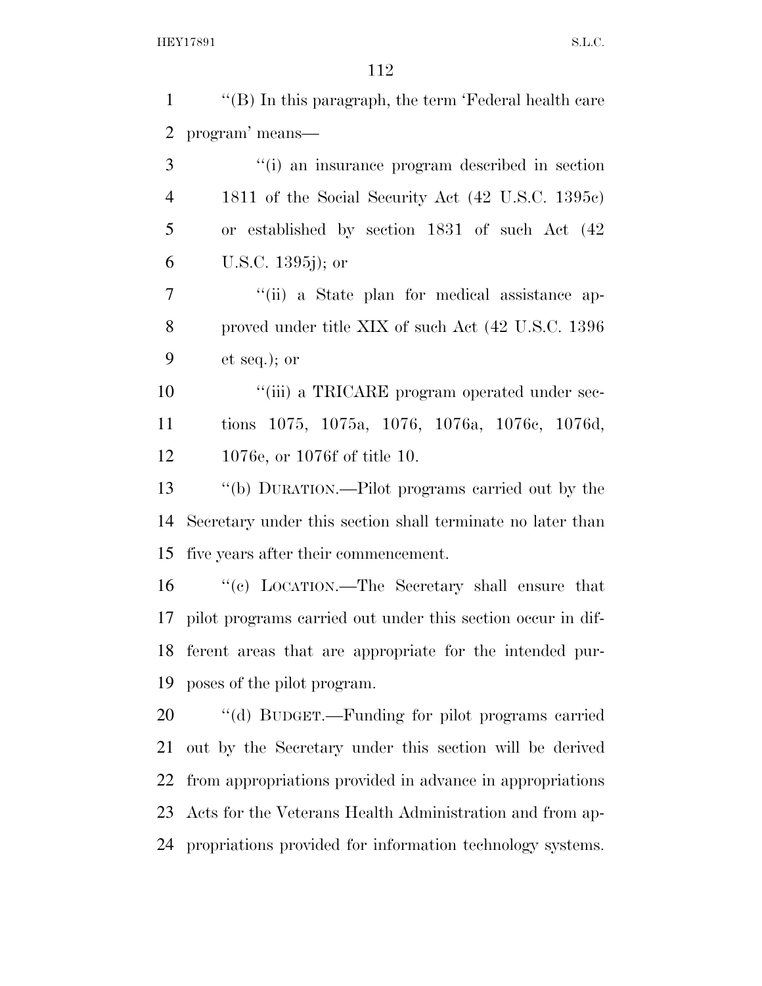| $\mathbf{1}$   | " $(B)$ In this paragraph, the term 'Federal health care    |
|----------------|-------------------------------------------------------------|
| $\overline{2}$ | program' means—                                             |
| 3              | "(i) an insurance program described in section              |
| $\overline{4}$ | 1811 of the Social Security Act (42 U.S.C. 1395c)           |
| 5              | or established by section 1831 of such Act (42)             |
| 6              | U.S.C. 1395j); or                                           |
| 7              | "(ii) a State plan for medical assistance ap-               |
| 8              | proved under title XIX of such Act (42 U.S.C. 1396)         |
| 9              | $et seq.);$ or                                              |
| 10             | "(iii) a TRICARE program operated under sec-                |
| 11             | tions 1075, 1075a, 1076, 1076a, 1076c, 1076d,               |
| 12             | 1076e, or 1076f of title 10.                                |
| 13             | "(b) DURATION.—Pilot programs carried out by the            |
| 14             | Secretary under this section shall terminate no later than  |
| 15             | five years after their commencement.                        |
| 16             | "(c) LOCATION.—The Secretary shall ensure that              |
| 17             | pilot programs carried out under this section occur in dif- |
|                | 18 ferent areas that are appropriate for the intended pur-  |
| 19             | poses of the pilot program.                                 |
| 20             | "(d) BUDGET.—Funding for pilot programs carried             |
| 21             | out by the Secretary under this section will be derived     |
| 22             | from appropriations provided in advance in appropriations   |
| 23             | Acts for the Veterans Health Administration and from ap-    |
| 24             | propriations provided for information technology systems.   |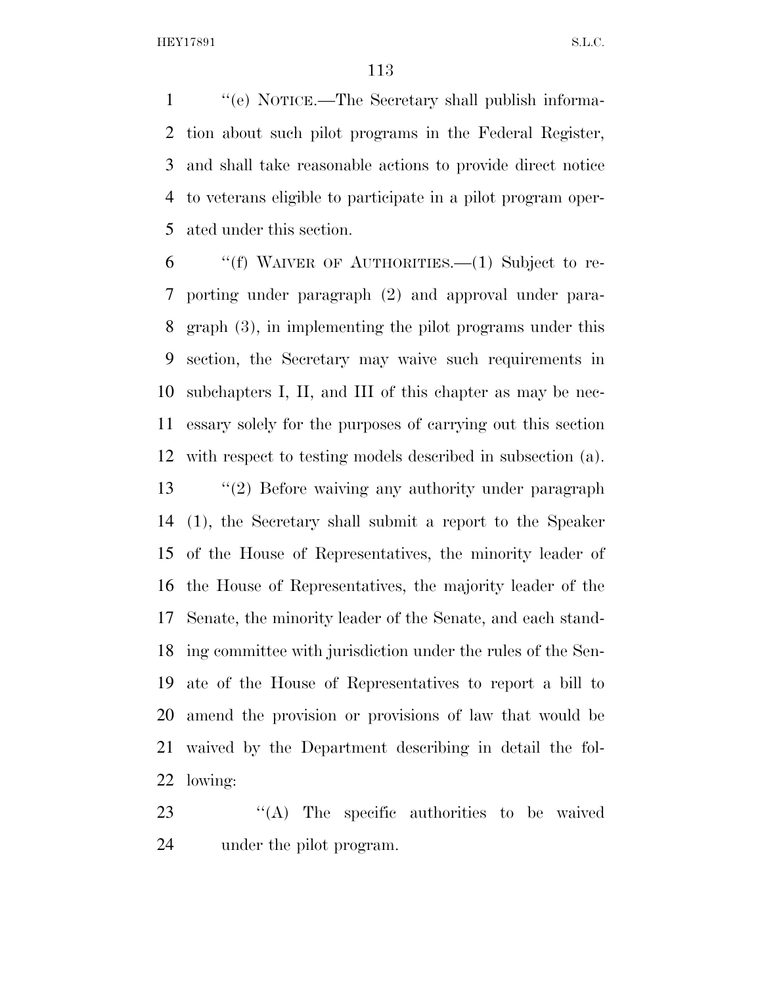''(e) NOTICE.—The Secretary shall publish informa- tion about such pilot programs in the Federal Register, and shall take reasonable actions to provide direct notice to veterans eligible to participate in a pilot program oper-ated under this section.

 ''(f) WAIVER OF AUTHORITIES.—(1) Subject to re- porting under paragraph (2) and approval under para- graph (3), in implementing the pilot programs under this section, the Secretary may waive such requirements in subchapters I, II, and III of this chapter as may be nec- essary solely for the purposes of carrying out this section with respect to testing models described in subsection (a). ''(2) Before waiving any authority under paragraph (1), the Secretary shall submit a report to the Speaker of the House of Representatives, the minority leader of the House of Representatives, the majority leader of the Senate, the minority leader of the Senate, and each stand- ing committee with jurisdiction under the rules of the Sen- ate of the House of Representatives to report a bill to amend the provision or provisions of law that would be waived by the Department describing in detail the fol-lowing:

23  $\langle A \rangle$  The specific authorities to be waived under the pilot program.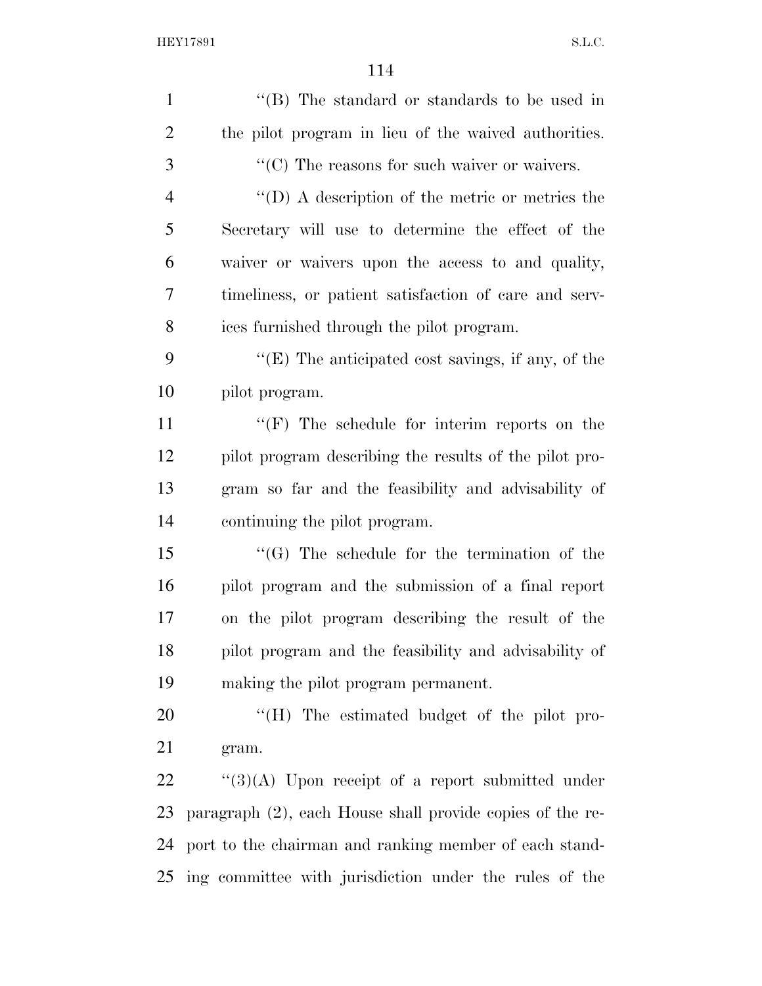| $\mathbf{1}$   | "(B) The standard or standards to be used in              |
|----------------|-----------------------------------------------------------|
| $\overline{2}$ | the pilot program in lieu of the waived authorities.      |
| 3              | $\lq\lq$ (C) The reasons for such waiver or waivers.      |
| $\overline{4}$ | $\lq\lq$ (D) A description of the metric or metrics the   |
| 5              | Secretary will use to determine the effect of the         |
| 6              | waiver or waivers upon the access to and quality,         |
| 7              | timeliness, or patient satisfaction of care and serv-     |
| 8              | ices furnished through the pilot program.                 |
| 9              | " $(E)$ The anticipated cost savings, if any, of the      |
| 10             | pilot program.                                            |
| 11             | $\lq\lq(F)$ The schedule for interim reports on the       |
| 12             | pilot program describing the results of the pilot pro-    |
| 13             | gram so far and the feasibility and advisability of       |
| 14             | continuing the pilot program.                             |
| 15             | $\lq\lq(G)$ The schedule for the termination of the       |
| 16             | pilot program and the submission of a final report        |
| 17             | on the pilot program describing the result of the         |
| 18             | pilot program and the feasibility and advisability of     |
| 19             | making the pilot program permanent.                       |
| 20             | "(H) The estimated budget of the pilot pro-               |
| 21             | gram.                                                     |
| 22             | $\lq(3)(A)$ Upon receipt of a report submitted under      |
| 23             | paragraph (2), each House shall provide copies of the re- |
| 24             | port to the chairman and ranking member of each stand-    |
| 25             | ing committee with jurisdiction under the rules of the    |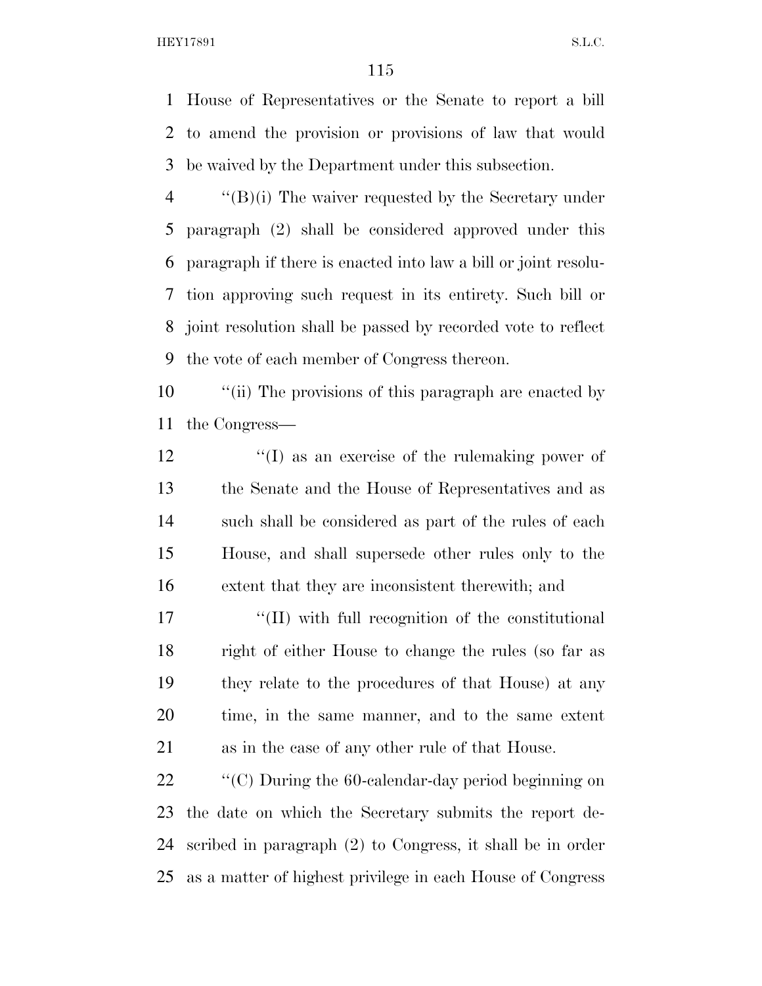House of Representatives or the Senate to report a bill to amend the provision or provisions of law that would be waived by the Department under this subsection.

 ''(B)(i) The waiver requested by the Secretary under paragraph (2) shall be considered approved under this paragraph if there is enacted into law a bill or joint resolu- tion approving such request in its entirety. Such bill or joint resolution shall be passed by recorded vote to reflect the vote of each member of Congress thereon.

10  $\frac{1}{10}$  The provisions of this paragraph are enacted by the Congress—

12 ''(I) as an exercise of the rulemaking power of the Senate and the House of Representatives and as such shall be considered as part of the rules of each House, and shall supersede other rules only to the extent that they are inconsistent therewith; and

17 ''(II) with full recognition of the constitutional right of either House to change the rules (so far as they relate to the procedures of that House) at any time, in the same manner, and to the same extent as in the case of any other rule of that House.

 $\bullet$  "(C) During the 60-calendar-day period beginning on the date on which the Secretary submits the report de- scribed in paragraph (2) to Congress, it shall be in order as a matter of highest privilege in each House of Congress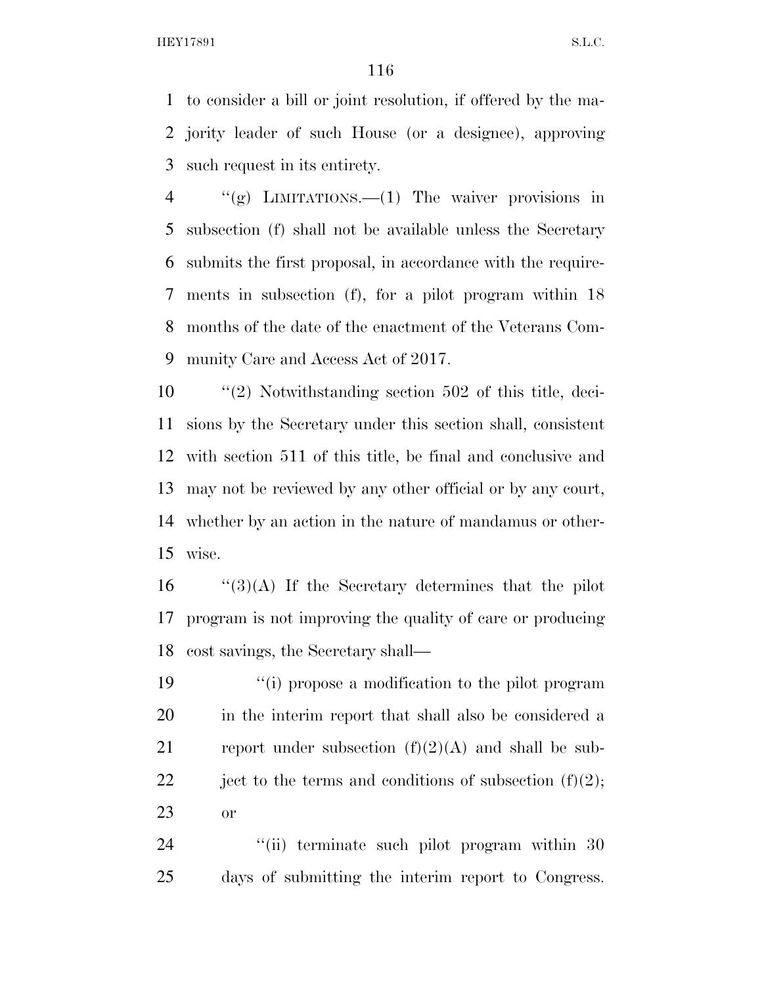to consider a bill or joint resolution, if offered by the ma- jority leader of such House (or a designee), approving such request in its entirety.

 ''(g) LIMITATIONS.—(1) The waiver provisions in subsection (f) shall not be available unless the Secretary submits the first proposal, in accordance with the require- ments in subsection (f), for a pilot program within 18 months of the date of the enactment of the Veterans Com-munity Care and Access Act of 2017.

 ''(2) Notwithstanding section 502 of this title, deci- sions by the Secretary under this section shall, consistent with section 511 of this title, be final and conclusive and may not be reviewed by any other official or by any court, whether by an action in the nature of mandamus or other-wise.

16  $\frac{16}{3}(A)$  If the Secretary determines that the pilot program is not improving the quality of care or producing cost savings, the Secretary shall—

 ''(i) propose a modification to the pilot program in the interim report that shall also be considered a 21 report under subsection  $(f)(2)(A)$  and shall be sub-22 ject to the terms and conditions of subsection  $(f)(2)$ ; or

24 "(ii) terminate such pilot program within 30 days of submitting the interim report to Congress.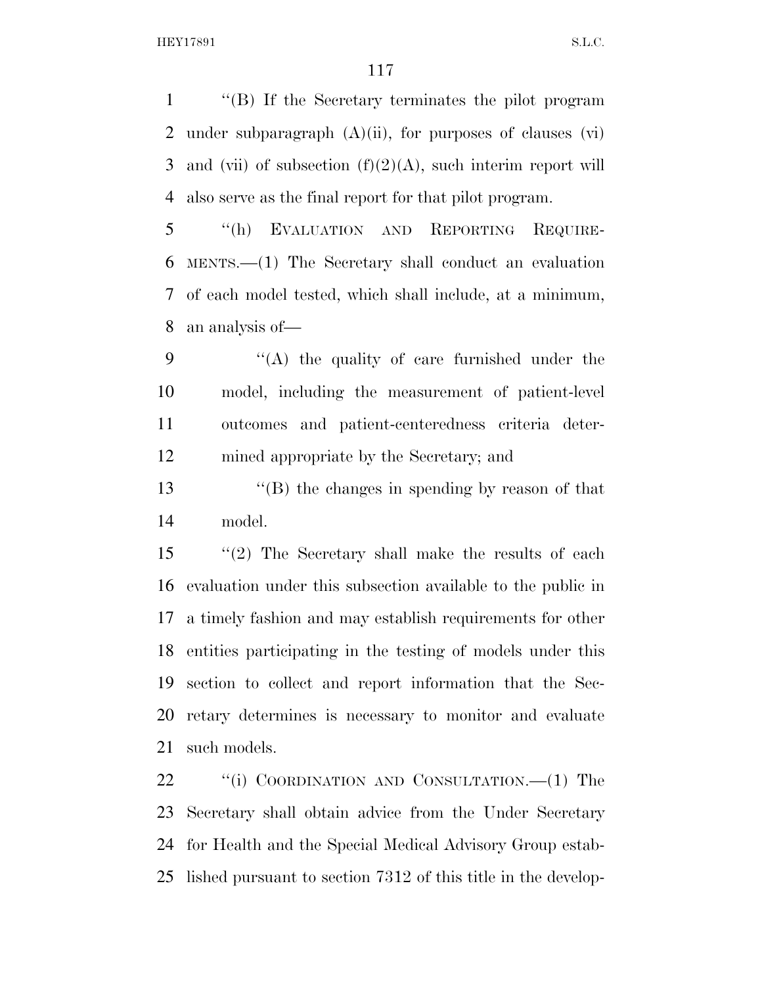''(B) If the Secretary terminates the pilot program 2 under subparagraph  $(A)(ii)$ , for purposes of clauses  $(vi)$ 3 and (vii) of subsection  $(f)(2)(A)$ , such interim report will also serve as the final report for that pilot program.

 ''(h) EVALUATION AND REPORTING REQUIRE- MENTS.—(1) The Secretary shall conduct an evaluation of each model tested, which shall include, at a minimum, an analysis of—

 ''(A) the quality of care furnished under the model, including the measurement of patient-level outcomes and patient-centeredness criteria deter-mined appropriate by the Secretary; and

 ''(B) the changes in spending by reason of that model.

 ''(2) The Secretary shall make the results of each evaluation under this subsection available to the public in a timely fashion and may establish requirements for other entities participating in the testing of models under this section to collect and report information that the Sec- retary determines is necessary to monitor and evaluate such models.

22 "(i) COORDINATION AND CONSULTATION.—(1) The Secretary shall obtain advice from the Under Secretary for Health and the Special Medical Advisory Group estab-lished pursuant to section 7312 of this title in the develop-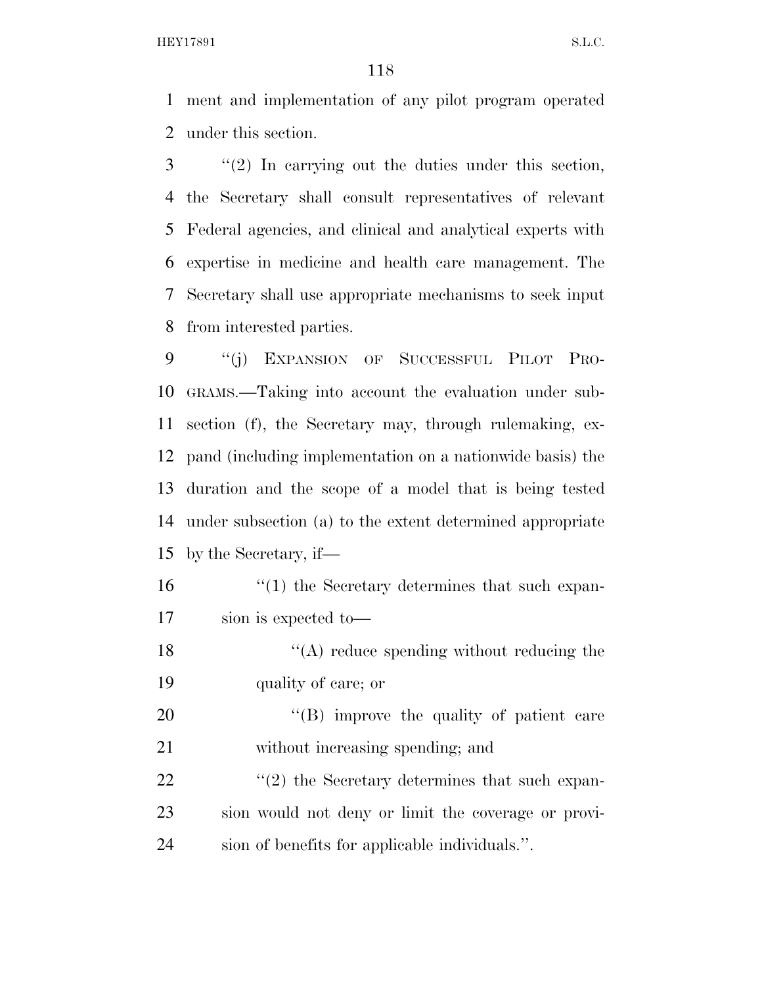ment and implementation of any pilot program operated under this section.

 ''(2) In carrying out the duties under this section, the Secretary shall consult representatives of relevant Federal agencies, and clinical and analytical experts with expertise in medicine and health care management. The Secretary shall use appropriate mechanisms to seek input from interested parties.

 ''(j) EXPANSION OF SUCCESSFUL PILOT PRO- GRAMS.—Taking into account the evaluation under sub- section (f), the Secretary may, through rulemaking, ex- pand (including implementation on a nationwide basis) the duration and the scope of a model that is being tested under subsection (a) to the extent determined appropriate by the Secretary, if—

- 16 ''(1) the Secretary determines that such expan-sion is expected to—
- 18  $\langle (A) \rangle$  reduce spending without reducing the quality of care; or

20  $\text{``(B)}$  improve the quality of patient care without increasing spending; and

22  $\langle \cdot (2) \rangle$  the Secretary determines that such expan- sion would not deny or limit the coverage or provi-sion of benefits for applicable individuals.''.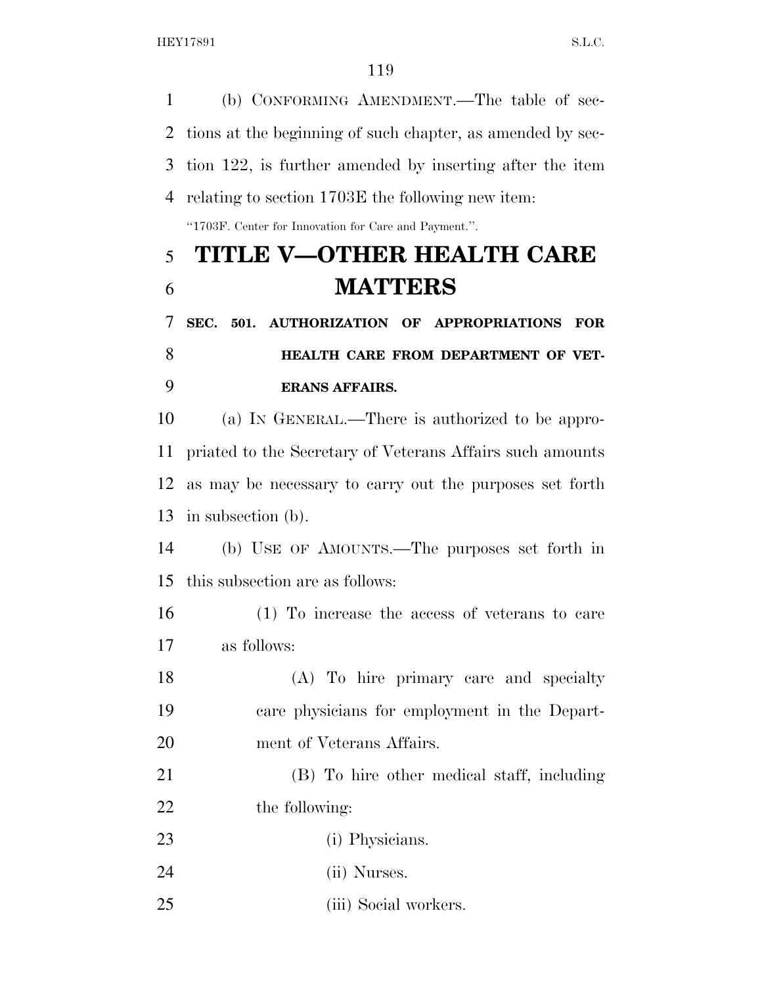(b) CONFORMING AMENDMENT.—The table of sec-

 tions at the beginning of such chapter, as amended by sec- tion 122, is further amended by inserting after the item relating to section 1703E the following new item: ''1703F. Center for Innovation for Care and Payment.''. **TITLE V—OTHER HEALTH CARE MATTERS SEC. 501. AUTHORIZATION OF APPROPRIATIONS FOR HEALTH CARE FROM DEPARTMENT OF VET- ERANS AFFAIRS.**  (a) IN GENERAL.—There is authorized to be appro- priated to the Secretary of Veterans Affairs such amounts as may be necessary to carry out the purposes set forth in subsection (b). (b) USE OF AMOUNTS.—The purposes set forth in this subsection are as follows: (1) To increase the access of veterans to care as follows: (A) To hire primary care and specialty care physicians for employment in the Depart- ment of Veterans Affairs. (B) To hire other medical staff, including 22 the following: 23 (i) Physicians. (ii) Nurses. (iii) Social workers.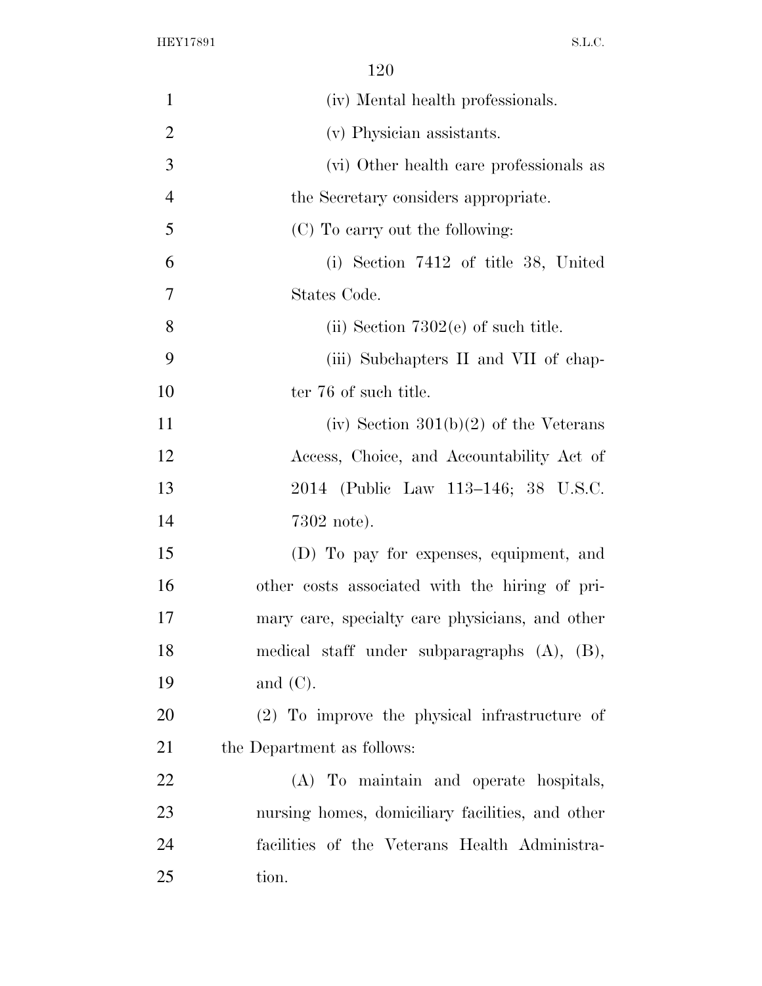| $\mathbf{1}$   | (iv) Mental health professionals.                 |
|----------------|---------------------------------------------------|
| $\overline{2}$ | (v) Physician assistants.                         |
| 3              | (vi) Other health care professionals as           |
| $\overline{4}$ | the Secretary considers appropriate.              |
| 5              | (C) To carry out the following:                   |
| 6              | (i) Section 7412 of title 38, United              |
| 7              | States Code.                                      |
| 8              | (ii) Section $7302(e)$ of such title.             |
| 9              | (iii) Subchapters II and VII of chap-             |
| 10             | ter 76 of such title.                             |
| 11             | (iv) Section $301(b)(2)$ of the Veterans          |
| 12             | Access, Choice, and Accountability Act of         |
| 13             | 2014 (Public Law 113–146; 38 U.S.C.               |
| 14             | $7302$ note).                                     |
| 15             | (D) To pay for expenses, equipment, and           |
| 16             | other costs associated with the hiring of pri-    |
| 17             | mary care, specialty care physicians, and other   |
| 18             | medical staff under subparagraphs $(A)$ , $(B)$ , |
| 19             | and $(C)$ .                                       |
| 20             | (2) To improve the physical infrastructure of     |
| 21             | the Department as follows:                        |
| 22             | (A) To maintain and operate hospitals,            |
| 23             | nursing homes, domiciliary facilities, and other  |
| 24             | facilities of the Veterans Health Administra-     |
| 25             | tion.                                             |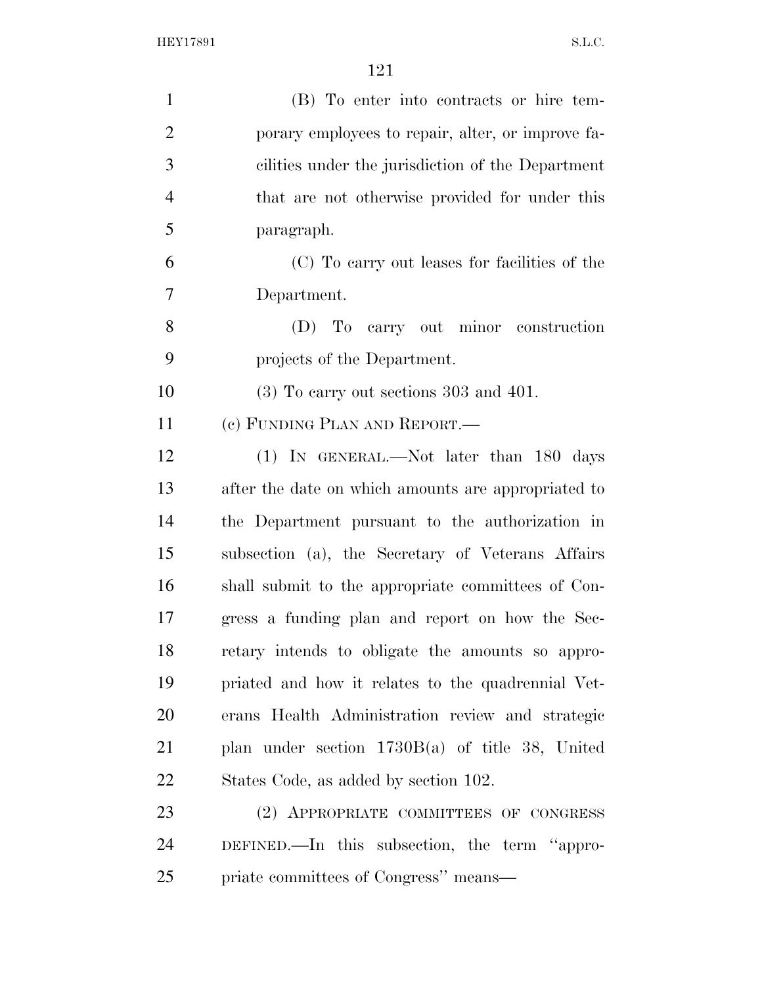| $\mathbf{1}$   | (B) To enter into contracts or hire tem-            |
|----------------|-----------------------------------------------------|
| $\overline{2}$ | porary employees to repair, alter, or improve fa-   |
| 3              | cilities under the jurisdiction of the Department   |
| $\overline{4}$ | that are not otherwise provided for under this      |
| 5              | paragraph.                                          |
| 6              | (C) To carry out leases for facilities of the       |
| 7              | Department.                                         |
| 8              | (D) To carry out minor construction                 |
| 9              | projects of the Department.                         |
| 10             | $(3)$ To carry out sections 303 and 401.            |
| 11             | (c) FUNDING PLAN AND REPORT.—                       |
| 12             | (1) IN GENERAL.—Not later than 180 days             |
| 13             | after the date on which amounts are appropriated to |
| 14             | the Department pursuant to the authorization in     |
| 15             | subsection (a), the Secretary of Veterans Affairs   |
| 16             | shall submit to the appropriate committees of Con-  |
| 17             | gress a funding plan and report on how the Sec-     |
| 18             | retary intends to obligate the amounts so appro-    |
| 19             | priated and how it relates to the quadrennial Vet-  |
| 20             | erans Health Administration review and strategic    |
| 21             | plan under section $1730B(a)$ of title 38, United   |
| 22             | States Code, as added by section 102.               |
| 23             | (2) APPROPRIATE COMMITTEES OF CONGRESS              |
| 24             | DEFINED.—In this subsection, the term "appro-       |
| 25             | priate committees of Congress" means—               |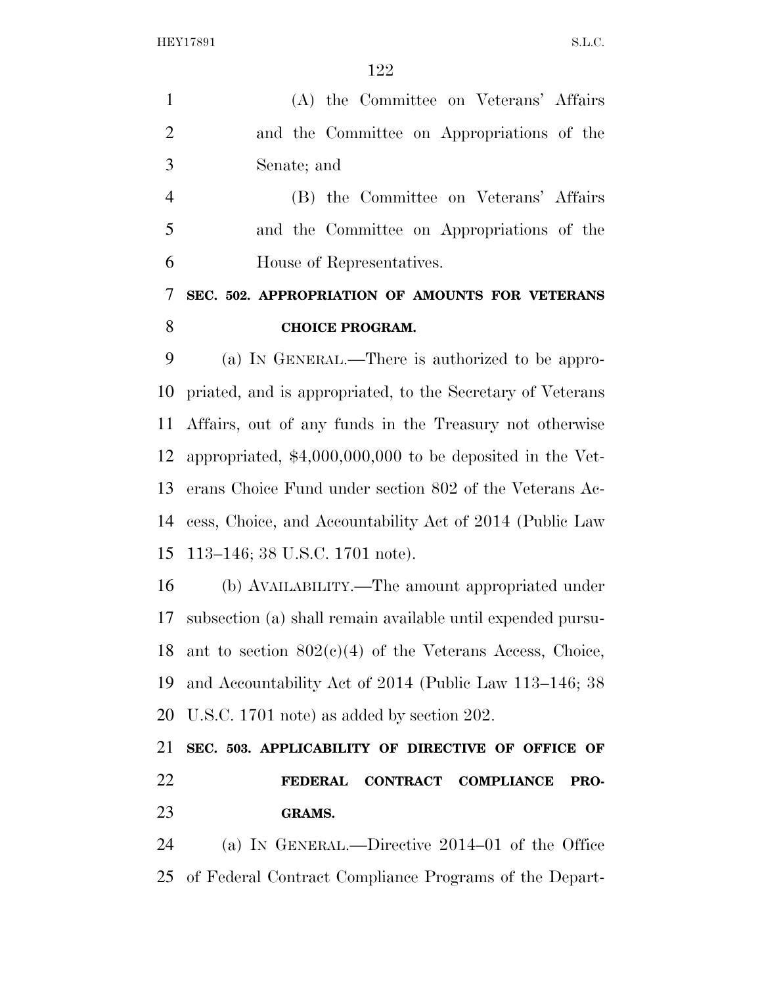| $\mathbf{1}$   | (A) the Committee on Veterans' Affairs                         |
|----------------|----------------------------------------------------------------|
| $\overline{2}$ | and the Committee on Appropriations of the                     |
| 3              | Senate; and                                                    |
| $\overline{4}$ | (B) the Committee on Veterans' Affairs                         |
| 5              | and the Committee on Appropriations of the                     |
| 6              | House of Representatives.                                      |
| 7              | SEC. 502. APPROPRIATION OF AMOUNTS FOR VETERANS                |
| 8              | <b>CHOICE PROGRAM.</b>                                         |
| 9              | (a) IN GENERAL.—There is authorized to be appro-               |
| 10             | priated, and is appropriated, to the Secretary of Veterans     |
| 11             | Affairs, out of any funds in the Treasury not otherwise        |
| 12             | appropriated, $$4,000,000,000$ to be deposited in the Vet-     |
| 13             | erans Choice Fund under section 802 of the Veterans Ac-        |
| 14             | cess, Choice, and Accountability Act of 2014 (Public Law       |
| 15             | 113–146; 38 U.S.C. 1701 note).                                 |
| 16             | (b) AVAILABILITY.—The amount appropriated under                |
| 17             | subsection (a) shall remain available until expended pursu-    |
| 18             | ant to section $802(c)(4)$ of the Veterans Access, Choice,     |
| 19             | and Accountability Act of 2014 (Public Law 113–146; 38         |
| 20             | U.S.C. 1701 note) as added by section 202.                     |
| 21             | SEC. 503. APPLICABILITY OF DIRECTIVE OF OFFICE OF              |
| 22             | <b>CONTRACT</b><br><b>FEDERAL</b><br><b>COMPLIANCE</b><br>PRO- |
| 23             | <b>GRAMS.</b>                                                  |
| 24             | (a) IN GENERAL.—Directive $2014-01$ of the Office              |
| 25             | of Federal Contract Compliance Programs of the Depart-         |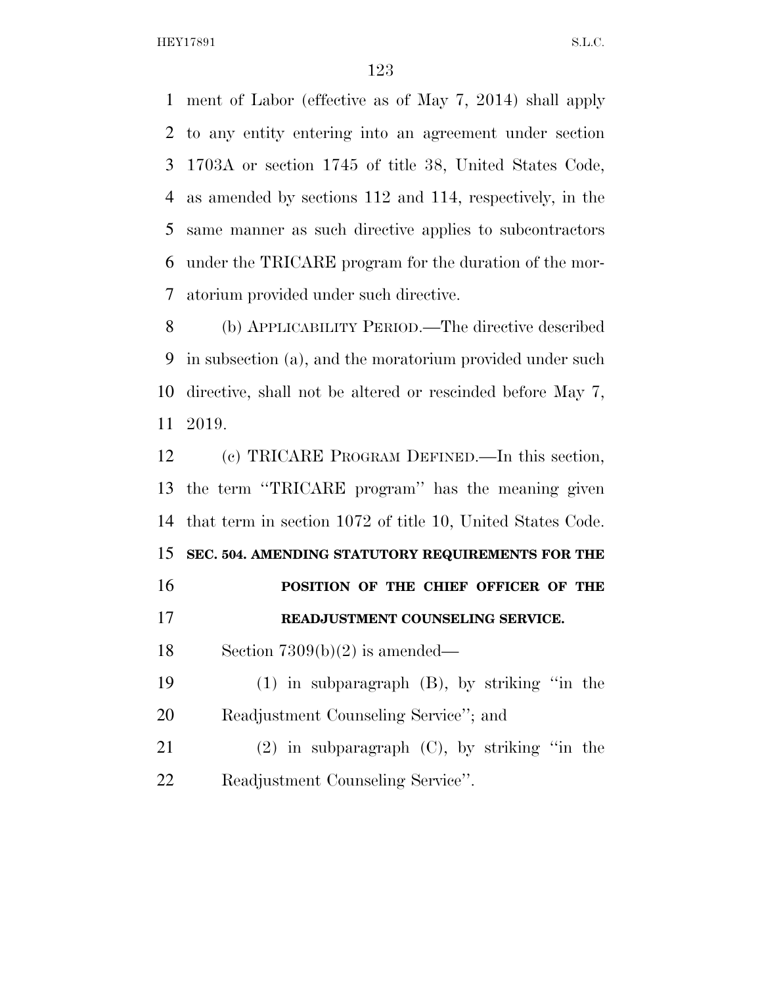ment of Labor (effective as of May 7, 2014) shall apply to any entity entering into an agreement under section 1703A or section 1745 of title 38, United States Code, as amended by sections 112 and 114, respectively, in the same manner as such directive applies to subcontractors under the TRICARE program for the duration of the mor-atorium provided under such directive.

 (b) APPLICABILITY PERIOD.—The directive described in subsection (a), and the moratorium provided under such directive, shall not be altered or rescinded before May 7, 2019.

 (c) TRICARE PROGRAM DEFINED.—In this section, the term ''TRICARE program'' has the meaning given that term in section 1072 of title 10, United States Code. **SEC. 504. AMENDING STATUTORY REQUIREMENTS FOR THE POSITION OF THE CHIEF OFFICER OF THE READJUSTMENT COUNSELING SERVICE.**  Section 7309(b)(2) is amended— (1) in subparagraph (B), by striking ''in the Readjustment Counseling Service''; and (2) in subparagraph (C), by striking ''in the Readjustment Counseling Service''.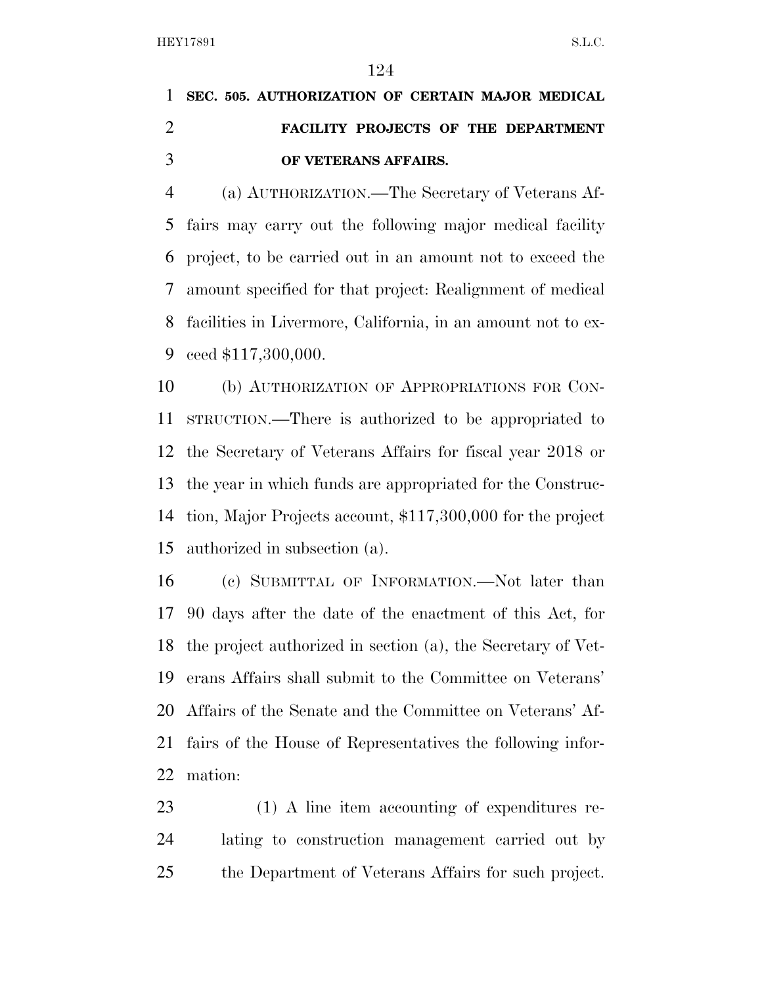## **SEC. 505. AUTHORIZATION OF CERTAIN MAJOR MEDICAL FACILITY PROJECTS OF THE DEPARTMENT OF VETERANS AFFAIRS.**

 (a) AUTHORIZATION.—The Secretary of Veterans Af- fairs may carry out the following major medical facility project, to be carried out in an amount not to exceed the amount specified for that project: Realignment of medical facilities in Livermore, California, in an amount not to ex-ceed \$117,300,000.

 (b) AUTHORIZATION OF APPROPRIATIONS FOR CON- STRUCTION.—There is authorized to be appropriated to the Secretary of Veterans Affairs for fiscal year 2018 or the year in which funds are appropriated for the Construc- tion, Major Projects account, \$117,300,000 for the project authorized in subsection (a).

 (c) SUBMITTAL OF INFORMATION.—Not later than 90 days after the date of the enactment of this Act, for the project authorized in section (a), the Secretary of Vet- erans Affairs shall submit to the Committee on Veterans' Affairs of the Senate and the Committee on Veterans' Af- fairs of the House of Representatives the following infor-mation:

 (1) A line item accounting of expenditures re- lating to construction management carried out by the Department of Veterans Affairs for such project.